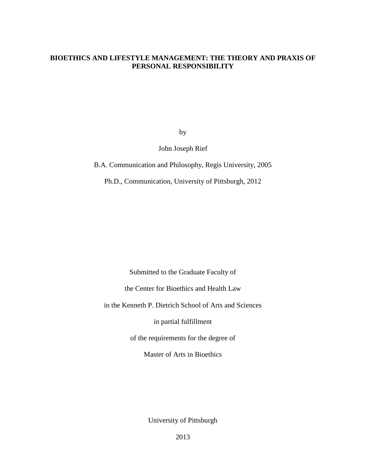## **BIOETHICS AND LIFESTYLE MANAGEMENT: THE THEORY AND PRAXIS OF PERSONAL RESPONSIBILITY**

by

John Joseph Rief

B.A. Communication and Philosophy, Regis University, 2005

Ph.D., Communication, University of Pittsburgh, 2012

Submitted to the Graduate Faculty of the Center for Bioethics and Health Law in the Kenneth P. Dietrich School of Arts and Sciences in partial fulfillment of the requirements for the degree of Master of Arts in Bioethics

University of Pittsburgh

2013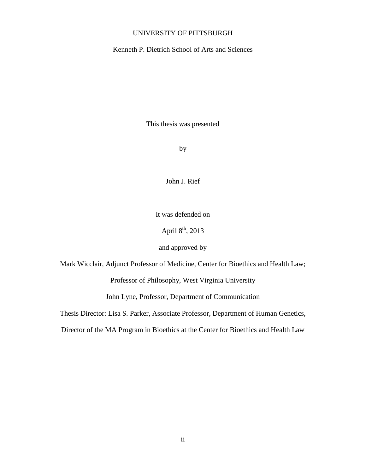### UNIVERSITY OF PITTSBURGH

Kenneth P. Dietrich School of Arts and Sciences

This thesis was presented

by

John J. Rief

It was defended on

April  $8<sup>th</sup>$ , 2013

and approved by

Mark Wicclair, Adjunct Professor of Medicine, Center for Bioethics and Health Law;

Professor of Philosophy, West Virginia University

John Lyne, Professor, Department of Communication

Thesis Director: Lisa S. Parker, Associate Professor, Department of Human Genetics,

Director of the MA Program in Bioethics at the Center for Bioethics and Health Law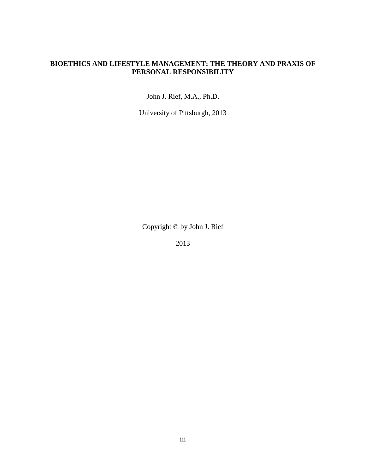## **BIOETHICS AND LIFESTYLE MANAGEMENT: THE THEORY AND PRAXIS OF PERSONAL RESPONSIBILITY**

John J. Rief, M.A., Ph.D.

University of Pittsburgh, 2013

Copyright © by John J. Rief

2013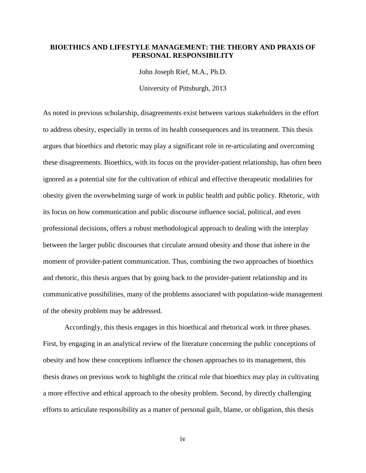### **BIOETHICS AND LIFESTYLE MANAGEMENT: THE THEORY AND PRAXIS OF PERSONAL RESPONSIBILITY**

John Joseph Rief, M.A., Ph.D.

University of Pittsburgh, 2013

As noted in previous scholarship, disagreements exist between various stakeholders in the effort to address obesity, especially in terms of its health consequences and its treatment. This thesis argues that bioethics and rhetoric may play a significant role in re-articulating and overcoming these disagreements. Bioethics, with its focus on the provider-patient relationship, has often been ignored as a potential site for the cultivation of ethical and effective therapeutic modalities for obesity given the overwhelming surge of work in public health and public policy. Rhetoric, with its focus on how communication and public discourse influence social, political, and even professional decisions, offers a robust methodological approach to dealing with the interplay between the larger public discourses that circulate around obesity and those that inhere in the moment of provider-patient communication. Thus, combining the two approaches of bioethics and rhetoric, this thesis argues that by going back to the provider-patient relationship and its communicative possibilities, many of the problems associated with population-wide management of the obesity problem may be addressed.

Accordingly, this thesis engages in this bioethical and rhetorical work in three phases. First, by engaging in an analytical review of the literature concerning the public conceptions of obesity and how these conceptions influence the chosen approaches to its management, this thesis draws on previous work to highlight the critical role that bioethics may play in cultivating a more effective and ethical approach to the obesity problem. Second, by directly challenging efforts to articulate responsibility as a matter of personal guilt, blame, or obligation, this thesis

iv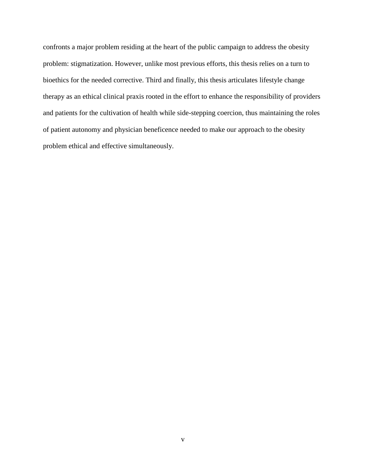confronts a major problem residing at the heart of the public campaign to address the obesity problem: stigmatization. However, unlike most previous efforts, this thesis relies on a turn to bioethics for the needed corrective. Third and finally, this thesis articulates lifestyle change therapy as an ethical clinical praxis rooted in the effort to enhance the responsibility of providers and patients for the cultivation of health while side-stepping coercion, thus maintaining the roles of patient autonomy and physician beneficence needed to make our approach to the obesity problem ethical and effective simultaneously.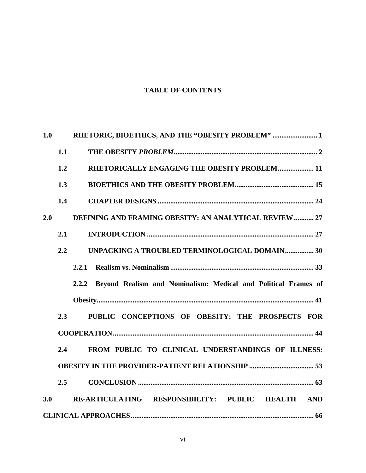# **TABLE OF CONTENTS**

| 1.0 |     | RHETORIC, BIOETHICS, AND THE "OBESITY PROBLEM"  1                    |  |  |
|-----|-----|----------------------------------------------------------------------|--|--|
|     | 1.1 |                                                                      |  |  |
|     | 1.2 | RHETORICALLY ENGAGING THE OBESITY PROBLEM 11                         |  |  |
|     | 1.3 |                                                                      |  |  |
|     | 1.4 |                                                                      |  |  |
| 2.0 |     | <b>DEFINING AND FRAMING OBESITY: AN ANALYTICAL REVIEW  27</b>        |  |  |
|     | 2.1 |                                                                      |  |  |
|     | 2.2 | UNPACKING A TROUBLED TERMINOLOGICAL DOMAIN 30                        |  |  |
|     |     | 2.2.1                                                                |  |  |
|     |     | 2.2.2 Beyond Realism and Nominalism: Medical and Political Frames of |  |  |
|     |     |                                                                      |  |  |
|     | 2.3 | PUBLIC CONCEPTIONS OF OBESITY: THE PROSPECTS FOR                     |  |  |
|     |     |                                                                      |  |  |
|     | 2.4 | FROM PUBLIC TO CLINICAL UNDERSTANDINGS OF ILLNESS:                   |  |  |
|     |     |                                                                      |  |  |
|     | 2.5 |                                                                      |  |  |
| 3.0 |     | RE-ARTICULATING RESPONSIBILITY: PUBLIC HEALTH AND                    |  |  |
|     |     |                                                                      |  |  |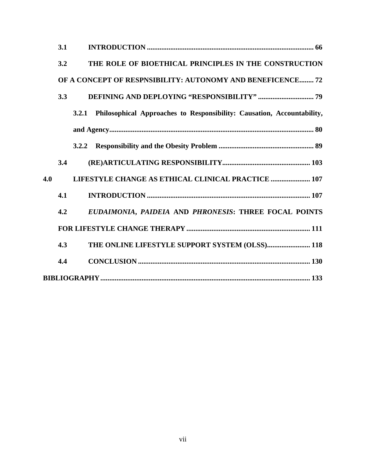| 3.1                                                                             |  |  |  |
|---------------------------------------------------------------------------------|--|--|--|
| THE ROLE OF BIOETHICAL PRINCIPLES IN THE CONSTRUCTION<br>3.2                    |  |  |  |
| OF A CONCEPT OF RESPNSIBILITY: AUTONOMY AND BENEFICENCE 72                      |  |  |  |
| 3.3                                                                             |  |  |  |
| Philosophical Approaches to Responsibility: Causation, Accountability,<br>3.2.1 |  |  |  |
|                                                                                 |  |  |  |
|                                                                                 |  |  |  |
| 3.4                                                                             |  |  |  |
| 4.0<br>LIFESTYLE CHANGE AS ETHICAL CLINICAL PRACTICE  107                       |  |  |  |
| 4.1                                                                             |  |  |  |
| EUDAIMONIA, PAIDEIA AND PHRONESIS: THREE FOCAL POINTS<br>4.2                    |  |  |  |
|                                                                                 |  |  |  |
| THE ONLINE LIFESTYLE SUPPORT SYSTEM (OLSS) 118<br>4.3                           |  |  |  |
| 4.4                                                                             |  |  |  |
|                                                                                 |  |  |  |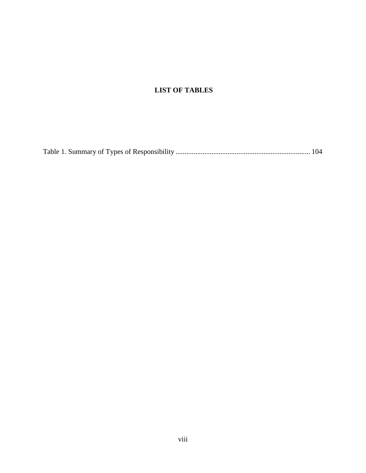# **LIST OF TABLES**

|--|--|--|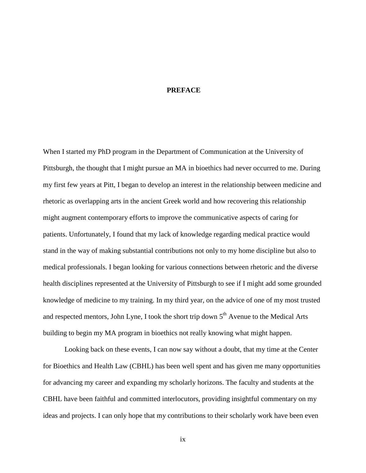#### **PREFACE**

When I started my PhD program in the Department of Communication at the University of Pittsburgh, the thought that I might pursue an MA in bioethics had never occurred to me. During my first few years at Pitt, I began to develop an interest in the relationship between medicine and rhetoric as overlapping arts in the ancient Greek world and how recovering this relationship might augment contemporary efforts to improve the communicative aspects of caring for patients. Unfortunately, I found that my lack of knowledge regarding medical practice would stand in the way of making substantial contributions not only to my home discipline but also to medical professionals. I began looking for various connections between rhetoric and the diverse health disciplines represented at the University of Pittsburgh to see if I might add some grounded knowledge of medicine to my training. In my third year, on the advice of one of my most trusted and respected mentors, John Lyne, I took the short trip down 5<sup>th</sup> Avenue to the Medical Arts building to begin my MA program in bioethics not really knowing what might happen.

Looking back on these events, I can now say without a doubt, that my time at the Center for Bioethics and Health Law (CBHL) has been well spent and has given me many opportunities for advancing my career and expanding my scholarly horizons. The faculty and students at the CBHL have been faithful and committed interlocutors, providing insightful commentary on my ideas and projects. I can only hope that my contributions to their scholarly work have been even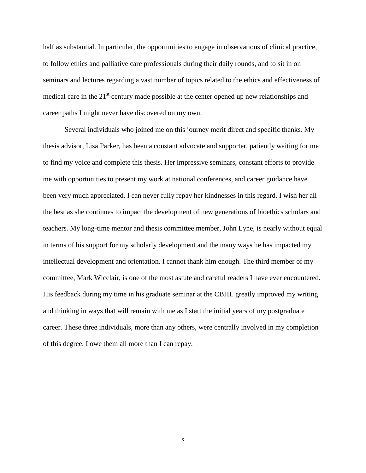half as substantial. In particular, the opportunities to engage in observations of clinical practice, to follow ethics and palliative care professionals during their daily rounds, and to sit in on seminars and lectures regarding a vast number of topics related to the ethics and effectiveness of medical care in the  $21<sup>st</sup>$  century made possible at the center opened up new relationships and career paths I might never have discovered on my own.

Several individuals who joined me on this journey merit direct and specific thanks. My thesis advisor, Lisa Parker, has been a constant advocate and supporter, patiently waiting for me to find my voice and complete this thesis. Her impressive seminars, constant efforts to provide me with opportunities to present my work at national conferences, and career guidance have been very much appreciated. I can never fully repay her kindnesses in this regard. I wish her all the best as she continues to impact the development of new generations of bioethics scholars and teachers. My long-time mentor and thesis committee member, John Lyne, is nearly without equal in terms of his support for my scholarly development and the many ways he has impacted my intellectual development and orientation. I cannot thank him enough. The third member of my committee, Mark Wicclair, is one of the most astute and careful readers I have ever encountered. His feedback during my time in his graduate seminar at the CBHL greatly improved my writing and thinking in ways that will remain with me as I start the initial years of my postgraduate career. These three individuals, more than any others, were centrally involved in my completion of this degree. I owe them all more than I can repay.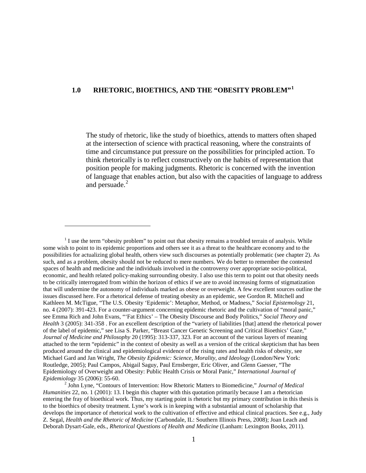# <span id="page-10-0"></span>**1.0 RHETORIC, BIOETHICS, AND THE "OBESITY PROBLEM"[1](#page-10-1)**

The study of rhetoric, like the study of bioethics, attends to matters often shaped at the intersection of science with practical reasoning, where the constraints of time and circumstance put pressure on the possibilities for principled action. To think rhetorically is to reflect constructively on the habits of representation that position people for making judgments. Rhetoric is concerned with the invention of language that enables action, but also with the capacities of language to address and persuade.<sup>[2](#page-10-2)</sup>

<span id="page-10-1"></span> $<sup>1</sup>$  I use the term "obesity problem" to point out that obesity remains a troubled terrain of analysis. While</sup> some wish to point to its epidemic proportions and others see it as a threat to the healthcare economy and to the possibilities for actualizing global health, others view such discourses as potentially problematic (see chapter 2). As such, and as a problem, obesity should not be reduced to mere numbers. We do better to remember the contested spaces of health and medicine and the individuals involved in the controversy over appropriate socio-political, economic, and health related policy-making surrounding obesity. I also use this term to point out that obesity needs to be critically interrogated from within the horizon of ethics if we are to avoid increasing forms of stigmatization that will undermine the autonomy of individuals marked as obese or overweight. A few excellent sources outline the issues discussed here. For a rhetorical defense of treating obesity as an epidemic, see Gordon R. Mitchell and Kathleen M. McTigue, "The U.S. Obesity 'Epidemic': Metaphor, Method, or Madness," *Social Epistemology* 21, no. 4 (2007): 391-423. For a counter-argument concerning epidemic rhetoric and the cultivation of "moral panic," see Emma Rich and John Evans, "'Fat Ethics' – The Obesity Discourse and Body Politics," *Social Theory and Health* 3 (2005): 341-358 . For an excellent description of the "variety of liabilities [that] attend the rhetorical power of the label of epidemic," see Lisa S. Parker, "Breast Cancer Genetic Screening and Critical Bioethics' Gaze," *Journal of Medicine and Philosophy* 20 (1995): 313-337, 323. For an account of the various layers of meaning attached to the term "epidemic" in the context of obesity as well as a version of the critical skepticism that has been produced around the clinical and epidemiological evidence of the rising rates and health risks of obesity, see Michael Gard and Jan Wright, *The Obesity Epidemic: Science, Morality, and Ideology* (London/New York: Routledge, 2005); Paul Campos, Abigail Saguy, Paul Ernsberger, Eric Oliver, and Glenn Gaesser, "The Epidemiology of Overweight and Obesity: Public Health Crisis or Moral Panic," *International Journal of* 

<span id="page-10-2"></span><sup>&</sup>lt;sup>2</sup> John Lyne, "Contours of Intervention: How Rhetoric Matters to Biomedicine," *Journal of Medical Humanities* 22, no. 1 (2001): 13. I begin this chapter with this quotation primarily because I am a rhetorician entering the fray of bioethical work. Thus, my starting point is rhetoric but my primary contribution in this thesis is to the bioethics of obesity treatment. Lyne's work is in keeping with a substantial amount of scholarship that develops the importance of rhetorical work to the cultivation of effective and ethical clinical practices. See e.g., Judy Z. Segal, *Health and the Rhetoric of Medicine* (Carbondale, IL: Southern Illinois Press, 2008); Joan Leach and Deborah Dysart-Gale, eds., *Rhetorical Questions of Health and Medicine* (Lanham: Lexington Books, 2011).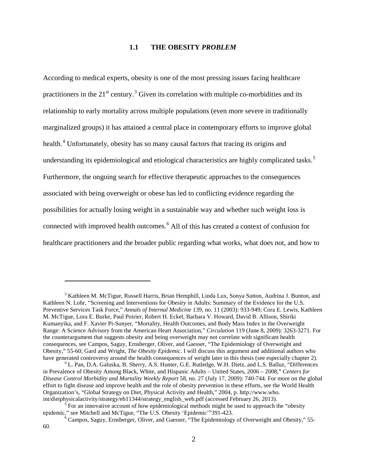#### **1.1 THE OBESITY** *PROBLEM*

<span id="page-11-0"></span>According to medical experts, obesity is one of the most pressing issues facing healthcare practitioners in the  $21<sup>st</sup>$  century.<sup>[3](#page-11-1)</sup> Given its correlation with multiple co-morbidities and its relationship to early mortality across multiple populations (even more severe in traditionally marginalized groups) it has attained a central place in contemporary efforts to improve global health.<sup>[4](#page-11-2)</sup> Unfortunately, obesity has so many causal factors that tracing its origins and understanding its epidemiological and etiological characteristics are highly complicated tasks.<sup>[5](#page-11-3)</sup> Furthermore, the ongoing search for effective therapeutic approaches to the consequences associated with being overweight or obese has led to conflicting evidence regarding the possibilities for actually losing weight in a sustainable way and whether such weight loss is connected with improved health outcomes.<sup>[6](#page-11-4)</sup> All of this has created a context of confusion for healthcare practitioners and the broader public regarding what works, what does not, and how to

<span id="page-11-1"></span><sup>&</sup>lt;sup>3</sup> Kathleen M. McTigue, Russell Harris, Brian Hemphill, Linda Lux, Sonya Sutton, Audrina J. Bunton, and Kathleen N. Lohr, "Screening and Interventions for Obesity in Adults: Summary of the Evidence for the U.S. Preventive Services Task Force," *Annals of Internal Medicine* 139, no. 11 (2003): 933-949; Cora E. Lewis, Kathleen M. McTigue, Lora E. Burke, Paul Poirier, Robert H. Eckel, Barbara V. Howard, David B. Allison, Shiriki Kumanyika, and F. Xavier Pi-Sunyer, "Mortality, Health Outcomes, and Body Mass Index in the Overweight Range: A Science Advisory from the American Heart Association," *Circulation* 119 (June 8, 2009): 3263-3271. For the counterargument that suggests obesity and being overweight may not correlate with significant health consequences, see Campos, Saguy, Ernsberger, Oliver, and Gaesser, "The Epidemiology of Overweight and Obesity," 55-60; Gard and Wright, *The Obesity Epidemic*. I will discuss this argument and additional authors who

<span id="page-11-2"></span><sup>&</sup>lt;sup>4</sup> L. Pan, D.A. Galuska, B. Sherry, A.S. Hunter, G.E. Rutledge, W.H. Dietz, and L.S. Balluz, "Differences in Prevalence of Obesity Among Black, White, and Hispanic Adults – United States, 2006 – 2008," *Centers for Disease Control Morbidity and Mortality Weekly Report* 58, no. 27 (July 17, 2009): 740-744. For more on the global effort to fight disease and improve health and the role of obesity prevention in these efforts, see the World Health Organization's, "Global Strategy on Diet, Physical Activity and Health," 2004, p. http://www.who.

<span id="page-11-3"></span><sup>&</sup>lt;sup>5</sup> For an innovative account of how epidemiological methods might be used to approach the "obesity" epidemic," see Mitchell and McTigue, "The U.S. Obesity 'Epidemic'"391-423.<br><sup>6</sup> Campos, Saguy, Ernsberger, Oliver, and Gaesser, "The Epidemiology of Overweight and Obesity," 55-

<span id="page-11-4"></span><sup>60.</sup>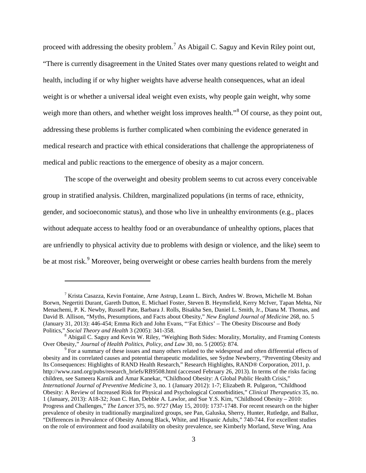proceed with addressing the obesity problem.<sup>[7](#page-12-0)</sup> As Abigail C. Saguy and Kevin Riley point out, "There is currently disagreement in the United States over many questions related to weight and health, including if or why higher weights have adverse health consequences, what an ideal weight is or whether a universal ideal weight even exists, why people gain weight, why some weigh more than others, and whether weight loss improves health."<sup>[8](#page-12-1)</sup> Of course, as they point out, addressing these problems is further complicated when combining the evidence generated in medical research and practice with ethical considerations that challenge the appropriateness of medical and public reactions to the emergence of obesity as a major concern.

The scope of the overweight and obesity problem seems to cut across every conceivable group in stratified analysis. Children, marginalized populations (in terms of race, ethnicity, gender, and socioeconomic status), and those who live in unhealthy environments (e.g., places without adequate access to healthy food or an overabundance of unhealthy options, places that are unfriendly to physical activity due to problems with design or violence, and the like) seem to be at most risk.<sup>[9](#page-12-2)</sup> Moreover, being overweight or obese carries health burdens from the merely

<span id="page-12-0"></span><sup>7</sup> Krista Casazza, Kevin Fontaine, Arne Astrup, Leann L. Birch, Andres W. Brown, Michelle M. Bohan Borwn, Negertiti Durant, Gareth Dutton, E. Michael Foster, Steven B. Heymsfield, Kerry McIver, Tapan Mehta, Nir Menachemi, P. K. Newby, Russell Pate, Barbara J. Rolls, Bisakha Sen, Daniel L. Smith, Jr., Diana M. Thomas, and David B. Allison, "Myths, Presumptions, and Facts about Obesity," *New England Journal of Medicine* 268, no. 5 (January 31, 2013): 446-454; Emma Rich and John Evans, "'Fat Ethics' – The Obesity Discourse and Body

Politics," *Social Theory and Health* 3 (2005): 341-358.<br><sup>8</sup> Abigail C. Saguy and Kevin W. Riley, "Weighing Both Sides: Morality, Mortality, and Framing Contests

<span id="page-12-2"></span><span id="page-12-1"></span>Over Obesity," *Journal of Health Politics, Policy, and Law* 30, no. 5 (2005): 874.<br><sup>9</sup> For a summary of these issues and many others related to the widespread and often differential effects of obesity and its correlated causes and potential therapeutic modalities, see Sydne Newberry, "Preventing Obesity and Its Consequences: Highlights of RAND Health Research," Research Highlights, RAND® Corporation, 2011, p. [http://www.rand.org/pubs/research\\_briefs/RB9508.html](http://www.rand.org/pubs/research_briefs/RB9508.html) (accessed February 26, 2013). In terms of the risks facing children, see Sameera Karnik and Amar Kanekar, "Childhood Obesity: A Global Public Health Crisis," *International Journal of Preventive Medicine* 3, no. 1 (January 2012): 1-7; Elizabeth R. Pulgaron, "Childhood Obesity: A Review of Increased Risk for Physical and Psychological Comorbidities," *Clinical Therapeutics* 35, no. 1 (January, 2013): A18-32; Joan C. Han, Debbie A. Lawlor, and Sue Y.S. Kim, "Childhood Obesity – 2010: Progress and Challenges," *The Lancet* 375, no. 9727 (May 15, 2010): 1737-1748. For recent research on the higher prevalence of obesity in traditionally marginalized groups, see Pan, Galuska, Sherry, Hunter, Rutledge, and Balluz, "Differences in Prevalence of Obesity Among Black, White, and Hispanic Adults," 740-744. For excellent studies on the role of environment and food availability on obesity prevalence, see Kimberly Morland, Steve Wing, Ana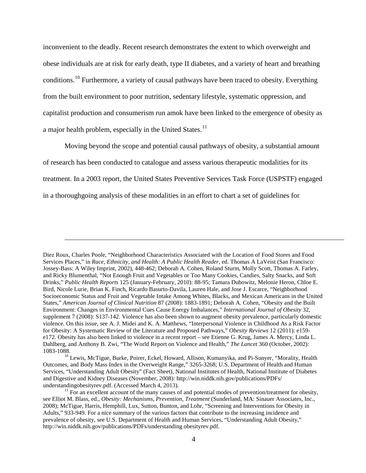inconvenient to the deadly. Recent research demonstrates the extent to which overweight and obese individuals are at risk for early death, type II diabetes, and a variety of heart and breathing conditions.<sup>[10](#page-13-0)</sup> Furthermore, a variety of causal pathways have been traced to obesity. Everything from the built environment to poor nutrition, sedentary lifestyle, systematic oppression, and capitalist production and consumerism run amok have been linked to the emergence of obesity as a major health problem, especially in the United States.<sup>[11](#page-13-1)</sup>

Moving beyond the scope and potential causal pathways of obesity, a substantial amount of research has been conducted to catalogue and assess various therapeutic modalities for its treatment. In a 2003 report, the United States Preventive Services Task Force (USPSTF) engaged in a thoroughgoing analysis of these modalities in an effort to chart a set of guidelines for

Diez Roux, Charles Poole, "Neighborhood Characteristics Associated with the Location of Food Stores and Food Services Places," in *Race, Ethnicity, and Health: A Public Health Reader*, ed. Thomas A LaVeist (San Francisco: Jossey-Bass: A Wiley Imprint, 2002), 448-462; Deborah A. Cohen, Roland Sturm, Molly Scott, Thomas A. Farley, and Ricky Blumenthal, "Not Enough Fruit and Vegetables or Too Many Cookies, Candies, Salty Snacks, and Soft Drinks," *Public Health Reports* 125 (January-February, 2010): 88-95; Tamara Dubowitz, Melonie Heron, Chloe E. Bird, Nicole Lurie, Brian K. Finch, Ricardo Basurto-Davila, Lauren Hale, and Jose J. Escarce, "Neighborhood Socioeconomic Status and Fruit and Vegetable Intake Among Whites, Blacks, and Mexican Americans in the United States," *American Journal of Clinical Nutrition* 87 (2008): 1883-1891; Deborah A. Cohen, "Obesity and the Built Environment: Changes in Environmental Cues Cause Energy Imbalances," *International Journal of Obesity* 32, supplement 7 (2008): S137-142. Violence has also been shown to augment obesity prevalence, particularly domestic violence. On this issue, see A. J. Midei and K. A. Matthews, "Interpersonal Violence in Childhood As a Risk Factor for Obesity: A Systematic Review of the Literature and Proposed Pathways," *Obesity Reviews* 12 (2011): e159 e172. Obesity has also been linked to violence in a recent report – see Etienne G. Krug, James A. Mercy, Linda L. Dahlberg, and Anthony B. Zwi, "The World Report on Violence and Health," *The Lancet* 360 (October, 2002): 1083-1088. <sup>10</sup> Lewis, McTigue, Burke, Poirer, Eckel, Howard, Allison, Kumanyika, and Pi-Sunyer, "Morality, Health

<span id="page-13-0"></span>Outcomes, and Body Mass Index in the Overweight Range," 3265-3268; U.S. Department of Health and Human Services, "Understanding Adult Obesity" (Fact Sheet), National Institutes of Health, National Institute of Diabetes and Digestive and Kidney Diseases (November, 2008): [http://win.niddk.nih.gov/publications/PDFs/](http://win.niddk.nih.gov/publications/PDFs/%20understandingobesityrev.pdf)  [understandingobesityrev.pdf.](http://win.niddk.nih.gov/publications/PDFs/%20understandingobesityrev.pdf) (Accessed March 4, 2013).<br><sup>11</sup> For an excellent account of the many causes of and potential modes of prevention/treatment for obesity,

<span id="page-13-1"></span>see Elliot M. Blass, ed., *Obesity: Mechanisms, Prevention, Treatment* (Sunderland, MA: Sinauer Associates, Inc., 2008); McTigue, Harris, Hemphill, Lux, Sutton, Bunton, and Lohr, "Screening and Interventions for Obesity in Adults," 933-949. For a nice summary of the various factors that contribute to the increasing incidence and prevalence of obesity, see U.S. Department of Health and Human Services, "Understanding Adult Obesity," <http://win.niddk.nih.gov/publications/PDFs/understanding> obesityrev.pdf.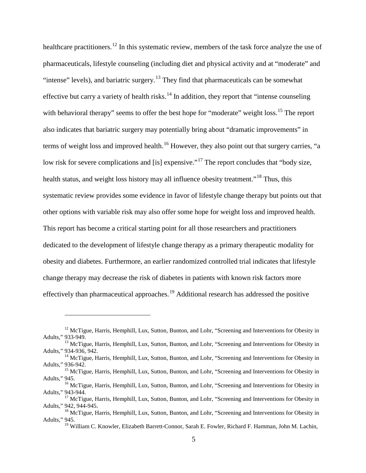healthcare practitioners.<sup>[12](#page-14-0)</sup> In this systematic review, members of the task force analyze the use of pharmaceuticals, lifestyle counseling (including diet and physical activity and at "moderate" and "intense" levels), and bariatric surgery.<sup>[13](#page-14-1)</sup> They find that pharmaceuticals can be somewhat effective but carry a variety of health risks.<sup>[14](#page-14-2)</sup> In addition, they report that "intense counseling" with behavioral therapy" seems to offer the best hope for "moderate" weight loss.<sup>[15](#page-14-3)</sup> The report also indicates that bariatric surgery may potentially bring about "dramatic improvements" in terms of weight loss and improved health.<sup>[16](#page-14-4)</sup> However, they also point out that surgery carries, "a low risk for severe complications and [is] expensive."<sup>[17](#page-14-5)</sup> The report concludes that "body size, health status, and weight loss history may all influence obesity treatment."<sup>[18](#page-14-6)</sup> Thus, this systematic review provides some evidence in favor of lifestyle change therapy but points out that other options with variable risk may also offer some hope for weight loss and improved health. This report has become a critical starting point for all those researchers and practitioners dedicated to the development of lifestyle change therapy as a primary therapeutic modality for obesity and diabetes. Furthermore, an earlier randomized controlled trial indicates that lifestyle change therapy may decrease the risk of diabetes in patients with known risk factors more effectively than pharmaceutical approaches.<sup>[19](#page-14-7)</sup> Additional research has addressed the positive

<span id="page-14-0"></span><sup>&</sup>lt;sup>12</sup> McTigue, Harris, Hemphill, Lux, Sutton, Bunton, and Lohr, "Screening and Interventions for Obesity in Adults," 933-949.

<span id="page-14-1"></span><sup>&</sup>lt;sup>13</sup> McTigue, Harris, Hemphill, Lux, Sutton, Bunton, and Lohr, "Screening and Interventions for Obesity in Adults," 934-936, 942.

<span id="page-14-2"></span> $14$  McTigue, Harris, Hemphill, Lux, Sutton, Bunton, and Lohr, "Screening and Interventions for Obesity in Adults," 936-942.<br><sup>15</sup> McTigue, Harris, Hemphill, Lux, Sutton, Bunton, and Lohr, "Screening and Interventions for Obesity in

<span id="page-14-3"></span>Adults," 945.

<span id="page-14-4"></span><sup>&</sup>lt;sup>16</sup> McTigue, Harris, Hemphill, Lux, Sutton, Bunton, and Lohr, "Screening and Interventions for Obesity in

<span id="page-14-5"></span>Adults," 943-944.<br><sup>17</sup> McTigue, Harris, Hemphill, Lux, Sutton, Bunton, and Lohr, "Screening and Interventions for Obesity in Adults," 942, 944-945.

<span id="page-14-7"></span><span id="page-14-6"></span> $^{18}$  McTigue, Harris, Hemphill, Lux, Sutton, Bunton, and Lohr, "Screening and Interventions for Obesity in Adults," 945.

<sup>&</sup>lt;sup>19</sup> William C. Knowler, Elizabeth Barrett-Connor, Sarah E. Fowler, Richard F. Hamman, John M. Lachin,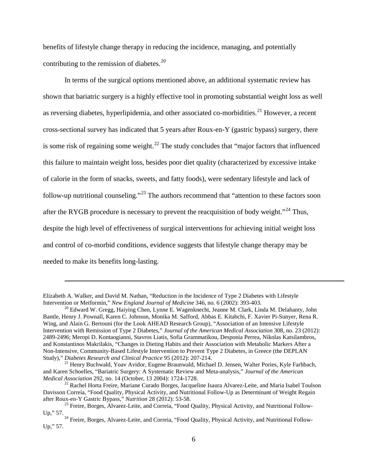benefits of lifestyle change therapy in reducing the incidence, managing, and potentially contributing to the remission of diabetes.<sup>[20](#page-15-0)</sup>

In terms of the surgical options mentioned above, an additional systematic review has shown that bariatric surgery is a highly effective tool in promoting substantial weight loss as well as reversing diabetes, hyperlipidemia, and other associated co-morbidities.<sup>[21](#page-15-1)</sup> However, a recent cross-sectional survey has indicated that 5 years after Roux-en-Y (gastric bypass) surgery, there is some risk of regaining some weight.<sup>[22](#page-15-2)</sup> The study concludes that "major factors that influenced" this failure to maintain weight loss, besides poor diet quality (characterized by excessive intake of calorie in the form of snacks, sweets, and fatty foods), were sedentary lifestyle and lack of follow-up nutritional counseling."[23](#page-15-3) The authors recommend that "attention to these factors soon after the RYGB procedure is necessary to prevent the reacquisition of body weight."<sup>[24](#page-15-4)</sup> Thus. despite the high level of effectiveness of surgical interventions for achieving initial weight loss and control of co-morbid conditions, evidence suggests that lifestyle change therapy may be needed to make its benefits long-lasting.

Elizabeth A. Walker, and David M. Nathan, "Reduction in the Incidence of Type 2 Diabetes with Lifestyle Intervention or Metformin," New England Journal of Medicine 346, no. 6 (2002): 393-403.

<span id="page-15-0"></span><sup>&</sup>lt;sup>20</sup> Edward W. Gregg, Haiying Chen, Lynne E. Wagenknecht, Jeanne M. Clark, Linda M. Delahanty, John Bantle, Henry J. Pownall, Karen C. Johnson, Monika M. Safford, Abbas E. Kitabchi, F. Xavier Pi-Sunyer, Rena R. Wing, and Alain G. Bertouni (for the Look AHEAD Research Group), "Association of an Intensive Lifestyle Intervention with Remission of Type 2 Diabetes," *Journal of the American Medical Association* 308, no. 23 (2012): 2489-2496; Meropi D. Kontaogianni, Stavros Liatis, Sofia Grammatikou, Desponia Perrea, Nikolas Katsilambros, and Konstantinos Makrilakis, "Changes in Dieting Habits and their Association with Metabolic Markers After a Non-Intensive, Community-Based Lifestyle Intervention to Prevent Type 2 Diabetes, in Greece (the DEPLAN Study)," Diabetes Research and Clinical Practice 95 (2012): 207-214.

<span id="page-15-1"></span><sup>&</sup>lt;sup>21</sup> Henry Buchwald, Yoav Avidor, Eugene Braunwald, Michael D. Jensen, Walter Pories, Kyle Farhbach, and Karen Schoelles, "Bariatric Surgery: A Systematic Review and Meta-analysis," *Journal of the American* 

<span id="page-15-2"></span><sup>&</sup>lt;sup>22</sup> Rachel Horta Freire, Mariane Curado Borges, Jacqueline Isaura Alvarez-Leite, and Maria Isabel Toulson Davisson Correia, "Food Quality, Physical Activity, and Nutritional Follow-Up as Determinant of Weight Regain after Roux-en-Y Gastric Bypass," Nutrition 28 (2012): 53-58.

<sup>&</sup>lt;sup>23</sup> Freire, Borges, Alvarez-Leite, and Correia, "Food Quality, Physical Activity, and Nutritional Follow-

<span id="page-15-4"></span><span id="page-15-3"></span>Up," 57. <sup>24</sup> Freire, Borges, Alvarez-Leite, and Correia, "Food Quality, Physical Activity, and Nutritional Follow-Up," 57.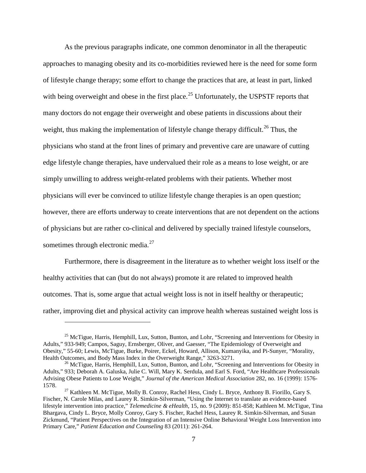As the previous paragraphs indicate, one common denominator in all the therapeutic approaches to managing obesity and its co-morbidities reviewed here is the need for some form of lifestyle change therapy; some effort to change the practices that are, at least in part, linked with being overweight and obese in the first place.<sup>[25](#page-16-0)</sup> Unfortunately, the USPSTF reports that many doctors do not engage their overweight and obese patients in discussions about their weight, thus making the implementation of lifestyle change therapy difficult.<sup>[26](#page-16-1)</sup> Thus, the physicians who stand at the front lines of primary and preventive care are unaware of cutting edge lifestyle change therapies, have undervalued their role as a means to lose weight, or are simply unwilling to address weight-related problems with their patients. Whether most physicians will ever be convinced to utilize lifestyle change therapies is an open question; however, there are efforts underway to create interventions that are not dependent on the actions of physicians but are rather co-clinical and delivered by specially trained lifestyle counselors, sometimes through electronic media. $27$ 

Furthermore, there is disagreement in the literature as to whether weight loss itself or the healthy activities that can (but do not always) promote it are related to improved health outcomes. That is, some argue that actual weight loss is not in itself healthy or therapeutic; rather, improving diet and physical activity can improve health whereas sustained weight loss is

<span id="page-16-0"></span> $25$  McTigue, Harris, Hemphill, Lux, Sutton, Bunton, and Lohr, "Screening and Interventions for Obesity in Adults," 933-949; Campos, Saguy, Ernsberger, Oliver, and Gaesser, "The Epidemiology of Overweight and Obesity," 55-60; Lewis, McTigue, Burke, Poirer, Eckel, Howard, Allison, Kumanyika, and Pi-Sunyer, "Morality, Health Outcomes, and Body Mass Index in the Overweight Range," 3263-3271.

<span id="page-16-1"></span><sup>&</sup>lt;sup>26</sup> McTigue, Harris, Hemphill, Lux, Sutton, Bunton, and Lohr, "Screening and Interventions for Obesity in Adults," 933; Deborah A. Galuska, Julie C. Will, Mary K. Serdula, and Earl S. Ford, "Are Healthcare Professionals Advising Obese Patients to Lose Weight," *Journal of the American Medical Association* 282, no. 16 (1999): 1576- 1578. <sup>27</sup> Kathleen M. McTigue, Molly B. Conroy, Rachel Hess, Cindy L. Bryce, Anthony B. Fiorillo, Gary S.

<span id="page-16-2"></span>Fischer, N. Carole Milas, and Laurey R. Simkin-Silverman, "Using the Internet to translate an evidence-based lifestyle intervention into practice," *Telemedicine & eHealth*, 15, no. 9 (2009): 851-858; Kathleen M. McTigue, Tina Bhargava, Cindy L. Bryce, Molly Conroy, Gary S. Fischer, Rachel Hess, Laurey R. Simkin-Silverman, and Susan Zickmund, "Patient Perspectives on the Integration of an Intensive Online Behavioral Weight Loss Intervention into Primary Care," *Patient Education and Counseling* 83 (2011): 261-264.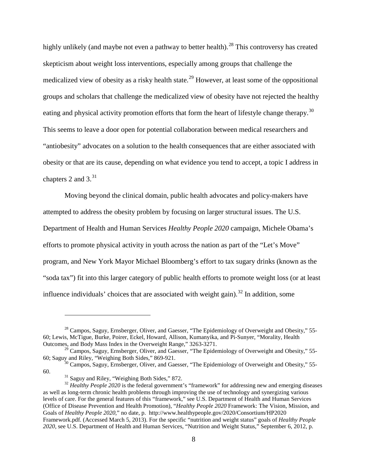highly unlikely (and maybe not even a pathway to better health).<sup>[28](#page-17-0)</sup> This controversy has created skepticism about weight loss interventions, especially among groups that challenge the medicalized view of obesity as a risky health state.<sup>[29](#page-17-1)</sup> However, at least some of the oppositional groups and scholars that challenge the medicalized view of obesity have not rejected the healthy eating and physical activity promotion efforts that form the heart of lifestyle change therapy.<sup>[30](#page-17-2)</sup> This seems to leave a door open for potential collaboration between medical researchers and "antiobesity" advocates on a solution to the health consequences that are either associated with obesity or that are its cause, depending on what evidence you tend to accept, a topic I address in chapters 2 and  $3^{31}$  $3^{31}$  $3^{31}$ 

Moving beyond the clinical domain, public health advocates and policy-makers have attempted to address the obesity problem by focusing on larger structural issues. The U.S. Department of Health and Human Services *Healthy People 2020* campaign, Michele Obama's efforts to promote physical activity in youth across the nation as part of the "Let's Move" program, and New York Mayor Michael Bloomberg's effort to tax sugary drinks (known as the "soda tax") fit into this larger category of public health efforts to promote weight loss (or at least influence individuals' choices that are associated with weight gain).<sup>[32](#page-17-4)</sup> In addition, some

<span id="page-17-0"></span><sup>&</sup>lt;sup>28</sup> Campos, Saguy, Ernsberger, Oliver, and Gaesser, "The Epidemiology of Overweight and Obesity," 55-60; Lewis, McTigue, Burke, Poirer, Eckel, Howard, Allison, Kumanyika, and Pi-Sunyer, "Morality, Health Outcomes, and Body Mass Index in the Overweight Range," 3263-3271.

<span id="page-17-1"></span><sup>&</sup>lt;sup>29</sup> Campos, Saguy, Ernsberger, Oliver, and Gaesser, "The Epidemiology of Overweight and Obesity," 55-60; Saguy and Riley, "Weighing Both Sides," 869-921.

<span id="page-17-2"></span><sup>&</sup>lt;sup>30</sup> Campos, Saguy, Ernsberger, Oliver, and Gaesser, "The Epidemiology of Overweight and Obesity," 55-60. <sup>31</sup> Saguy and Riley, "Weighing Both Sides," 872. <sup>32</sup> *Healthy People 2020* is the federal government's "framework" for addressing new and emerging diseases

<span id="page-17-4"></span><span id="page-17-3"></span>as well as long-term chronic health problems through improving the use of technology and synergizing various levels of care. For the general features of this "framework," see U.S. Department of Health and Human Services (Office of Disease Prevention and Health Promotion), "*Healthy People 2020* Framework: The Vision, Mission, and Goals of *Healthy People 2020*," no date, p. [http://www.healthypeople.gov/2020/Consortium/HP2020](http://www.healthypeople.gov/2020/Consortium/HP2020%20Framework.pdf)  [Framework.pdf.](http://www.healthypeople.gov/2020/Consortium/HP2020%20Framework.pdf) (Accessed March 5, 2013). For the specific "nutrition and weight status" goals of *Healthy People 2020*, see U.S. Department of Health and Human Services, "Nutrition and Weight Status," September 6, 2012, p.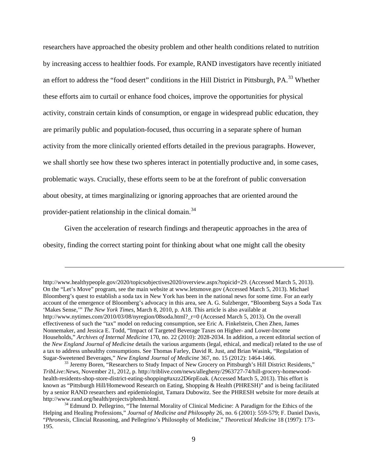researchers have approached the obesity problem and other health conditions related to nutrition by increasing access to healthier foods. For example, RAND investigators have recently initiated an effort to address the "food desert" conditions in the Hill District in Pittsburgh, PA.<sup>[33](#page-18-0)</sup> Whether these efforts aim to curtail or enhance food choices, improve the opportunities for physical activity, constrain certain kinds of consumption, or engage in widespread public education, they are primarily public and population-focused, thus occurring in a separate sphere of human activity from the more clinically oriented efforts detailed in the previous paragraphs. However, we shall shortly see how these two spheres interact in potentially productive and, in some cases, problematic ways. Crucially, these efforts seem to be at the forefront of public conversation about obesity, at times marginalizing or ignoring approaches that are oriented around the provider-patient relationship in the clinical domain.<sup>[34](#page-18-1)</sup>

Given the acceleration of research findings and therapeutic approaches in the area of obesity, finding the correct starting point for thinking about what one might call the obesity

[http://www.healthypeople.gov/2020/topicsobjectives2020/overview.aspx?topicid=29.](http://www.healthypeople.gov/2020/topicsobjectives2020/overview.aspx?topicid=29) (Accessed March 5, 2013). On the "Let's Move" program, see the main website at [www.letsmove.gov](http://www.letsmove.gov/) (Accessed March 5, 2013). Michael Bloomberg's quest to establish a soda tax in New York has been in the national news for some time. For an early account of the emergence of Bloomberg's advocacy in this area, see A. G. Sulzberger, "Bloomberg Says a Soda Tax 'Makes Sense,'" *The New York Times*, March 8, 2010, p. A18. This article is also available at http://www.nytimes.com/2010/03/08/nyregion/08soda.html? r=0 (Accessed March 5, 2013). On the overall effectiveness of such the "tax" model on reducing consumption, see Eric A. Finkelstein, Chen Zhen, James Nonnemaker, and Jessica E. Todd, "Impact of Targeted Beverage Taxes on Higher- and Lower-Income Households," *Archives of Internal Medicine* 170, no. 22 (2010): 2028-2034. In addition, a recent editorial section of the *New England Journal of Medicine* details the various arguments (legal, ethical, and medical) related to the use of a tax to address unhealthy consumptions. See Thomas Farley, David R. Just, and Brian Wasink, "Regulation of Sugar-Sweetened Beverages," New England Journal of Medicine 367, no. 15 (2012): 1464-1466.

<span id="page-18-0"></span><sup>&</sup>lt;sup>33</sup> Jeremy Boren, "Researchers to Study Impact of New Grocery on Pittsburgh's Hill District Residents," *TribLive:News*, November 21, 2012, p. [http://triblive.com/news/allegheny/2963727-74/hill-grocery-homewood](http://triblive.com/news/allegheny/2963727-74/hill-grocery-homewood-health-residents-shop-store-district-eating-shopping%23axzz2D6rpEoak)[health-residents-shop-store-district-eating-shopping#axzz2D6rpEoak.](http://triblive.com/news/allegheny/2963727-74/hill-grocery-homewood-health-residents-shop-store-district-eating-shopping%23axzz2D6rpEoak) (Accessed March 5, 2013). This effort is known as "Pittsburgh Hill/Homewood Research on Eating, Shopping & Health (PHRESH)" and is being facilitated by a senior RAND researchers and epidemiologist, Tamara Dubowitz. See the PHRESH website for more details at http://www.rand.org/health/projects/phresh.html.

<span id="page-18-1"></span> $34$  Edmund D. Pellegrino, "The Internal Morality of Clinical Medicine: A Paradigm for the Ethics of the Helping and Healing Professions," *Journal of Medicine and Philosophy* 26, no. 6 (2001): 559-579; F. Daniel Davis, "*Phronesis*, Clincial Reasoning, and Pellegrino's Philosophy of Medicine," *Theoretical Medicine* 18 (1997): 173- 195.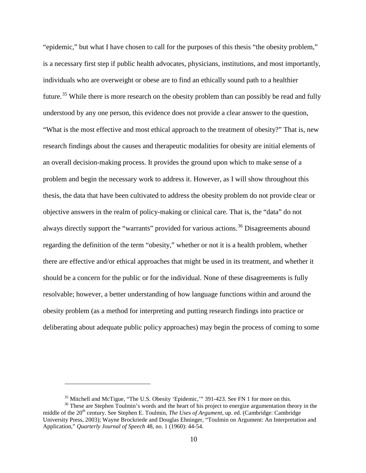"epidemic," but what I have chosen to call for the purposes of this thesis "the obesity problem," is a necessary first step if public health advocates, physicians, institutions, and most importantly, individuals who are overweight or obese are to find an ethically sound path to a healthier future.<sup>[35](#page-19-0)</sup> While there is more research on the obesity problem than can possibly be read and fully understood by any one person, this evidence does not provide a clear answer to the question, "What is the most effective and most ethical approach to the treatment of obesity?" That is, new research findings about the causes and therapeutic modalities for obesity are initial elements of an overall decision-making process. It provides the ground upon which to make sense of a problem and begin the necessary work to address it. However, as I will show throughout this thesis, the data that have been cultivated to address the obesity problem do not provide clear or objective answers in the realm of policy-making or clinical care. That is, the "data" do not always directly support the "warrants" provided for various actions.<sup>[36](#page-19-1)</sup> Disagreements abound regarding the definition of the term "obesity," whether or not it is a health problem, whether there are effective and/or ethical approaches that might be used in its treatment, and whether it should be a concern for the public or for the individual. None of these disagreements is fully resolvable; however, a better understanding of how language functions within and around the obesity problem (as a method for interpreting and putting research findings into practice or deliberating about adequate public policy approaches) may begin the process of coming to some

<sup>&</sup>lt;sup>35</sup> Mitchell and McTigue, "The U.S. Obesity 'Epidemic,'" 391-423. See FN 1 for more on this.<br><sup>36</sup> These are Stephen Toulmin's words and the heart of his project to energize argumentation theory in the

<span id="page-19-1"></span><span id="page-19-0"></span>middle of the 20<sup>th</sup> century. See Stephen E. Toulmin, *The Uses of Argument*, up. ed. (Cambridge: Cambridge University Press, 2003); Wayne Brockriede and Douglas Ehninger, "Toulmin on Argument: An Interpretation and Application," *Quarterly Journal of Speech* 48, no. 1 (1960): 44-54.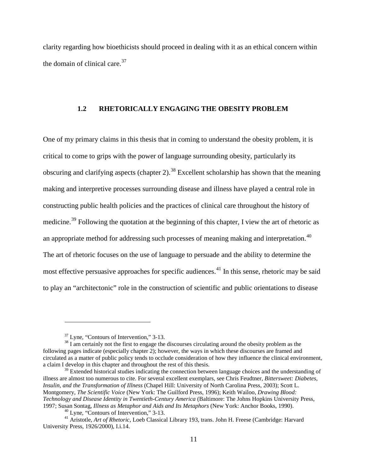<span id="page-20-0"></span>clarity regarding how bioethicists should proceed in dealing with it as an ethical concern within the domain of clinical care.<sup>[37](#page-20-1)</sup>

#### **1.2 RHETORICALLY ENGAGING THE OBESITY PROBLEM**

One of my primary claims in this thesis that in coming to understand the obesity problem, it is critical to come to grips with the power of language surrounding obesity, particularly its obscuring and clarifying aspects (chapter 2).<sup>[38](#page-20-2)</sup> Excellent scholarship has shown that the meaning making and interpretive processes surrounding disease and illness have played a central role in constructing public health policies and the practices of clinical care throughout the history of medicine.<sup>[39](#page-20-3)</sup> Following the quotation at the beginning of this chapter, I view the art of rhetoric as an appropriate method for addressing such processes of meaning making and interpretation.<sup>[40](#page-20-4)</sup> The art of rhetoric focuses on the use of language to persuade and the ability to determine the most effective persuasive approaches for specific audiences.<sup>[41](#page-20-5)</sup> In this sense, rhetoric may be said to play an "architectonic" role in the construction of scientific and public orientations to disease

<span id="page-20-2"></span><span id="page-20-1"></span> $\frac{37}{38}$  Lyne, "Contours of Intervention," 3-13.<br> $\frac{38}{1}$  am certainly not the first to engage the discourses circulating around the obesity problem as the following pages indicate (especially chapter 2); however, the ways in which these discourses are framed and circulated as a matter of public policy tends to occlude consideration of how they influence the clinical environment, a claim I develop in this chapter and throughout the rest of this thesis.

<span id="page-20-3"></span> $39$  Extended historical studies indicating the connection between language choices and the understanding of illness are almost too numerous to cite. For several excellent exemplars, see Chris Feudtner, *Bittersweet: Diabetes, Insulin, and the Transformation of Illness* (Chapel Hill: University of North Carolina Press, 2003); Scott L. Montgomery, *The Scientific Voice* (New York: The Guilford Press, 1996); Keith Wailoo, *Drawing Blood: Technology and Disease Identity in Twentieth-Century America* (Baltimore: The Johns Hopkins University Press,

<span id="page-20-5"></span><span id="page-20-4"></span><sup>&</sup>lt;sup>40</sup> Lyne, "Contours of Intervention," 3-13.<br><sup>41</sup> Aristotle, *Art of Rhetoric*, Loeb Classical Library 193, trans. John H. Freese (Cambridge: Harvard) University Press, 1926/2000), I.i.14.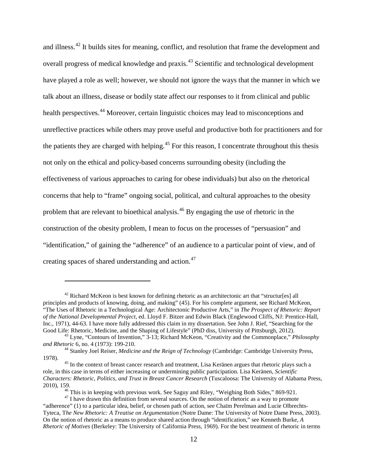and illness.<sup>[42](#page-21-0)</sup> It builds sites for meaning, conflict, and resolution that frame the development and overall progress of medical knowledge and praxis.<sup>[43](#page-21-1)</sup> Scientific and technological development have played a role as well; however, we should not ignore the ways that the manner in which we talk about an illness, disease or bodily state affect our responses to it from clinical and public health perspectives.<sup>[44](#page-21-2)</sup> Moreover, certain linguistic choices may lead to misconceptions and unreflective practices while others may prove useful and productive both for practitioners and for the patients they are charged with helping.<sup>[45](#page-21-3)</sup> For this reason, I concentrate throughout this thesis not only on the ethical and policy-based concerns surrounding obesity (including the effectiveness of various approaches to caring for obese individuals) but also on the rhetorical concerns that help to "frame" ongoing social, political, and cultural approaches to the obesity problem that are relevant to bioethical analysis.[46](#page-21-4) By engaging the use of rhetoric in the construction of the obesity problem, I mean to focus on the processes of "persuasion" and "identification," of gaining the "adherence" of an audience to a particular point of view, and of creating spaces of shared understanding and action.<sup>[47](#page-21-5)</sup>

<span id="page-21-0"></span> $42$  Richard McKeon is best known for defining rhetoric as an architectonic art that "structur[es] all principles and products of knowing, doing, and making" (45). For his complete argument, see Richard McKeon, "The Uses of Rhetoric in a Technological Age: Architectonic Productive Arts," in *The Prospect of Rhetoric: Report of the National Developmental Project*, ed. Lloyd F. Bitzer and Edwin Black (Englewood Cliffs, NJ: Prentice-Hall, Inc., 1971), 44-63. I have more fully addressed this claim in my dissertation. See John J. Rief, "Searching for the Good Life: Rhetoric, Medicine, and the Shaping of Lifestyle" (PhD diss, University of Pittsburgh, 2012).

<span id="page-21-1"></span><sup>&</sup>lt;sup>43</sup> Lyne, "Contours of Invention," 3-13; Richard McKeon, "Creativity and the Commonplace," *Philosophy and Rhetoric* 6, no. 4 (1973): 199-210.

<span id="page-21-2"></span><sup>&</sup>lt;sup>44</sup> Stanley Joel Reiser, *Medicine and the Reign of Technology* (Cambridge: Cambridge University Press, 1978).

<span id="page-21-3"></span><sup>&</sup>lt;sup>45</sup> In the context of breast cancer research and treatment, Lisa Keränen argues that rhetoric plays such a role, in this case in terms of either increasing or undermining public participation. Lisa Keränen, *Scientific Characters: Rhetoric, Politics, and Trust in Breast Cancer Research* (Tuscaloosa: The University of Alabama Press, 2010), 159.<br><sup>46</sup> This is in keeping with previous work. See Saguy and Riley, "Weighing Both Sides," 869-921.<br><sup>47</sup> I have drawn this definition from several sources. On the notion of rhetoric as a way to promote

<span id="page-21-5"></span><span id="page-21-4"></span><sup>&</sup>quot;adherence" (1) to a particular idea, belief, or chosen path of action, see Chaïm Perelman and Lucie Olbrechts-Tyteca, T*he New Rhetoric: A Treatise on Argumentation* (Notre Dame: The University of Notre Dame Press, 2003). On the notion of rhetoric as a means to produce shared action through "identification," see Kenneth Burke, *A Rhetoric of Motives* (Berkeley: The University of California Press, 1969). For the best treatment of rhetoric in terms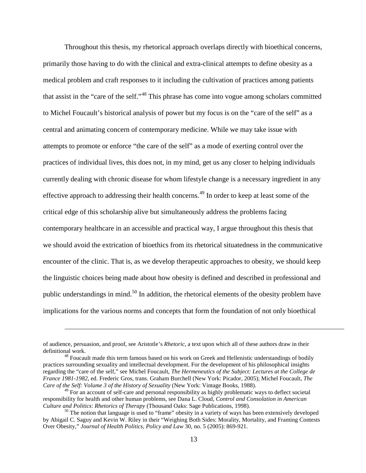Throughout this thesis, my rhetorical approach overlaps directly with bioethical concerns, primarily those having to do with the clinical and extra-clinical attempts to define obesity as a medical problem and craft responses to it including the cultivation of practices among patients that assist in the "care of the self."[48](#page-22-0) This phrase has come into vogue among scholars committed to Michel Foucault's historical analysis of power but my focus is on the "care of the self" as a central and animating concern of contemporary medicine. While we may take issue with attempts to promote or enforce "the care of the self" as a mode of exerting control over the practices of individual lives, this does not, in my mind, get us any closer to helping individuals currently dealing with chronic disease for whom lifestyle change is a necessary ingredient in any effective approach to addressing their health concerns.<sup>[49](#page-22-1)</sup> In order to keep at least some of the critical edge of this scholarship alive but simultaneously address the problems facing contemporary healthcare in an accessible and practical way, I argue throughout this thesis that we should avoid the extrication of bioethics from its rhetorical situatedness in the communicative encounter of the clinic. That is, as we develop therapeutic approaches to obesity, we should keep the linguistic choices being made about how obesity is defined and described in professional and public understandings in mind.<sup>[50](#page-22-2)</sup> In addition, the rhetorical elements of the obesity problem have implications for the various norms and concepts that form the foundation of not only bioethical

of audience, persuasion, and proof, see Aristotle's *Rhetoric*, a text upon which all of these authors draw in their

<span id="page-22-0"></span> $48$  Foucault made this term famous based on his work on Greek and Hellenistic understandings of bodily practices surrounding sexuality and intellectual development. For the development of his philosophical insights regarding the "care of the self," see Michel Foucault, *The Hermeneutics of the Subject: Lectures at the College de France 1981-1982*, ed. Frederic Gros, trans. Graham Burchell (New York: Picador, 2005); Michel Foucault, *The Care of the Self: Volume 3 of the History of Sexuality* (New York: Vintage Books, 1988).

<span id="page-22-1"></span><sup>&</sup>lt;sup>49</sup> For an account of self-care and personal responsibility as highly problematic ways to deflect societal responsibility for health and other human problems, see Dana L. Cloud, *Control and Consolation in American Culture and Politics: Rhetorics of Therapy* (Thousand Oaks: Sage Publications, 1998).<br><sup>50</sup> The notion that language is used to "frame" obesity in a variety of ways has been extensively developed

<span id="page-22-2"></span>by Abigail C. Saguy and Kevin W. Riley in their "Weighing Both Sides: Morality, Mortality, and Framing Contests Over Obesity," *Journal of Health Politics, Policy and Law* 30, no. 5 (2005): 869-921.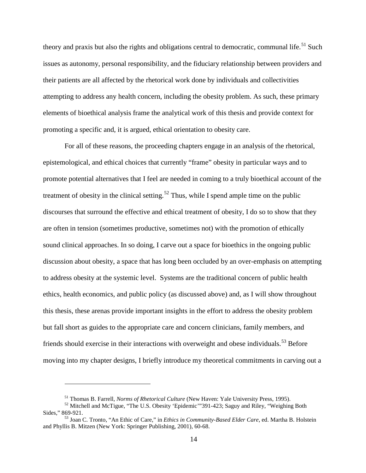theory and praxis but also the rights and obligations central to democratic, communal life.<sup>[51](#page-23-0)</sup> Such issues as autonomy, personal responsibility, and the fiduciary relationship between providers and their patients are all affected by the rhetorical work done by individuals and collectivities attempting to address any health concern, including the obesity problem. As such, these primary elements of bioethical analysis frame the analytical work of this thesis and provide context for promoting a specific and, it is argued, ethical orientation to obesity care.

For all of these reasons, the proceeding chapters engage in an analysis of the rhetorical, epistemological, and ethical choices that currently "frame" obesity in particular ways and to promote potential alternatives that I feel are needed in coming to a truly bioethical account of the treatment of obesity in the clinical setting.<sup>[52](#page-23-1)</sup> Thus, while I spend ample time on the public discourses that surround the effective and ethical treatment of obesity, I do so to show that they are often in tension (sometimes productive, sometimes not) with the promotion of ethically sound clinical approaches. In so doing, I carve out a space for bioethics in the ongoing public discussion about obesity, a space that has long been occluded by an over-emphasis on attempting to address obesity at the systemic level. Systems are the traditional concern of public health ethics, health economics, and public policy (as discussed above) and, as I will show throughout this thesis, these arenas provide important insights in the effort to address the obesity problem but fall short as guides to the appropriate care and concern clinicians, family members, and friends should exercise in their interactions with overweight and obese individuals.<sup>[53](#page-23-2)</sup> Before moving into my chapter designs, I briefly introduce my theoretical commitments in carving out a

<sup>&</sup>lt;sup>51</sup> Thomas B. Farrell, *Norms of Rhetorical Culture* (New Haven: Yale University Press, 1995).<br><sup>52</sup> Mitchell and McTigue, "The U.S. Obesity 'Epidemic'"391-423; Saguy and Riley, "Weighing Both

<span id="page-23-1"></span><span id="page-23-0"></span>Sides," 869-921.<br><sup>53</sup> Joan C. Tronto, "An Ethic of Care," in *Ethics in Community-Based Elder Care*, ed. Martha B. Holstein

<span id="page-23-2"></span>and Phyllis B. Mitzen (New York: Springer Publishing, 2001), 60-68.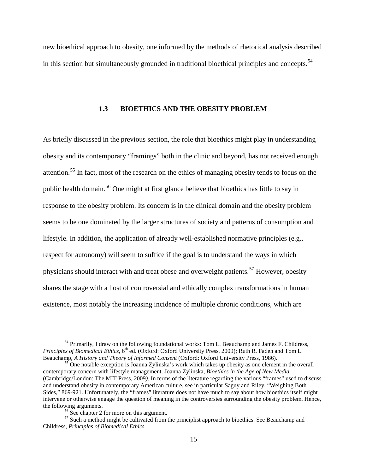<span id="page-24-0"></span>new bioethical approach to obesity, one informed by the methods of rhetorical analysis described in this section but simultaneously grounded in traditional bioethical principles and concepts.<sup>[54](#page-24-1)</sup>

#### **1.3 BIOETHICS AND THE OBESITY PROBLEM**

As briefly discussed in the previous section, the role that bioethics might play in understanding obesity and its contemporary "framings" both in the clinic and beyond, has not received enough attention.<sup>[55](#page-24-2)</sup> In fact, most of the research on the ethics of managing obesity tends to focus on the public health domain.[56](#page-24-3) One might at first glance believe that bioethics has little to say in response to the obesity problem. Its concern is in the clinical domain and the obesity problem seems to be one dominated by the larger structures of society and patterns of consumption and lifestyle. In addition, the application of already well-established normative principles (e.g., respect for autonomy) will seem to suffice if the goal is to understand the ways in which physicians should interact with and treat obese and overweight patients.<sup>[57](#page-24-4)</sup> However, obesity shares the stage with a host of controversial and ethically complex transformations in human existence, most notably the increasing incidence of multiple chronic conditions, which are

<span id="page-24-1"></span><sup>&</sup>lt;sup>54</sup> Primarily, I draw on the following foundational works: Tom L. Beauchamp and James F. Childress, *Principles of Biomedical Ethics*, 6<sup>th</sup> ed. (Oxford: Oxford University Press, 2009); Ruth R. Faden and Tom L. Beauchamp, A *History and Theory of Informed Consent* (Oxford: Oxford University Press, 1986).

<span id="page-24-2"></span><sup>&</sup>lt;sup>55</sup> One notable exception is Joanna Zylinska's work which takes up obesity as one element in the overall contemporary concern with lifestyle management. Joanna Zylinska, *Bioethics in the Age of New Media* (Cambridge/London: The MIT Press, 2009*)*. In terms of the literature regarding the various "frames" used to discuss and understand obesity in contemporary American culture, see in particular Saguy and Riley, "Weighing Both Sides," 869-921. Unfortunately, the "frames" literature does not have much to say about how bioethics itself might intervene or otherwise engage the question of meaning in the controversies surrounding the obesity problem. Hence, the following arguments.<br><sup>56</sup> See chapter 2 for more on this argument.<br><sup>57</sup> Such a method might be cultivated from the principlist approach to bioethics. See Beauchamp and

<span id="page-24-4"></span><span id="page-24-3"></span>Childress, *Principles of Biomedical Ethics.*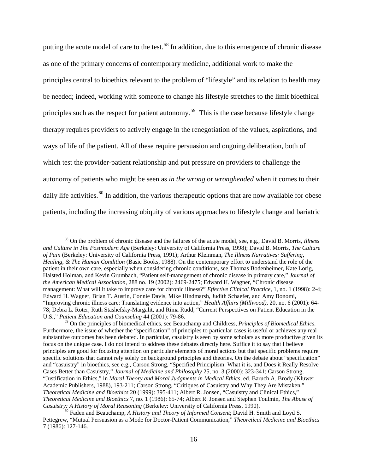putting the acute model of care to the test.<sup>[58](#page-25-0)</sup> In addition, due to this emergence of chronic disease as one of the primary concerns of contemporary medicine, additional work to make the principles central to bioethics relevant to the problem of "lifestyle" and its relation to health may be needed; indeed, working with someone to change his lifestyle stretches to the limit bioethical principles such as the respect for patient autonomy.<sup>[59](#page-25-1)</sup> This is the case because lifestyle change therapy requires providers to actively engage in the renegotiation of the values, aspirations, and ways of life of the patient. All of these require persuasion and ongoing deliberation, both of which test the provider-patient relationship and put pressure on providers to challenge the autonomy of patients who might be seen as *in the wrong* or *wrongheaded* when it comes to their daily life activities.<sup>[60](#page-25-2)</sup> In addition, the various therapeutic options that are now available for obese patients, including the increasing ubiquity of various approaches to lifestyle change and bariatric

<span id="page-25-0"></span><sup>58</sup> On the problem of chronic disease and the failures of the acute model, see, e.g., David B. Morris, *Illness and Culture in The Postmodern Age* (Berkeley: University of California Press, 1998); David B. Morris, *The Culture of Pain* (Berkeley: University of California Press, 1991); Arthur Kleinman, *The Illness Narratives: Suffering, Healing, & The Human Condition* (Basic Books, 1988). On the contemporary effort to understand the role of the patient in their own care, especially when considering chronic conditions, see Thomas Bodenheimer, Kate Lorig, Halsted Holman, and Kevin Grumbach, "Patient self-management of chronic disease in primary care," *Journal of the American Medical Association*, 288 no. 19 (2002): 2469-2475; Edward H. Wagner, "Chronic disease management: What will it take to improve care for chronic illness?" *Effective Clinical Practice*, 1, no. 1 (1998): 2-4; Edward H. Wagner, Brian T. Austin, Connie Davis, Mike Hindmarsh, Judith Schaefer, and Amy Bonomi, "Improving chronic illness care: Translating evidence into action," *Health Affairs (Millwood)*, 20, no. 6 (2001): 64- 78; Debra L. Roter, Ruth Stashefsky-Margalit, and Rima Rudd, "Current Perspectives on Patient Education in the U.S.," *Patient Education and Counseling* 44 (2001): 79-86.

<span id="page-25-1"></span><sup>59</sup> On the principles of biomedical ethics, see Beauchamp and Childress, *Principles of Biomedical Ethics.*  Furthermore, the issue of whether the "specification" of principles to particular cases is useful or achieves any real substantive outcomes has been debated. In particular, casuistry is seen by some scholars as more productive given its focus on the unique case. I do not intend to address these debates directly here. Suffice it to say that I believe principles are good for focusing attention on particular elements of moral actions but that specific problems require specific solutions that cannot rely solely on background principles and theories. On the debate about "specification" and "casuistry" in bioethics, see e.g., Carson Strong, "Specified Principlism: What it is, and Does it Really Resolve Cases Better than Casuistry," *Journal of Medicine and Philosophy* 25, no. 3 (2000): 323-341; Carson Strong, "Justification in Ethics," in *Moral Theory and Moral Judgments in Medical Ethics*, ed. Baruch A. Brody (Kluwer Academic Publishers, 1988), 193-211; Carson Strong, "Critiques of Casuistry and Why They Are Mistaken," *Theoretical Medicine and Bioethics* 20 (1999): 395-411; Albert R. Jonsen, "Casuistry and Clinical Ethics," *Theoretical Medicine and Bioethics* 7, no. 1 (1986): 65-74; Albert R. Jonsen and Stephen Toulmin, *The Abuse of* 

<span id="page-25-2"></span><sup>&</sup>lt;sup>60</sup> Faden and Beauchamp, *A History and Theory of Informed Consent*; David H. Smith and Loyd S. Pettegrew, "Mutual Persuasion as a Mode for Doctor-Patient Communication," *Theoretical Medicine and Bioethics* 7 (1986): 127-146.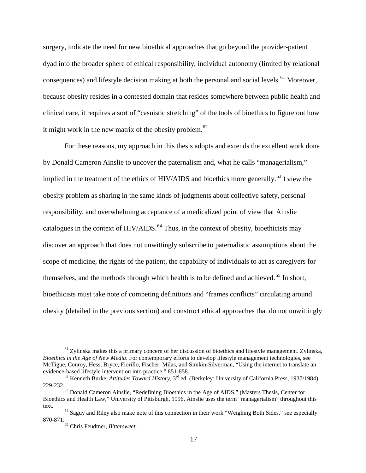surgery, indicate the need for new bioethical approaches that go beyond the provider-patient dyad into the broader sphere of ethical responsibility, individual autonomy (limited by relational consequences) and lifestyle decision making at both the personal and social levels.<sup>[61](#page-26-0)</sup> Moreover, because obesity resides in a contested domain that resides somewhere between public health and clinical care, it requires a sort of "casuistic stretching" of the tools of bioethics to figure out how it might work in the new matrix of the obesity problem. $62$ 

For these reasons, my approach in this thesis adopts and extends the excellent work done by Donald Cameron Ainslie to uncover the paternalism and, what he calls "managerialism," implied in the treatment of the ethics of HIV/AIDS and bioethics more generally.<sup>[63](#page-26-2)</sup> I view the obesity problem as sharing in the same kinds of judgments about collective safety, personal responsibility, and overwhelming acceptance of a medicalized point of view that Ainslie catalogues in the context of HIV/AIDS.<sup>[64](#page-26-3)</sup> Thus, in the context of obesity, bioethicists may discover an approach that does not unwittingly subscribe to paternalistic assumptions about the scope of medicine, the rights of the patient, the capability of individuals to act as caregivers for themselves, and the methods through which health is to be defined and achieved.<sup>[65](#page-26-4)</sup> In short, bioethicists must take note of competing definitions and "frames conflicts" circulating around obesity (detailed in the previous section) and construct ethical approaches that do not unwittingly

<span id="page-26-0"></span><sup>&</sup>lt;sup>61</sup> Zylinska makes this a primary concern of her discussion of bioethics and lifestyle management. Zylinska, *Bioethics in the Age of New Media*. For contemporary efforts to develop lifestyle management technologies, see McTigue, Conroy, Hess, Bryce, Fiorillo, Fischer, Milas, and Simkin-Silverman, "Using the internet to translate an evidence-based lifestyle intervention into practice," 851-858.

<span id="page-26-1"></span><sup>&</sup>lt;sup>62</sup> Kenneth Burke, *Attitudes Toward History*, 3<sup>rd</sup> ed. (Berkeley: University of California Press, 1937/1984), 229-232.

<span id="page-26-2"></span><sup>&</sup>lt;sup>63</sup> Donald Cameron Ainslie, "Redefining Bioethics in the Age of AIDS," (Masters Thesis, Center for Bioethics and Health Law," University of Pittsburgh, 1996. Ainslie uses the term "managerialism" throughout this text. 64 Saguy and Riley also make note of this connection in their work "Weighing Both Sides," see especially

<span id="page-26-4"></span><span id="page-26-3"></span><sup>870-871.65</sup> Chris Feudtner, *Bittersweet*.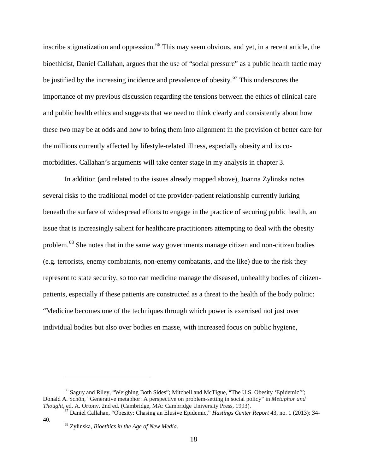inscribe stigmatization and oppression.<sup>[66](#page-27-0)</sup> This may seem obvious, and yet, in a recent article, the bioethicist, Daniel Callahan, argues that the use of "social pressure" as a public health tactic may be justified by the increasing incidence and prevalence of obesity.<sup>[67](#page-27-1)</sup> This underscores the importance of my previous discussion regarding the tensions between the ethics of clinical care and public health ethics and suggests that we need to think clearly and consistently about how these two may be at odds and how to bring them into alignment in the provision of better care for the millions currently affected by lifestyle-related illness, especially obesity and its comorbidities. Callahan's arguments will take center stage in my analysis in chapter 3.

In addition (and related to the issues already mapped above), Joanna Zylinska notes several risks to the traditional model of the provider-patient relationship currently lurking beneath the surface of widespread efforts to engage in the practice of securing public health, an issue that is increasingly salient for healthcare practitioners attempting to deal with the obesity problem.<sup>[68](#page-27-2)</sup> She notes that in the same way governments manage citizen and non-citizen bodies (e.g. terrorists, enemy combatants, non-enemy combatants, and the like) due to the risk they represent to state security, so too can medicine manage the diseased, unhealthy bodies of citizenpatients, especially if these patients are constructed as a threat to the health of the body politic: "Medicine becomes one of the techniques through which power is exercised not just over individual bodies but also over bodies en masse, with increased focus on public hygiene,

<span id="page-27-0"></span><sup>66</sup> Saguy and Riley, "Weighing Both Sides"; Mitchell and McTigue, "The U.S. Obesity 'Epidemic'"; Donald A. Schön, "Generative metaphor: A perspective on problem-setting in social policy" in *Metaphor and* 

<span id="page-27-2"></span><span id="page-27-1"></span><sup>&</sup>lt;sup>67</sup> Daniel Callahan, "Obesity: Chasing an Elusive Epidemic," *Hastings Center Report* 43, no. 1 (2013): 34-40. <sup>68</sup> Zylinska, *Bioethics in the Age of New Media*.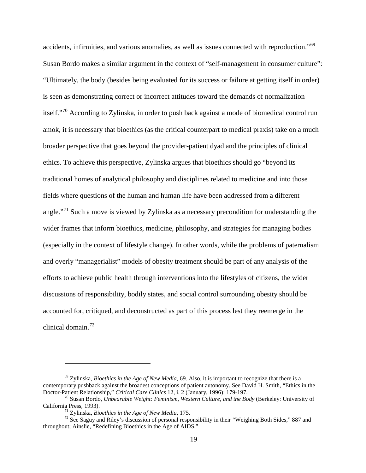accidents, infirmities, and various anomalies, as well as issues connected with reproduction."[69](#page-28-0) Susan Bordo makes a similar argument in the context of "self-management in consumer culture": "Ultimately, the body (besides being evaluated for its success or failure at getting itself in order) is seen as demonstrating correct or incorrect attitudes toward the demands of normalization itself."<sup>[70](#page-28-1)</sup> According to Zylinska, in order to push back against a mode of biomedical control run amok, it is necessary that bioethics (as the critical counterpart to medical praxis) take on a much broader perspective that goes beyond the provider-patient dyad and the principles of clinical ethics. To achieve this perspective, Zylinska argues that bioethics should go "beyond its traditional homes of analytical philosophy and disciplines related to medicine and into those fields where questions of the human and human life have been addressed from a different angle."<sup>[71](#page-28-2)</sup> Such a move is viewed by Zylinska as a necessary precondition for understanding the wider frames that inform bioethics, medicine, philosophy, and strategies for managing bodies (especially in the context of lifestyle change). In other words, while the problems of paternalism and overly "managerialist" models of obesity treatment should be part of any analysis of the efforts to achieve public health through interventions into the lifestyles of citizens, the wider discussions of responsibility, bodily states, and social control surrounding obesity should be accounted for, critiqued, and deconstructed as part of this process lest they reemerge in the clinical domain. $^{72}$  $^{72}$  $^{72}$ 

<span id="page-28-0"></span><sup>69</sup> Zylinska, *Bioethics in the Age of New Media*, 69. Also, it is important to recognize that there is a contemporary pushback against the broadest conceptions of patient autonomy. See David H. Smith, "Ethics in the<br>Doctor-Patient Relationship," Critical Care Clinics 12, i. 2 (January, 1996): 179-197.

<span id="page-28-1"></span><sup>&</sup>lt;sup>70</sup> Susan Bordo, *Unbearable Weight: Feminism, Western Culture, and the Body* (Berkeley: University of California Press, 1993).

<span id="page-28-3"></span><span id="page-28-2"></span><sup>&</sup>lt;sup>71</sup> Zylinska, *Bioethics in the Age of New Media*, 175.<br><sup>72</sup> See Saguy and Riley's discussion of personal responsibility in their "Weighing Both Sides," 887 and throughout; Ainslie, "Redefining Bioethics in the Age of AIDS."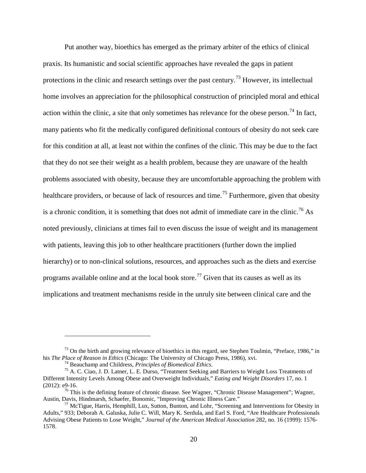Put another way, bioethics has emerged as the primary arbiter of the ethics of clinical praxis. Its humanistic and social scientific approaches have revealed the gaps in patient protections in the clinic and research settings over the past century.[73](#page-29-0) However, its intellectual home involves an appreciation for the philosophical construction of principled moral and ethical action within the clinic, a site that only sometimes has relevance for the obese person.<sup>[74](#page-29-1)</sup> In fact, many patients who fit the medically configured definitional contours of obesity do not seek care for this condition at all, at least not within the confines of the clinic. This may be due to the fact that they do not see their weight as a health problem, because they are unaware of the health problems associated with obesity, because they are uncomfortable approaching the problem with healthcare providers, or because of lack of resources and time.<sup>[75](#page-29-2)</sup> Furthermore, given that obesity is a chronic condition, it is something that does not admit of immediate care in the clinic.<sup>[76](#page-29-3)</sup> As noted previously, clinicians at times fail to even discuss the issue of weight and its management with patients, leaving this job to other healthcare practitioners (further down the implied hierarchy) or to non-clinical solutions, resources, and approaches such as the diets and exercise programs available online and at the local book store.<sup>[77](#page-29-4)</sup> Given that its causes as well as its implications and treatment mechanisms reside in the unruly site between clinical care and the

<span id="page-29-0"></span><sup>&</sup>lt;sup>73</sup> On the birth and growing relevance of bioethics in this regard, see Stephen Toulmin, "Preface, 1986," in his *The Place of Reason in Ethics* (Chicago: The University of Chicago Press, 1986), xvi.

<span id="page-29-2"></span><span id="page-29-1"></span><sup>&</sup>lt;sup>74</sup> Beauchamp and Childress, *Principles of Biomedical Ethics*.<br><sup>75</sup> A. C. Ciao, J. D. Latner, L. E. Durso, "Treatment Seeking and Barriers to Weight Loss Treatments of Different Intensity Levels Among Obese and Overweight Individuals," *Eating and Weight Disorders* 17, no. 1

<span id="page-29-3"></span><sup>(2012):</sup> e9-16. <sup>76</sup> This is the defining feature of chronic disease. See Wagner, "Chronic Disease Management"; Wagner, Austin, Davis, Hindmarsh, Schaefer, Bonomic, "Improving Chronic Illness Care."

<span id="page-29-4"></span><sup>&</sup>lt;sup>77</sup> McTigue, Harris, Hemphill, Lux, Sutton, Bunton, and Lohr, "Screening and Interventions for Obesity in Adults," 933; Deborah A. Galuska, Julie C. Will, Mary K. Serdula, and Earl S. Ford, "Are Healthcare Professionals Advising Obese Patients to Lose Weight," *Journal of the American Medical Association* 282, no. 16 (1999): 1576- 1578.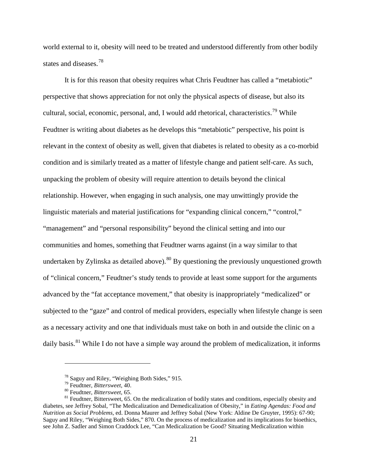world external to it, obesity will need to be treated and understood differently from other bodily states and diseases.<sup>[78](#page-30-0)</sup>

It is for this reason that obesity requires what Chris Feudtner has called a "metabiotic" perspective that shows appreciation for not only the physical aspects of disease, but also its cultural, social, economic, personal, and, I would add rhetorical, characteristics.<sup>[79](#page-30-1)</sup> While Feudtner is writing about diabetes as he develops this "metabiotic" perspective, his point is relevant in the context of obesity as well, given that diabetes is related to obesity as a co-morbid condition and is similarly treated as a matter of lifestyle change and patient self-care. As such, unpacking the problem of obesity will require attention to details beyond the clinical relationship. However, when engaging in such analysis, one may unwittingly provide the linguistic materials and material justifications for "expanding clinical concern," "control," "management" and "personal responsibility" beyond the clinical setting and into our communities and homes, something that Feudtner warns against (in a way similar to that undertaken by Zylinska as detailed above).<sup>[80](#page-30-2)</sup> By questioning the previously unquestioned growth of "clinical concern," Feudtner's study tends to provide at least some support for the arguments advanced by the "fat acceptance movement," that obesity is inappropriately "medicalized" or subjected to the "gaze" and control of medical providers, especially when lifestyle change is seen as a necessary activity and one that individuals must take on both in and outside the clinic on a daily basis.<sup>[81](#page-30-3)</sup> While I do not have a simple way around the problem of medicalization, it informs

<span id="page-30-3"></span><span id="page-30-2"></span><span id="page-30-1"></span><span id="page-30-0"></span><sup>&</sup>lt;sup>78</sup> Saguy and Riley, "Weighing Both Sides," 915.<br><sup>79</sup> Feudtner, *Bittersweet*, 40.<br><sup>80</sup> Feudtner, *Bittersweet*, 65.<br><sup>81</sup> Feudtner, Bittersweet, 65. On the medicalization of bodily states and conditions, especially obesi diabetes, see Jeffrey Sobal, "The Medicalization and Demedicalization of Obesity," in *Eating Agendas: Food and Nutrition as Social Problems*, ed. Donna Maurer and Jeffrey Sobal (New York: Aldine De Gruyter, 1995): 67-90; Saguy and Riley, "Weighing Both Sides," 870. On the process of medicalization and its implications for bioethics, see John Z. Sadler and Simon Craddock Lee, "Can Medicalization be Good? Situating Medicalization within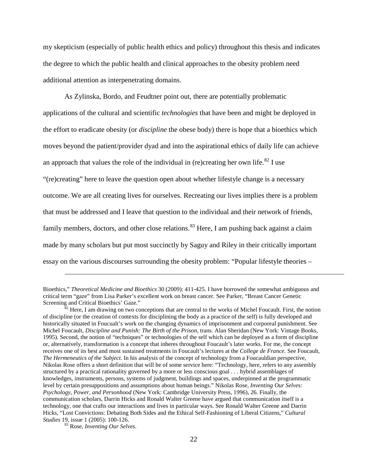my skepticism (especially of public health ethics and policy) throughout this thesis and indicates the degree to which the public health and clinical approaches to the obesity problem need additional attention as interpenetrating domains.

As Zylinska, Bordo, and Feudtner point out, there are potentially problematic applications of the cultural and scientific *technologies* that have been and might be deployed in the effort to eradicate obesity (or *discipline* the obese body) there is hope that a bioethics which moves beyond the patient/provider dyad and into the aspirational ethics of daily life can achieve an approach that values the role of the individual in (re)creating her own life.<sup>[82](#page-31-0)</sup> I use "(re)creating" here to leave the question open about whether lifestyle change is a necessary outcome. We are all creating lives for ourselves. Recreating our lives implies there is a problem that must be addressed and I leave that question to the individual and their network of friends, family members, doctors, and other close relations.<sup>[83](#page-31-1)</sup> Here, I am pushing back against a claim made by many scholars but put most succinctly by Saguy and Riley in their critically important essay on the various discourses surrounding the obesity problem: "Popular lifestyle theories –

Bioethics," *Theoretical Medicine and Bioethics* 30 (2009): 411-425. I have borrowed the somewhat ambiguous and critical term "gaze" from Lisa Parker's excellent work on breast cancer. See Parker, "Breast Cancer Genetic

<span id="page-31-0"></span> $\mathcal{S}^2$  Here, I am drawing on two conceptions that are central to the works of Michel Foucault. First, the notion of discipline (or the creation of contexts for disciplining the body as a practice of the self) is fully developed and historically situated in Foucualt's work on the changing dynamics of imprisonment and corporeal punishment. See Michel Foucault, *Discipline and Punish: The Birth of the Prison*, trans. Alan Sheridan (New York: Vintage Books, 1995). Second, the notion of "techniques" or technologies of the self which can be deployed as a form of discipline or, alternatively, transformation is a concept that inheres throughout Foucault's later works. For me, the concept receives one of its best and most sustained treatments in Foucault's lectures at the *College de France.* See Foucault, *The Hermeneutics of the Subject*. In his analysis of the concept of technology from a Foucauldian perspective, Nikolas Rose offers a short definition that will be of some service here: "Technology, here, refers to any assembly structured by a practical rationality governed by a more or less conscious goal . . . hybrid assemblages of knowledges, instruments, persons, systems of judgment, buildings and spaces, underpinned at the programmatic level by certain presuppositions and assumptions about human beings." Nikolas Rose, *Inventing Our Selves: Psychology, Power, and Personhood* (New York: Cambridge University Press, 1996), 26. Finally, the communication scholars, Darrin Hicks and Ronald Walter Greene have argued that communication itself is a technology, one that crafts our interactions and lives in particular ways. See Ronald Walter Greene and Darrin Hicks, "Lost Convictions: Debating Both Sides and the Ethical Self-Fashioning of Liberal Citizens," *Cultural* 

<span id="page-31-1"></span>*Studies* 19, issue 1 (2005): 100-126. <sup>83</sup> Rose, *Inventing Our Selves*.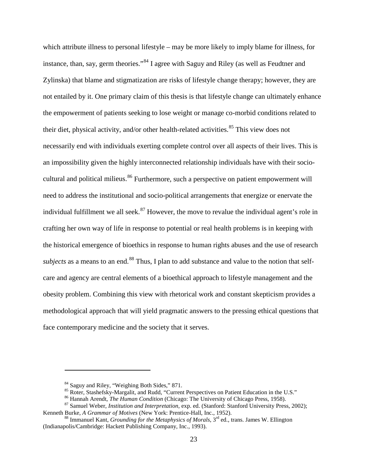which attribute illness to personal lifestyle – may be more likely to imply blame for illness, for instance, than, say, germ theories."[84](#page-32-0) I agree with Saguy and Riley (as well as Feudtner and Zylinska) that blame and stigmatization are risks of lifestyle change therapy; however, they are not entailed by it. One primary claim of this thesis is that lifestyle change can ultimately enhance the empowerment of patients seeking to lose weight or manage co-morbid conditions related to their diet, physical activity, and/or other health-related activities.<sup>[85](#page-32-1)</sup> This view does not necessarily end with individuals exerting complete control over all aspects of their lives. This is an impossibility given the highly interconnected relationship individuals have with their socio-cultural and political milieus.<sup>[86](#page-32-2)</sup> Furthermore, such a perspective on patient empowerment will need to address the institutional and socio-political arrangements that energize or enervate the individual fulfillment we all seek. $87$  However, the move to revalue the individual agent's role in crafting her own way of life in response to potential or real health problems is in keeping with the historical emergence of bioethics in response to human rights abuses and the use of research *subjects* as a means to an end.<sup>[88](#page-32-4)</sup> Thus, I plan to add substance and value to the notion that selfcare and agency are central elements of a bioethical approach to lifestyle management and the obesity problem. Combining this view with rhetorical work and constant skepticism provides a methodological approach that will yield pragmatic answers to the pressing ethical questions that face contemporary medicine and the society that it serves.

<span id="page-32-2"></span><span id="page-32-1"></span><span id="page-32-0"></span><sup>&</sup>lt;sup>84</sup> Saguy and Riley, "Weighing Both Sides," 871.<br><sup>85</sup> Roter, Stashefsky-Margalit, and Rudd, "Current Perspectives on Patient Education in the U.S."<br><sup>86</sup> Hannah Arendt, *The Human Condition* (Chicago: The University of Chi

<span id="page-32-4"></span><span id="page-32-3"></span><sup>&</sup>lt;sup>88</sup> Immanuel Kant, *Grounding for the Metaphysics of Morals*, 3<sup>rd</sup> ed., trans. James W. Ellington (Indianapolis/Cambridge: Hackett Publishing Company, Inc., 1993).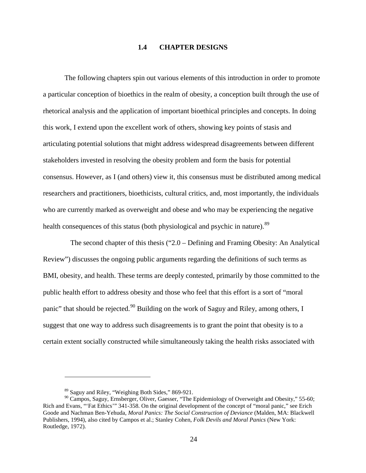#### **1.4 CHAPTER DESIGNS**

<span id="page-33-0"></span>The following chapters spin out various elements of this introduction in order to promote a particular conception of bioethics in the realm of obesity, a conception built through the use of rhetorical analysis and the application of important bioethical principles and concepts. In doing this work, I extend upon the excellent work of others, showing key points of stasis and articulating potential solutions that might address widespread disagreements between different stakeholders invested in resolving the obesity problem and form the basis for potential consensus. However, as I (and others) view it, this consensus must be distributed among medical researchers and practitioners, bioethicists, cultural critics, and, most importantly, the individuals who are currently marked as overweight and obese and who may be experiencing the negative health consequences of this status (both physiological and psychic in nature).<sup>[89](#page-33-1)</sup>

The second chapter of this thesis ("2.0 – Defining and Framing Obesity: An Analytical Review") discusses the ongoing public arguments regarding the definitions of such terms as BMI, obesity, and health. These terms are deeply contested, primarily by those committed to the public health effort to address obesity and those who feel that this effort is a sort of "moral panic" that should be rejected.<sup>[90](#page-33-2)</sup> Building on the work of Saguy and Riley, among others, I suggest that one way to address such disagreements is to grant the point that obesity is to a certain extent socially constructed while simultaneously taking the health risks associated with

<sup>89</sup> Saguy and Riley, "Weighing Both Sides," 869-921.

<span id="page-33-2"></span><span id="page-33-1"></span><sup>90</sup> Campos, Saguy, Ernsberger, Oliver, Gaesser, "The Epidemiology of Overweight and Obesity," 55-60; Rich and Evans, "'Fat Ethics'" 341-358. On the original development of the concept of "moral panic," see Erich Goode and Nachman Ben-Yehuda, *Moral Panics: The Social Construction of Deviance* (Malden, MA: Blackwell Publishers, 1994), also cited by Campos et al.; Stanley Cohen, *Folk Devils and Moral Panics* (New York: Routledge, 1972).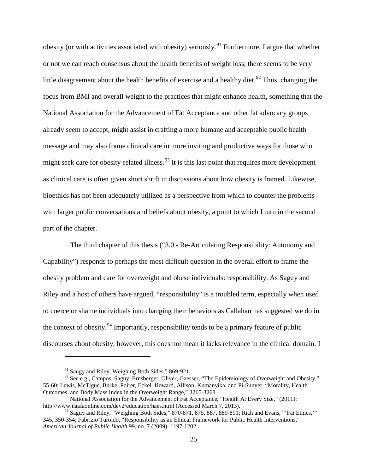obesity (or with activities associated with obesity) seriously.<sup>[91](#page-34-0)</sup> Furthermore, I argue that whether or not we can reach consensus about the health benefits of weight loss, there seems to be very little disagreement about the health benefits of exercise and a healthy diet.<sup>[92](#page-34-1)</sup> Thus, changing the focus from BMI and overall weight to the practices that might enhance health, something that the National Association for the Advancement of Fat Acceptance and other fat advocacy groups already seem to accept, might assist in crafting a more humane and acceptable public health message and may also frame clinical care in more inviting and productive ways for those who might seek care for obesity-related illness.<sup>[93](#page-34-2)</sup> It is this last point that requires more development as clinical care is often given short shrift in discussions about how obesity is framed. Likewise, bioethics has not been adequately utilized as a perspective from which to counter the problems with larger public conversations and beliefs about obesity, a point to which I turn in the second part of the chapter.

The third chapter of this thesis ("3.0 - Re-Articulating Responsibility: Autonomy and Capability") responds to perhaps the most difficult question in the overall effort to frame the obesity problem and care for overweight and obese individuals: responsibility. As Saguy and Riley and a host of others have argued, "responsibility" is a troubled term, especially when used to coerce or shame individuals into changing their behaviors as Callahan has suggested we do in the context of obesity.<sup>[94](#page-34-3)</sup> Importantly, responsibility tends to be a primary feature of public discourses about obesity; however, this does not mean it lacks relevance in the clinical domain. I

<sup>&</sup>lt;sup>91</sup> Saugy and Riley, Weighing Both Sides," 869-921.

<span id="page-34-1"></span><span id="page-34-0"></span><sup>&</sup>lt;sup>92</sup> See e.g., Campos, Saguy, Ernsberger, Oliver, Gaesser, "The Epidemiology of Overweight and Obesity," 55-60; Lewis, McTigue, Burke, Poirer, Eckel, Howard, Allison, Kumanyika, and Pi-Sunyer, "Morality, Health Outcomes, and Body Mass Index in the Overweight Range," 3265-3268

<span id="page-34-2"></span> $93$  National Association for the Advancement of Fat Acceptance, "Health At Every Size," (2011): <http://www.naafaonline.com/dev2/education/haes.html> (Accessed March 7, 2013).

<span id="page-34-3"></span><sup>&</sup>lt;sup>94</sup> Saguy and Riley, "Weighing Both Sides," 870-871, 875, 887, 889-891; Rich and Evans, "'Fat Ethics,"" 345, 350-354; Fabrizio Turoldo, "Responsibility as an Ethical Framework for Public Health Interventions," *American Journal of Public Health* 99, no. 7 (2009): 1197-1202.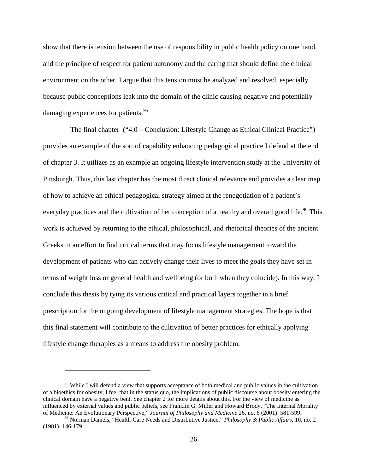show that there is tension between the use of responsibility in public health policy on one hand, and the principle of respect for patient autonomy and the caring that should define the clinical environment on the other. I argue that this tension must be analyzed and resolved, especially because public conceptions leak into the domain of the clinic causing negative and potentially damaging experiences for patients.<sup>[95](#page-35-0)</sup>

The final chapter ("4.0 – Conclusion: Lifestyle Change as Ethical Clinical Practice") provides an example of the sort of capability enhancing pedagogical practice I defend at the end of chapter 3. It utilizes as an example an ongoing lifestyle intervention study at the University of Pittsburgh. Thus, this last chapter has the most direct clinical relevance and provides a clear map of how to achieve an ethical pedagogical strategy aimed at the renegotiation of a patient's everyday practices and the cultivation of her conception of a healthy and overall good life.<sup>[96](#page-35-1)</sup> This work is achieved by returning to the ethical, philosophical, and rhetorical theories of the ancient Greeks in an effort to find critical terms that may focus lifestyle management toward the development of patients who can actively change their lives to meet the goals they have set in terms of weight loss or general health and wellbeing (or both when they coincide). In this way, I conclude this thesis by tying its various critical and practical layers together in a brief prescription for the ongoing development of lifestyle management strategies. The hope is that this final statement will contribute to the cultivation of better practices for ethically applying lifestyle change therapies as a means to address the obesity problem.

<span id="page-35-0"></span><sup>&</sup>lt;sup>95</sup> While I will defend a view that supports acceptance of both medical and public values in the cultivation of a bioethics for obesity, I feel that in the status quo, the implications of public discourse about obesity entering the clinical domain have a negative bent. See chapter 2 for more details about this. For the view of medicine as influenced by external values and public beliefs, see Franklin G. Miller and Howard Brody, "The Internal Morality of Medicine: An Evolutionary Perspective," Journal of Philosophy and Medicine 26, no. 6 (2001): 581-599.

<span id="page-35-1"></span><sup>&</sup>lt;sup>96</sup> Norman Daniels, "Health-Care Needs and Distributive Justice," *Philosophy & Public Affairs*, 10, no. 2 (1981): 146-179.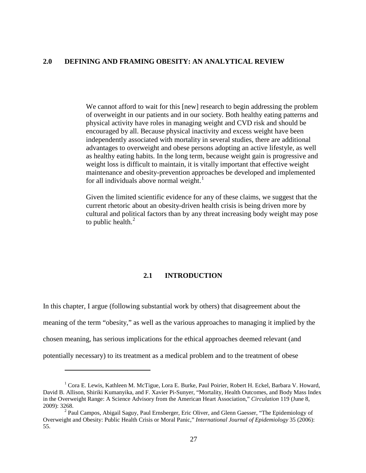# **2.0 DEFINING AND FRAMING OBESITY: AN ANALYTICAL REVIEW**

We cannot afford to wait for this [new] research to begin addressing the problem of overweight in our patients and in our society. Both healthy eating patterns and physical activity have roles in managing weight and CVD risk and should be encouraged by all. Because physical inactivity and excess weight have been independently associated with mortality in several studies, there are additional advantages to overweight and obese persons adopting an active lifestyle, as well as healthy eating habits. In the long term, because weight gain is progressive and weight loss is difficult to maintain, it is vitally important that effective weight maintenance and obesity-prevention approaches be developed and implemented for all individuals above normal weight. $<sup>1</sup>$  $<sup>1</sup>$  $<sup>1</sup>$ </sup>

Given the limited scientific evidence for any of these claims, we suggest that the current rhetoric about an obesity-driven health crisis is being driven more by cultural and political factors than by any threat increasing body weight may pose to public health. $<sup>2</sup>$  $<sup>2</sup>$  $<sup>2</sup>$ </sup>

# **2.1 INTRODUCTION**

In this chapter, I argue (following substantial work by others) that disagreement about the meaning of the term "obesity," as well as the various approaches to managing it implied by the chosen meaning, has serious implications for the ethical approaches deemed relevant (and potentially necessary) to its treatment as a medical problem and to the treatment of obese

<span id="page-36-0"></span><sup>1</sup> Cora E. Lewis, Kathleen M. McTigue, Lora E. Burke, Paul Poirier, Robert H. Eckel, Barbara V. Howard, David B. Allison, Shiriki Kumanyika, and F. Xavier Pi-Sunyer, "Mortality, Health Outcomes, and Body Mass Index in the Overweight Range: A Science Advisory from the American Heart Association," *Circulation* 119 (June 8, 2009): 3268.<br><sup>2</sup> Paul Campos, Abigail Saguy, Paul Ernsberger, Eric Oliver, and Glenn Gaesser, "The Epidemiology of

<span id="page-36-1"></span>Overweight and Obesity: Public Health Crisis or Moral Panic," *International Journal of Epidemiology* 35 (2006): 55.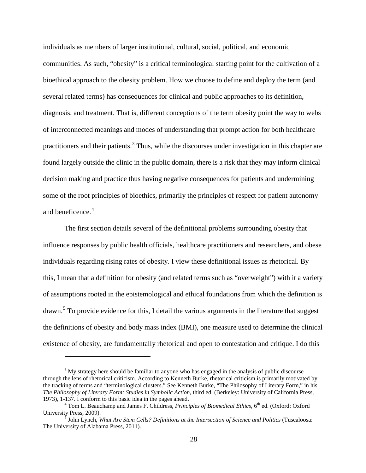individuals as members of larger institutional, cultural, social, political, and economic communities. As such, "obesity" is a critical terminological starting point for the cultivation of a bioethical approach to the obesity problem. How we choose to define and deploy the term (and several related terms) has consequences for clinical and public approaches to its definition, diagnosis, and treatment. That is, different conceptions of the term obesity point the way to webs of interconnected meanings and modes of understanding that prompt action for both healthcare practitioners and their patients.<sup>[3](#page-37-0)</sup> Thus, while the discourses under investigation in this chapter are found largely outside the clinic in the public domain, there is a risk that they may inform clinical decision making and practice thus having negative consequences for patients and undermining some of the root principles of bioethics, primarily the principles of respect for patient autonomy and beneficence.<sup>[4](#page-37-1)</sup>

The first section details several of the definitional problems surrounding obesity that influence responses by public health officials, healthcare practitioners and researchers, and obese individuals regarding rising rates of obesity. I view these definitional issues as rhetorical. By this, I mean that a definition for obesity (and related terms such as "overweight") with it a variety of assumptions rooted in the epistemological and ethical foundations from which the definition is drawn.<sup>[5](#page-37-2)</sup> To provide evidence for this, I detail the various arguments in the literature that suggest the definitions of obesity and body mass index (BMI), one measure used to determine the clinical existence of obesity, are fundamentally rhetorical and open to contestation and critique. I do this

<span id="page-37-0"></span><sup>&</sup>lt;sup>3</sup> My strategy here should be familiar to anyone who has engaged in the analysis of public discourse through the lens of rhetorical criticism. According to Kenneth Burke, rhetorical criticism is primarily motivated by the tracking of terms and "terminological clusters." See Kenneth Burke, "The Philosophy of Literary Form," in his *The Philosophy of Literary Form: Studies in Symbolic Action,* third ed. (Berkeley: University of California Press, 1973), 1-137. I conform to this basic idea in the pages ahead.

<span id="page-37-1"></span><sup>&</sup>lt;sup>4</sup> Tom L. Beauchamp and James F. Childress, *Principles of Biomedical Ethics*, 6<sup>th</sup> ed. (Oxford: Oxford University Press, 2009).

<span id="page-37-2"></span> $\frac{1}{5}$  John Lynch, *What Are Stem Cells? Definitions at the Intersection of Science and Politics* (Tuscaloosa: The University of Alabama Press, 2011).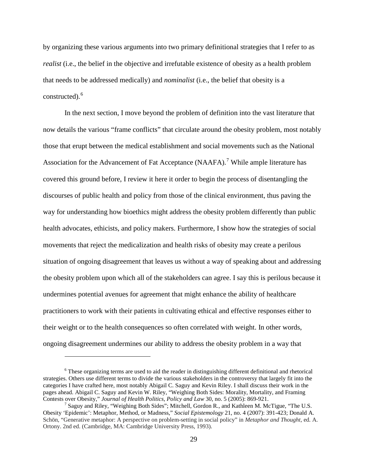by organizing these various arguments into two primary definitional strategies that I refer to as *realist* (i.e., the belief in the objective and irrefutable existence of obesity as a health problem that needs to be addressed medically) and *nominalist* (i.e., the belief that obesity is a constructed). [6](#page-38-0)

In the next section, I move beyond the problem of definition into the vast literature that now details the various "frame conflicts" that circulate around the obesity problem, most notably those that erupt between the medical establishment and social movements such as the National Association for the Advancement of Fat Acceptance  $(NAAFA)$ .<sup>[7](#page-38-1)</sup> While ample literature has covered this ground before, I review it here it order to begin the process of disentangling the discourses of public health and policy from those of the clinical environment, thus paving the way for understanding how bioethics might address the obesity problem differently than public health advocates, ethicists, and policy makers. Furthermore, I show how the strategies of social movements that reject the medicalization and health risks of obesity may create a perilous situation of ongoing disagreement that leaves us without a way of speaking about and addressing the obesity problem upon which all of the stakeholders can agree. I say this is perilous because it undermines potential avenues for agreement that might enhance the ability of healthcare practitioners to work with their patients in cultivating ethical and effective responses either to their weight or to the health consequences so often correlated with weight. In other words, ongoing disagreement undermines our ability to address the obesity problem in a way that

<span id="page-38-0"></span><sup>&</sup>lt;sup>6</sup> These organizing terms are used to aid the reader in distinguishing different definitional and rhetorical strategies. Others use different terms to divide the various stakeholders in the controversy that largely fit into the categories I have crafted here, most notably Abigail C. Saguy and Kevin Riley. I shall discuss their work in the pages ahead. Abigail C. Saguy and Kevin W. Riley, "Weighing Both Sides: Morality, Mortality, and Framing Contests over Obesity," Journal of Health Politics, Policy and Law 30, no. 5 (2005): 869-921.

<span id="page-38-1"></span><sup>&</sup>lt;sup>7</sup> Saguy and Riley, "Weighing Both Sides"; Mitchell, Gordon R., and Kathleen M. McTigue, "The U.S. Obesity 'Epidemic': Metaphor, Method, or Madness," *Social Epistemology* 21, no. 4 (2007): 391-423; Donald A. Schön, "Generative metaphor: A perspective on problem-setting in social policy" in *Metaphor and Thought,* ed. A. Ortony. 2nd ed. (Cambridge, MA: Cambridge University Press, 1993).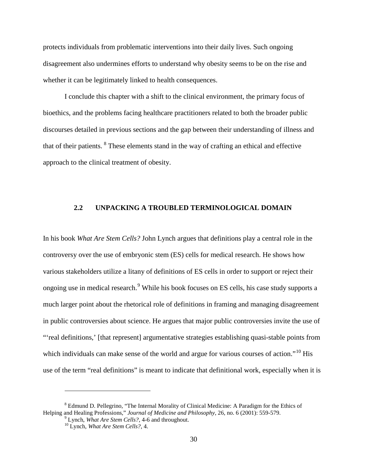protects individuals from problematic interventions into their daily lives. Such ongoing disagreement also undermines efforts to understand why obesity seems to be on the rise and whether it can be legitimately linked to health consequences.

I conclude this chapter with a shift to the clinical environment, the primary focus of bioethics, and the problems facing healthcare practitioners related to both the broader public discourses detailed in previous sections and the gap between their understanding of illness and that of their patients. [8](#page-39-0) These elements stand in the way of crafting an ethical and effective approach to the clinical treatment of obesity.

# **2.2 UNPACKING A TROUBLED TERMINOLOGICAL DOMAIN**

In his book *What Are Stem Cells?* John Lynch argues that definitions play a central role in the controversy over the use of embryonic stem (ES) cells for medical research. He shows how various stakeholders utilize a litany of definitions of ES cells in order to support or reject their ongoing use in medical research.<sup>[9](#page-39-1)</sup> While his book focuses on ES cells, his case study supports a much larger point about the rhetorical role of definitions in framing and managing disagreement in public controversies about science. He argues that major public controversies invite the use of "'real definitions,' [that represent] argumentative strategies establishing quasi-stable points from which individuals can make sense of the world and argue for various courses of action."<sup>[10](#page-39-2)</sup> His use of the term "real definitions" is meant to indicate that definitional work, especially when it is

<span id="page-39-2"></span><span id="page-39-1"></span><span id="page-39-0"></span><sup>8</sup> Edmund D. Pellegrino, "The Internal Morality of Clinical Medicine: A Paradigm for the Ethics of Helping and Healing Professions," *Journal of Medicine and Philosophy*, 26, no. 6 (2001): 559-579.<br><sup>9</sup> Lynch, *What Are Stem Cells?*, 4-6 and throughout. <sup>10</sup> Lynch, *What Are Stem Cells?*, 4.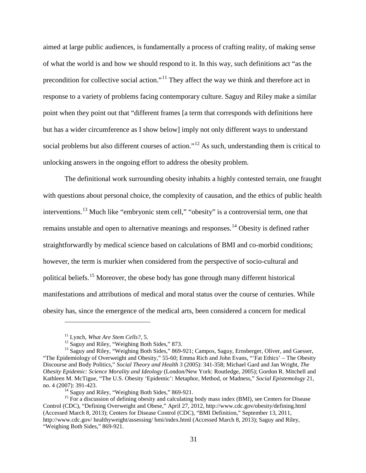aimed at large public audiences, is fundamentally a process of crafting reality, of making sense of what the world is and how we should respond to it. In this way, such definitions act "as the precondition for collective social action."<sup>[11](#page-40-0)</sup> They affect the way we think and therefore act in response to a variety of problems facing contemporary culture. Saguy and Riley make a similar point when they point out that "different frames [a term that corresponds with definitions here but has a wider circumference as I show below] imply not only different ways to understand social problems but also different courses of action."<sup>[12](#page-40-1)</sup> As such, understanding them is critical to unlocking answers in the ongoing effort to address the obesity problem.

The definitional work surrounding obesity inhabits a highly contested terrain, one fraught with questions about personal choice, the complexity of causation, and the ethics of public health interventions.<sup>[13](#page-40-2)</sup> Much like "embryonic stem cell," "obesity" is a controversial term, one that remains unstable and open to alternative meanings and responses.<sup>[14](#page-40-3)</sup> Obesity is defined rather straightforwardly by medical science based on calculations of BMI and co-morbid conditions; however, the term is murkier when considered from the perspective of socio-cultural and political beliefs.<sup>[15](#page-40-4)</sup> Moreover, the obese body has gone through many different historical manifestations and attributions of medical and moral status over the course of centuries. While obesity has, since the emergence of the medical arts, been considered a concern for medical

<span id="page-40-2"></span><span id="page-40-1"></span><span id="page-40-0"></span><sup>&</sup>lt;sup>11</sup> Lynch, *What Are Stem Cells?*, 5.<br><sup>12</sup> Saguy and Riley, "Weighing Both Sides," 873.<br><sup>13</sup> Saguy and Riley, "Weighing Both Sides," 869-921; Campos, Saguy, Ernsberger, Oliver, and Gaesser, "The Epidemiology of Overweight and Obesity," 55-60; Emma Rich and John Evans, "'Fat Ethics' – The Obesity Discourse and Body Politics," *Social Theory and Health* 3 (2005): 341-358; Michael Gard and Jan Wright, *The Obesity Epidemic: Science Morality and Ideology* (London/New York: Routledge, 2005); Gordon R. Mitchell and Kathleen M. McTigue, "The U.S. Obesity 'Epidemic': Metaphor, Method, or Madness," *Social Epistemology* 21, no. 4 (2007): 391-423.<br><sup>14</sup> Saguy and Riley, "Weighing Both Sides," 869-921.<br><sup>15</sup> For a discussion of defining obesity and calculating body mass index (BMI), see Centers for Disease

<span id="page-40-4"></span><span id="page-40-3"></span>Control (CDC), "Defining Overweight and Obese," April 27, 2012[, http://www.cdc.gov/obesity/defining.html](http://www.cdc.gov/obesity/defining.html) (Accessed March 8, 2013); Centers for Disease Control (CDC), "BMI Definition," September 13, 2011, [http://www.cdc.gov/ healthyweight/assessing/ bmi/index.html](http://www.cdc.gov/%20healthyweight/assessing/%20bmi/index.html) (Accessed March 8, 2013); Saguy and Riley, "Weighing Both Sides," 869-921.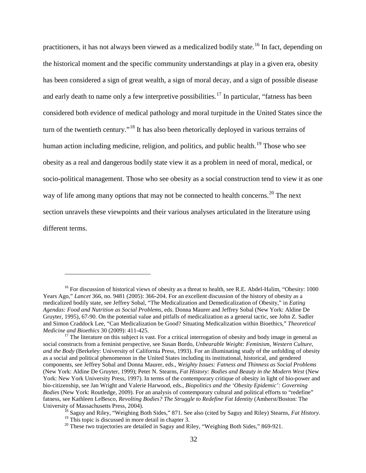practitioners, it has not always been viewed as a medicalized bodily state.<sup>[16](#page-41-0)</sup> In fact, depending on the historical moment and the specific community understandings at play in a given era, obesity has been considered a sign of great wealth, a sign of moral decay, and a sign of possible disease and early death to name only a few interpretive possibilities.<sup>[17](#page-41-1)</sup> In particular, "fatness has been considered both evidence of medical pathology and moral turpitude in the United States since the turn of the twentieth century."[18](#page-41-2) It has also been rhetorically deployed in various terrains of human action including medicine, religion, and politics, and public health.<sup>[19](#page-41-3)</sup> Those who see obesity as a real and dangerous bodily state view it as a problem in need of moral, medical, or socio-political management. Those who see obesity as a social construction tend to view it as one way of life among many options that may not be connected to health concerns.<sup>[20](#page-41-4)</sup> The next section unravels these viewpoints and their various analyses articulated in the literature using different terms.

<span id="page-41-0"></span><sup>&</sup>lt;sup>16</sup> For discussion of historical views of obesity as a threat to health, see R.E. Abdel-Halim, "Obesity: 1000 Years Ago," *Lancet* 366, no. 9481 (2005): 366-204. For an excellent discussion of the history of obesity as a medicalized bodily state, see Jeffrey Sobal, "The Medicalization and Demedicalization of Obesity," in *Eating Agendas: Food and Nutrition as Social Problems*, eds. Donna Maurer and Jeffrey Sobal (New York: Aldine De Gruyter, 1995), 67-90. On the potential value and pitfalls of medicalization as a general tactic, see John Z. Sadler and Simon Craddock Lee, "Can Medicalization be Good? Situating Medicalization within Bioethics," *Theoretical* 

<span id="page-41-1"></span>*Medicine and Bioethics* 30 (2009): 411-425.<br><sup>17</sup> The literature on this subject is vast. For a critical interrogation of obesity and body image in general as social constructs from a feminist perspective, see Susan Bordo, *Unbearable Weight: Feminism, Western Culture, and the Body* (Berkeley: University of California Press, 1993). For an illuminating study of the unfolding of obesity as a social and political phenomenon in the United States including its institutional, historical, and gendered components, see Jeffrey Sobal and Donna Maurer, eds., *Weighty Issues: Fatness and Thinness as Social Problems* (New York: Aldine De Gruyter, 1999); Peter N. Stearns, *Fat History: Bodies and Beauty in the Modern West* (New York: New York University Press, 1997). In terms of the contemporary critique of obesity in light of bio-power and bio-citizenship, see Jan Wright and Valerie Harwood, eds., *Biopolitics and the 'Obesity Epidemic': Governing Bodies* (New York: Routledge, 2009). For an analysis of contemporary cultural and political efforts to "redefine" fatness, see Kathleen LeBesco, *Revolting Bodies? The Struggle to Redefine Fat Identity* (Amherst/Boston: The University of Massachusetts Press, 2004). <sup>18</sup> Saguy and Riley, "Weighing Both Sides," 871. See also (cited by Saguy and Riley) Stearns, *Fat History.*

<span id="page-41-4"></span><span id="page-41-3"></span><span id="page-41-2"></span>

<sup>&</sup>lt;sup>19</sup> This topic is discussed in more detail in chapter 3.<br><sup>20</sup> These two trajectories are detailed in Saguy and Riley, "Weighing Both Sides," 869-921.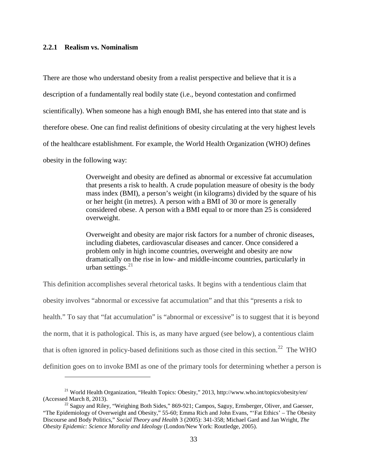#### **2.2.1 Realism vs. Nominalism**

 $\overline{a}$ 

There are those who understand obesity from a realist perspective and believe that it is a description of a fundamentally real bodily state (i.e., beyond contestation and confirmed scientifically). When someone has a high enough BMI, she has entered into that state and is therefore obese. One can find realist definitions of obesity circulating at the very highest levels of the healthcare establishment. For example, the World Health Organization (WHO) defines obesity in the following way:

> Overweight and obesity are defined as abnormal or excessive fat accumulation that presents a risk to health. A crude population measure of obesity is the body mass index (BMI), a person's weight (in kilograms) divided by the square of his or her height (in metres). A person with a BMI of 30 or more is generally considered obese. A person with a BMI equal to or more than 25 is considered overweight.

> Overweight and obesity are major risk factors for a number of chronic diseases, including diabetes, cardiovascular diseases and cancer. Once considered a problem only in high income countries, overweight and obesity are now dramatically on the rise in low- and middle-income countries, particularly in urban settings. [21](#page-42-0)

This definition accomplishes several rhetorical tasks. It begins with a tendentious claim that obesity involves "abnormal or excessive fat accumulation" and that this "presents a risk to health." To say that "fat accumulation" is "abnormal or excessive" is to suggest that it is beyond the norm, that it is pathological. This is, as many have argued (see below), a contentious claim that is often ignored in policy-based definitions such as those cited in this section.<sup>[22](#page-42-1)</sup> The WHO definition goes on to invoke BMI as one of the primary tools for determining whether a person is

<span id="page-42-0"></span><sup>&</sup>lt;sup>21</sup> World Health Organization, "Health Topics: Obesity," 2013,<http://www.who.int/topics/obesity/en/><br>(Accessed March 8, 2013).

<span id="page-42-1"></span> $^{22}$  Saguy and Riley, "Weighing Both Sides," 869-921; Campos, Saguy, Ernsberger, Oliver, and Gaesser, "The Epidemiology of Overweight and Obesity," 55-60; Emma Rich and John Evans, "'Fat Ethics' – The Obesity Discourse and Body Politics," *Social Theory and Health* 3 (2005): 341-358; Michael Gard and Jan Wright, *The Obesity Epidemic: Science Morality and Ideology* (London/New York: Routledge, 2005).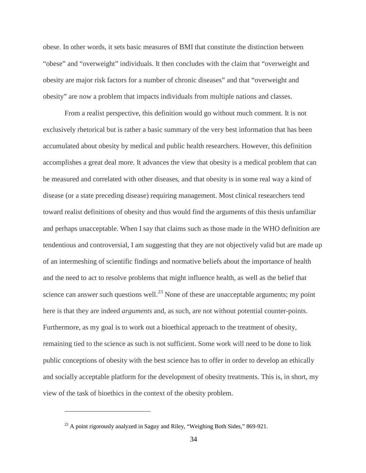obese. In other words, it sets basic measures of BMI that constitute the distinction between "obese" and "overweight" individuals. It then concludes with the claim that "overweight and obesity are major risk factors for a number of chronic diseases" and that "overweight and obesity" are now a problem that impacts individuals from multiple nations and classes.

From a realist perspective, this definition would go without much comment. It is not exclusively rhetorical but is rather a basic summary of the very best information that has been accumulated about obesity by medical and public health researchers. However, this definition accomplishes a great deal more. It advances the view that obesity is a medical problem that can be measured and correlated with other diseases, and that obesity is in some real way a kind of disease (or a state preceding disease) requiring management. Most clinical researchers tend toward realist definitions of obesity and thus would find the arguments of this thesis unfamiliar and perhaps unacceptable. When I say that claims such as those made in the WHO definition are tendentious and controversial, I am suggesting that they are not objectively valid but are made up of an intermeshing of scientific findings and normative beliefs about the importance of health and the need to act to resolve problems that might influence health, as well as the belief that science can answer such questions well.<sup>[23](#page-43-0)</sup> None of these are unacceptable arguments; my point here is that they are indeed *arguments* and, as such, are not without potential counter-points. Furthermore, as my goal is to work out a bioethical approach to the treatment of obesity, remaining tied to the science as such is not sufficient. Some work will need to be done to link public conceptions of obesity with the best science has to offer in order to develop an ethically and socially acceptable platform for the development of obesity treatments. This is, in short, my view of the task of bioethics in the context of the obesity problem.

<span id="page-43-0"></span> $2<sup>23</sup>$  A point rigorously analyzed in Saguy and Riley, "Weighing Both Sides," 869-921.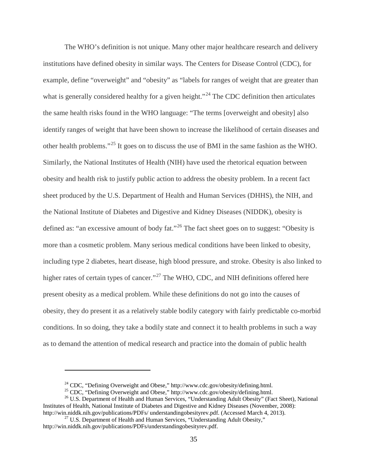The WHO's definition is not unique. Many other major healthcare research and delivery institutions have defined obesity in similar ways. The Centers for Disease Control (CDC), for example, define "overweight" and "obesity" as "labels for ranges of weight that are greater than what is generally considered healthy for a given height."<sup>[24](#page-44-0)</sup> The CDC definition then articulates the same health risks found in the WHO language: "The terms [overweight and obesity] also identify ranges of weight that have been shown to increase the likelihood of certain diseases and other health problems."[25](#page-44-1) It goes on to discuss the use of BMI in the same fashion as the WHO. Similarly, the National Institutes of Health (NIH) have used the rhetorical equation between obesity and health risk to justify public action to address the obesity problem. In a recent fact sheet produced by the U.S. Department of Health and Human Services (DHHS), the NIH, and the National Institute of Diabetes and Digestive and Kidney Diseases (NIDDK), obesity is defined as: "an excessive amount of body fat."<sup>[26](#page-44-2)</sup> The fact sheet goes on to suggest: "Obesity is more than a cosmetic problem. Many serious medical conditions have been linked to obesity, including type 2 diabetes, heart disease, high blood pressure, and stroke. Obesity is also linked to higher rates of certain types of cancer."<sup>[27](#page-44-3)</sup> The WHO, CDC, and NIH definitions offered here present obesity as a medical problem. While these definitions do not go into the causes of obesity, they do present it as a relatively stable bodily category with fairly predictable co-morbid conditions. In so doing, they take a bodily state and connect it to health problems in such a way as to demand the attention of medical research and practice into the domain of public health

<sup>&</sup>lt;sup>24</sup> CDC, "Defining Overweight and Obese," [http://www.cdc.gov/obesity/defining.html.](http://www.cdc.gov/obesity/defining.html)<br><sup>25</sup> CDC, "Defining Overweight and Obese," http://www.cdc.gov/obesity/defining.html.<br><sup>26</sup> U.S. Department of Health and Human Services,

<span id="page-44-2"></span><span id="page-44-1"></span><span id="page-44-0"></span>Institutes of Health, National Institute of Diabetes and Digestive and Kidney Diseases (November, 2008): http://win.niddk.nih.gov/publications/PDFs/ understandingobesityrev.pdf. (Accessed March 4, 2013).

<span id="page-44-3"></span> $^{27}$  U.S. Department of Health and Human Services, "Understanding Adult Obesity," http://win.niddk.nih.gov/publications/PDFs/understandingobesityrev.pdf.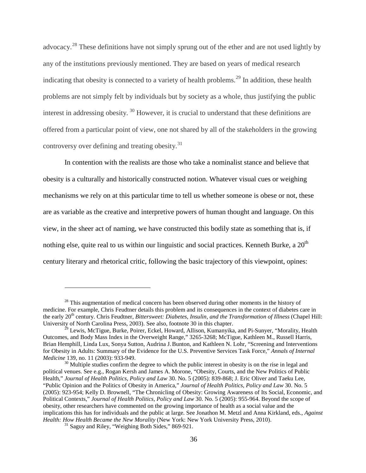advocacy.[28](#page-45-0) These definitions have not simply sprung out of the ether and are not used lightly by any of the institutions previously mentioned. They are based on years of medical research indicating that obesity is connected to a variety of health problems.<sup>[29](#page-45-1)</sup> In addition, these health problems are not simply felt by individuals but by society as a whole, thus justifying the public interest in addressing obesity. [30](#page-45-2) However, it is crucial to understand that these definitions are offered from a particular point of view, one not shared by all of the stakeholders in the growing controversy over defining and treating obesity.<sup>[31](#page-45-3)</sup>

In contention with the realists are those who take a nominalist stance and believe that obesity is a culturally and historically constructed notion. Whatever visual cues or weighing mechanisms we rely on at this particular time to tell us whether someone is obese or not, these are as variable as the creative and interpretive powers of human thought and language. On this view, in the sheer act of naming, we have constructed this bodily state as something that is, if nothing else, quite real to us within our linguistic and social practices. Kenneth Burke, a 20<sup>th</sup> century literary and rhetorical critic, following the basic trajectory of this viewpoint, opines:

<span id="page-45-0"></span> $28$  This augmentation of medical concern has been observed during other moments in the history of medicine. For example, Chris Feudtner details this problem and its consequences in the context of diabetes care in the early 20th century. Chris Feudtner, *Bittersweet: Diabetes, Insulin, and the Transformation of Illness* (Chapel Hill: University of North Carolina Press, 2003). See also, footnote 30 in this chapter.

<span id="page-45-1"></span><sup>&</sup>lt;sup>29</sup> Lewis, McTigue, Burke, Poirer, Eckel, Howard, Allison, Kumanyika, and Pi-Sunyer, "Morality, Health Outcomes, and Body Mass Index in the Overweight Range," 3265-3268; McTigue, Kathleen M., Russell Harris, Brian Hemphill, Linda Lux, Sonya Sutton, Audrina J.Bunton, and Kathleen N. Lohr, "Screening and Interventions for Obesity in Adults: Summary of the Evidence for the U.S. Preventive Services Task Force," *Annals of Internal* 

<span id="page-45-2"></span><sup>&</sup>lt;sup>30</sup> Multiple studies confirm the degree to which the public interest in obesity is on the rise in legal and political venues. See e.g., Rogan Kersh and James A. Morone, "Obesity, Courts, and the New Politics of Public Health," *Journal of Health Politics, Policy and Law* 30. No. 5 (2005): 839-868; J. Eric Oliver and Taeku Lee, "Public Opinion and the Politics of Obesity in America," *Journal of Health Politics, Policy and Law* 30. No. 5 (2005): 923-954; Kelly D. Brownell, "The Chronicling of Obesity: Growing Awareness of Its Social, Economic, and Political Contexts," *Journal of Health Politics, Policy and Law* 30. No. 5 (2005): 955-964. Beyond the scope of obesity, other researchers have commented on the growing importance of health as a social value and the implications this has for individuals and the public at large. See Jonathon M. Metzl and Anna Kirkland, eds., *Against Health: How Health Became the New Morality* (New York: New York University Press, 2010).<br><sup>31</sup> Saguy and Riley, "Weighing Both Sides," 869-921.

<span id="page-45-3"></span>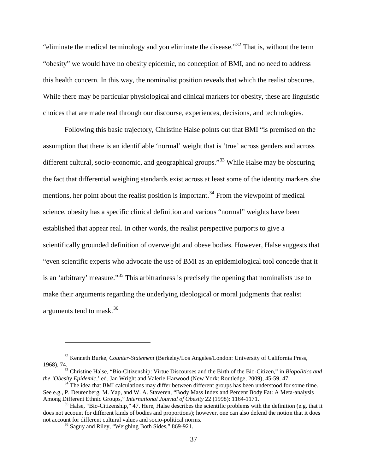"eliminate the medical terminology and you eliminate the disease."[32](#page-46-0) That is, without the term "obesity" we would have no obesity epidemic, no conception of BMI, and no need to address this health concern. In this way, the nominalist position reveals that which the realist obscures. While there may be particular physiological and clinical markers for obesity, these are linguistic choices that are made real through our discourse, experiences, decisions, and technologies.

Following this basic trajectory, Christine Halse points out that BMI "is premised on the assumption that there is an identifiable 'normal' weight that is 'true' across genders and across different cultural, socio-economic, and geographical groups."<sup>[33](#page-46-1)</sup> While Halse may be obscuring the fact that differential weighing standards exist across at least some of the identity markers she mentions, her point about the realist position is important.<sup>[34](#page-46-2)</sup> From the viewpoint of medical science, obesity has a specific clinical definition and various "normal" weights have been established that appear real. In other words, the realist perspective purports to give a scientifically grounded definition of overweight and obese bodies. However, Halse suggests that "even scientific experts who advocate the use of BMI as an epidemiological tool concede that it is an 'arbitrary' measure."<sup>[35](#page-46-3)</sup> This arbitrariness is precisely the opening that nominalists use to make their arguments regarding the underlying ideological or moral judgments that realist arguments tend to mask.[36](#page-46-4)

<span id="page-46-0"></span><sup>32</sup> Kenneth Burke, *Counter-Statement* (Berkeley/Los Angeles/London: University of California Press, 1968), 74.33 Christine Halse, "Bio-Citizenship: Virtue Discourses and the Birth of the Bio-Citizen," in *Biopolitics and* 

<span id="page-46-1"></span>*the 'Obesity Epidemic*,' ed. Jan Wright and Valerie Harwood (New York: Routledge, 2009), 45-59, 47.<br><sup>34</sup> The idea that BMI calculations may differ between different groups has been understood for some time.

<span id="page-46-2"></span>See e.g., P. Deurenberg, M. Yap, and W. A. Staveren, "Body Mass Index and Percent Body Fat: A Meta-analysis Among Different Ethnic Groups," International Journal of Obesity 22 (1998): 1164-1171.

<span id="page-46-4"></span><span id="page-46-3"></span><sup>&</sup>lt;sup>35</sup> Halse, "Bio-Citizenship," 47. Here, Halse describes the scientific problems with the definition (e.g. that it does not account for different kinds of bodies and proportions); however, one can also defend the notion that it does not account for different cultural values and socio-political norms.

 $36$  Saguy and Riley, "Weighing Both Sides," 869-921.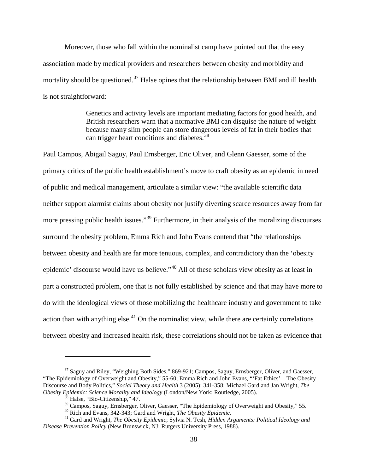Moreover, those who fall within the nominalist camp have pointed out that the easy association made by medical providers and researchers between obesity and morbidity and mortality should be questioned.<sup>[37](#page-47-0)</sup> Halse opines that the relationship between BMI and ill health is not straightforward:

> Genetics and activity levels are important mediating factors for good health, and British researchers warn that a normative BMI can disguise the nature of weight because many slim people can store dangerous levels of fat in their bodies that can trigger heart conditions and diabetes.<sup>[38](#page-47-1)</sup>

Paul Campos, Abigail Saguy, Paul Ernsberger, Eric Oliver, and Glenn Gaesser, some of the primary critics of the public health establishment's move to craft obesity as an epidemic in need of public and medical management, articulate a similar view: "the available scientific data neither support alarmist claims about obesity nor justify diverting scarce resources away from far more pressing public health issues."<sup>[39](#page-47-2)</sup> Furthermore, in their analysis of the moralizing discourses surround the obesity problem, Emma Rich and John Evans contend that "the relationships between obesity and health are far more tenuous, complex, and contradictory than the 'obesity epidemic' discourse would have us believe."<sup>[40](#page-47-3)</sup> All of these scholars view obesity as at least in part a constructed problem, one that is not fully established by science and that may have more to do with the ideological views of those mobilizing the healthcare industry and government to take action than with anything else.<sup>[41](#page-47-4)</sup> On the nominalist view, while there are certainly correlations between obesity and increased health risk, these correlations should not be taken as evidence that

<span id="page-47-0"></span><sup>&</sup>lt;sup>37</sup> Saguy and Riley, "Weighing Both Sides," 869-921; Campos, Saguy, Ernsberger, Oliver, and Gaesser, "The Epidemiology of Overweight and Obesity," 55-60; Emma Rich and John Evans, "'Fat Ethics' – The Obesity Discourse and Body Politics," *Social Theory and Health* 3 (2005): 341-358; Michael Gard and Jan Wright, *The Obesity Epidemic: Science Morality and Ideology (London/New York: Routledge, 2005).*<br><sup>38</sup> Halse, "Bio-Citizenship," 47.<br><sup>39</sup> Campos, Saguy, Ernsberger, Oliver, Gaesser, "The Epidemiology of Overweight and Obesity," 55.

<span id="page-47-4"></span><span id="page-47-3"></span><span id="page-47-2"></span><span id="page-47-1"></span> $^{40}$  Rich and Evans, 342-343; Gard and Wright, *The Obesity Epidemic*.<br> $^{41}$  Gard and Wright, *The Obesity Epidemic*; Sylvia N. Tesh, *Hidden Arguments: Political Ideology and Disease Prevention Policy* (New Brunswick, NJ: Rutgers University Press, 1988).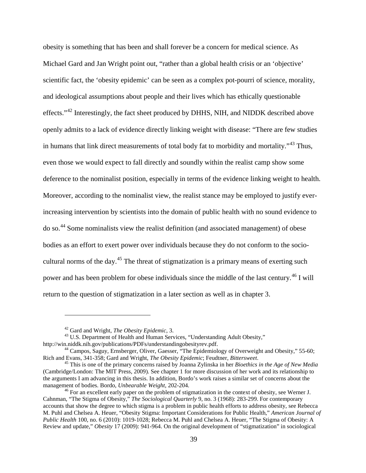obesity is something that has been and shall forever be a concern for medical science. As Michael Gard and Jan Wright point out, "rather than a global health crisis or an 'objective' scientific fact, the 'obesity epidemic' can be seen as a complex pot-pourri of science, morality, and ideological assumptions about people and their lives which has ethically questionable effects."[42](#page-48-0) Interestingly, the fact sheet produced by DHHS, NIH, and NIDDK described above openly admits to a lack of evidence directly linking weight with disease: "There are few studies in humans that link direct measurements of total body fat to morbidity and mortality."[43](#page-48-1) Thus, even those we would expect to fall directly and soundly within the realist camp show some deference to the nominalist position, especially in terms of the evidence linking weight to health. Moreover, according to the nominalist view, the realist stance may be employed to justify everincreasing intervention by scientists into the domain of public health with no sound evidence to do so. [44](#page-48-2) Some nominalists view the realist definition (and associated management) of obese bodies as an effort to exert power over individuals because they do not conform to the socio-cultural norms of the day.<sup>[45](#page-48-3)</sup> The threat of stigmatization is a primary means of exerting such power and has been problem for obese individuals since the middle of the last century.<sup>[46](#page-48-4)</sup> I will return to the question of stigmatization in a later section as well as in chapter 3.

<span id="page-48-1"></span><span id="page-48-0"></span><sup>&</sup>lt;sup>42</sup> Gard and Wright, *The Obesity Epidemic*, 3.<br><sup>43</sup> U.S. Department of Health and Human Services, "Understanding Adult Obesity,"<br>http://win.niddk.nih.gov/publications/PDFs/understandingobesityrev.pdf.

<span id="page-48-2"></span><sup>&</sup>lt;sup>44</sup> Campos, Saguy, Ernsberger, Oliver, Gaesser, "The Epidemiology of Overweight and Obesity," 55-60; Rich and Evans, 341-358; Gard and Wright, The Obesity Epidemic; Feudtner, Bittersweet.

<span id="page-48-3"></span><sup>&</sup>lt;sup>45</sup> This is one of the primary concerns raised by Joanna Zylinska in her *Bioethics in the Age of New Media* (Cambridge/London: The MIT Press, 2009)*.* See chapter 1 for more discussion of her work and its relationship to the arguments I am advancing in this thesis. In addition, Bordo's work raises a similar set of concerns about the management of bodies. Bordo, *Unbearable Weight*, 202-204.

<span id="page-48-4"></span><sup>&</sup>lt;sup>46</sup> For an excellent early paper on the problem of stigmatization in the context of obesity, see Werner J. Cahnman, "The Stigma of Obesity," *The Sociological Quarterly* 9, no. 3 (1968): 283-299. For contemporary accounts that show the degree to which stigma is a problem in public health efforts to address obesity, see Rebecca M. Puhl and Chelsea A. Heuer, "Obesity Stigma: Important Considerations for Public Health," *American Journal of Public Health* 100, no. 6 (2010): 1019-1028; Rebecca M. Puhl and Chelsea A. Heuer, "The Stigma of Obesity: A Review and update," *Obesity* 17 (2009): 941-964. On the original development of "stigmatization" in sociological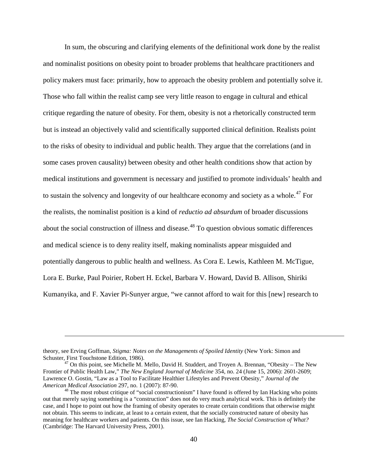In sum, the obscuring and clarifying elements of the definitional work done by the realist and nominalist positions on obesity point to broader problems that healthcare practitioners and policy makers must face: primarily, how to approach the obesity problem and potentially solve it. Those who fall within the realist camp see very little reason to engage in cultural and ethical critique regarding the nature of obesity. For them, obesity is not a rhetorically constructed term but is instead an objectively valid and scientifically supported clinical definition. Realists point to the risks of obesity to individual and public health. They argue that the correlations (and in some cases proven causality) between obesity and other health conditions show that action by medical institutions and government is necessary and justified to promote individuals' health and to sustain the solvency and longevity of our healthcare economy and society as a whole.<sup>[47](#page-49-0)</sup> For the realists, the nominalist position is a kind of *reductio ad absurdum* of broader discussions about the social construction of illness and disease.<sup>[48](#page-49-1)</sup> To question obvious somatic differences and medical science is to deny reality itself, making nominalists appear misguided and potentially dangerous to public health and wellness. As Cora E. Lewis, Kathleen M. McTigue, Lora E. Burke, Paul Poirier, Robert H. Eckel, Barbara V. Howard, David B. Allison, Shiriki Kumanyika, and F. Xavier Pi-Sunyer argue, "we cannot afford to wait for this [new] research to

theory, see Erving Goffman, *Stigma: Notes on the Managements of Spoiled Identity* (New York: Simon and Schuster, First Touchstone Edition, 1986).

<span id="page-49-0"></span> $47$  On this point, see Michelle M. Mello, David H. Studdert, and Troyen A. Brennan, "Obesity – The New Frontier of Public Health Law," *The New England Journal of Medicine* 354, no. 24 (June 15, 2006): 2601-2609; Lawrence O. Gostin, "Law as a Tool to Facilitate Healthier Lifestyles and Prevent Obesity," *Journal of the* 

<span id="page-49-1"></span><sup>&</sup>lt;sup>48</sup> The most robust critique of "social constructionism" I have found is offered by Ian Hacking who points out that merely saying something is a "construction" does not do very much analytical work. This is definitely the case, and I hope to point out how the framing of obesity operates to create certain conditions that otherwise might not obtain. This seems to indicate, at least to a certain extent, that the socially constructed nature of obesity has meaning for healthcare workers and patients. On this issue, see Ian Hacking, *The Social Construction of What?* (Cambridge: The Harvard University Press, 2001).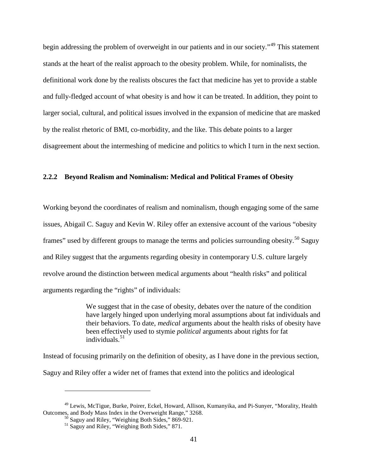begin addressing the problem of overweight in our patients and in our society."<sup>[49](#page-50-0)</sup> This statement stands at the heart of the realist approach to the obesity problem. While, for nominalists, the definitional work done by the realists obscures the fact that medicine has yet to provide a stable and fully-fledged account of what obesity is and how it can be treated. In addition, they point to larger social, cultural, and political issues involved in the expansion of medicine that are masked by the realist rhetoric of BMI, co-morbidity, and the like. This debate points to a larger disagreement about the intermeshing of medicine and politics to which I turn in the next section.

# **2.2.2 Beyond Realism and Nominalism: Medical and Political Frames of Obesity**

Working beyond the coordinates of realism and nominalism, though engaging some of the same issues, Abigail C. Saguy and Kevin W. Riley offer an extensive account of the various "obesity frames" used by different groups to manage the terms and policies surrounding obesity.<sup>[50](#page-50-1)</sup> Saguy and Riley suggest that the arguments regarding obesity in contemporary U.S. culture largely revolve around the distinction between medical arguments about "health risks" and political arguments regarding the "rights" of individuals:

> We suggest that in the case of obesity, debates over the nature of the condition have largely hinged upon underlying moral assumptions about fat individuals and their behaviors. To date, *medical* arguments about the health risks of obesity have been effectively used to stymie *political* arguments about rights for fat  $individuals<sup>51</sup>$  $individuals<sup>51</sup>$  $individuals<sup>51</sup>$

Instead of focusing primarily on the definition of obesity, as I have done in the previous section, Saguy and Riley offer a wider net of frames that extend into the politics and ideological

<span id="page-50-2"></span><span id="page-50-1"></span><span id="page-50-0"></span><sup>&</sup>lt;sup>49</sup> Lewis, McTigue, Burke, Poirer, Eckel, Howard, Allison, Kumanyika, and Pi-Sunyer, "Morality, Health Outcomes, and Body Mass Index in the Overweight Range," 3268.

 $\frac{50}{50}$  Saguy and Riley, "Weighing Both Sides," 869-921.<br><sup>51</sup> Saguy and Riley, "Weighing Both Sides," 871.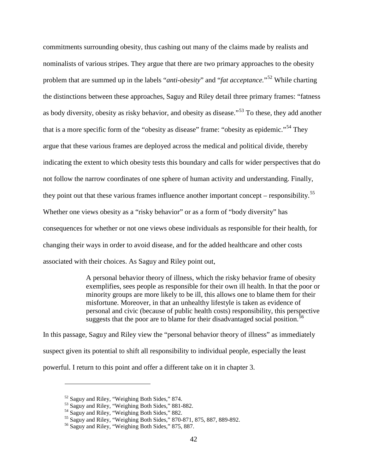commitments surrounding obesity, thus cashing out many of the claims made by realists and nominalists of various stripes. They argue that there are two primary approaches to the obesity problem that are summed up in the labels "*anti-obesity*" and "*fat acceptance.*"[52](#page-51-0) While charting the distinctions between these approaches, Saguy and Riley detail three primary frames: "fatness as body diversity, obesity as risky behavior, and obesity as disease."[53](#page-51-1) To these, they add another that is a more specific form of the "obesity as disease" frame: "obesity as epidemic."<sup>[54](#page-51-2)</sup> They argue that these various frames are deployed across the medical and political divide, thereby indicating the extent to which obesity tests this boundary and calls for wider perspectives that do not follow the narrow coordinates of one sphere of human activity and understanding. Finally, they point out that these various frames influence another important concept – responsibility.<sup>[55](#page-51-3)</sup> Whether one views obesity as a "risky behavior" or as a form of "body diversity" has consequences for whether or not one views obese individuals as responsible for their health, for changing their ways in order to avoid disease, and for the added healthcare and other costs associated with their choices. As Saguy and Riley point out,

> A personal behavior theory of illness, which the risky behavior frame of obesity exemplifies, sees people as responsible for their own ill health. In that the poor or minority groups are more likely to be ill, this allows one to blame them for their misfortune. Moreover, in that an unhealthy lifestyle is taken as evidence of personal and civic (because of public health costs) responsibility, this perspective suggests that the poor are to blame for their disadvantaged social position.<sup>[56](#page-51-4)</sup>

In this passage, Saguy and Riley view the "personal behavior theory of illness" as immediately suspect given its potential to shift all responsibility to individual people, especially the least powerful. I return to this point and offer a different take on it in chapter 3.

<span id="page-51-1"></span>

<span id="page-51-3"></span><span id="page-51-2"></span>

<span id="page-51-0"></span><sup>&</sup>lt;sup>52</sup> Saguy and Riley, "Weighing Both Sides," 874.<br>
<sup>53</sup> Saguy and Riley, "Weighing Both Sides," 881-882.<br>
<sup>54</sup> Saguy and Riley, "Weighing Both Sides," 882.<br>
<sup>55</sup> Saguy and Riley, "Weighing Both Sides," 870-871, 875, 887,

<span id="page-51-4"></span>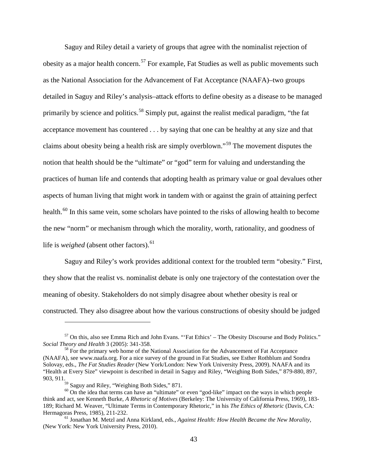Saguy and Riley detail a variety of groups that agree with the nominalist rejection of obesity as a major health concern.<sup>[57](#page-52-0)</sup> For example, Fat Studies as well as public movements such as the National Association for the Advancement of Fat Acceptance (NAAFA)–two groups detailed in Saguy and Riley's analysis–attack efforts to define obesity as a disease to be managed primarily by science and politics.<sup>[58](#page-52-1)</sup> Simply put, against the realist medical paradigm, "the fat acceptance movement has countered . . . by saying that one can be healthy at any size and that claims about obesity being a health risk are simply overblown."[59](#page-52-2) The movement disputes the notion that health should be the "ultimate" or "god" term for valuing and understanding the practices of human life and contends that adopting health as primary value or goal devalues other aspects of human living that might work in tandem with or against the grain of attaining perfect health.<sup>[60](#page-52-3)</sup> In this same vein, some scholars have pointed to the risks of allowing health to become the new "norm" or mechanism through which the morality, worth, rationality, and goodness of life is *weighed* (absent other factors).<sup>[61](#page-52-4)</sup>

Saguy and Riley's work provides additional context for the troubled term "obesity." First, they show that the realist vs. nominalist debate is only one trajectory of the contestation over the meaning of obesity. Stakeholders do not simply disagree about whether obesity is real or constructed. They also disagree about how the various constructions of obesity should be judged

<span id="page-52-0"></span> $57$  On this, also see Emma Rich and John Evans. "'Fat Ethics' – The Obesity Discourse and Body Politics."<br>Social Theory and Health 3 (2005): 341-358.

<span id="page-52-1"></span><sup>&</sup>lt;sup>58</sup> For the primary web home of the National Association for the Advancement of Fat Acceptance (NAAFA), see [www.naafa.org.](http://www.naafa.org/) For a nice survey of the ground in Fat Studies, see Esther Rothblum and Sondra Solovay, eds., *The Fat Studies Reader* (New York/London: New York University Press, 2009). NAAFA and its "Health at Every Size" viewpoint is described in detail in Saguy and Riley, "Weighing Both Sides," 879-880, 897, 903, 911.<br> $^{59}$  Saguy and Riley, "Weighing Both Sides," 871.

<span id="page-52-3"></span><span id="page-52-2"></span> $60$  On the idea that terms can have an "ultimate" or even "god-like" impact on the ways in which people think and act, see Kenneth Burke, *A Rhetoric of Motives* (Berkeley: The University of California Press, 1969), 183- 189; Richard M. Weaver, "Ultimate Terms in Contemporary Rhetoric," in his *The Ethics of Rhetoric* (Davis, CA:

<span id="page-52-4"></span><sup>&</sup>lt;sup>61</sup> Jonathan M. Metzl and Anna Kirkland, eds., *Against Health: How Health Became the New Morality*, (New York: New York University Press, 2010).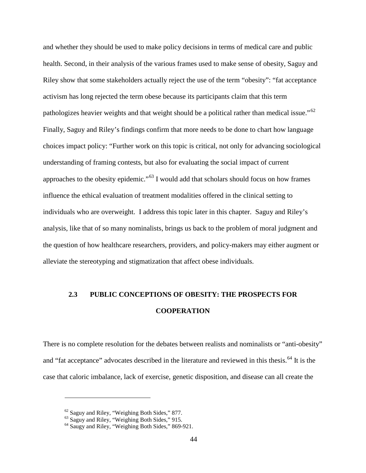and whether they should be used to make policy decisions in terms of medical care and public health. Second, in their analysis of the various frames used to make sense of obesity, Saguy and Riley show that some stakeholders actually reject the use of the term "obesity": "fat acceptance activism has long rejected the term obese because its participants claim that this term pathologizes heavier weights and that weight should be a political rather than medical issue."<sup>[62](#page-53-0)</sup> Finally, Saguy and Riley's findings confirm that more needs to be done to chart how language choices impact policy: "Further work on this topic is critical, not only for advancing sociological understanding of framing contests, but also for evaluating the social impact of current approaches to the obesity epidemic."[63](#page-53-1) I would add that scholars should focus on how frames influence the ethical evaluation of treatment modalities offered in the clinical setting to individuals who are overweight. I address this topic later in this chapter. Saguy and Riley's analysis, like that of so many nominalists, brings us back to the problem of moral judgment and the question of how healthcare researchers, providers, and policy-makers may either augment or alleviate the stereotyping and stigmatization that affect obese individuals.

# **2.3 PUBLIC CONCEPTIONS OF OBESITY: THE PROSPECTS FOR COOPERATION**

There is no complete resolution for the debates between realists and nominalists or "anti-obesity" and "fat acceptance" advocates described in the literature and reviewed in this thesis.<sup>[64](#page-53-2)</sup> It is the case that caloric imbalance, lack of exercise, genetic disposition, and disease can all create the

<span id="page-53-2"></span>

<span id="page-53-1"></span><span id="page-53-0"></span> $^{62}$  Saguy and Riley, "Weighing Both Sides," 877.<br> $^{63}$  Saguy and Riley, "Weighing Both Sides," 915.<br> $^{64}$  Saugy and Riley, "Weighing Both Sides," 869-921.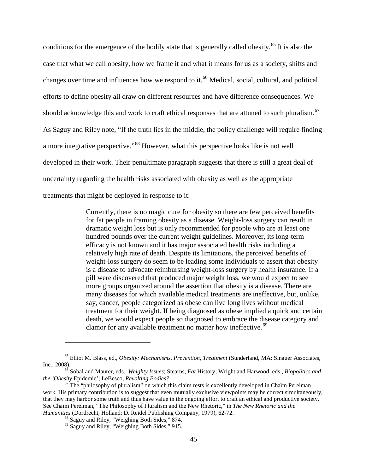conditions for the emergence of the bodily state that is generally called obesity.<sup>[65](#page-54-0)</sup> It is also the case that what we call obesity, how we frame it and what it means for us as a society, shifts and changes over time and influences how we respond to it.<sup>[66](#page-54-1)</sup> Medical, social, cultural, and political efforts to define obesity all draw on different resources and have difference consequences. We should acknowledge this and work to craft ethical responses that are attuned to such pluralism.<sup>[67](#page-54-2)</sup> As Saguy and Riley note, "If the truth lies in the middle, the policy challenge will require finding a more integrative perspective."[68](#page-54-3) However, what this perspective looks like is not well developed in their work. Their penultimate paragraph suggests that there is still a great deal of uncertainty regarding the health risks associated with obesity as well as the appropriate treatments that might be deployed in response to it:

> Currently, there is no magic cure for obesity so there are few perceived benefits for fat people in framing obesity as a disease. Weight-loss surgery can result in dramatic weight loss but is only recommended for people who are at least one hundred pounds over the current weight guidelines. Moreover, its long-term efficacy is not known and it has major associated health risks including a relatively high rate of death. Despite its limitations, the perceived benefits of weight-loss surgery do seem to be leading some individuals to assert that obesity is a disease to advocate reimbursing weight-loss surgery by health insurance. If a pill were discovered that produced major weight loss, we would expect to see more groups organized around the assertion that obesity is a disease. There are many diseases for which available medical treatments are ineffective, but, unlike, say, cancer, people categorized as obese can live long lives without medical treatment for their weight. If being diagnosed as obese implied a quick and certain death, we would expect people so diagnosed to embrace the disease category and clamor for any available treatment no matter how ineffective.<sup>[69](#page-54-4)</sup>

<span id="page-54-0"></span><sup>&</sup>lt;sup>65</sup> Elliot M. Blass, ed., *Obesity: Mechanisms, Prevention, Treatment* (Sunderland, MA: Sinauer Associates, Inc., 2008).

<span id="page-54-1"></span><sup>&</sup>lt;sup>66</sup> Sobal and Maurer, eds., *Weighty Issues*; Stearns, *Fat* History; Wright and Harwood, eds., *Biopolitics and the 'Obesity Epidemic'*; LeBesco, *Revolting Bodies*?

<span id="page-54-4"></span><span id="page-54-3"></span><span id="page-54-2"></span><sup>&</sup>lt;sup>67</sup> The "philosophy of pluralism" on which this claim rests is excellently developed in Chaïm Perelman work. His primary contribution is to suggest that even mutually exclusive viewpoints may be correct simultaneously, that they may harbor some truth and thus have value in the ongoing effort to craft an ethical and productive society. See Chaïm Perelman, "The Philosophy of Pluralism and the New Rhetoric," in *The New Rhetoric and the Humanities* (Dordrecht, Holland: D. Reidel Publishing Company, 1979), 62-72.

<sup>&</sup>lt;sup>68</sup> Saguy and Riley, "Weighing Both Sides," 874.<br><sup>69</sup> Saguy and Riley, "Weighing Both Sides," 915.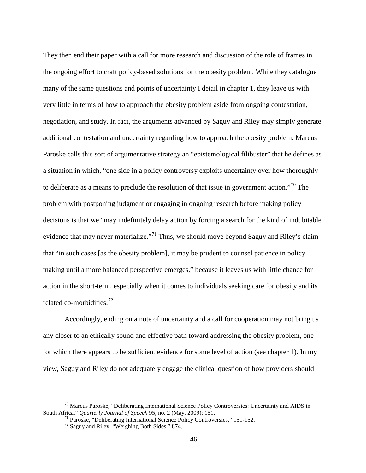They then end their paper with a call for more research and discussion of the role of frames in the ongoing effort to craft policy-based solutions for the obesity problem. While they catalogue many of the same questions and points of uncertainty I detail in chapter 1, they leave us with very little in terms of how to approach the obesity problem aside from ongoing contestation, negotiation, and study. In fact, the arguments advanced by Saguy and Riley may simply generate additional contestation and uncertainty regarding how to approach the obesity problem. Marcus Paroske calls this sort of argumentative strategy an "epistemological filibuster" that he defines as a situation in which, "one side in a policy controversy exploits uncertainty over how thoroughly to deliberate as a means to preclude the resolution of that issue in government action."[70](#page-55-0) The problem with postponing judgment or engaging in ongoing research before making policy decisions is that we "may indefinitely delay action by forcing a search for the kind of indubitable evidence that may never materialize."<sup>[71](#page-55-1)</sup> Thus, we should move beyond Saguy and Riley's claim that "in such cases [as the obesity problem], it may be prudent to counsel patience in policy making until a more balanced perspective emerges," because it leaves us with little chance for action in the short-term, especially when it comes to individuals seeking care for obesity and its related co-morbidities.[72](#page-55-2)

Accordingly, ending on a note of uncertainty and a call for cooperation may not bring us any closer to an ethically sound and effective path toward addressing the obesity problem, one for which there appears to be sufficient evidence for some level of action (see chapter 1). In my view, Saguy and Riley do not adequately engage the clinical question of how providers should

<span id="page-55-2"></span><span id="page-55-1"></span><span id="page-55-0"></span><sup>&</sup>lt;sup>70</sup> Marcus Paroske, "Deliberating International Science Policy Controversies: Uncertainty and AIDS in South Africa," *Quarterly Journal of Speech* 95, no. 2 (May, 2009): 151.

<sup>&</sup>lt;sup>71</sup> Paroske, "Deliberating International Science Policy Controversies," 151-152.<br><sup>72</sup> Saguy and Riley, "Weighing Both Sides," 874.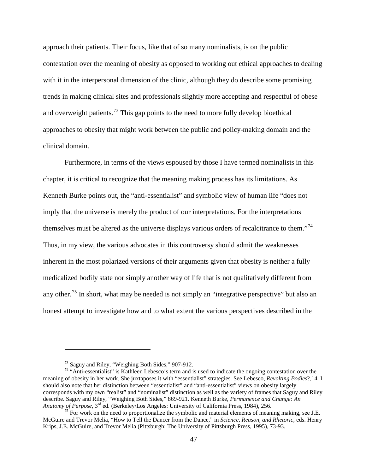approach their patients. Their focus, like that of so many nominalists, is on the public contestation over the meaning of obesity as opposed to working out ethical approaches to dealing with it in the interpersonal dimension of the clinic, although they do describe some promising trends in making clinical sites and professionals slightly more accepting and respectful of obese and overweight patients.<sup>[73](#page-56-0)</sup> This gap points to the need to more fully develop bioethical approaches to obesity that might work between the public and policy-making domain and the clinical domain.

Furthermore, in terms of the views espoused by those I have termed nominalists in this chapter, it is critical to recognize that the meaning making process has its limitations. As Kenneth Burke points out, the "anti-essentialist" and symbolic view of human life "does not imply that the universe is merely the product of our interpretations. For the interpretations themselves must be altered as the universe displays various orders of recalcitrance to them."<sup>[74](#page-56-1)</sup> Thus, in my view, the various advocates in this controversy should admit the weaknesses inherent in the most polarized versions of their arguments given that obesity is neither a fully medicalized bodily state nor simply another way of life that is not qualitatively different from any other.<sup>[75](#page-56-2)</sup> In short, what may be needed is not simply an "integrative perspective" but also an honest attempt to investigate how and to what extent the various perspectives described in the

<span id="page-56-1"></span><span id="page-56-0"></span><sup>&</sup>lt;sup>73</sup> Saguy and Riley, "Weighing Both Sides," 907-912.<br><sup>74</sup> "Anti-essentialist" is Kathleen Lebesco's term and is used to indicate the ongoing contestation over the meaning of obesity in her work. She juxtaposes it with "essentialist" strategies. See Lebesco, *Revolting Bodies*?,14. I should also note that her distinction between "essentialist" and "anti-essentialist" views on obesity largely corresponds with my own "realist" and "nominalist" distinction as well as the variety of frames that Saguy and Riley describe. Saguy and Riley, "Weighing Both Sides," 869-921. Kenneth Burke, *Permanence and Change: An Anatomy of Purpose*, 3<sup>rd</sup> ed. (Berkeley/Los Angeles: University of California Press, 1984), 256.

<span id="page-56-2"></span><sup>&</sup>lt;sup>75</sup> For work on the need to proportionalize the symbolic and material elements of meaning making, see J.E. McGuire and Trevor Melia, "How to Tell the Dancer from the Dance," in *Science, Reason, and Rhetoric*, eds. Henry Krips, J.E. McGuire, and Trevor Melia (Pittsburgh: The University of Pittsburgh Press, 1995), 73-93.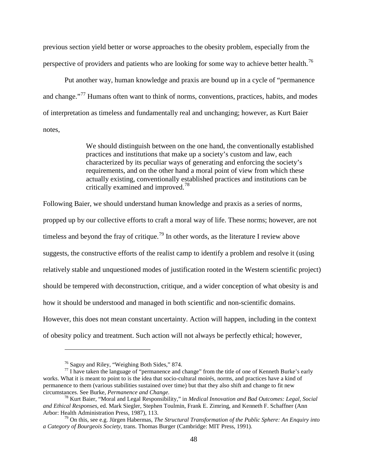previous section yield better or worse approaches to the obesity problem, especially from the perspective of providers and patients who are looking for some way to achieve better health.<sup>[76](#page-57-0)</sup>

Put another way, human knowledge and praxis are bound up in a cycle of "permanence and change."<sup>[77](#page-57-1)</sup> Humans often want to think of norms, conventions, practices, habits, and modes of interpretation as timeless and fundamentally real and unchanging; however, as Kurt Baier notes,

> We should distinguish between on the one hand, the conventionally established practices and institutions that make up a society's custom and law, each characterized by its peculiar ways of generating and enforcing the society's requirements, and on the other hand a moral point of view from which these actually existing, conventionally established practices and institutions can be critically examined and improved.[78](#page-57-2)

Following Baier, we should understand human knowledge and praxis as a series of norms, propped up by our collective efforts to craft a moral way of life. These norms; however, are not timeless and beyond the fray of critique.<sup>[79](#page-57-3)</sup> In other words, as the literature I review above suggests, the constructive efforts of the realist camp to identify a problem and resolve it (using relatively stable and unquestioned modes of justification rooted in the Western scientific project) should be tempered with deconstruction, critique, and a wider conception of what obesity is and how it should be understood and managed in both scientific and non-scientific domains. However, this does not mean constant uncertainty. Action will happen, including in the context of obesity policy and treatment. Such action will not always be perfectly ethical; however,

<span id="page-57-1"></span><span id="page-57-0"></span><sup>&</sup>lt;sup>76</sup> Saguy and Riley, "Weighing Both Sides," 874.<br><sup>77</sup> I have taken the language of "permanence and change" from the title of one of Kenneth Burke's early works. What it is meant to point to is the idea that socio-cultural moirés, norms, and practices have a kind of permanence to them (various stabilities sustained over time) but that they also shift and change to fit new circumstances. See Burke, *Permanence and Change.* <sup>78</sup> Kurt Baier, "Moral and Legal Responsibility," in *Medical Innovation and Bad Outcomes: Legal, Social* 

<span id="page-57-2"></span>*and Ethical Responses*, ed. Mark Siegler, Stephen Toulmin, Frank E. Zimring, and Kenneth F. Schaffner (Ann

<span id="page-57-3"></span><sup>&</sup>lt;sup>79</sup> On this, see e.g. Jürgen Habermas, *The Structural Transformation of the Public Sphere: An Enquiry into a Category of Bourgeois Society*, trans. Thomas Burger (Cambridge: MIT Press, 1991).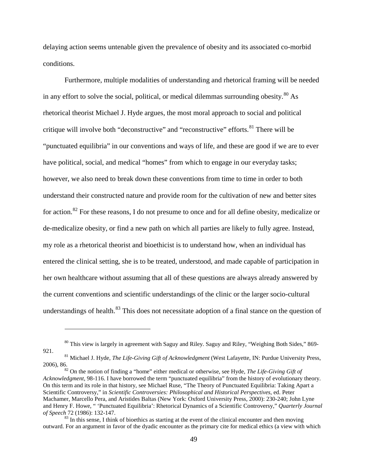delaying action seems untenable given the prevalence of obesity and its associated co-morbid conditions.

Furthermore, multiple modalities of understanding and rhetorical framing will be needed in any effort to solve the social, political, or medical dilemmas surrounding obesity. $80$  As rhetorical theorist Michael J. Hyde argues, the most moral approach to social and political critique will involve both "deconstructive" and "reconstructive" efforts.<sup>[81](#page-58-1)</sup> There will be "punctuated equilibria" in our conventions and ways of life, and these are good if we are to ever have political, social, and medical "homes" from which to engage in our everyday tasks; however, we also need to break down these conventions from time to time in order to both understand their constructed nature and provide room for the cultivation of new and better sites for action.[82](#page-58-2) For these reasons, I do not presume to once and for all define obesity, medicalize or de-medicalize obesity, or find a new path on which all parties are likely to fully agree. Instead, my role as a rhetorical theorist and bioethicist is to understand how, when an individual has entered the clinical setting, she is to be treated, understood, and made capable of participation in her own healthcare without assuming that all of these questions are always already answered by the current conventions and scientific understandings of the clinic or the larger socio-cultural understandings of health.<sup>[83](#page-58-3)</sup> This does not necessitate adoption of a final stance on the question of

<span id="page-58-0"></span><sup>80</sup> This view is largely in agreement with Saguy and Riley. Saguy and Riley, "Weighing Both Sides," 869-921. <sup>81</sup> Michael J. Hyde, *The Life-Giving Gift of Acknowledgment* (West Lafayette, IN: Purdue University Press,

<span id="page-58-1"></span><sup>2006), 86.&</sup>lt;br><sup>82</sup> On the notion of finding a "home" either medical or otherwise, see Hyde, *The Life-Giving Gift of* 

<span id="page-58-2"></span>*Acknowledgment*, 98-116. I have borrowed the term "punctuated equilibria" from the history of evolutionary theory. On this term and its role in that history, see Michael Ruse, "The Theory of Punctuated Equilibria: Taking Apart a Scientific Controversy," in *Scientific Controversies: Philosophical and Historical Perspectives*, ed. Peter Machamer, Marcello Pera, and Aristides Baltas (New York: Oxford University Press, 2000): 230-240; John Lyne and Henry F. Howe, " 'Punctuated Equilibria': Rhetorical Dynamics of a Scientific Controversy," *Quarterly Journal of Speech* 72 (1986): 132-147.<br><sup>83</sup> In this sense, I think of bioethics as starting at the event of the clinical encounter and then moving

<span id="page-58-3"></span>outward. For an argument in favor of the dyadic encounter as the primary cite for medical ethics (a view with which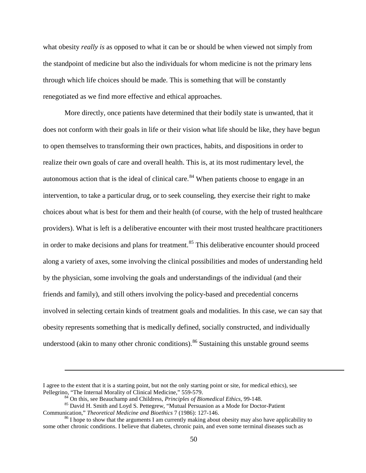what obesity *really is* as opposed to what it can be or should be when viewed not simply from the standpoint of medicine but also the individuals for whom medicine is not the primary lens through which life choices should be made. This is something that will be constantly renegotiated as we find more effective and ethical approaches.

More directly, once patients have determined that their bodily state is unwanted, that it does not conform with their goals in life or their vision what life should be like, they have begun to open themselves to transforming their own practices, habits, and dispositions in order to realize their own goals of care and overall health. This is, at its most rudimentary level, the autonomous action that is the ideal of clinical care.<sup>[84](#page-59-0)</sup> When patients choose to engage in an intervention, to take a particular drug, or to seek counseling, they exercise their right to make choices about what is best for them and their health (of course, with the help of trusted healthcare providers). What is left is a deliberative encounter with their most trusted healthcare practitioners in order to make decisions and plans for treatment.<sup>[85](#page-59-1)</sup> This deliberative encounter should proceed along a variety of axes, some involving the clinical possibilities and modes of understanding held by the physician, some involving the goals and understandings of the individual (and their friends and family), and still others involving the policy-based and precedential concerns involved in selecting certain kinds of treatment goals and modalities. In this case, we can say that obesity represents something that is medically defined, socially constructed, and individually understood (akin to many other chronic conditions).<sup>[86](#page-59-2)</sup> Sustaining this unstable ground seems

I agree to the extent that it is a starting point, but not the only starting point or site, for medical ethics), see<br>Pellegrino, "The Internal Morality of Clinical Medicine," 559-579.

<span id="page-59-1"></span><span id="page-59-0"></span><sup>&</sup>lt;sup>84</sup> On this, see Beauchamp and Childress, *Principles of Biomedical Ethics*, 99-148.<br><sup>85</sup> David H. Smith and Loyd S. Pettegrew, "Mutual Persuasion as a Mode for Doctor-Patient Communication," *Theoretical Medicine and Bi* 

<span id="page-59-2"></span><sup>&</sup>lt;sup>86</sup> I hope to show that the arguments I am currently making about obesity may also have applicability to some other chronic conditions. I believe that diabetes, chronic pain, and even some terminal diseases such as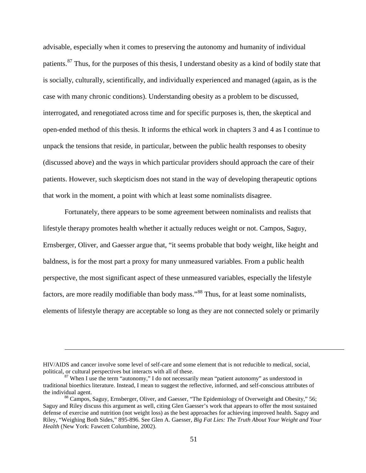advisable, especially when it comes to preserving the autonomy and humanity of individual patients.<sup>[87](#page-60-0)</sup> Thus, for the purposes of this thesis, I understand obesity as a kind of bodily state that is socially, culturally, scientifically, and individually experienced and managed (again, as is the case with many chronic conditions). Understanding obesity as a problem to be discussed, interrogated, and renegotiated across time and for specific purposes is, then, the skeptical and open-ended method of this thesis. It informs the ethical work in chapters 3 and 4 as I continue to unpack the tensions that reside, in particular, between the public health responses to obesity (discussed above) and the ways in which particular providers should approach the care of their patients. However, such skepticism does not stand in the way of developing therapeutic options that work in the moment, a point with which at least some nominalists disagree.

Fortunately, there appears to be some agreement between nominalists and realists that lifestyle therapy promotes health whether it actually reduces weight or not. Campos, Saguy, Ernsberger, Oliver, and Gaesser argue that, "it seems probable that body weight, like height and baldness, is for the most part a proxy for many unmeasured variables. From a public health perspective, the most significant aspect of these unmeasured variables, especially the lifestyle factors, are more readily modifiable than body mass."<sup>[88](#page-60-1)</sup> Thus, for at least some nominalists, elements of lifestyle therapy are acceptable so long as they are not connected solely or primarily

HIV/AIDS and cancer involve some level of self-care and some element that is not reducible to medical, social,

<span id="page-60-0"></span> $87$  When I use the term "autonomy," I do not necessarily mean "patient autonomy" as understood in traditional bioethics literature. Instead, I mean to suggest the reflective, informed, and self-conscious attributes of the individual agent.<br><sup>88</sup> Campos, Saguy, Ernsberger, Oliver, and Gaesser, "The Epidemiology of Overweight and Obesity," 56;

<span id="page-60-1"></span>Saguy and Riley discuss this argument as well, citing Glen Gaesser's work that appears to offer the most sustained defense of exercise and nutrition (not weight loss) as the best approaches for achieving improved health. Saguy and Riley, "Weighing Both Sides," 895-896. See Glen A. Gaesser, *Big Fat Lies: The Truth About Your Weight and Your Health* (New York: Fawcett Columbine, 2002).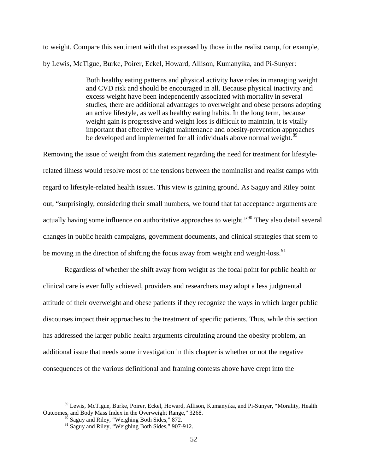to weight. Compare this sentiment with that expressed by those in the realist camp, for example, by Lewis, McTigue, Burke, Poirer, Eckel, Howard, Allison, Kumanyika, and Pi-Sunyer:

> Both healthy eating patterns and physical activity have roles in managing weight and CVD risk and should be encouraged in all. Because physical inactivity and excess weight have been independently associated with mortality in several studies, there are additional advantages to overweight and obese persons adopting an active lifestyle, as well as healthy eating habits. In the long term, because weight gain is progressive and weight loss is difficult to maintain, it is vitally important that effective weight maintenance and obesity-prevention approaches be developed and implemented for all individuals above normal weight.<sup>[89](#page-61-0)</sup>

Removing the issue of weight from this statement regarding the need for treatment for lifestylerelated illness would resolve most of the tensions between the nominalist and realist camps with regard to lifestyle-related health issues. This view is gaining ground. As Saguy and Riley point out, "surprisingly, considering their small numbers, we found that fat acceptance arguments are actually having some influence on authoritative approaches to weight."[90](#page-61-1) They also detail several changes in public health campaigns, government documents, and clinical strategies that seem to be moving in the direction of shifting the focus away from weight and weight-loss.<sup>[91](#page-61-2)</sup>

Regardless of whether the shift away from weight as the focal point for public health or clinical care is ever fully achieved, providers and researchers may adopt a less judgmental attitude of their overweight and obese patients if they recognize the ways in which larger public discourses impact their approaches to the treatment of specific patients. Thus, while this section has addressed the larger public health arguments circulating around the obesity problem, an additional issue that needs some investigation in this chapter is whether or not the negative consequences of the various definitional and framing contests above have crept into the

<span id="page-61-2"></span><span id="page-61-1"></span><span id="page-61-0"></span><sup>&</sup>lt;sup>89</sup> Lewis, McTigue, Burke, Poirer, Eckel, Howard, Allison, Kumanyika, and Pi-Sunyer, "Morality, Health Outcomes, and Body Mass Index in the Overweight Range," 3268.

<sup>&</sup>lt;sup>90</sup> Saguy and Riley, "Weighing Both Sides," 872. <sup>91</sup> Saguy and Riley, "Weighing Both Sides," 907-912.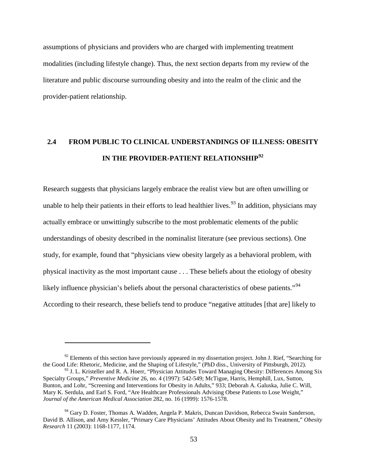assumptions of physicians and providers who are charged with implementing treatment modalities (including lifestyle change). Thus, the next section departs from my review of the literature and public discourse surrounding obesity and into the realm of the clinic and the provider-patient relationship.

# **2.4 FROM PUBLIC TO CLINICAL UNDERSTANDINGS OF ILLNESS: OBESITY IN THE PROVIDER-PATIENT RELATIONSHIP[92](#page-62-0)**

Research suggests that physicians largely embrace the realist view but are often unwilling or unable to help their patients in their efforts to lead healthier lives.<sup>[93](#page-62-1)</sup> In addition, physicians may actually embrace or unwittingly subscribe to the most problematic elements of the public understandings of obesity described in the nominalist literature (see previous sections). One study, for example, found that "physicians view obesity largely as a behavioral problem, with physical inactivity as the most important cause . . . These beliefs about the etiology of obesity likely influence physician's beliefs about the personal characteristics of obese patients."<sup>[94](#page-62-2)</sup> According to their research, these beliefs tend to produce "negative attitudes [that are] likely to

<span id="page-62-0"></span> $92$  Elements of this section have previously appeared in my dissertation project. John J. Rief, "Searching for the Good Life: Rhetoric, Medicine, and the Shaping of Lifestyle," (PhD diss., University of Pittsburgh, 2012).

<span id="page-62-1"></span><sup>93</sup> J. L. Kristeller and R. A. Hoerr, "Physician Attitudes Toward Managing Obesity: Differences Among Six Specialty Groups," *Preventive Medicine* 26, no. 4 (1997): 542-549; McTigue, Harris, Hemphill, Lux, Sutton, Bunton, and Lohr, "Screening and Interventions for Obesity in Adults," 933; Deborah A. Galuska, Julie C. Will, Mary K. Serdula, and Earl S. Ford, "Are Healthcare Professionals Advising Obese Patients to Lose Weight," *Journal of the American Medical Association* 282, no. 16 (1999): 1576-1578.

<span id="page-62-2"></span><sup>94</sup> Gary D. Foster, Thomas A. Wadden, Angela P. Makris, Duncan Davidson, Rebecca Swain Sanderson, David B. Allison, and Amy Kessler, "Primary Care Physicians' Attitudes About Obesity and Its Treatment," *Obesity Research* 11 (2003): 1168-1177, 1174.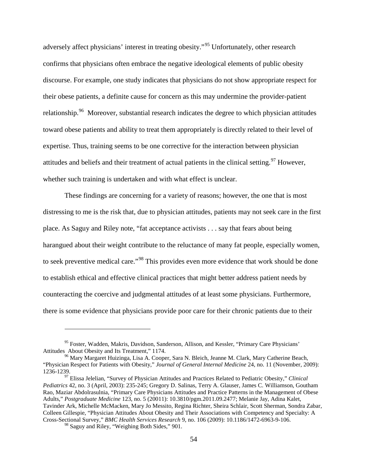adversely affect physicians' interest in treating obesity."[95](#page-63-0) Unfortunately, other research confirms that physicians often embrace the negative ideological elements of public obesity discourse. For example, one study indicates that physicians do not show appropriate respect for their obese patients, a definite cause for concern as this may undermine the provider-patient relationship.<sup>[96](#page-63-1)</sup> Moreover, substantial research indicates the degree to which physician attitudes toward obese patients and ability to treat them appropriately is directly related to their level of expertise. Thus, training seems to be one corrective for the interaction between physician attitudes and beliefs and their treatment of actual patients in the clinical setting.<sup>[97](#page-63-2)</sup> However, whether such training is undertaken and with what effect is unclear.

These findings are concerning for a variety of reasons; however, the one that is most distressing to me is the risk that, due to physician attitudes, patients may not seek care in the first place. As Saguy and Riley note, "fat acceptance activists . . . say that fears about being harangued about their weight contribute to the reluctance of many fat people, especially women, to seek preventive medical care."<sup>[98](#page-63-3)</sup> This provides even more evidence that work should be done to establish ethical and effective clinical practices that might better address patient needs by counteracting the coercive and judgmental attitudes of at least some physicians. Furthermore, there is some evidence that physicians provide poor care for their chronic patients due to their

<span id="page-63-0"></span><sup>&</sup>lt;sup>95</sup> Foster, Wadden, Makris, Davidson, Sanderson, Allison, and Kessler, "Primary Care Physicians' Attitudes About Obesity and Its Treatment," 1174.<br><sup>96</sup> Mary Margaret Huizinga, Lisa A. Cooper, Sara N. Bleich, Jeanne M. Clark, Mary Catherine Beach,

<span id="page-63-1"></span><sup>&</sup>quot;Physician Respect for Patients with Obesity," *Journal of General Internal Medicine* 24, no. 11 (November, 2009):

<span id="page-63-2"></span><sup>&</sup>lt;sup>97</sup> Elissa Jelelian, "Survey of Physician Attitudes and Practices Related to Pediatric Obesity," *Clinical Pediatrics* 42, no. 3 (April, 2003): 235-245; Gregory D. Salinas, Terry A. Glauser, James C. Williamson, Goutham Rao, Maziar Abdolrasulnia, "Primary Care Physicians Attitudes and Practice Patterns in the Management of Obese Adults," *Postgraduate Medicine* 123, no. 5 (20011): 10.3810/pgm.2011.09.2477; Melanie Jay, Adina Kalet, Tavinder Ark, Michelle McMacken, Mary Jo Messito, Regina Richter, Sheira Schlair, Scott Sherman, Sondra Zabar, Colleen Gillespie, "Physician Attitudes About Obesity and Their Associations with Competency and Specialty: A Cross-Sectional Survey," *BMC Health Services Research* 9, no. 106 (2009): 10.1186/1472-6963-9-106.

<span id="page-63-3"></span><sup>&</sup>lt;sup>98</sup> Saguy and Riley, "Weighing Both Sides," 901.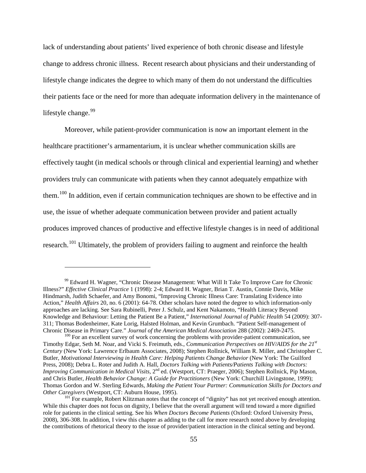lack of understanding about patients' lived experience of both chronic disease and lifestyle change to address chronic illness. Recent research about physicians and their understanding of lifestyle change indicates the degree to which many of them do not understand the difficulties their patients face or the need for more than adequate information delivery in the maintenance of lifestyle change. $99$ 

Moreover, while patient-provider communication is now an important element in the healthcare practitioner's armamentarium, it is unclear whether communication skills are effectively taught (in medical schools or through clinical and experiential learning) and whether providers truly can communicate with patients when they cannot adequately empathize with them.<sup>[100](#page-64-1)</sup> In addition, even if certain communication techniques are shown to be effective and in use, the issue of whether adequate communication between provider and patient actually produces improved chances of productive and effective lifestyle changes is in need of additional research.<sup>[101](#page-64-2)</sup> Ultimately, the problem of providers failing to augment and reinforce the health

<span id="page-64-0"></span><sup>&</sup>lt;sup>99</sup> Edward H. Wagner, "Chronic Disease Management: What Will It Take To Improve Care for Chronic [Illness?"](http://www.ncbi.nlm.nih.gov/entrez/query.fcgi?orig_db=PubMed&db=PubMed&cmd=Search&defaultField=Title+Word&term=Chronic+disease+management+what+will+it+) *Effective Clinical Practice* 1 (1998): 2-4; Edward H. Wagner, Brian T. Austin, Connie Davis, Mike Hindmarsh, Judith Schaefer, and Amy Bonomi, "Improving Chronic Illness Care: Translating Evidence into Action," *Health Affairs* 20, no. 6 (2001): 64-78. Other scholars have noted the degree to which information-only approaches are lacking. See Sara Rubinelli, Peter J. Schulz, and Kent Nakamoto, "Health Literacy Beyond Knowledge and Behaviour: Letting the Patient Be a Patient," *International Journal of Public Health* 54 (2009): 307- 311; Thomas Bodenheimer, Kate Lorig, Halsted Holman, and Kevin Grumbach. "Patient Self-management of Chronic Disease in Primary Care." *Journal of the American Medical Association* 288 (2002): 2469-2475.<br><sup>100</sup> For an excellent survey of work concerning the problems with provider-patient communication, see

<span id="page-64-1"></span>Timothy Edgar, Seth M. Noar, and Vicki S. Freimuth, eds., *Communication Perspectives on HIV/AIDS for the 21st Century* (New York: Lawrence Erlbaum Associates, 2008); Stephen Rollnick, William R. Miller, and Christopher C. Butler, *Motivational Interviewing in Health Care: Helping Patients Change Behavior* (New York: The Guilford Press, 2008); Debra L. Roter and Judith A. Hall, *Doctors Talking with Patients/Patients Talking with Doctors: Improving Communication in Medical Visits,* 2nd ed. (Westport, CT: Praeger, 2006); Stephen Rollnick, Pip Mason, and Chris Butler, *Health Behavior Change: A Guide for Practitioners* (New York: Churchill Livingstone, 1999); Thomas Gordon and W. Sterling Edwards, *Making the Patient Your Partner: Communication Skills for Doctors and* 

<span id="page-64-2"></span><sup>&</sup>lt;sup>101</sup> For example, Robert Klitzman notes that the concept of "dignity" has not yet received enough attention. While this chapter does not focus on dignity, I believe that the overall argument will tend toward a more dignified role for patients in the clinical setting. See his *When Doctors Become Patients* (Oxford: Oxford University Press, 2008), 306-308. In addition, I view this chapter as adding to the call for more research noted above by developing the contributions of rhetorical theory to the issue of provider/patient interaction in the clinical setting and beyond.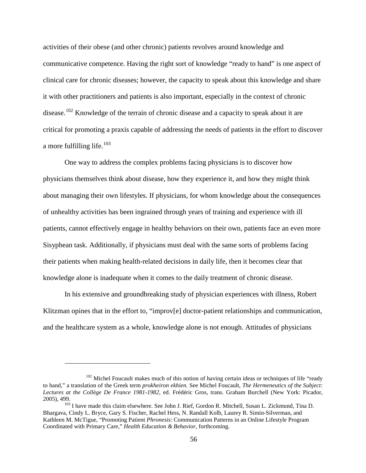activities of their obese (and other chronic) patients revolves around knowledge and communicative competence. Having the right sort of knowledge "ready to hand" is one aspect of clinical care for chronic diseases; however, the capacity to speak about this knowledge and share it with other practitioners and patients is also important, especially in the context of chronic disease.<sup>[102](#page-65-0)</sup> Knowledge of the terrain of chronic disease and a capacity to speak about it are critical for promoting a praxis capable of addressing the needs of patients in the effort to discover a more fulfilling life. $103$ 

One way to address the complex problems facing physicians is to discover how physicians themselves think about disease, how they experience it, and how they might think about managing their own lifestyles. If physicians, for whom knowledge about the consequences of unhealthy activities has been ingrained through years of training and experience with ill patients, cannot effectively engage in healthy behaviors on their own, patients face an even more Sisyphean task. Additionally, if physicians must deal with the same sorts of problems facing their patients when making health-related decisions in daily life, then it becomes clear that knowledge alone is inadequate when it comes to the daily treatment of chronic disease.

In his extensive and groundbreaking study of physician experiences with illness, Robert Klitzman opines that in the effort to, "improv[e] doctor-patient relationships and communication, and the healthcare system as a whole, knowledge alone is not enough. Attitudes of physicians

<span id="page-65-0"></span> $102$  Michel Foucault makes much of this notion of having certain ideas or techniques of life "ready" to hand," a translation of the Greek term *prokheiron ekhien.* See Michel Foucault, *The Hermeneutics of the Subject: Lectures at the Collège De France 1981-1982*, ed. Frédéric Gros, trans. Graham Burchell (New York: Picador,

<span id="page-65-1"></span><sup>&</sup>lt;sup>103</sup> I have made this claim elsewhere. See John J. Rief, Gordon R. Mitchell, Susan L. Zickmund, Tina D. Bhargava, Cindy L. Bryce, Gary S. Fischer, Rachel Hess, N. Randall Kolb, Laurey R. Simin-Silverman, and Kathleen M. McTigue, "Promoting Patient *Phronesis*: Communication Patterns in an Online Lifestyle Program Coordinated with Primary Care," *Health Education & Behavior*, forthcoming.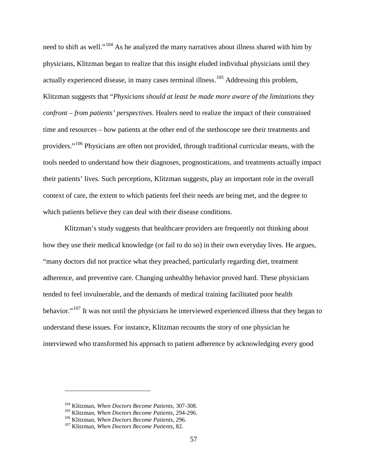need to shift as well."<sup>[104](#page-66-0)</sup> As he analyzed the many narratives about illness shared with him by physicians, Klitzman began to realize that this insight eluded individual physicians until they actually experienced disease, in many cases terminal illness.<sup>[105](#page-66-1)</sup> Addressing this problem, Klitzman suggests that "*Physicians should at least be made more aware of the limitations they confront – from patients' perspectives*. Healers need to realize the impact of their constrained time and resources – how patients at the other end of the stethoscope see their treatments and providers."[106](#page-66-2) Physicians are often not provided, through traditional curricular means, with the tools needed to understand how their diagnoses, prognostications, and treatments actually impact their patients' lives. Such perceptions, Klitzman suggests, play an important role in the overall context of care, the extent to which patients feel their needs are being met, and the degree to which patients believe they can deal with their disease conditions.

Klitzman's study suggests that healthcare providers are frequently not thinking about how they use their medical knowledge (or fail to do so) in their own everyday lives. He argues, "many doctors did not practice what they preached, particularly regarding diet, treatment adherence, and preventive care. Changing unhealthy behavior proved hard. These physicians tended to feel invulnerable, and the demands of medical training facilitated poor health behavior."[107](#page-66-3) It was not until the physicians he interviewed experienced illness that they began to understand these issues. For instance, Klitzman recounts the story of one physician he interviewed who transformed his approach to patient adherence by acknowledging every good

<span id="page-66-1"></span><span id="page-66-0"></span><sup>&</sup>lt;sup>104</sup> Klitzman, *When Doctors Become Patients*, 307-308.<br><sup>105</sup> Klitzman, *When Doctors Become Patients*, 294-296.<br><sup>106</sup> Klitzman, *When Doctors Become Patients*, 296.<br><sup>107</sup> Klitzman, *When Doctors Become Patients*, 82.

<span id="page-66-2"></span>

<span id="page-66-3"></span>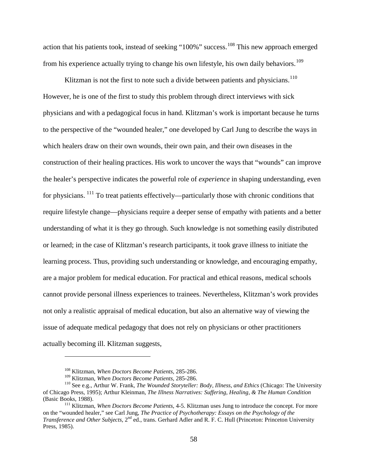action that his patients took, instead of seeking "100%" success.<sup>[108](#page-67-0)</sup> This new approach emerged from his experience actually trying to change his own lifestyle, his own daily behaviors.<sup>[109](#page-67-1)</sup>

Klitzman is not the first to note such a divide between patients and physicians.<sup>[110](#page-67-2)</sup> However, he is one of the first to study this problem through direct interviews with sick physicians and with a pedagogical focus in hand. Klitzman's work is important because he turns to the perspective of the "wounded healer," one developed by Carl Jung to describe the ways in which healers draw on their own wounds, their own pain, and their own diseases in the construction of their healing practices. His work to uncover the ways that "wounds" can improve the healer's perspective indicates the powerful role of *experience* in shaping understanding, even for physicians.  $111$  To treat patients effectively—particularly those with chronic conditions that require lifestyle change—physicians require a deeper sense of empathy with patients and a better understanding of what it is they go through. Such knowledge is not something easily distributed or learned; in the case of Klitzman's research participants, it took grave illness to initiate the learning process. Thus, providing such understanding or knowledge, and encouraging empathy, are a major problem for medical education. For practical and ethical reasons, medical schools cannot provide personal illness experiences to trainees. Nevertheless, Klitzman's work provides not only a realistic appraisal of medical education, but also an alternative way of viewing the issue of adequate medical pedagogy that does not rely on physicians or other practitioners actually becoming ill. Klitzman suggests,

<sup>&</sup>lt;sup>108</sup> Klitzman, *When Doctors Become Patients*, 285-286.<br><sup>109</sup> Klitzman. *When Doctors Become Patients*, 285-286.

<span id="page-67-2"></span><span id="page-67-1"></span><span id="page-67-0"></span><sup>&</sup>lt;sup>110</sup> See e.g., Arthur W. Frank, *The Wounded Storyteller: Body, Illness, and Ethics* (Chicago: The University of Chicago Press, 1995); Arthur Kleinman, *The Illness Narratives: Suffering, Healing, & The Human Condition*  (Basic Books, 1988).<br><sup>111</sup> Klitzman, *When Doctors Become Patients*, 4-5. Klitzman uses Jung to introduce the concept. For more

<span id="page-67-3"></span>on the "wounded healer," see Carl Jung, *The Practice of Psychotherapy: Essays on the Psychology of the Transference and Other Subjects*, 2<sup>nd</sup> ed., trans. Gerhard Adler and R. F. C. Hull (Princeton: Princeton University Press, 1985).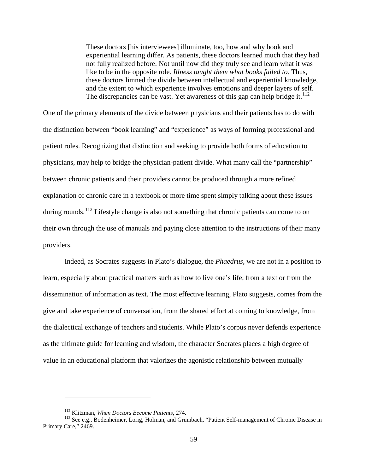These doctors [his interviewees] illuminate, too, how and why book and experiential learning differ. As patients, these doctors learned much that they had not fully realized before. Not until now did they truly see and learn what it was like to be in the opposite role. *Illness taught them what books failed to*. Thus, these doctors limned the divide between intellectual and experiential knowledge, and the extent to which experience involves emotions and deeper layers of self. The discrepancies can be vast. Yet awareness of this gap can help bridge it.<sup>[112](#page-68-0)</sup>

One of the primary elements of the divide between physicians and their patients has to do with the distinction between "book learning" and "experience" as ways of forming professional and patient roles. Recognizing that distinction and seeking to provide both forms of education to physicians, may help to bridge the physician-patient divide. What many call the "partnership" between chronic patients and their providers cannot be produced through a more refined explanation of chronic care in a textbook or more time spent simply talking about these issues during rounds.<sup>[113](#page-68-1)</sup> Lifestyle change is also not something that chronic patients can come to on their own through the use of manuals and paying close attention to the instructions of their many providers.

Indeed, as Socrates suggests in Plato's dialogue, the *Phaedrus*, we are not in a position to learn, especially about practical matters such as how to live one's life, from a text or from the dissemination of information as text. The most effective learning, Plato suggests, comes from the give and take experience of conversation, from the shared effort at coming to knowledge, from the dialectical exchange of teachers and students. While Plato's corpus never defends experience as the ultimate guide for learning and wisdom, the character Socrates places a high degree of value in an educational platform that valorizes the agonistic relationship between mutually

<span id="page-68-1"></span><span id="page-68-0"></span><sup>&</sup>lt;sup>112</sup> Klitzman, *When Doctors Become Patients*, 274.<br><sup>113</sup> See e.g., Bodenheimer, Lorig, Holman, and Grumbach, "Patient Self-management of Chronic Disease in Primary Care," 2469.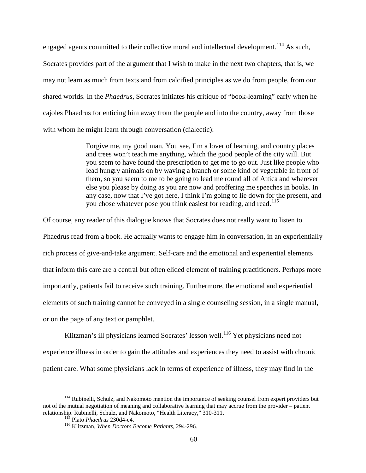engaged agents committed to their collective moral and intellectual development.<sup>[114](#page-69-0)</sup> As such, Socrates provides part of the argument that I wish to make in the next two chapters, that is, we may not learn as much from texts and from calcified principles as we do from people, from our shared worlds. In the *Phaedrus*, Socrates initiates his critique of "book-learning" early when he cajoles Phaedrus for enticing him away from the people and into the country, away from those with whom he might learn through conversation (dialectic):

> Forgive me, my good man. You see, I'm a lover of learning, and country places and trees won't teach me anything, which the good people of the city will. But you seem to have found the prescription to get me to go out. Just like people who lead hungry animals on by waving a branch or some kind of vegetable in front of them, so you seem to me to be going to lead me round all of Attica and wherever else you please by doing as you are now and proffering me speeches in books. In any case, now that I've got here, I think I'm going to lie down for the present, and you chose whatever pose you think easiest for reading, and read.<sup>[115](#page-69-1)</sup>

Of course, any reader of this dialogue knows that Socrates does not really want to listen to Phaedrus read from a book. He actually wants to engage him in conversation, in an experientially rich process of give-and-take argument. Self-care and the emotional and experiential elements that inform this care are a central but often elided element of training practitioners. Perhaps more importantly, patients fail to receive such training. Furthermore, the emotional and experiential elements of such training cannot be conveyed in a single counseling session, in a single manual, or on the page of any text or pamphlet.

Klitzman's ill physicians learned Socrates' lesson well.<sup>[116](#page-69-2)</sup> Yet physicians need not experience illness in order to gain the attitudes and experiences they need to assist with chronic patient care. What some physicians lack in terms of experience of illness, they may find in the

<span id="page-69-2"></span><span id="page-69-1"></span><span id="page-69-0"></span><sup>&</sup>lt;sup>114</sup> Rubinelli, Schulz, and Nakomoto mention the importance of seeking counsel from expert providers but not of the mutual negotiation of meaning and collaborative learning that may accrue from the provider – patient relationship. Rubinelli, Schulz, and Nakomoto, "Health Literacy," 310-311.

<sup>&</sup>lt;sup>115</sup> Plato *Phaedrus* 230d4-e4.<br><sup>116</sup> Klitzman, *When Doctors Become Patients*, 294-296.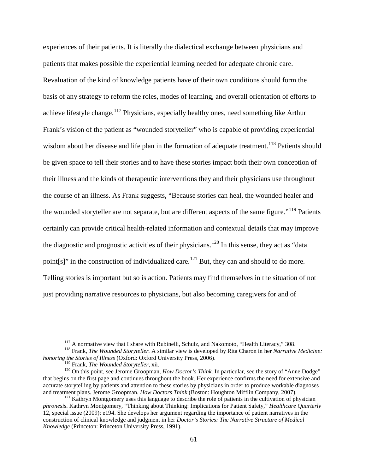experiences of their patients. It is literally the dialectical exchange between physicians and patients that makes possible the experiential learning needed for adequate chronic care. Revaluation of the kind of knowledge patients have of their own conditions should form the basis of any strategy to reform the roles, modes of learning, and overall orientation of efforts to achieve lifestyle change.<sup>[117](#page-70-0)</sup> Physicians, especially healthy ones, need something like Arthur Frank's vision of the patient as "wounded storyteller" who is capable of providing experiential wisdom about her disease and life plan in the formation of adequate treatment.<sup>[118](#page-70-1)</sup> Patients should be given space to tell their stories and to have these stories impact both their own conception of their illness and the kinds of therapeutic interventions they and their physicians use throughout the course of an illness. As Frank suggests, "Because stories can heal, the wounded healer and the wounded storyteller are not separate, but are different aspects of the same figure."<sup>[119](#page-70-2)</sup> Patients certainly can provide critical health-related information and contextual details that may improve the diagnostic and prognostic activities of their physicians.<sup>[120](#page-70-3)</sup> In this sense, they act as "data" point[s]" in the construction of individualized care.<sup>[121](#page-70-4)</sup> But, they can and should to do more. Telling stories is important but so is action. Patients may find themselves in the situation of not just providing narrative resources to physicians, but also becoming caregivers for and of

<span id="page-70-1"></span><span id="page-70-0"></span><sup>&</sup>lt;sup>117</sup> A normative view that I share with Rubinelli, Schulz, and Nakomoto, "Health Literacy," 308.<br><sup>118</sup> Frank, *The Wounded Storyteller*. A similar view is developed by Rita Charon in her *Narrative Medicine: honoring the Stories of Illness* (Oxford: Oxford University Press, 2006).

<span id="page-70-3"></span><span id="page-70-2"></span><sup>&</sup>lt;sup>120</sup> On this point, see Jerome Groopman, *How Doctor's Think*. In particular, see the story of "Anne Dodge" that begins on the first page and continues throughout the book. Her experience confirms the need for extensive and accurate storytelling by patients and attention to these stories by physicians in order to produce workable diagnoses and treatment plans. Jerome Groopman. How Doctors Think (Boston: Houghton Mifflin Company, 2007).

<span id="page-70-4"></span><sup>&</sup>lt;sup>121</sup> Kathryn Montgomery uses this language to describe the role of patients in the cultivation of physician *phronesis*. Kathryn Montgomery, "Thinking about Thinking: Implications for Patient Safety," *Healthcare Quarterly* 12, special issue (2009): e194. She develops her argument regarding the importance of patient narratives in the construction of clinical knowledge and judgment in her *Doctor's Stories: The Narrative Structure of Medical Knowledge* (Princeton: Princeton University Press, 1991).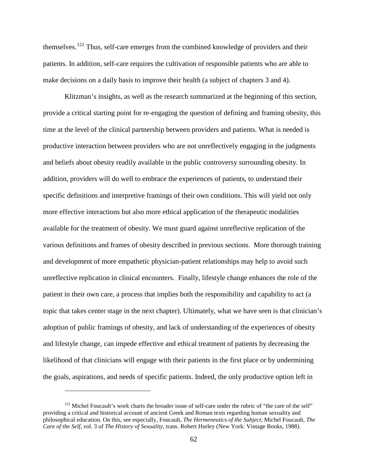themselves.<sup>[122](#page-71-0)</sup> Thus, self-care emerges from the combined knowledge of providers and their patients. In addition, self-care requires the cultivation of responsible patients who are able to make decisions on a daily basis to improve their health (a subject of chapters 3 and 4).

Klitzman's insights, as well as the research summarized at the beginning of this section, provide a critical starting point for re-engaging the question of defining and framing obesity, this time at the level of the clinical partnership between providers and patients. What is needed is productive interaction between providers who are not unreflectively engaging in the judgments and beliefs about obesity readily available in the public controversy surrounding obesity. In addition, providers will do well to embrace the experiences of patients, to understand their specific definitions and interpretive framings of their own conditions. This will yield not only more effective interactions but also more ethical application of the therapeutic modalities available for the treatment of obesity. We must guard against unreflective replication of the various definitions and frames of obesity described in previous sections. More thorough training and development of more empathetic physician-patient relationships may help to avoid such unreflective replication in clinical encounters. Finally, lifestyle change enhances the role of the patient in their own care, a process that implies both the responsibility and capability to act (a topic that takes center stage in the next chapter). Ultimately, what we have seen is that clinician's adoption of public framings of obesity, and lack of understanding of the experiences of obesity and lifestyle change, can impede effective and ethical treatment of patients by decreasing the likelihood of that clinicians will engage with their patients in the first place or by undermining the goals, aspirations, and needs of specific patients. Indeed, the only productive option left in

<span id="page-71-0"></span><sup>&</sup>lt;sup>122</sup> Michel Foucault's work charts the broader issue of self-care under the rubric of "the care of the self" providing a critical and historical account of ancient Greek and Roman texts regarding human sexuality and philosophical education. On this, see especially, Foucault, *The Hermeneutics of the Subject*; Michel Foucault, *The Care of the Self*, vol. 3 of *The History of Sexuality*, trans. Robert Hurley (New York: Vintage Books, 1988).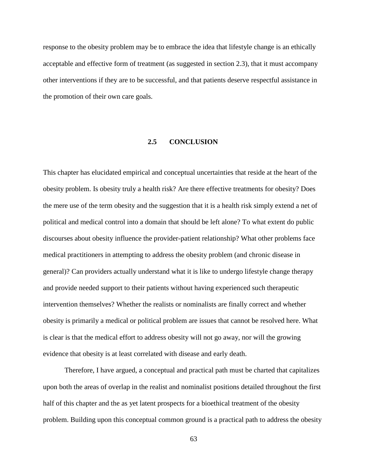response to the obesity problem may be to embrace the idea that lifestyle change is an ethically acceptable and effective form of treatment (as suggested in section 2.3), that it must accompany other interventions if they are to be successful, and that patients deserve respectful assistance in the promotion of their own care goals.

### **2.5 CONCLUSION**

This chapter has elucidated empirical and conceptual uncertainties that reside at the heart of the obesity problem. Is obesity truly a health risk? Are there effective treatments for obesity? Does the mere use of the term obesity and the suggestion that it is a health risk simply extend a net of political and medical control into a domain that should be left alone? To what extent do public discourses about obesity influence the provider-patient relationship? What other problems face medical practitioners in attempting to address the obesity problem (and chronic disease in general)? Can providers actually understand what it is like to undergo lifestyle change therapy and provide needed support to their patients without having experienced such therapeutic intervention themselves? Whether the realists or nominalists are finally correct and whether obesity is primarily a medical or political problem are issues that cannot be resolved here. What is clear is that the medical effort to address obesity will not go away, nor will the growing evidence that obesity is at least correlated with disease and early death.

Therefore, I have argued, a conceptual and practical path must be charted that capitalizes upon both the areas of overlap in the realist and nominalist positions detailed throughout the first half of this chapter and the as yet latent prospects for a bioethical treatment of the obesity problem. Building upon this conceptual common ground is a practical path to address the obesity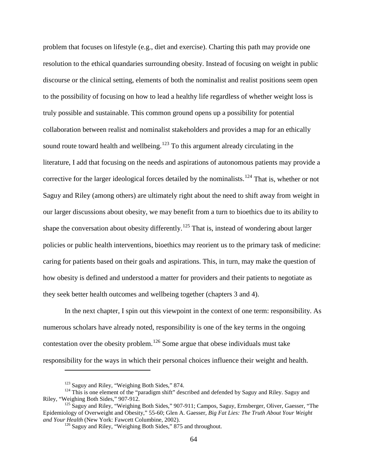problem that focuses on lifestyle (e.g., diet and exercise). Charting this path may provide one resolution to the ethical quandaries surrounding obesity. Instead of focusing on weight in public discourse or the clinical setting, elements of both the nominalist and realist positions seem open to the possibility of focusing on how to lead a healthy life regardless of whether weight loss is truly possible and sustainable. This common ground opens up a possibility for potential collaboration between realist and nominalist stakeholders and provides a map for an ethically sound route toward health and wellbeing.<sup>[123](#page-73-0)</sup> To this argument already circulating in the literature, I add that focusing on the needs and aspirations of autonomous patients may provide a corrective for the larger ideological forces detailed by the nominalists.<sup>[124](#page-73-1)</sup> That is, whether or not Saguy and Riley (among others) are ultimately right about the need to shift away from weight in our larger discussions about obesity, we may benefit from a turn to bioethics due to its ability to shape the conversation about obesity differently.<sup>[125](#page-73-2)</sup> That is, instead of wondering about larger policies or public health interventions, bioethics may reorient us to the primary task of medicine: caring for patients based on their goals and aspirations. This, in turn, may make the question of how obesity is defined and understood a matter for providers and their patients to negotiate as they seek better health outcomes and wellbeing together (chapters 3 and 4).

In the next chapter, I spin out this viewpoint in the context of one term: responsibility. As numerous scholars have already noted, responsibility is one of the key terms in the ongoing contestation over the obesity problem.<sup>[126](#page-73-3)</sup> Some argue that obese individuals must take responsibility for the ways in which their personal choices influence their weight and health.

<span id="page-73-1"></span><span id="page-73-0"></span><sup>&</sup>lt;sup>123</sup> Saguy and Riley, "Weighing Both Sides," 874.<br><sup>124</sup> This is one element of the "paradigm shift" described and defended by Saguy and Riley. Saguy and<br>Riley, "Weighing Both Sides," 907-912.

<span id="page-73-3"></span><span id="page-73-2"></span> $\frac{125}{125}$  Saguy and Riley, "Weighing Both Sides," 907-911; Campos, Saguy, Ernsberger, Oliver, Gaesser, "The Epidemiology of Overweight and Obesity," 55-60; Glen A. Gaesser, *Big Fat Lies: The Truth About Your Weight* 

<sup>&</sup>lt;sup>126</sup> Saguy and Riley, "Weighing Both Sides," 875 and throughout.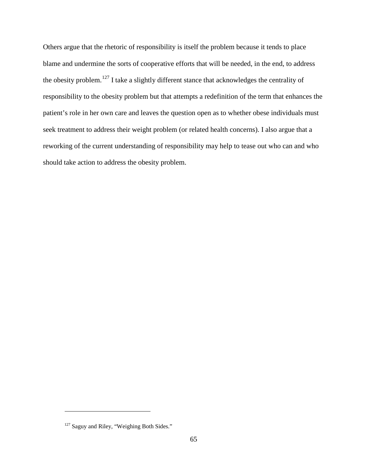Others argue that the rhetoric of responsibility is itself the problem because it tends to place blame and undermine the sorts of cooperative efforts that will be needed, in the end, to address the obesity problem.<sup>[127](#page-74-0)</sup> I take a slightly different stance that acknowledges the centrality of responsibility to the obesity problem but that attempts a redefinition of the term that enhances the patient's role in her own care and leaves the question open as to whether obese individuals must seek treatment to address their weight problem (or related health concerns). I also argue that a reworking of the current understanding of responsibility may help to tease out who can and who should take action to address the obesity problem.

<span id="page-74-0"></span><sup>&</sup>lt;sup>127</sup> Saguy and Riley, "Weighing Both Sides."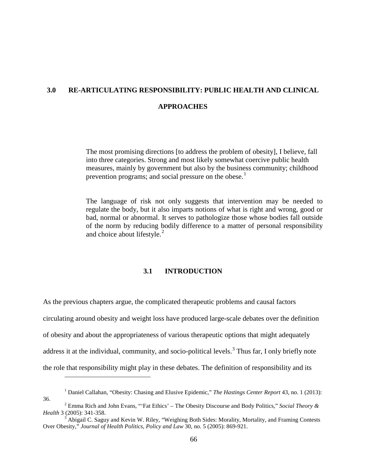## **3.0 RE-ARTICULATING RESPONSIBILITY: PUBLIC HEALTH AND CLINICAL APPROACHES**

The most promising directions [to address the problem of obesity], I believe, fall into three categories. Strong and most likely somewhat coercive public health measures, mainly by government but also by the business community; childhood prevention programs; and social pressure on the obese.<sup>[1](#page-75-0)</sup>

The language of risk not only suggests that intervention may be needed to regulate the body, but it also imparts notions of what is right and wrong, good or bad, normal or abnormal. It serves to pathologize those whose bodies fall outside of the norm by reducing bodily difference to a matter of personal responsibility and choice about lifestyle.<sup>[2](#page-75-1)</sup>

### **3.1 INTRODUCTION**

As the previous chapters argue, the complicated therapeutic problems and causal factors circulating around obesity and weight loss have produced large-scale debates over the definition of obesity and about the appropriateness of various therapeutic options that might adequately address it at the individual, community, and socio-political levels.<sup>[3](#page-75-2)</sup> Thus far, I only briefly note the role that responsibility might play in these debates. The definition of responsibility and its

<sup>1</sup> Daniel Callahan, "Obesity: Chasing and Elusive Epidemic," *The Hastings Center Report* 43, no. 1 (2013):

<span id="page-75-1"></span><span id="page-75-0"></span><sup>36.</sup> <sup>2</sup> Emma Rich and John Evans, "'Fat Ethics' – The Obesity Discourse and Body Politics," *Social Theory &* 

<span id="page-75-2"></span><sup>&</sup>lt;sup>3</sup> Abigail C. Saguy and Kevin W. Riley, "Weighing Both Sides: Morality, Mortality, and Framing Contests Over Obesity," *Journal of Health Politics, Policy and Law* 30, no. 5 (2005): 869-921.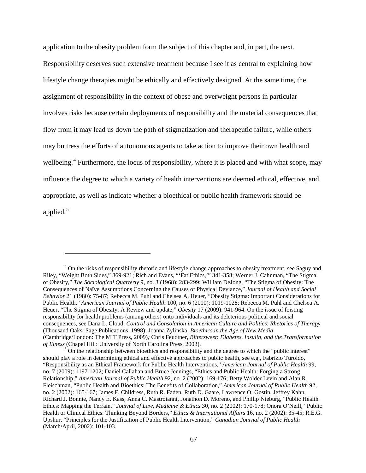application to the obesity problem form the subject of this chapter and, in part, the next. Responsibility deserves such extensive treatment because I see it as central to explaining how lifestyle change therapies might be ethically and effectively designed. At the same time, the assignment of responsibility in the context of obese and overweight persons in particular involves risks because certain deployments of responsibility and the material consequences that flow from it may lead us down the path of stigmatization and therapeutic failure, while others may buttress the efforts of autonomous agents to take action to improve their own health and wellbeing.<sup>[4](#page-76-0)</sup> Furthermore, the locus of responsibility, where it is placed and with what scope, may influence the degree to which a variety of health interventions are deemed ethical, effective, and appropriate, as well as indicate whether a bioethical or public health framework should be applied.<sup>[5](#page-76-1)</sup>

<span id="page-76-0"></span><sup>&</sup>lt;sup>4</sup> On the risks of responsibility rhetoric and lifestyle change approaches to obesity treatment, see Saguy and Riley, "Weight Both Sides," 869-921; Rich and Evans, "'Fat Ethics,'" 341-358; Werner J. Cahnman, "The Stigma of Obesity," *The Sociological Quarterly* 9, no. 3 (1968): 283-299; William DeJong, "The Stigma of Obesity: The Consequences of Naïve Assumptions Concerning the Causes of Physical Deviance," *Journal of Health and Social Behavior* 21 (1980): 75-87; Rebecca M. Puhl and Chelsea A. Heuer, "Obesity Stigma: Important Considerations for Public Health," *American Journal of Public Health* 100, no. 6 (2010): 1019-1028; Rebecca M. Puhl and Chelsea A. Heuer, "The Stigma of Obesity: A Review and update," *Obesity* 17 (2009): 941-964. On the issue of foisting responsibility for health problems (among others) onto individuals and its deleterious political and social consequences, see Dana L. Cloud, *Control and Consolation in American Culture and Politics*: *Rhetorics of Therapy*  (Thousand Oaks: Sage Publications, 1998); Joanna Zylinska, *Bioethics in the Age of New Media* (Cambridge/London: The MIT Press, 2009)*;* Chris Feudtner, *Bittersweet: Diabetes, Insulin, and the Transformation of Illness* (Chapel Hill: University of North Carolina Press, 2003).<br><sup>5</sup> On the relationship between bioethics and responsibility and the degree to which the "public interest"

<span id="page-76-1"></span>should play a role in determining ethical and effective approaches to public health, see e.g., Fabrizio Turoldo, "Responsibility as an Ethical Framework for Public Health Interventions," *American Journal of Public Health* 99, no. 7 (2009): 1197-1202; Daniel Callahan and Bruce Jennings, "Ethics and Public Health: Forging a Strong Relationship," *American Journal of Public Health* 92, no. 2 (2002): 169-176; Betty Wolder Levin and Alan R. Fleischman, "Public Health and Bioethics: The Benefits of Collaboration," *American Journal of Public Health* 92, no. 2 (2002): 165-167; James F. Childress, Ruth R. Faden, Ruth D. Gaare, Lawrence O. Gostin, Jeffrey Kahn, Richard J. Bonnie, Nancy E. Kass, Anna C. Mastroianni, Jonathon D. Moreno, and Phillip Nieburg, "Public Health Ethics: Mapping the Terrain," *Journal of Law, Medicine & Ethics* 30, no. 2 (2002): 170-178; Onora O'Neill, "Public Health or Clinical Ethics: Thinking Beyond Borders," *Ethics & International Affairs* 16, no. 2 (2002): 35-45; R.E.G. Upshur, "Principles for the Justification of Public Health Intervention," *Canadian Journal of Public Health* (March/April, 2002): 101-103.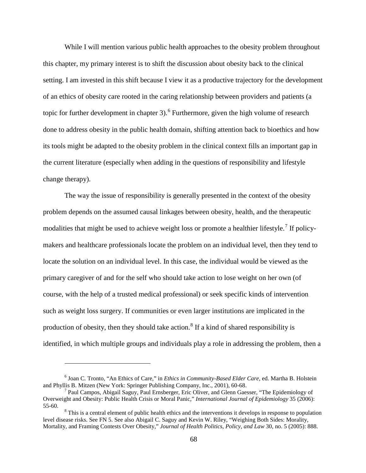While I will mention various public health approaches to the obesity problem throughout this chapter, my primary interest is to shift the discussion about obesity back to the clinical setting. I am invested in this shift because I view it as a productive trajectory for the development of an ethics of obesity care rooted in the caring relationship between providers and patients (a topic for further development in chapter 3).<sup>[6](#page-77-0)</sup> Furthermore, given the high volume of research done to address obesity in the public health domain, shifting attention back to bioethics and how its tools might be adapted to the obesity problem in the clinical context fills an important gap in the current literature (especially when adding in the questions of responsibility and lifestyle change therapy).

The way the issue of responsibility is generally presented in the context of the obesity problem depends on the assumed causal linkages between obesity, health, and the therapeutic modalities that might be used to achieve weight loss or promote a healthier lifestyle.<sup>[7](#page-77-1)</sup> If policymakers and healthcare professionals locate the problem on an individual level, then they tend to locate the solution on an individual level. In this case, the individual would be viewed as the primary caregiver of and for the self who should take action to lose weight on her own (of course, with the help of a trusted medical professional) or seek specific kinds of intervention such as weight loss surgery. If communities or even larger institutions are implicated in the production of obesity, then they should take action.<sup>[8](#page-77-2)</sup> If a kind of shared responsibility is identified, in which multiple groups and individuals play a role in addressing the problem, then a

<span id="page-77-0"></span><sup>&</sup>lt;sup>6</sup> Joan C. Tronto, "An Ethics of Care," in *Ethics in Community-Based Elder Care*, ed. Martha B. Holstein and Phyllis B. Mitzen (New York: Springer Publishing Company, Inc., 2001), 60-68.

<span id="page-77-1"></span><sup>&</sup>lt;sup>7</sup> Paul Campos, Abigail Saguy, Paul Ernsberger, Eric Oliver, and Glenn Gaesser, "The Epidemiology of Overweight and Obesity: Public Health Crisis or Moral Panic," *International Journal of Epidemiology* 35 (2006):

<span id="page-77-2"></span> $8$ This is a central element of public health ethics and the interventions it develops in response to population level disease risks. See FN 5. See also Abigail C. Saguy and Kevin W. Riley, "Weighing Both Sides: Morality, Mortality, and Framing Contests Over Obesity," *Journal of Health Politics, Policy, and Law* 30, no. 5 (2005): 888.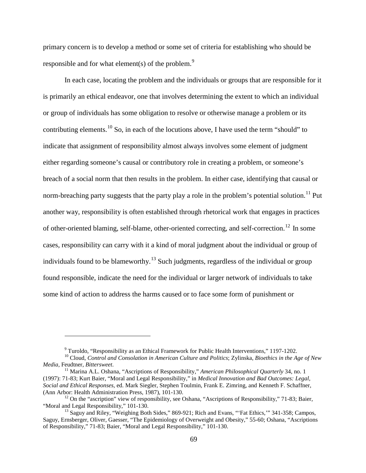primary concern is to develop a method or some set of criteria for establishing who should be responsible and for what element(s) of the problem. $9$ 

In each case, locating the problem and the individuals or groups that are responsible for it is primarily an ethical endeavor, one that involves determining the extent to which an individual or group of individuals has some obligation to resolve or otherwise manage a problem or its contributing elements.<sup>[10](#page-78-1)</sup> So, in each of the locutions above, I have used the term "should" to indicate that assignment of responsibility almost always involves some element of judgment either regarding someone's causal or contributory role in creating a problem, or someone's breach of a social norm that then results in the problem. In either case, identifying that causal or norm-breaching party suggests that the party play a role in the problem's potential solution.<sup>[11](#page-78-2)</sup> Put another way, responsibility is often established through rhetorical work that engages in practices of other-oriented blaming, self-blame, other-oriented correcting, and self-correction.[12](#page-78-3) In some cases, responsibility can carry with it a kind of moral judgment about the individual or group of individuals found to be blameworthy.<sup>[13](#page-78-4)</sup> Such judgments, regardless of the individual or group found responsible, indicate the need for the individual or larger network of individuals to take some kind of action to address the harms caused or to face some form of punishment or

<span id="page-78-1"></span><span id="page-78-0"></span><sup>9</sup> Turoldo, "Responsibility as an Ethical Framework for Public Health Interventions," 1197-1202. <sup>10</sup> Cloud, *Control and Consolation in American Culture and Politics*; Zylinska, *Bioethics in the Age of New* 

<span id="page-78-2"></span><sup>&</sup>lt;sup>11</sup> Marina A.L. Oshana, "Ascriptions of Responsibility," *American Philosophical Quarterly* 34, no. 1 (1997): 71-83; Kurt Baier, "Moral and Legal Responsibility," in *Medical Innovation and Bad Outcomes: Legal, Social and Ethical Responses*, ed. Mark Siegler, Stephen Toulmin, Frank E. Zimring, and Kenneth F. Schaffner,

<span id="page-78-3"></span> $^{12}$  On the "ascription" view of responsibility, see Oshana, "Ascriptions of Responsibility," 71-83; Baier, "Moral and Legal Responsibility," 101-130.

<span id="page-78-4"></span><sup>&</sup>lt;sup>13</sup> Saguy and Riley, "Weighing Both Sides," 869-921; Rich and Evans, "'Fat Ethics," 341-358; Campos, Saguy, Ernsberger, Oliver, Gaesser, "The Epidemiology of Overweight and Obesity," 55-60; Oshana, "Ascriptions of Responsibility," 71-83; Baier, "Moral and Legal Responsibility," 101-130.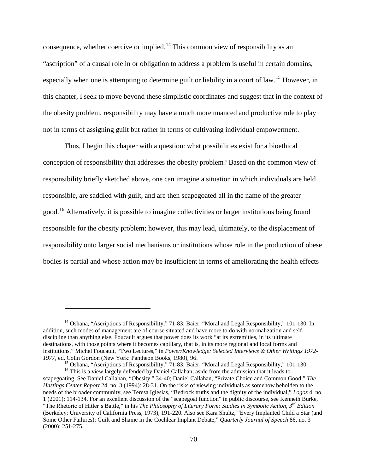consequence, whether coercive or implied.<sup>[14](#page-79-0)</sup> This common view of responsibility as an "ascription" of a causal role in or obligation to address a problem is useful in certain domains, especially when one is attempting to determine guilt or liability in a court of law.<sup>[15](#page-79-1)</sup> However, in this chapter, I seek to move beyond these simplistic coordinates and suggest that in the context of the obesity problem, responsibility may have a much more nuanced and productive role to play not in terms of assigning guilt but rather in terms of cultivating individual empowerment.

Thus, I begin this chapter with a question: what possibilities exist for a bioethical conception of responsibility that addresses the obesity problem? Based on the common view of responsibility briefly sketched above, one can imagine a situation in which individuals are held responsible, are saddled with guilt, and are then scapegoated all in the name of the greater good.[16](#page-79-2) Alternatively, it is possible to imagine collectivities or larger institutions being found responsible for the obesity problem; however, this may lead, ultimately, to the displacement of responsibility onto larger social mechanisms or institutions whose role in the production of obese bodies is partial and whose action may be insufficient in terms of ameliorating the health effects

<span id="page-79-0"></span><sup>&</sup>lt;sup>14</sup> Oshana, "Ascriptions of Responsibility," 71-83; Baier, "Moral and Legal Responsibility," 101-130. In addition, such modes of management are of course situated and have more to do with normalization and selfdiscipline than anything else. Foucault argues that power does its work "at its extremities, in its ultimate destinations, with those points where it becomes capillary, that is, in its more regional and local forms and institutions." Michel Foucault, "Two Lectures," in *Power/Knowledge: Selected Interviews & Other Writings 1972-*

<sup>&</sup>lt;sup>15</sup> Oshana, "Ascriptions of Responsibility," 71-83; Baier, "Moral and Legal Responsibility," 101-130.<br><sup>16</sup> This is a view largely defended by Daniel Callahan, aside from the admission that it leads to

<span id="page-79-2"></span><span id="page-79-1"></span>scapegoating. See Daniel Callahan, "Obesity," 34-40; Daniel Callahan, "Private Choice and Common Good," *The Hastings Center Report* 24, no. 3 (1994): 28-31. On the risks of viewing individuals as somehow beholden to the needs of the broader community, see Teresa Iglesias, "Bedrock truths and the dignity of the individual," *Logos* 4, no. 1 (2001): 114-134. For an excellent discussion of the "scapegoat function" in public discourse, see Kenneth Burke, "The Rhetoric of Hitler's Battle," in his *The Philosophy of Literary Form: Studies in Symbolic Action, 3rd Edition* (Berkeley: University of California Press, 1973), 191-220. Also see Kara Shultz, "Every Implanted Child a Star (and Some Other Failures): Guilt and Shame in the Cochlear Implant Debate," *Quarterly Journal of Speech* 86, no. 3 (2000): 251-275.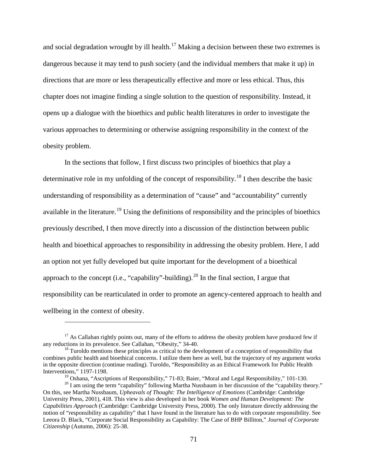and social degradation wrought by ill health.<sup>[17](#page-80-0)</sup> Making a decision between these two extremes is dangerous because it may tend to push society (and the individual members that make it up) in directions that are more or less therapeutically effective and more or less ethical. Thus, this chapter does not imagine finding a single solution to the question of responsibility. Instead, it opens up a dialogue with the bioethics and public health literatures in order to investigate the various approaches to determining or otherwise assigning responsibility in the context of the obesity problem.

In the sections that follow, I first discuss two principles of bioethics that play a determinative role in my unfolding of the concept of responsibility.<sup>[18](#page-80-1)</sup> I then describe the basic understanding of responsibility as a determination of "cause" and "accountability" currently available in the literature.<sup>[19](#page-80-2)</sup> Using the definitions of responsibility and the principles of bioethics previously described, I then move directly into a discussion of the distinction between public health and bioethical approaches to responsibility in addressing the obesity problem. Here, I add an option not yet fully developed but quite important for the development of a bioethical approach to the concept (i.e., "capability"-building).<sup>[20](#page-80-3)</sup> In the final section, I argue that responsibility can be rearticulated in order to promote an agency-centered approach to health and wellbeing in the context of obesity.

<span id="page-80-0"></span> $17$  As Callahan rightly points out, many of the efforts to address the obesity problem have produced few if any reductions in its prevalence. See Callahan, "Obesity," 34-40.

<span id="page-80-1"></span> $18$  Turoldo mentions these principles as critical to the development of a conception of responsibility that combines public health and bioethical concerns. I utilize them here as well, but the trajectory of my argument works in the opposite direction (continue reading). Turoldo, "Responsibility as an Ethical Framework for Public Health Interventions," 1197-1198.<br><sup>19</sup> Oshana, "Ascriptions of Responsibility," 71-83; Baier, "Moral and Legal Responsibility," 101-130.

<span id="page-80-3"></span><span id="page-80-2"></span><sup>&</sup>lt;sup>20</sup> I am using the term "capability" following Martha Nussbaum in her discussion of the "capability theory." On this, see Martha Nussbaum, *Upheavals of Thought: The Intelligence of Emotions* (Cambridge: Cambridge University Press, 2001), 418. This view is also developed in her book *Women and Human Development: The Capabilities Approach* (Cambridge: Cambridge University Press, 2000). The only literature directly addressing the notion of "responsibility as capability" that I have found in the literature has to do with corporate responsibility. See Leeora D. Black, "Corporate Social Responsibility as Capability: The Case of BHP Billiton," *Journal of Corporate Citizenship* (Autumn, 2006): 25-38.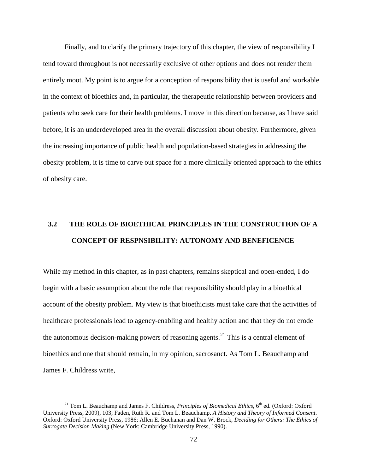Finally, and to clarify the primary trajectory of this chapter, the view of responsibility I tend toward throughout is not necessarily exclusive of other options and does not render them entirely moot. My point is to argue for a conception of responsibility that is useful and workable in the context of bioethics and, in particular, the therapeutic relationship between providers and patients who seek care for their health problems. I move in this direction because, as I have said before, it is an underdeveloped area in the overall discussion about obesity. Furthermore, given the increasing importance of public health and population-based strategies in addressing the obesity problem, it is time to carve out space for a more clinically oriented approach to the ethics of obesity care.

# **3.2 THE ROLE OF BIOETHICAL PRINCIPLES IN THE CONSTRUCTION OF A CONCEPT OF RESPNSIBILITY: AUTONOMY AND BENEFICENCE**

While my method in this chapter, as in past chapters, remains skeptical and open-ended, I do begin with a basic assumption about the role that responsibility should play in a bioethical account of the obesity problem. My view is that bioethicists must take care that the activities of healthcare professionals lead to agency-enabling and healthy action and that they do not erode the autonomous decision-making powers of reasoning agents.<sup>[21](#page-81-0)</sup> This is a central element of bioethics and one that should remain, in my opinion, sacrosanct. As Tom L. Beauchamp and James F. Childress write,

<span id="page-81-0"></span><sup>&</sup>lt;sup>21</sup> Tom L. Beauchamp and James F. Childress, *Principles of Biomedical Ethics*, 6<sup>th</sup> ed. (Oxford: Oxford University Press, 2009), 103; Faden, Ruth R. and Tom L. Beauchamp. *A History and Theory of Informed Consent*. Oxford: Oxford University Press, 1986; Allen E. Buchanan and Dan W. Brock, *Deciding for Others: The Ethics of Surrogate Decision Making* (New York: Cambridge University Press, 1990).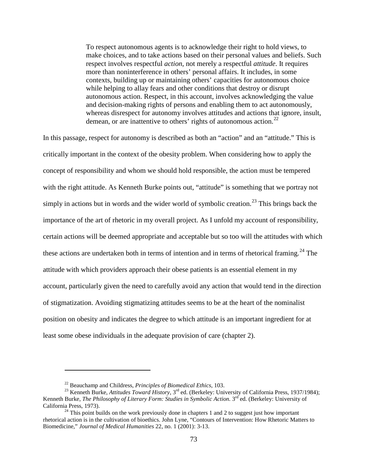To respect autonomous agents is to acknowledge their right to hold views, to make choices, and to take actions based on their personal values and beliefs. Such respect involves respectful *action*, not merely a respectful *attitude*. It requires more than noninterference in others' personal affairs. It includes, in some contexts, building up or maintaining others' capacities for autonomous choice while helping to allay fears and other conditions that destroy or disrupt autonomous action. Respect, in this account, involves acknowledging the value and decision-making rights of persons and enabling them to act autonomously, whereas disrespect for autonomy involves attitudes and actions that ignore, insult, demean, or are inattentive to others' rights of autonomous action.<sup>[22](#page-82-0)</sup>

In this passage, respect for autonomy is described as both an "action" and an "attitude." This is critically important in the context of the obesity problem. When considering how to apply the concept of responsibility and whom we should hold responsible, the action must be tempered with the right attitude. As Kenneth Burke points out, "attitude" is something that we portray not simply in actions but in words and the wider world of symbolic creation.<sup>[23](#page-82-1)</sup> This brings back the importance of the art of rhetoric in my overall project. As I unfold my account of responsibility, certain actions will be deemed appropriate and acceptable but so too will the attitudes with which these actions are undertaken both in terms of intention and in terms of rhetorical framing.<sup>[24](#page-82-2)</sup> The attitude with which providers approach their obese patients is an essential element in my account, particularly given the need to carefully avoid any action that would tend in the direction of stigmatization. Avoiding stigmatizing attitudes seems to be at the heart of the nominalist position on obesity and indicates the degree to which attitude is an important ingredient for at least some obese individuals in the adequate provision of care (chapter 2).

<span id="page-82-1"></span><span id="page-82-0"></span><sup>&</sup>lt;sup>22</sup> Beauchamp and Childress, *Principles of Biomedical Ethics*, 103.<br><sup>23</sup> Kenneth Burke, *Attitudes Toward History*, 3<sup>rd</sup> ed. (Berkeley: University of California Press, 1937/1984); Kenneth Burke, *The Philosophy of Literary Form: Studies in Symbolic Action.* 3<sup>rd</sup> ed. (Berkeley: University of California Press, 1973).<br><sup>24</sup> This point builds on the work previously done in chapters 1 and 2 to suggest just how important

<span id="page-82-2"></span>rhetorical action is in the cultivation of bioethics. John Lyne, "Contours of Intervention: How Rhetoric Matters to Biomedicine," *Journal of Medical Humanities* 22, no. 1 (2001): 3-13.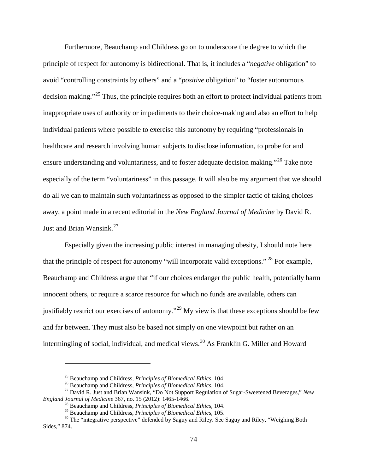Furthermore, Beauchamp and Childress go on to underscore the degree to which the principle of respect for autonomy is bidirectional. That is, it includes a "*negative* obligation" to avoid "controlling constraints by others" and a "*positive* obligation" to "foster autonomous decision making."[25](#page-83-0) Thus, the principle requires both an effort to protect individual patients from inappropriate uses of authority or impediments to their choice-making and also an effort to help individual patients where possible to exercise this autonomy by requiring "professionals in healthcare and research involving human subjects to disclose information, to probe for and ensure understanding and voluntariness, and to foster adequate decision making."<sup>[26](#page-83-1)</sup> Take note especially of the term "voluntariness" in this passage. It will also be my argument that we should do all we can to maintain such voluntariness as opposed to the simpler tactic of taking choices away, a point made in a recent editorial in the *New England Journal of Medicine* by David R. Just and Brian Wansink.<sup>[27](#page-83-2)</sup>

Especially given the increasing public interest in managing obesity, I should note here that the principle of respect for autonomy "will incorporate valid exceptions." [28](#page-83-3) For example, Beauchamp and Childress argue that "if our choices endanger the public health, potentially harm innocent others, or require a scarce resource for which no funds are available, others can justifiably restrict our exercises of autonomy."<sup>[29](#page-83-4)</sup> My view is that these exceptions should be few and far between. They must also be based not simply on one viewpoint but rather on an intermingling of social, individual, and medical views.<sup>[30](#page-83-5)</sup> As Franklin G. Miller and Howard

<span id="page-83-2"></span><span id="page-83-1"></span><span id="page-83-0"></span><sup>&</sup>lt;sup>25</sup> Beauchamp and Childress, *Principles of Biomedical Ethics*, 104.<br><sup>26</sup> Beauchamp and Childress, *Principles of Biomedical Ethics*, 104.<br><sup>27</sup> David R. Just and Brian Wansink, "Do Not Support Regulation of Sugar-Sweeten

<sup>&</sup>lt;sup>28</sup> Beauchamp and Childress, *Principles of Biomedical Ethics*, 104.<br><sup>29</sup> Beauchamp and Childress, *Principles of Biomedical Ethics*, 105.

<span id="page-83-5"></span><span id="page-83-4"></span><span id="page-83-3"></span><sup>&</sup>lt;sup>30</sup> The "integrative perspective" defended by Saguy and Riley. See Saguy and Riley, "Weighing Both" Sides," 874.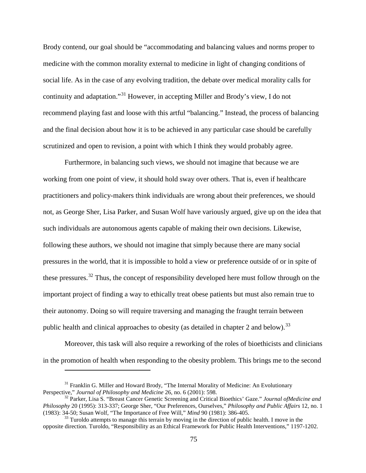Brody contend, our goal should be "accommodating and balancing values and norms proper to medicine with the common morality external to medicine in light of changing conditions of social life. As in the case of any evolving tradition, the debate over medical morality calls for continuity and adaptation."[31](#page-84-0) However, in accepting Miller and Brody's view, I do not recommend playing fast and loose with this artful "balancing." Instead, the process of balancing and the final decision about how it is to be achieved in any particular case should be carefully scrutinized and open to revision, a point with which I think they would probably agree.

Furthermore, in balancing such views, we should not imagine that because we are working from one point of view, it should hold sway over others. That is, even if healthcare practitioners and policy-makers think individuals are wrong about their preferences, we should not, as George Sher, Lisa Parker, and Susan Wolf have variously argued, give up on the idea that such individuals are autonomous agents capable of making their own decisions. Likewise, following these authors, we should not imagine that simply because there are many social pressures in the world, that it is impossible to hold a view or preference outside of or in spite of these pressures.<sup>[32](#page-84-1)</sup> Thus, the concept of responsibility developed here must follow through on the important project of finding a way to ethically treat obese patients but must also remain true to their autonomy. Doing so will require traversing and managing the fraught terrain between public health and clinical approaches to obesity (as detailed in chapter 2 and below).<sup>[33](#page-84-2)</sup>

Moreover, this task will also require a reworking of the roles of bioethicists and clinicians in the promotion of health when responding to the obesity problem. This brings me to the second

<span id="page-84-0"></span><sup>&</sup>lt;sup>31</sup> Franklin G. Miller and Howard Brody, "The Internal Morality of Medicine: An Evolutionary Perspective," Journal of Philosophy and Medicine 26, no. 6 (2001): 598.

<span id="page-84-1"></span><sup>&</sup>lt;sup>32</sup> Parker, Lisa S. "Breast Cancer Genetic Screening and Critical Bioethics' Gaze." *Journal ofMedicine and Philosophy* 20 (1995): 313-337; George Sher, "Our Preferences, Ourselves," *Philosophy and Public Affairs* 12, no. 1

<span id="page-84-2"></span><sup>&</sup>lt;sup>33</sup> Turoldo attempts to manage this terrain by moving in the direction of public health. I move in the opposite direction. Turoldo, "Responsibility as an Ethical Framework for Public Health Interventions," 1197-1202.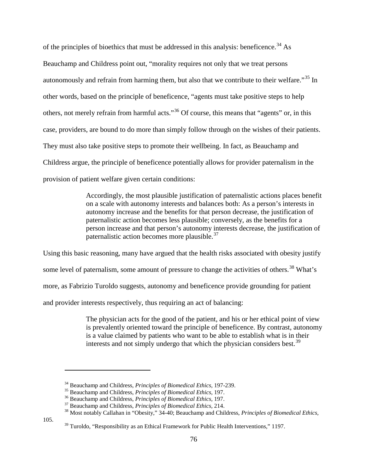of the principles of bioethics that must be addressed in this analysis: beneficence.<sup>[34](#page-85-0)</sup> As Beauchamp and Childress point out, "morality requires not only that we treat persons autonomously and refrain from harming them, but also that we contribute to their welfare."[35](#page-85-1) In other words, based on the principle of beneficence, "agents must take positive steps to help others, not merely refrain from harmful acts."[36](#page-85-2) Of course, this means that "agents" or, in this case, providers, are bound to do more than simply follow through on the wishes of their patients. They must also take positive steps to promote their wellbeing. In fact, as Beauchamp and Childress argue, the principle of beneficence potentially allows for provider paternalism in the provision of patient welfare given certain conditions:

> Accordingly, the most plausible justification of paternalistic actions places benefit on a scale with autonomy interests and balances both: As a person's interests in autonomy increase and the benefits for that person decrease, the justification of paternalistic action becomes less plausible; conversely, as the benefits for a person increase and that person's autonomy interests decrease, the justification of paternalistic action becomes more plausible.<sup>[37](#page-85-3)</sup>

Using this basic reasoning, many have argued that the health risks associated with obesity justify some level of paternalism, some amount of pressure to change the activities of others.<sup>[38](#page-85-4)</sup> What's more, as Fabrizio Turoldo suggests, autonomy and beneficence provide grounding for patient and provider interests respectively, thus requiring an act of balancing:

> The physician acts for the good of the patient, and his or her ethical point of view is prevalently oriented toward the principle of beneficence. By contrast, autonomy is a value claimed by patients who want to be able to establish what is in their interests and not simply undergo that which the physician considers best.<sup>[39](#page-85-5)</sup>

<span id="page-85-5"></span><span id="page-85-4"></span><span id="page-85-3"></span><span id="page-85-2"></span><span id="page-85-1"></span><span id="page-85-0"></span>105.

<sup>&</sup>lt;sup>34</sup> Beauchamp and Childress, *Principles of Biomedical Ethics*, 197-239.<br><sup>35</sup> Beauchamp and Childress, *Principles of Biomedical Ethics*, 197.<br><sup>36</sup> Beauchamp and Childress, *Principles of Biomedical Ethics*, 197.<br><sup>37</sup> Be

 $39$  Turoldo, "Responsibility as an Ethical Framework for Public Health Interventions," 1197.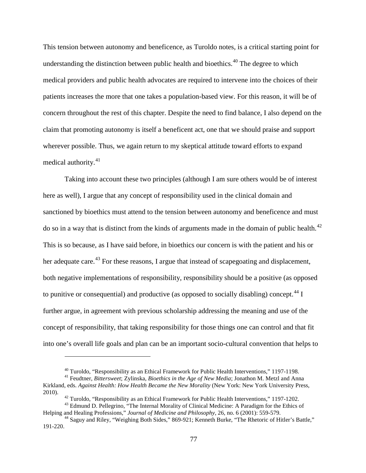This tension between autonomy and beneficence, as Turoldo notes, is a critical starting point for understanding the distinction between public health and bioethics.<sup>[40](#page-86-0)</sup> The degree to which medical providers and public health advocates are required to intervene into the choices of their patients increases the more that one takes a population-based view. For this reason, it will be of concern throughout the rest of this chapter. Despite the need to find balance, I also depend on the claim that promoting autonomy is itself a beneficent act, one that we should praise and support wherever possible. Thus, we again return to my skeptical attitude toward efforts to expand medical authority. $41$ 

Taking into account these two principles (although I am sure others would be of interest here as well), I argue that any concept of responsibility used in the clinical domain and sanctioned by bioethics must attend to the tension between autonomy and beneficence and must do so in a way that is distinct from the kinds of arguments made in the domain of public health.<sup>[42](#page-86-2)</sup> This is so because, as I have said before, in bioethics our concern is with the patient and his or her adequate care.<sup>[43](#page-86-3)</sup> For these reasons, I argue that instead of scapegoating and displacement, both negative implementations of responsibility, responsibility should be a positive (as opposed to punitive or consequential) and productive (as opposed to socially disabling) concept.<sup>[44](#page-86-4)</sup> I further argue, in agreement with previous scholarship addressing the meaning and use of the concept of responsibility, that taking responsibility for those things one can control and that fit into one's overall life goals and plan can be an important socio-cultural convention that helps to

<sup>&</sup>lt;sup>40</sup> Turoldo, "Responsibility as an Ethical Framework for Public Health Interventions," 1197-1198.<br><sup>41</sup> Feudtner, *Bittersweet*; Zylinska, *Bioethics in the Age of New Media*; Jonathon M. Metzl and Anna

<span id="page-86-1"></span><span id="page-86-0"></span>Kirkland, eds. *Against Health: How Health Became the New Morality* (New York: New York University Press,

<span id="page-86-3"></span><span id="page-86-2"></span><sup>&</sup>lt;sup>42</sup> Turoldo, "Responsibility as an Ethical Framework for Public Health Interventions," 1197-1202.<br><sup>43</sup> Edmund D. Pellegrino, "The Internal Morality of Clinical Medicine: A Paradigm for the Ethics of<br>Helping and Healing Pr

<span id="page-86-4"></span><sup>&</sup>lt;sup>44</sup> Saguy and Riley, "Weighing Both Sides," 869-921; Kenneth Burke, "The Rhetoric of Hitler's Battle," 191-220.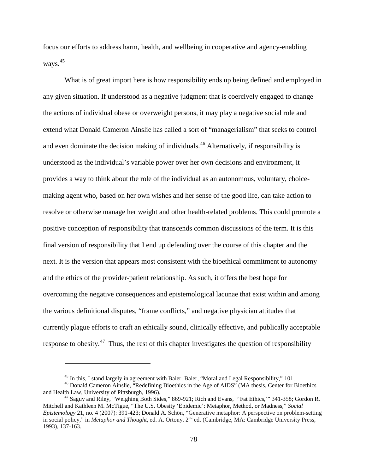focus our efforts to address harm, health, and wellbeing in cooperative and agency-enabling ways.<sup>[45](#page-87-0)</sup>

What is of great import here is how responsibility ends up being defined and employed in any given situation. If understood as a negative judgment that is coercively engaged to change the actions of individual obese or overweight persons, it may play a negative social role and extend what Donald Cameron Ainslie has called a sort of "managerialism" that seeks to control and even dominate the decision making of individuals. [46](#page-87-1) Alternatively, if responsibility is understood as the individual's variable power over her own decisions and environment, it provides a way to think about the role of the individual as an autonomous, voluntary, choicemaking agent who, based on her own wishes and her sense of the good life, can take action to resolve or otherwise manage her weight and other health-related problems. This could promote a positive conception of responsibility that transcends common discussions of the term. It is this final version of responsibility that I end up defending over the course of this chapter and the next. It is the version that appears most consistent with the bioethical commitment to autonomy and the ethics of the provider-patient relationship. As such, it offers the best hope for overcoming the negative consequences and epistemological lacunae that exist within and among the various definitional disputes, "frame conflicts," and negative physician attitudes that currently plague efforts to craft an ethically sound, clinically effective, and publically acceptable response to obesity.<sup>[47](#page-87-2)</sup> Thus, the rest of this chapter investigates the question of responsibility

<span id="page-87-1"></span><span id="page-87-0"></span><sup>&</sup>lt;sup>45</sup> In this, I stand largely in agreement with Baier. Baier, "Moral and Legal Responsibility," 101.<br><sup>46</sup> Donald Cameron Ainslie, "Redefining Bioethics in the Age of AIDS" (MA thesis, Center for Bioethics and Health Law,

<span id="page-87-2"></span><sup>&</sup>lt;sup>47</sup> Saguy and Riley, "Weighing Both Sides," 869-921; Rich and Evans, "'Fat Ethics,'" 341-358; Gordon R. Mitchell and Kathleen M. McTigue, "The U.S. Obesity 'Epidemic': Metaphor, Method, or Madness," *Social Epistemology* 21, no. 4 (2007): 391-423; Donald A. Schön, "Generative metaphor: A perspective on problem-setting in social policy," in *Metaphor and Thought*, ed. A. Ortony. 2nd ed. (Cambridge, MA: Cambridge University Press, 1993), 137-163.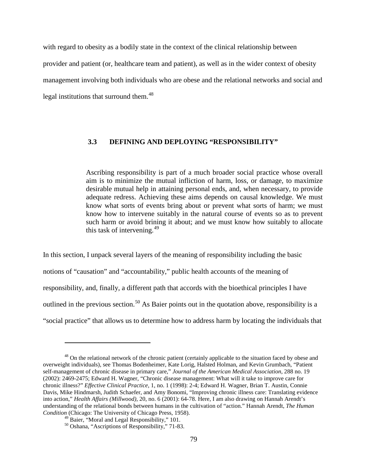with regard to obesity as a bodily state in the context of the clinical relationship between provider and patient (or, healthcare team and patient), as well as in the wider context of obesity management involving both individuals who are obese and the relational networks and social and legal institutions that surround them.<sup>[48](#page-88-0)</sup>

### **3.3 DEFINING AND DEPLOYING "RESPONSIBILITY"**

Ascribing responsibility is part of a much broader social practice whose overall aim is to minimize the mutual infliction of harm, loss, or damage, to maximize desirable mutual help in attaining personal ends, and, when necessary, to provide adequate redress. Achieving these aims depends on causal knowledge. We must know what sorts of events bring about or prevent what sorts of harm; we must know how to intervene suitably in the natural course of events so as to prevent such harm or avoid brining it about; and we must know how suitably to allocate this task of intervening. $49$ 

In this section, I unpack several layers of the meaning of responsibility including the basic notions of "causation" and "accountability," public health accounts of the meaning of responsibility, and, finally, a different path that accords with the bioethical principles I have outlined in the previous section.<sup>[50](#page-88-2)</sup> As Baier points out in the quotation above, responsibility is a "social practice" that allows us to determine how to address harm by locating the individuals that

<span id="page-88-0"></span><sup>&</sup>lt;sup>48</sup> On the relational network of the chronic patient (certainly applicable to the situation faced by obese and overweight individuals), see Thomas Bodenheimer, Kate Lorig, Halsted Holman, and Kevin Grumbach, "Patient self-management of chronic disease in primary care," *Journal of the American Medical Association*, 288 no. 19 (2002): 2469-2475; Edward H. Wagner, "Chronic disease management: What will it take to improve care for chronic illness?" *Effective Clinical Practice*, 1, no. 1 (1998): 2-4; Edward H. Wagner, Brian T. Austin, Connie Davis, Mike Hindmarsh, Judith Schaefer, and Amy Bonomi, "Improving chronic illness care: Translating evidence into action," *Health Affairs (Millwood)*, 20, no. 6 (2001): 64-78. Here, I am also drawing on Hannah Arendt's understanding of the relational bonds between humans in the cultivation of "action." Hannah Arendt, *The Human Condition* (Chicago: The University of Chicago Press, 1958).

<span id="page-88-2"></span><span id="page-88-1"></span> $^{49}$  Baier, "Moral and Legal Responsibility," 101.<br><sup>50</sup> Oshana, "Ascriptions of Responsibility," 71-83.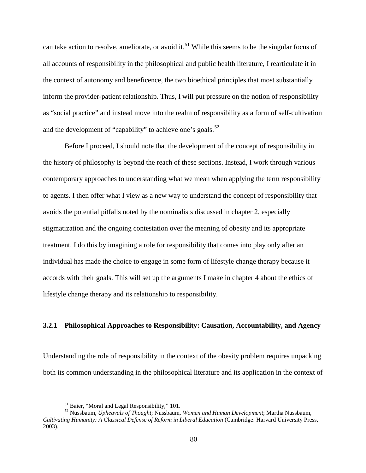can take action to resolve, ameliorate, or avoid it.<sup>[51](#page-89-0)</sup> While this seems to be the singular focus of all accounts of responsibility in the philosophical and public health literature, I rearticulate it in the context of autonomy and beneficence, the two bioethical principles that most substantially inform the provider-patient relationship. Thus, I will put pressure on the notion of responsibility as "social practice" and instead move into the realm of responsibility as a form of self-cultivation and the development of "capability" to achieve one's goals.<sup>[52](#page-89-1)</sup>

Before I proceed, I should note that the development of the concept of responsibility in the history of philosophy is beyond the reach of these sections. Instead, I work through various contemporary approaches to understanding what we mean when applying the term responsibility to agents. I then offer what I view as a new way to understand the concept of responsibility that avoids the potential pitfalls noted by the nominalists discussed in chapter 2, especially stigmatization and the ongoing contestation over the meaning of obesity and its appropriate treatment. I do this by imagining a role for responsibility that comes into play only after an individual has made the choice to engage in some form of lifestyle change therapy because it accords with their goals. This will set up the arguments I make in chapter 4 about the ethics of lifestyle change therapy and its relationship to responsibility.

### **3.2.1 Philosophical Approaches to Responsibility: Causation, Accountability, and Agency**

Understanding the role of responsibility in the context of the obesity problem requires unpacking both its common understanding in the philosophical literature and its application in the context of

<span id="page-89-1"></span><span id="page-89-0"></span><sup>&</sup>lt;sup>51</sup> Baier, "Moral and Legal Responsibility," 101.<br><sup>52</sup> Nussbaum, *Upheavals of Thought*; Nussbaum, *Women and Human Development*; Martha Nussbaum, *Cultivating Humanity: A Classical Defense of Reform in Liberal Education* (Cambridge: Harvard University Press, 2003).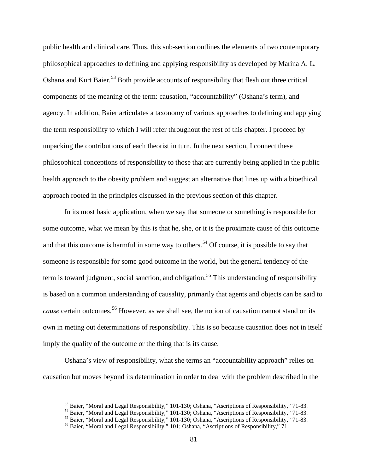public health and clinical care. Thus, this sub-section outlines the elements of two contemporary philosophical approaches to defining and applying responsibility as developed by Marina A. L. Oshana and Kurt Baier.<sup>[53](#page-90-0)</sup> Both provide accounts of responsibility that flesh out three critical components of the meaning of the term: causation, "accountability" (Oshana's term), and agency. In addition, Baier articulates a taxonomy of various approaches to defining and applying the term responsibility to which I will refer throughout the rest of this chapter. I proceed by unpacking the contributions of each theorist in turn. In the next section, I connect these philosophical conceptions of responsibility to those that are currently being applied in the public health approach to the obesity problem and suggest an alternative that lines up with a bioethical approach rooted in the principles discussed in the previous section of this chapter.

In its most basic application, when we say that someone or something is responsible for some outcome, what we mean by this is that he, she, or it is the proximate cause of this outcome and that this outcome is harmful in some way to others.<sup>[54](#page-90-1)</sup> Of course, it is possible to say that someone is responsible for some good outcome in the world, but the general tendency of the term is toward judgment, social sanction, and obligation.<sup>[55](#page-90-2)</sup> This understanding of responsibility is based on a common understanding of causality, primarily that agents and objects can be said to *cause* certain outcomes.<sup>[56](#page-90-3)</sup> However, as we shall see, the notion of causation cannot stand on its own in meting out determinations of responsibility. This is so because causation does not in itself imply the quality of the outcome or the thing that is its cause.

<span id="page-90-0"></span>Oshana's view of responsibility, what she terms an "accountability approach" relies on causation but moves beyond its determination in order to deal with the problem described in the

<span id="page-90-1"></span><sup>&</sup>lt;sup>53</sup> Baier, "Moral and Legal Responsibility," 101-130; Oshana, "Ascriptions of Responsibility," 71-83.<br><sup>54</sup> Baier, "Moral and Legal Responsibility," 101-130; Oshana, "Ascriptions of Responsibility," 71-83.<br><sup>55</sup> Baier, "Mo

<span id="page-90-3"></span><span id="page-90-2"></span>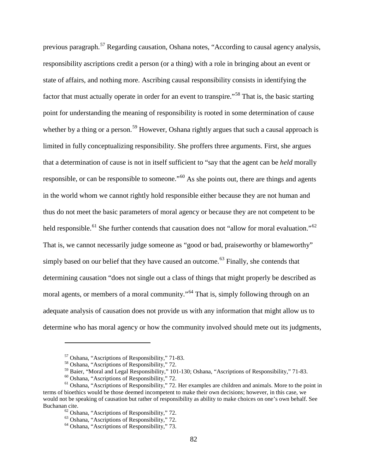previous paragraph.<sup>[57](#page-91-0)</sup> Regarding causation, Oshana notes, "According to causal agency analysis, responsibility ascriptions credit a person (or a thing) with a role in bringing about an event or state of affairs, and nothing more. Ascribing causal responsibility consists in identifying the factor that must actually operate in order for an event to transpire."<sup>[58](#page-91-1)</sup> That is, the basic starting point for understanding the meaning of responsibility is rooted in some determination of cause whether by a thing or a person.<sup>[59](#page-91-2)</sup> However, Oshana rightly argues that such a causal approach is limited in fully conceptualizing responsibility. She proffers three arguments. First, she argues that a determination of cause is not in itself sufficient to "say that the agent can be *held* morally responsible, or can be responsible to someone."<sup>[60](#page-91-3)</sup> As she points out, there are things and agents in the world whom we cannot rightly hold responsible either because they are not human and thus do not meet the basic parameters of moral agency or because they are not competent to be held responsible.<sup>[61](#page-91-4)</sup> She further contends that causation does not "allow for moral evaluation."<sup>[62](#page-91-5)</sup> That is, we cannot necessarily judge someone as "good or bad, praiseworthy or blameworthy" simply based on our belief that they have caused an outcome.<sup> $63$ </sup> Finally, she contends that determining causation "does not single out a class of things that might properly be described as moral agents, or members of a moral community."<sup>[64](#page-91-7)</sup> That is, simply following through on an adequate analysis of causation does not provide us with any information that might allow us to determine who has moral agency or how the community involved should mete out its judgments,

 $57$  Oshana, "Ascriptions of Responsibility," 71-83.<br> $58$  Oshana, "Ascriptions of Responsibility," 72.

<span id="page-91-5"></span><span id="page-91-4"></span><span id="page-91-3"></span><span id="page-91-2"></span><span id="page-91-1"></span><span id="page-91-0"></span><sup>&</sup>lt;sup>59</sup> Baier, "Moral and Legal Responsibility," 101-130; Oshana, "Ascriptions of Responsibility," 71-83.<br><sup>60</sup> Oshana, "Ascriptions of Responsibility," 72.<br><sup>61</sup> Oshana, "Ascriptions of Responsibility," 72. Her examples are c terms of bioethics would be those deemed incompetent to make their own decisions; however, in this case, we would not be speaking of causation but rather of responsibility as ability to make choices on one's own behalf. See Buchanan cite.<br>
<sup>62</sup> Oshana, "Ascriptions of Responsibility," 72.<br>
<sup>63</sup> Oshana, "Ascriptions of Responsibility," 72.<br>
<sup>64</sup> Oshana, "Ascriptions of Responsibility," 73.

<span id="page-91-6"></span>

<span id="page-91-7"></span>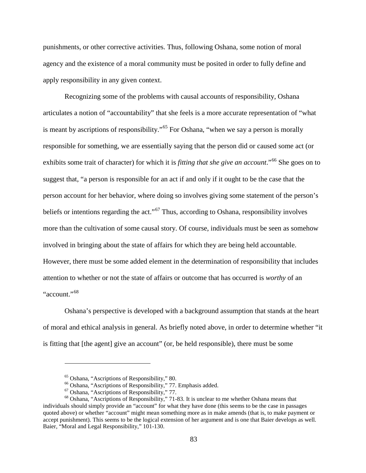punishments, or other corrective activities. Thus, following Oshana, some notion of moral agency and the existence of a moral community must be posited in order to fully define and apply responsibility in any given context.

Recognizing some of the problems with causal accounts of responsibility, Oshana articulates a notion of "accountability" that she feels is a more accurate representation of "what is meant by ascriptions of responsibility."<sup>[65](#page-92-0)</sup> For Oshana, "when we say a person is morally responsible for something, we are essentially saying that the person did or caused some act (or exhibits some trait of character) for which it is *fitting that she give an account*."<sup>[66](#page-92-1)</sup> She goes on to suggest that, "a person is responsible for an act if and only if it ought to be the case that the person account for her behavior, where doing so involves giving some statement of the person's beliefs or intentions regarding the act."<sup> $67$ </sup> Thus, according to Oshana, responsibility involves more than the cultivation of some causal story. Of course, individuals must be seen as somehow involved in bringing about the state of affairs for which they are being held accountable. However, there must be some added element in the determination of responsibility that includes attention to whether or not the state of affairs or outcome that has occurred is *worthy* of an "account."<sup>[68](#page-92-3)</sup>

Oshana's perspective is developed with a background assumption that stands at the heart of moral and ethical analysis in general. As briefly noted above, in order to determine whether "it is fitting that [the agent] give an account" (or, be held responsible), there must be some

<span id="page-92-3"></span><span id="page-92-2"></span><span id="page-92-1"></span><span id="page-92-0"></span><sup>&</sup>lt;sup>65</sup> Oshana, "Ascriptions of Responsibility," 80.<br>
<sup>66</sup> Oshana, "Ascriptions of Responsibility," 77. Emphasis added.<br>
<sup>67</sup> Oshana, "Ascriptions of Responsibility," 77.<br>
<sup>68</sup> Oshana, "Ascriptions of Responsibility," 71-83. individuals should simply provide an "account" for what they have done (this seems to be the case in passages quoted above) or whether "account" might mean something more as in make amends (that is, to make payment or accept punishment). This seems to be the logical extension of her argument and is one that Baier develops as well. Baier, "Moral and Legal Responsibility," 101-130.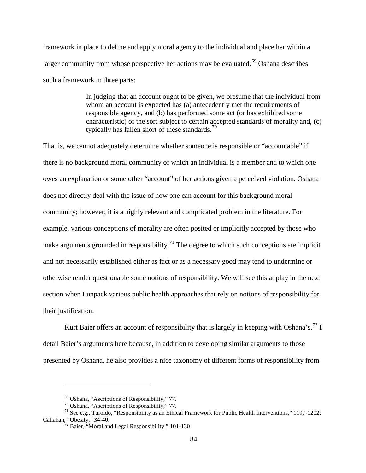framework in place to define and apply moral agency to the individual and place her within a larger community from whose perspective her actions may be evaluated.<sup>[69](#page-93-0)</sup> Oshana describes such a framework in three parts:

> In judging that an account ought to be given, we presume that the individual from whom an account is expected has (a) antecedently met the requirements of responsible agency, and (b) has performed some act (or has exhibited some characteristic) of the sort subject to certain accepted standards of morality and, (c) typically has fallen short of these standards.<sup>[70](#page-93-1)</sup>

That is, we cannot adequately determine whether someone is responsible or "accountable" if there is no background moral community of which an individual is a member and to which one owes an explanation or some other "account" of her actions given a perceived violation. Oshana does not directly deal with the issue of how one can account for this background moral community; however, it is a highly relevant and complicated problem in the literature. For example, various conceptions of morality are often posited or implicitly accepted by those who make arguments grounded in responsibility.<sup>[71](#page-93-2)</sup> The degree to which such conceptions are implicit and not necessarily established either as fact or as a necessary good may tend to undermine or otherwise render questionable some notions of responsibility. We will see this at play in the next section when I unpack various public health approaches that rely on notions of responsibility for their justification.

Kurt Baier offers an account of responsibility that is largely in keeping with Oshana's.<sup>[72](#page-93-3)</sup> I detail Baier's arguments here because, in addition to developing similar arguments to those presented by Oshana, he also provides a nice taxonomy of different forms of responsibility from

<span id="page-93-3"></span><span id="page-93-2"></span><span id="page-93-1"></span><span id="page-93-0"></span><sup>&</sup>lt;sup>69</sup> Oshana, "Ascriptions of Responsibility," 77.<br><sup>70</sup> Oshana, "Ascriptions of Responsibility," 77.<br><sup>71</sup> See e.g., Turoldo, "Responsibility as an Ethical Framework for Public Health Interventions," 1197-1202; Callahan, "Obesity," 34-40.  $\frac{72 \text{ Baire}}{72 \text{ Baire}}$ , "Moral and Legal Responsibility," 101-130.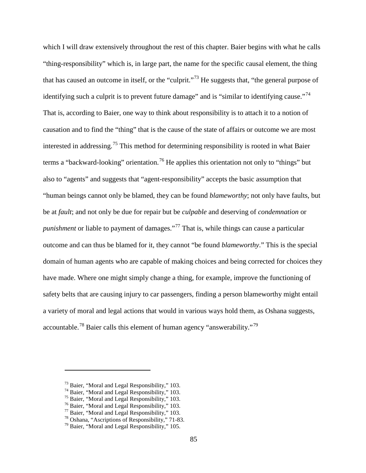which I will draw extensively throughout the rest of this chapter. Baier begins with what he calls "thing-responsibility" which is, in large part, the name for the specific causal element, the thing that has caused an outcome in itself, or the "culprit."[73](#page-94-0) He suggests that, "the general purpose of identifying such a culprit is to prevent future damage" and is "similar to identifying cause."<sup>[74](#page-94-1)</sup> That is, according to Baier, one way to think about responsibility is to attach it to a notion of causation and to find the "thing" that is the cause of the state of affairs or outcome we are most interested in addressing.<sup>[75](#page-94-2)</sup> This method for determining responsibility is rooted in what Baier terms a "backward-looking" orientation.<sup>[76](#page-94-3)</sup> He applies this orientation not only to "things" but also to "agents" and suggests that "agent-responsibility" accepts the basic assumption that "human beings cannot only be blamed, they can be found *blameworthy*; not only have faults, but be at *fault*; and not only be due for repair but be *culpable* and deserving of *condemnation* or *punishment* or liable to payment of damages."<sup>[77](#page-94-4)</sup> That is, while things can cause a particular outcome and can thus be blamed for it, they cannot "be found *blameworthy*." This is the special domain of human agents who are capable of making choices and being corrected for choices they have made. Where one might simply change a thing, for example, improve the functioning of safety belts that are causing injury to car passengers, finding a person blameworthy might entail a variety of moral and legal actions that would in various ways hold them, as Oshana suggests, accountable.[78](#page-94-5) Baier calls this element of human agency "answerability."[79](#page-94-6)

<span id="page-94-1"></span><span id="page-94-0"></span><sup>&</sup>lt;sup>73</sup> Baier, "Moral and Legal Responsibility," 103.<br>
<sup>74</sup> Baier, "Moral and Legal Responsibility," 103.<br>
<sup>75</sup> Baier, "Moral and Legal Responsibility," 103.<br>
<sup>76</sup> Baier, "Moral and Legal Responsibility," 103.<br>
<sup>77</sup> Baier, "

<span id="page-94-2"></span>

<span id="page-94-3"></span>

<span id="page-94-5"></span><span id="page-94-4"></span>

<span id="page-94-6"></span>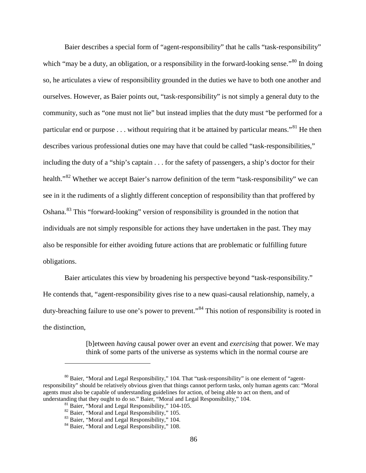Baier describes a special form of "agent-responsibility" that he calls "task-responsibility" which "may be a duty, an obligation, or a responsibility in the forward-looking sense."<sup>[80](#page-95-0)</sup> In doing so, he articulates a view of responsibility grounded in the duties we have to both one another and ourselves. However, as Baier points out, "task-responsibility" is not simply a general duty to the community, such as "one must not lie" but instead implies that the duty must "be performed for a particular end or purpose . . . without requiring that it be attained by particular means."<sup>[81](#page-95-1)</sup> He then describes various professional duties one may have that could be called "task-responsibilities," including the duty of a "ship's captain . . . for the safety of passengers, a ship's doctor for their health."<sup>[82](#page-95-2)</sup> Whether we accept Baier's narrow definition of the term "task-responsibility" we can see in it the rudiments of a slightly different conception of responsibility than that proffered by Oshana.[83](#page-95-3) This "forward-looking" version of responsibility is grounded in the notion that individuals are not simply responsible for actions they have undertaken in the past. They may also be responsible for either avoiding future actions that are problematic or fulfilling future obligations.

Baier articulates this view by broadening his perspective beyond "task-responsibility." He contends that, "agent-responsibility gives rise to a new quasi-causal relationship, namely, a duty-breaching failure to use one's power to prevent."<sup>[84](#page-95-4)</sup> This notion of responsibility is rooted in the distinction,

> [b]etween *having* causal power over an event and *exercising* that power. We may think of some parts of the universe as systems which in the normal course are

<span id="page-95-3"></span><span id="page-95-2"></span><span id="page-95-1"></span><span id="page-95-0"></span> $80$  Baier, "Moral and Legal Responsibility," 104. That "task-responsibility" is one element of "agentresponsibility" should be relatively obvious given that things cannot perform tasks, only human agents can: "Moral agents must also be capable of understanding guidelines for action, of being able to act on them, and of understanding that they ought to do so." Baier, "Moral and Legal Responsibility," 104.<br><sup>81</sup> Baier, "Moral and Legal Responsibility," 104-105.

<sup>&</sup>lt;sup>82</sup> Baier, "Moral and Legal Responsibility," 105.<br><sup>83</sup> Baier, "Moral and Legal Responsibility," 104. 84 Baier, "Moral and Legal Responsibility," 108.

<span id="page-95-4"></span>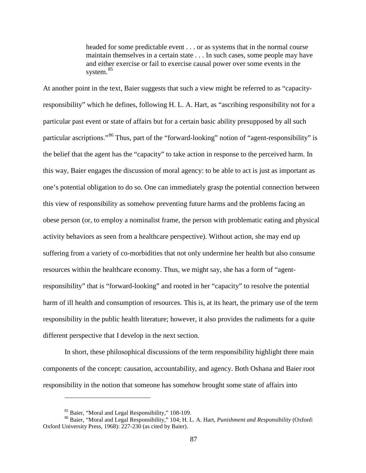headed for some predictable event . . . or as systems that in the normal course maintain themselves in a certain state . . . In such cases, some people may have and either exercise or fail to exercise causal power over some events in the system.<sup>[85](#page-96-0)</sup>

At another point in the text, Baier suggests that such a view might be referred to as "capacityresponsibility" which he defines, following H. L. A. Hart, as "ascribing responsibility not for a particular past event or state of affairs but for a certain basic ability presupposed by all such particular ascriptions."<sup>[86](#page-96-1)</sup> Thus, part of the "forward-looking" notion of "agent-responsibility" is the belief that the agent has the "capacity" to take action in response to the perceived harm. In this way, Baier engages the discussion of moral agency: to be able to act is just as important as one's potential obligation to do so. One can immediately grasp the potential connection between this view of responsibility as somehow preventing future harms and the problems facing an obese person (or, to employ a nominalist frame, the person with problematic eating and physical activity behaviors as seen from a healthcare perspective). Without action, she may end up suffering from a variety of co-morbidities that not only undermine her health but also consume resources within the healthcare economy. Thus, we might say, she has a form of "agentresponsibility" that is "forward-looking" and rooted in her "capacity" to resolve the potential harm of ill health and consumption of resources. This is, at its heart, the primary use of the term responsibility in the public health literature; however, it also provides the rudiments for a quite different perspective that I develop in the next section.

In short, these philosophical discussions of the term responsibility highlight three main components of the concept: causation, accountability, and agency. Both Oshana and Baier root responsibility in the notion that someone has somehow brought some state of affairs into

<span id="page-96-1"></span><span id="page-96-0"></span><sup>85</sup> Baier, "Moral and Legal Responsibility," 108-109. <sup>86</sup> Baier, "Moral and Legal Responsibility," 104; H. L. A. Hart, *Punishment and Responsibility* (Oxford: Oxford University Press, 1968): 227-230 (as cited by Baier).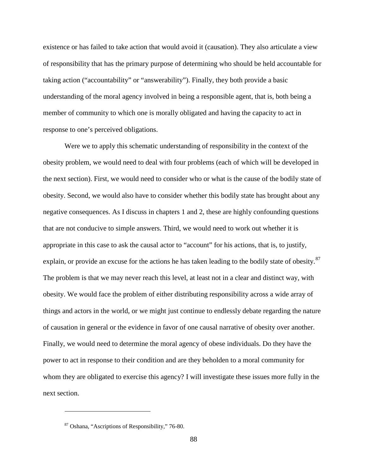existence or has failed to take action that would avoid it (causation). They also articulate a view of responsibility that has the primary purpose of determining who should be held accountable for taking action ("accountability" or "answerability"). Finally, they both provide a basic understanding of the moral agency involved in being a responsible agent, that is, both being a member of community to which one is morally obligated and having the capacity to act in response to one's perceived obligations.

Were we to apply this schematic understanding of responsibility in the context of the obesity problem, we would need to deal with four problems (each of which will be developed in the next section). First, we would need to consider who or what is the cause of the bodily state of obesity. Second, we would also have to consider whether this bodily state has brought about any negative consequences. As I discuss in chapters 1 and 2, these are highly confounding questions that are not conducive to simple answers. Third, we would need to work out whether it is appropriate in this case to ask the causal actor to "account" for his actions, that is, to justify, explain, or provide an excuse for the actions he has taken leading to the bodily state of obesity.<sup>[87](#page-97-0)</sup> The problem is that we may never reach this level, at least not in a clear and distinct way, with obesity. We would face the problem of either distributing responsibility across a wide array of things and actors in the world, or we might just continue to endlessly debate regarding the nature of causation in general or the evidence in favor of one causal narrative of obesity over another. Finally, we would need to determine the moral agency of obese individuals. Do they have the power to act in response to their condition and are they beholden to a moral community for whom they are obligated to exercise this agency? I will investigate these issues more fully in the next section.

<span id="page-97-0"></span> $87$  Oshana, "Ascriptions of Responsibility," 76-80.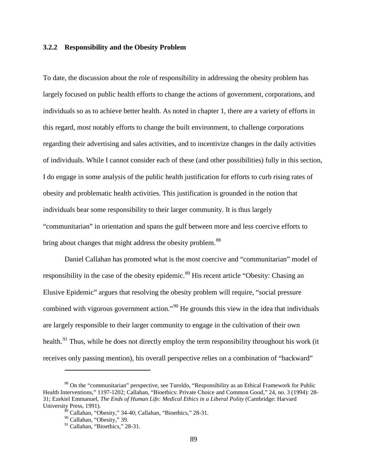#### **3.2.2 Responsibility and the Obesity Problem**

To date, the discussion about the role of responsibility in addressing the obesity problem has largely focused on public health efforts to change the actions of government, corporations, and individuals so as to achieve better health. As noted in chapter 1, there are a variety of efforts in this regard, most notably efforts to change the built environment, to challenge corporations regarding their advertising and sales activities, and to incentivize changes in the daily activities of individuals. While I cannot consider each of these (and other possibilities) fully in this section, I do engage in some analysis of the public health justification for efforts to curb rising rates of obesity and problematic health activities. This justification is grounded in the notion that individuals bear some responsibility to their larger community. It is thus largely "communitarian" in orientation and spans the gulf between more and less coercive efforts to bring about changes that might address the obesity problem.<sup>[88](#page-98-0)</sup>

Daniel Callahan has promoted what is the most coercive and "communitarian" model of responsibility in the case of the obesity epidemic.<sup>[89](#page-98-1)</sup> His recent article "Obesity: Chasing an Elusive Epidemic" argues that resolving the obesity problem will require, "social pressure combined with vigorous government action."<sup>[90](#page-98-2)</sup> He grounds this view in the idea that individuals are largely responsible to their larger community to engage in the cultivation of their own health.<sup>[91](#page-98-3)</sup> Thus, while he does not directly employ the term responsibility throughout his work (it receives only passing mention), his overall perspective relies on a combination of "backward"

<span id="page-98-3"></span><span id="page-98-2"></span><span id="page-98-1"></span><span id="page-98-0"></span><sup>&</sup>lt;sup>88</sup> On the "communitarian" perspective, see Turoldo, "Responsibility as an Ethical Framework for Public Health Interventions," 1197-1202; Callahan, "Bioethics: Private Choice and Common Good," 24, no. 3 (1994): 28- 31; Ezekiel Emmanuel, *The Ends of Human Life: Medical Ethics in a Liberal Polity* (Cambridge: Harvard University Press, 1991).

 $89$  Callahan, "Obesity," 34-40; Callahan, "Bioethics," 28-31.

<sup>90</sup> Callahan, "Obesity," 39.

 $91$  Callahan, "Bioethics," 28-31.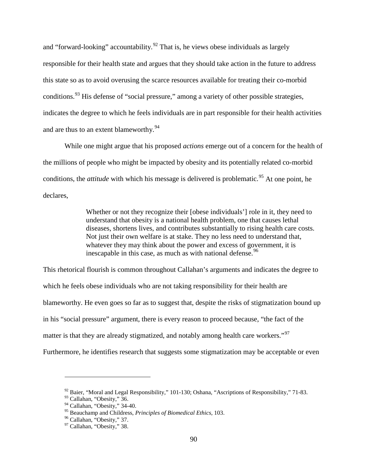and "forward-looking" accountability.<sup>[92](#page-99-0)</sup> That is, he views obese individuals as largely responsible for their health state and argues that they should take action in the future to address this state so as to avoid overusing the scarce resources available for treating their co-morbid conditions.<sup>[93](#page-99-1)</sup> His defense of "social pressure," among a variety of other possible strategies, indicates the degree to which he feels individuals are in part responsible for their health activities and are thus to an extent blameworthy.<sup>[94](#page-99-2)</sup>

While one might argue that his proposed *actions* emerge out of a concern for the health of the millions of people who might be impacted by obesity and its potentially related co-morbid conditions, the *attitude* with which his message is delivered is problematic.<sup>[95](#page-99-3)</sup> At one point, he declares,

> Whether or not they recognize their [obese individuals'] role in it, they need to understand that obesity is a national health problem, one that causes lethal diseases, shortens lives, and contributes substantially to rising health care costs. Not just their own welfare is at stake. They no less need to understand that, whatever they may think about the power and excess of government, it is inescapable in this case, as much as with national defense.<sup>[96](#page-99-4)</sup>

This rhetorical flourish is common throughout Callahan's arguments and indicates the degree to which he feels obese individuals who are not taking responsibility for their health are blameworthy. He even goes so far as to suggest that, despite the risks of stigmatization bound up in his "social pressure" argument, there is every reason to proceed because, "the fact of the matter is that they are already stigmatized, and notably among health care workers."<sup>[97](#page-99-5)</sup> Furthermore, he identifies research that suggests some stigmatization may be acceptable or even

<span id="page-99-1"></span><span id="page-99-0"></span> $92$  Baier, "Moral and Legal Responsibility," 101-130; Oshana, "Ascriptions of Responsibility," 71-83.

<sup>&</sup>lt;sup>93</sup> Callahan, "Obesity," 36.

<span id="page-99-2"></span> $94$  Callahan, "Obesity," 34-40.

<span id="page-99-4"></span><span id="page-99-3"></span><sup>&</sup>lt;sup>95</sup> Beauchamp and Childress, *Principles of Biomedical Ethics*, 103.<br><sup>96</sup> Callahan, "Obesity," 37.<br><sup>97</sup> Callahan, "Obesity," 38.

<span id="page-99-5"></span>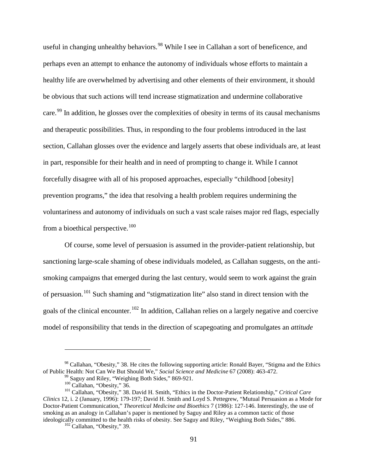useful in changing unhealthy behaviors.<sup>[98](#page-100-0)</sup> While I see in Callahan a sort of beneficence, and perhaps even an attempt to enhance the autonomy of individuals whose efforts to maintain a healthy life are overwhelmed by advertising and other elements of their environment, it should be obvious that such actions will tend increase stigmatization and undermine collaborative care.<sup>[99](#page-100-1)</sup> In addition, he glosses over the complexities of obesity in terms of its causal mechanisms and therapeutic possibilities. Thus, in responding to the four problems introduced in the last section, Callahan glosses over the evidence and largely asserts that obese individuals are, at least in part, responsible for their health and in need of prompting to change it. While I cannot forcefully disagree with all of his proposed approaches, especially "childhood [obesity] prevention programs," the idea that resolving a health problem requires undermining the voluntariness and autonomy of individuals on such a vast scale raises major red flags, especially from a bioethical perspective.<sup>[100](#page-100-2)</sup>

Of course, some level of persuasion is assumed in the provider-patient relationship, but sanctioning large-scale shaming of obese individuals modeled, as Callahan suggests, on the antismoking campaigns that emerged during the last century, would seem to work against the grain of persuasion.[101](#page-100-3) Such shaming and "stigmatization lite" also stand in direct tension with the goals of the clinical encounter.<sup>[102](#page-100-4)</sup> In addition, Callahan relies on a largely negative and coercive model of responsibility that tends in the direction of scapegoating and promulgates an *attitude*

<span id="page-100-0"></span><sup>&</sup>lt;sup>98</sup> Callahan, "Obesity," 38. He cites the following supporting article: Ronald Bayer, "Stigma and the Ethics of Public Health: Not Can We But Should We," *Social Science and Medicine* 67 (2008): 463-472.

<span id="page-100-3"></span><span id="page-100-2"></span><span id="page-100-1"></span><sup>&</sup>lt;sup>99</sup> Saguy and Riley, "Weighing Both Sides," 869-921.<br><sup>100</sup> Callahan, "Obesity," 36.<br><sup>101</sup> Callahan, "Obesity," 38. David H. Smith, "Ethics in the Doctor-Patient Relationship," Critical Care *Clinics* 12, i. 2 (January, 1996): 179-197; David H. Smith and Loyd S. Pettegrew, "Mutual Persuasion as a Mode for Doctor-Patient Communication," *Theoretical Medicine and Bioethics* 7 (1986): 127-146. Interestingly, the use of smoking as an analogy in Callahan's paper is mentioned by Saguy and Riley as a common tactic of those ideologically committed to the health risks of obesity. See Saguy and Riley, "Weighing Both Sides," 886.

<span id="page-100-4"></span> $102$  Callahan, "Obesity," 39.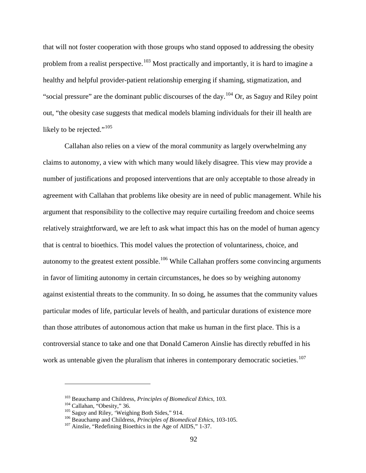that will not foster cooperation with those groups who stand opposed to addressing the obesity problem from a realist perspective.<sup>[103](#page-101-0)</sup> Most practically and importantly, it is hard to imagine a healthy and helpful provider-patient relationship emerging if shaming, stigmatization, and "social pressure" are the dominant public discourses of the day.[104](#page-101-1) Or, as Saguy and Riley point out, "the obesity case suggests that medical models blaming individuals for their ill health are likely to be rejected."<sup>[105](#page-101-2)</sup>

Callahan also relies on a view of the moral community as largely overwhelming any claims to autonomy, a view with which many would likely disagree. This view may provide a number of justifications and proposed interventions that are only acceptable to those already in agreement with Callahan that problems like obesity are in need of public management. While his argument that responsibility to the collective may require curtailing freedom and choice seems relatively straightforward, we are left to ask what impact this has on the model of human agency that is central to bioethics. This model values the protection of voluntariness, choice, and autonomy to the greatest extent possible.<sup>[106](#page-101-3)</sup> While Callahan proffers some convincing arguments in favor of limiting autonomy in certain circumstances, he does so by weighing autonomy against existential threats to the community. In so doing, he assumes that the community values particular modes of life, particular levels of health, and particular durations of existence more than those attributes of autonomous action that make us human in the first place. This is a controversial stance to take and one that Donald Cameron Ainslie has directly rebuffed in his work as untenable given the pluralism that inheres in contemporary democratic societies.<sup>[107](#page-101-4)</sup>

<span id="page-101-2"></span><span id="page-101-1"></span>

<span id="page-101-3"></span>

<span id="page-101-0"></span><sup>&</sup>lt;sup>103</sup> Beauchamp and Childress, *Principles of Biomedical Ethics*, 103.<br><sup>104</sup> Callahan, "Obesity," 36.<br><sup>105</sup> Saguy and Riley, 'Weighing Both Sides," 914.<br><sup>106</sup> Beauchamp and Childress, *Principles of Biomedical Ethics*, 10

<span id="page-101-4"></span>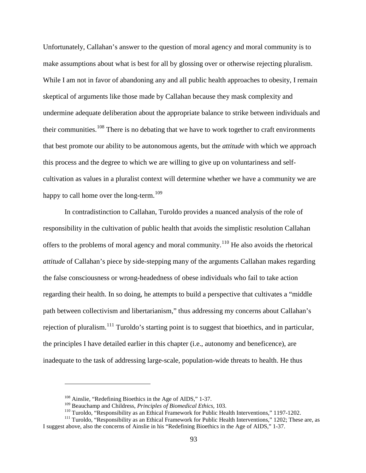Unfortunately, Callahan's answer to the question of moral agency and moral community is to make assumptions about what is best for all by glossing over or otherwise rejecting pluralism. While I am not in favor of abandoning any and all public health approaches to obesity, I remain skeptical of arguments like those made by Callahan because they mask complexity and undermine adequate deliberation about the appropriate balance to strike between individuals and their communities.<sup>[108](#page-102-0)</sup> There is no debating that we have to work together to craft environments that best promote our ability to be autonomous agents, but the *attitude* with which we approach this process and the degree to which we are willing to give up on voluntariness and selfcultivation as values in a pluralist context will determine whether we have a community we are happy to call home over the long-term.<sup>[109](#page-102-1)</sup>

In contradistinction to Callahan, Turoldo provides a nuanced analysis of the role of responsibility in the cultivation of public health that avoids the simplistic resolution Callahan offers to the problems of moral agency and moral community.<sup>[110](#page-102-2)</sup> He also avoids the rhetorical *attitude* of Callahan's piece by side-stepping many of the arguments Callahan makes regarding the false consciousness or wrong-headedness of obese individuals who fail to take action regarding their health. In so doing, he attempts to build a perspective that cultivates a "middle path between collectivism and libertarianism," thus addressing my concerns about Callahan's rejection of pluralism.<sup>[111](#page-102-3)</sup> Turoldo's starting point is to suggest that bioethics, and in particular, the principles I have detailed earlier in this chapter (i.e., autonomy and beneficence), are inadequate to the task of addressing large-scale, population-wide threats to health. He thus

<sup>&</sup>lt;sup>108</sup> Ainslie, "Redefining Bioethics in the Age of AIDS," 1-37.<br><sup>109</sup> Beauchamp and Childress, *Principles of Biomedical Ethics*, 103.

<sup>&</sup>lt;sup>110</sup> Turoldo, "Responsibility as an Ethical Framework for Public Health Interventions," 1197-1202.<br><sup>111</sup> Turoldo, "Responsibility as an Ethical Framework for Public Health Interventions," 1202; These are, as

<span id="page-102-3"></span><span id="page-102-2"></span><span id="page-102-1"></span><span id="page-102-0"></span>I suggest above, also the concerns of Ainslie in his "Redefining Bioethics in the Age of AIDS," 1-37.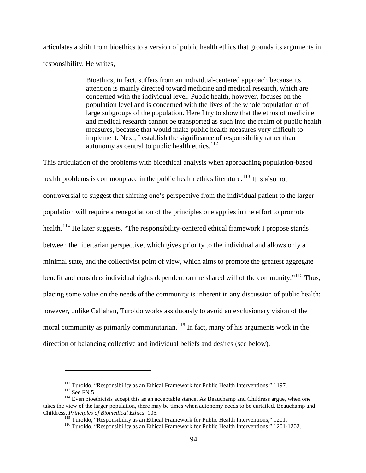articulates a shift from bioethics to a version of public health ethics that grounds its arguments in responsibility. He writes,

> Bioethics, in fact, suffers from an individual-centered approach because its attention is mainly directed toward medicine and medical research, which are concerned with the individual level. Public health, however, focuses on the population level and is concerned with the lives of the whole population or of large subgroups of the population. Here I try to show that the ethos of medicine and medical research cannot be transported as such into the realm of public health measures, because that would make public health measures very difficult to implement. Next, I establish the significance of responsibility rather than autonomy as central to public health ethics. $112$

This articulation of the problems with bioethical analysis when approaching population-based health problems is commonplace in the public health ethics literature.<sup>[113](#page-103-1)</sup> It is also not controversial to suggest that shifting one's perspective from the individual patient to the larger population will require a renegotiation of the principles one applies in the effort to promote health.<sup>[114](#page-103-2)</sup> He later suggests, "The responsibility-centered ethical framework I propose stands between the libertarian perspective, which gives priority to the individual and allows only a minimal state, and the collectivist point of view, which aims to promote the greatest aggregate benefit and considers individual rights dependent on the shared will of the community."<sup>[115](#page-103-3)</sup> Thus, placing some value on the needs of the community is inherent in any discussion of public health; however, unlike Callahan, Turoldo works assiduously to avoid an exclusionary vision of the moral community as primarily communitarian.<sup>[116](#page-103-4)</sup> In fact, many of his arguments work in the direction of balancing collective and individual beliefs and desires (see below).

<span id="page-103-4"></span><span id="page-103-3"></span><span id="page-103-2"></span><span id="page-103-1"></span><span id="page-103-0"></span><sup>&</sup>lt;sup>112</sup> Turoldo, "Responsibility as an Ethical Framework for Public Health Interventions," 1197.<br><sup>113</sup> See FN 5.<br><sup>114</sup> Even bioethicists accept this as an acceptable stance. As Beauchamp and Childress argue, when one takes the view of the larger population, there may be times when autonomy needs to be curtailed. Beauchamp and Childress, *Principles of Biomedical Ethics*, 105.<br><sup>115</sup> Turoldo, "Responsibility as an Ethical Framework for Public Health Interventions," 1201.<br><sup>116</sup> Turoldo, "Responsibility as an Ethical Framework for Public Health Int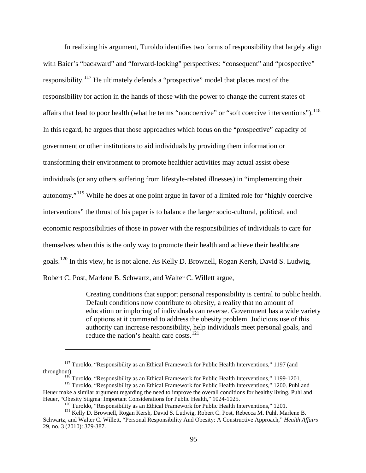In realizing his argument, Turoldo identifies two forms of responsibility that largely align with Baier's "backward" and "forward-looking" perspectives: "consequent" and "prospective" responsibility.[117](#page-104-0) He ultimately defends a "prospective" model that places most of the responsibility for action in the hands of those with the power to change the current states of affairs that lead to poor health (what he terms "noncoercive" or "soft coercive interventions").<sup>[118](#page-104-1)</sup> In this regard, he argues that those approaches which focus on the "prospective" capacity of government or other institutions to aid individuals by providing them information or transforming their environment to promote healthier activities may actual assist obese individuals (or any others suffering from lifestyle-related illnesses) in "implementing their autonomy."[119](#page-104-2) While he does at one point argue in favor of a limited role for "highly coercive interventions" the thrust of his paper is to balance the larger socio-cultural, political, and economic responsibilities of those in power with the responsibilities of individuals to care for themselves when this is the only way to promote their health and achieve their healthcare goals.[120](#page-104-3) In this view, he is not alone. As Kelly D. Brownell, Rogan Kersh, David S. Ludwig, Robert C. Post, Marlene B. Schwartz, and Walter C. Willett argue,

> Creating conditions that support personal responsibility is central to public health. Default conditions now contribute to obesity, a reality that no amount of education or imploring of individuals can reverse. Government has a wide variety of options at it command to address the obesity problem. Judicious use of this authority can increase responsibility, help individuals meet personal goals, and reduce the nation's health care costs.[121](#page-104-4)

<span id="page-104-0"></span><sup>&</sup>lt;sup>117</sup> Turoldo, "Responsibility as an Ethical Framework for Public Health Interventions," 1197 (and throughout).

 $\frac{118}{118}$  Turoldo. "Responsibility as an Ethical Framework for Public Health Interventions," 1199-1201.

<span id="page-104-2"></span><span id="page-104-1"></span><sup>&</sup>lt;sup>119</sup> Turoldo, "Responsibility as an Ethical Framework for Public Health Interventions," 1200. Puhl and Heuer make a similar argument regarding the need to improve the overall conditions for healthy living. Puhl and Heuer, "Obesity Stigma: Important Considerations for Public Health," 1024-1025.

<sup>&</sup>lt;sup>120</sup> Turoldo, "Responsibility as an Ethical Framework for Public Health Interventions," 1201.<br><sup>121</sup> Kelly D. Brownell, Rogan Kersh, David S. Ludwig, Robert C. Post, Rebecca M. Puhl, Marlene B.

<span id="page-104-4"></span><span id="page-104-3"></span>Schwartz, and Walter C. Willett, "Personal Responsibility And Obesity: A Constructive Approach," *Health Affairs* 29, no. 3 (2010): 379-387.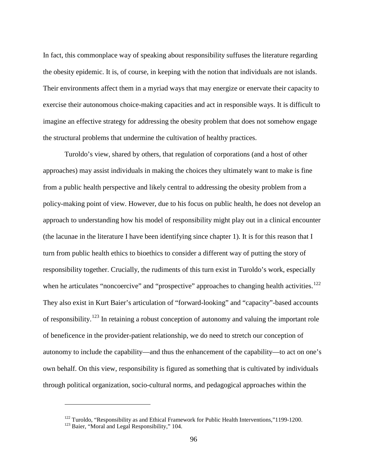In fact, this commonplace way of speaking about responsibility suffuses the literature regarding the obesity epidemic. It is, of course, in keeping with the notion that individuals are not islands. Their environments affect them in a myriad ways that may energize or enervate their capacity to exercise their autonomous choice-making capacities and act in responsible ways. It is difficult to imagine an effective strategy for addressing the obesity problem that does not somehow engage the structural problems that undermine the cultivation of healthy practices.

Turoldo's view, shared by others, that regulation of corporations (and a host of other approaches) may assist individuals in making the choices they ultimately want to make is fine from a public health perspective and likely central to addressing the obesity problem from a policy-making point of view. However, due to his focus on public health, he does not develop an approach to understanding how his model of responsibility might play out in a clinical encounter (the lacunae in the literature I have been identifying since chapter 1). It is for this reason that I turn from public health ethics to bioethics to consider a different way of putting the story of responsibility together. Crucially, the rudiments of this turn exist in Turoldo's work, especially when he articulates "noncoercive" and "prospective" approaches to changing health activities.<sup>122</sup> They also exist in Kurt Baier's articulation of "forward-looking" and "capacity"-based accounts of responsibility.[123](#page-105-1) In retaining a robust conception of autonomy and valuing the important role of beneficence in the provider-patient relationship, we do need to stretch our conception of autonomy to include the capability—and thus the enhancement of the capability—to act on one's own behalf. On this view, responsibility is figured as something that is cultivated by individuals through political organization, socio-cultural norms, and pedagogical approaches within the

<span id="page-105-1"></span><span id="page-105-0"></span><sup>&</sup>lt;sup>122</sup> Turoldo, "Responsibility as and Ethical Framework for Public Health Interventions,"1199-1200.<br><sup>123</sup> Baier, "Moral and Legal Responsibility," 104.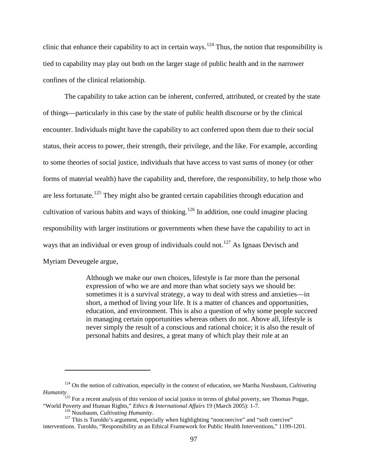clinic that enhance their capability to act in certain ways.<sup>[124](#page-106-0)</sup> Thus, the notion that responsibility is tied to capability may play out both on the larger stage of public health and in the narrower confines of the clinical relationship.

The capability to take action can be inherent, conferred, attributed, or created by the state of things—particularly in this case by the state of public health discourse or by the clinical encounter. Individuals might have the capability to act conferred upon them due to their social status, their access to power, their strength, their privilege, and the like. For example, according to some theories of social justice, individuals that have access to vast sums of money (or other forms of material wealth) have the capability and, therefore, the responsibility, to help those who are less fortunate.<sup>[125](#page-106-1)</sup> They might also be granted certain capabilities through education and cultivation of various habits and ways of thinking.<sup>[126](#page-106-2)</sup> In addition, one could imagine placing responsibility with larger institutions or governments when these have the capability to act in ways that an individual or even group of individuals could not.<sup>[127](#page-106-3)</sup> As Ignaas Devisch and Myriam Deveugele argue,

> Although we make our own choices, lifestyle is far more than the personal expression of who we are and more than what society says we should be: sometimes it is a survival strategy, a way to deal with stress and anxieties—in short, a method of living your life. It is a matter of chances and opportunities, education, and environment. This is also a question of why some people succeed in managing certain opportunities whereas others do not. Above all, lifestyle is never simply the result of a conscious and rational choice; it is also the result of personal habits and desires, a great many of which play their role at an

<span id="page-106-0"></span><sup>124</sup> On the notion of cultivation, especially in the context of education, see Martha Nussbaum, *Cultivating Humanity*.

<span id="page-106-1"></span> $125$  For a recent analysis of this version of social justice in terms of global poverty, see Thomas Pogge, "World Poverty and Human Rights," *Ethics & International Affairs* 19 (March 2005): 1-7.<br><sup>126</sup> Nussbaum, *Cultivating Humanity*.<br><sup>127</sup> This is Turoldo's argument, especially when highlighting "noncoercive" and "soft coerc

<span id="page-106-3"></span><span id="page-106-2"></span>interventions. Turoldo, "Responsibility as an Ethical Framework for Public Health Interventions," 1199-1201.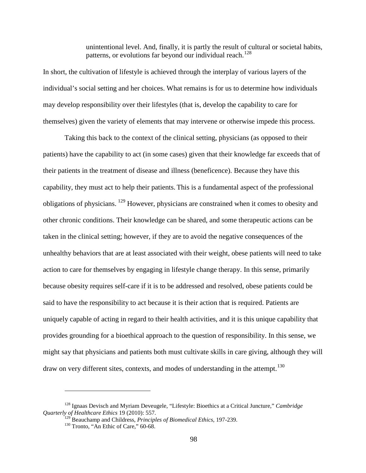unintentional level. And, finally, it is partly the result of cultural or societal habits, patterns, or evolutions far beyond our individual reach.<sup>[128](#page-107-0)</sup>

In short, the cultivation of lifestyle is achieved through the interplay of various layers of the individual's social setting and her choices. What remains is for us to determine how individuals may develop responsibility over their lifestyles (that is, develop the capability to care for themselves) given the variety of elements that may intervene or otherwise impede this process.

Taking this back to the context of the clinical setting, physicians (as opposed to their patients) have the capability to act (in some cases) given that their knowledge far exceeds that of their patients in the treatment of disease and illness (beneficence). Because they have this capability, they must act to help their patients. This is a fundamental aspect of the professional obligations of physicians. [129](#page-107-1) However, physicians are constrained when it comes to obesity and other chronic conditions. Their knowledge can be shared, and some therapeutic actions can be taken in the clinical setting; however, if they are to avoid the negative consequences of the unhealthy behaviors that are at least associated with their weight, obese patients will need to take action to care for themselves by engaging in lifestyle change therapy. In this sense, primarily because obesity requires self-care if it is to be addressed and resolved, obese patients could be said to have the responsibility to act because it is their action that is required. Patients are uniquely capable of acting in regard to their health activities, and it is this unique capability that provides grounding for a bioethical approach to the question of responsibility. In this sense, we might say that physicians and patients both must cultivate skills in care giving, although they will draw on very different sites, contexts, and modes of understanding in the attempt.<sup>[130](#page-107-2)</sup>

<span id="page-107-2"></span><span id="page-107-1"></span><span id="page-107-0"></span><sup>128</sup> Ignaas Devisch and Myriam Deveugele, "Lifestyle: Bioethics at a Critical Juncture," *Cambridge Quarterly of Healthcare Ethics* 19 (2010): 557.

<sup>&</sup>lt;sup>129</sup> Beauchamp and Childress, *Principles of Biomedical Ethics*, 197-239.<br><sup>130</sup> Tronto, "An Ethic of Care," 60-68.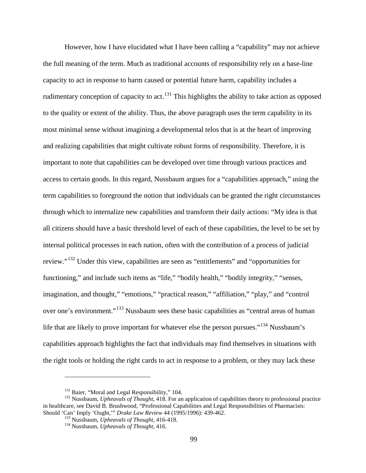However, how I have elucidated what I have been calling a "capability" may not achieve the full meaning of the term. Much as traditional accounts of responsibility rely on a base-line capacity to act in response to harm caused or potential future harm, capability includes a rudimentary conception of capacity to act.<sup>[131](#page-108-0)</sup> This highlights the ability to take action as opposed to the quality or extent of the ability. Thus, the above paragraph uses the term capability in its most minimal sense without imagining a developmental telos that is at the heart of improving and realizing capabilities that might cultivate robust forms of responsibility. Therefore, it is important to note that capabilities can be developed over time through various practices and access to certain goods. In this regard, Nussbaum argues for a "capabilities approach," using the term capabilities to foreground the notion that individuals can be granted the right circumstances through which to internalize new capabilities and transform their daily actions: "My idea is that all citizens should have a basic threshold level of each of these capabilities, the level to be set by internal political processes in each nation, often with the contribution of a process of judicial review."[132](#page-108-1) Under this view, capabilities are seen as "entitlements" and "opportunities for functioning," and include such items as "life," "bodily health," "bodily integrity," "senses, imagination, and thought," "emotions," "practical reason," "affiliation," "play," and "control over one's environment."[133](#page-108-2) Nussbaum sees these basic capabilities as "central areas of human life that are likely to prove important for whatever else the person pursues."<sup>[134](#page-108-3)</sup> Nussbaum's capabilities approach highlights the fact that individuals may find themselves in situations with the right tools or holding the right cards to act in response to a problem, or they may lack these

<span id="page-108-3"></span><span id="page-108-2"></span><span id="page-108-1"></span><span id="page-108-0"></span><sup>&</sup>lt;sup>131</sup> Baier, "Moral and Legal Responsibility," 104.<br><sup>132</sup> Nussbaum, *Upheavals of Thought*, 418. For an application of capabilities theory to professional practice in healthcare, see David B. Brushwood, "Professional Capabilities and Legal Responsibilities of Pharmacists: Should 'Can' Imply 'Ought,'" *Drake Law Review* 44 (1995/1996): 439-462.<br><sup>133</sup> Nussbaum, *Upheavals of Thought*, 416-418.<br><sup>134</sup> Nussbaum, *Upheavals of Thought*, 416.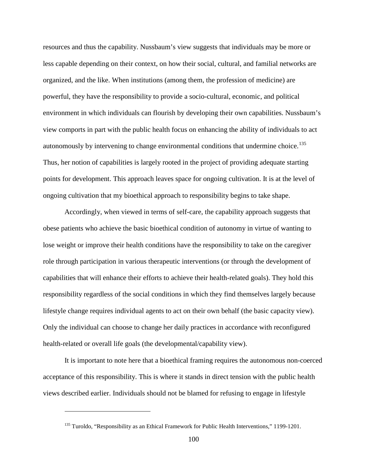resources and thus the capability. Nussbaum's view suggests that individuals may be more or less capable depending on their context, on how their social, cultural, and familial networks are organized, and the like. When institutions (among them, the profession of medicine) are powerful, they have the responsibility to provide a socio-cultural, economic, and political environment in which individuals can flourish by developing their own capabilities. Nussbaum's view comports in part with the public health focus on enhancing the ability of individuals to act autonomously by intervening to change environmental conditions that undermine choice.<sup>[135](#page-109-0)</sup> Thus, her notion of capabilities is largely rooted in the project of providing adequate starting points for development. This approach leaves space for ongoing cultivation. It is at the level of ongoing cultivation that my bioethical approach to responsibility begins to take shape.

Accordingly, when viewed in terms of self-care, the capability approach suggests that obese patients who achieve the basic bioethical condition of autonomy in virtue of wanting to lose weight or improve their health conditions have the responsibility to take on the caregiver role through participation in various therapeutic interventions (or through the development of capabilities that will enhance their efforts to achieve their health-related goals). They hold this responsibility regardless of the social conditions in which they find themselves largely because lifestyle change requires individual agents to act on their own behalf (the basic capacity view). Only the individual can choose to change her daily practices in accordance with reconfigured health-related or overall life goals (the developmental/capability view).

It is important to note here that a bioethical framing requires the autonomous non-coerced acceptance of this responsibility. This is where it stands in direct tension with the public health views described earlier. Individuals should not be blamed for refusing to engage in lifestyle

<span id="page-109-0"></span><sup>&</sup>lt;sup>135</sup> Turoldo, "Responsibility as an Ethical Framework for Public Health Interventions," 1199-1201.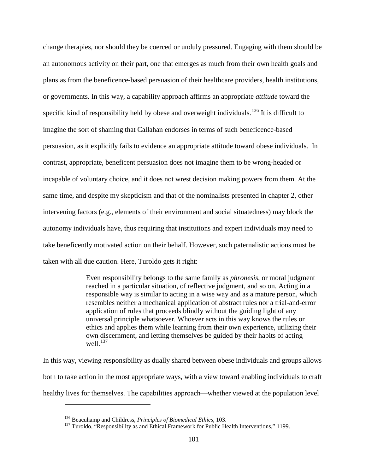change therapies, nor should they be coerced or unduly pressured. Engaging with them should be an autonomous activity on their part, one that emerges as much from their own health goals and plans as from the beneficence-based persuasion of their healthcare providers, health institutions, or governments. In this way, a capability approach affirms an appropriate *attitude* toward the specific kind of responsibility held by obese and overweight individuals.<sup>[136](#page-110-0)</sup> It is difficult to imagine the sort of shaming that Callahan endorses in terms of such beneficence-based persuasion, as it explicitly fails to evidence an appropriate attitude toward obese individuals. In contrast, appropriate, beneficent persuasion does not imagine them to be wrong-headed or incapable of voluntary choice, and it does not wrest decision making powers from them. At the same time, and despite my skepticism and that of the nominalists presented in chapter 2, other intervening factors (e.g., elements of their environment and social situatedness) may block the autonomy individuals have, thus requiring that institutions and expert individuals may need to take beneficently motivated action on their behalf. However, such paternalistic actions must be taken with all due caution. Here, Turoldo gets it right:

> Even responsibility belongs to the same family as *phronesis*, or moral judgment reached in a particular situation, of reflective judgment, and so on. Acting in a responsible way is similar to acting in a wise way and as a mature person, which resembles neither a mechanical application of abstract rules nor a trial-and-error application of rules that proceeds blindly without the guiding light of any universal principle whatsoever. Whoever acts in this way knows the rules or ethics and applies them while learning from their own experience, utilizing their own discernment, and letting themselves be guided by their habits of acting well $^{137}$  $^{137}$  $^{137}$

In this way, viewing responsibility as dually shared between obese individuals and groups allows both to take action in the most appropriate ways, with a view toward enabling individuals to craft healthy lives for themselves. The capabilities approach—whether viewed at the population level

<span id="page-110-1"></span><span id="page-110-0"></span>

<sup>&</sup>lt;sup>136</sup> Beacuhamp and Childress, *Principles of Biomedical Ethics*, 103.<br><sup>137</sup> Turoldo, "Responsibility as and Ethical Framework for Public Health Interventions," 1199.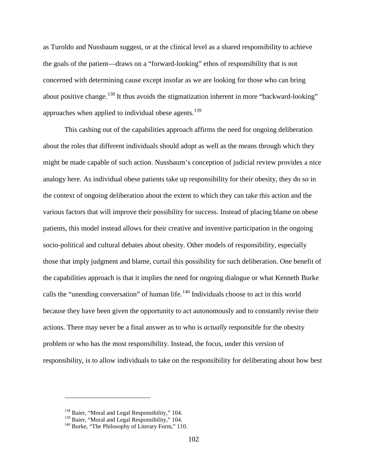as Turoldo and Nussbaum suggest, or at the clinical level as a shared responsibility to achieve the goals of the patient—draws on a "forward-looking" ethos of responsibility that is not concerned with determining cause except insofar as we are looking for those who can bring about positive change.<sup>[138](#page-111-0)</sup> It thus avoids the stigmatization inherent in more "backward-looking" approaches when applied to individual obese agents.<sup>[139](#page-111-1)</sup>

This cashing out of the capabilities approach affirms the need for ongoing deliberation about the roles that different individuals should adopt as well as the means through which they might be made capable of such action. Nussbaum's conception of judicial review provides a nice analogy here. As individual obese patients take up responsibility for their obesity, they do so in the context of ongoing deliberation about the extent to which they can take this action and the various factors that will improve their possibility for success. Instead of placing blame on obese patients, this model instead allows for their creative and inventive participation in the ongoing socio-political and cultural debates about obesity. Other models of responsibility, especially those that imply judgment and blame, curtail this possibility for such deliberation. One benefit of the capabilities approach is that it implies the need for ongoing dialogue or what Kenneth Burke calls the "unending conversation" of human life.<sup>[140](#page-111-2)</sup> Individuals choose to act in this world because they have been given the opportunity to act autonomously and to constantly revise their actions. There may never be a final answer as to who is *actually* responsible for the obesity problem or who has the most responsibility. Instead, the focus, under this version of responsibility, is to allow individuals to take on the responsibility for deliberating about how best

<span id="page-111-1"></span><span id="page-111-0"></span> $^{138}$  Baier, "Moral and Legal Responsibility," 104.<br> $^{139}$  Baier, "Moral and Legal Responsibility," 104.

<span id="page-111-2"></span> $140$  Burke, "The Philosophy of Literary Form," 110.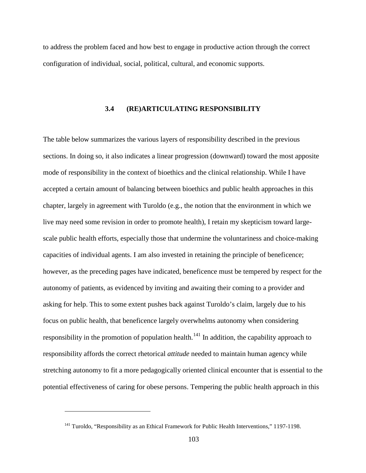to address the problem faced and how best to engage in productive action through the correct configuration of individual, social, political, cultural, and economic supports.

#### **3.4 (RE)ARTICULATING RESPONSIBILITY**

The table below summarizes the various layers of responsibility described in the previous sections. In doing so, it also indicates a linear progression (downward) toward the most apposite mode of responsibility in the context of bioethics and the clinical relationship. While I have accepted a certain amount of balancing between bioethics and public health approaches in this chapter, largely in agreement with Turoldo (e.g., the notion that the environment in which we live may need some revision in order to promote health), I retain my skepticism toward largescale public health efforts, especially those that undermine the voluntariness and choice-making capacities of individual agents. I am also invested in retaining the principle of beneficence; however, as the preceding pages have indicated, beneficence must be tempered by respect for the autonomy of patients, as evidenced by inviting and awaiting their coming to a provider and asking for help. This to some extent pushes back against Turoldo's claim, largely due to his focus on public health, that beneficence largely overwhelms autonomy when considering responsibility in the promotion of population health.<sup>[141](#page-112-0)</sup> In addition, the capability approach to responsibility affords the correct rhetorical *attitude* needed to maintain human agency while stretching autonomy to fit a more pedagogically oriented clinical encounter that is essential to the potential effectiveness of caring for obese persons. Tempering the public health approach in this

<span id="page-112-0"></span><sup>&</sup>lt;sup>141</sup> Turoldo, "Responsibility as an Ethical Framework for Public Health Interventions," 1197-1198.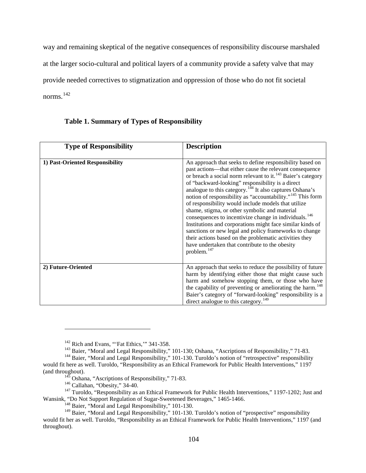way and remaining skeptical of the negative consequences of responsibility discourse marshaled at the larger socio-cultural and political layers of a community provide a safety valve that may provide needed correctives to stigmatization and oppression of those who do not fit societal norms. [142](#page-113-0)

| <b>Type of Responsibility</b>   | <b>Description</b>                                                                                                                                                                                                                                                                                                                                                                                                                                                                                                                                                                                                                                                                                                                                                                                                                             |
|---------------------------------|------------------------------------------------------------------------------------------------------------------------------------------------------------------------------------------------------------------------------------------------------------------------------------------------------------------------------------------------------------------------------------------------------------------------------------------------------------------------------------------------------------------------------------------------------------------------------------------------------------------------------------------------------------------------------------------------------------------------------------------------------------------------------------------------------------------------------------------------|
|                                 |                                                                                                                                                                                                                                                                                                                                                                                                                                                                                                                                                                                                                                                                                                                                                                                                                                                |
| 1) Past-Oriented Responsibility | An approach that seeks to define responsibility based on<br>past actions—that either cause the relevant consequence<br>or breach a social norm relevant to it. <sup>143</sup> Baier's category<br>of "backward-looking" responsibility is a direct<br>analogue to this category. <sup>144</sup> It also captures Oshana's<br>notion of responsibility as "accountability." <sup>145</sup> This form<br>of responsibility would include models that utilize<br>shame, stigma, or other symbolic and material<br>consequences to incentivize change in individuals. <sup>146</sup><br>Institutions and corporations might face similar kinds of<br>sanctions or new legal and policy frameworks to change<br>their actions based on the problematic activities they<br>have undertaken that contribute to the obesity<br>problem. <sup>147</sup> |
| 2) Future-Oriented              | An approach that seeks to reduce the possibility of future<br>harm by identifying either those that might cause such<br>harm and somehow stopping them, or those who have<br>the capability of preventing or ameliorating the harm. <sup>148</sup><br>Baier's category of "forward-looking" responsibility is a<br>direct analogue to this category. <sup>149</sup>                                                                                                                                                                                                                                                                                                                                                                                                                                                                            |

## **Table 1. Summary of Types of Responsibility**

<span id="page-113-2"></span><span id="page-113-1"></span><span id="page-113-0"></span><sup>&</sup>lt;sup>142</sup> Rich and Evans, "'Fat Ethics,'" 341-358.<br><sup>143</sup> Baier, "Moral and Legal Responsibility," 101-130; Oshana, "Ascriptions of Responsibility," 71-83.<br><sup>144</sup> Baier, "Moral and Legal Responsibility," 101-130. Turoldo's noti would fit here as well. Turoldo, "Responsibility as an Ethical Framework for Public Health Interventions," 1197 (and throughout).<br>
<sup>145</sup> Oshana, "Ascriptions of Responsibility," 71-83.<br>
<sup>146</sup> Callahan, "Obesity," 34-40.<br>
<sup>147</sup> Turoldo, "Responsibility as an Ethical Framework for Public Health Interventions," 1197-1202; Just and

<span id="page-113-5"></span><span id="page-113-4"></span><span id="page-113-3"></span>Wansink, "Do Not Support Regulation of Sugar-Sweetened Beverages," 1465-1466.<br><sup>148</sup> Baier, "Moral and Legal Responsibility," 101-130.

<span id="page-113-7"></span><span id="page-113-6"></span><sup>&</sup>lt;sup>149</sup> Baier, "Moral and Legal Responsibility," 101-130. Turoldo's notion of "prospective" responsibility would fit her as well. Turoldo, "Responsibility as an Ethical Framework for Public Health Interventions," 1197 (and throughout).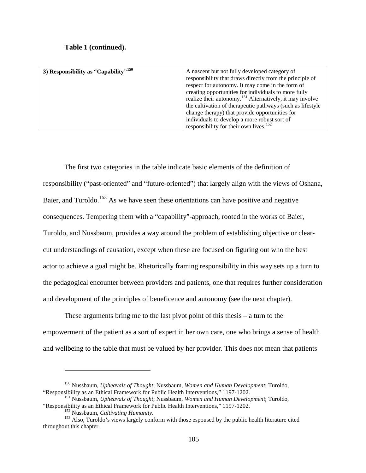#### **Table 1 (continued).**

| 3) Responsibility as "Capability" <sup>150</sup> | A nascent but not fully developed category of                        |
|--------------------------------------------------|----------------------------------------------------------------------|
|                                                  | responsibility that draws directly from the principle of             |
|                                                  | respect for autonomy. It may come in the form of                     |
|                                                  | creating opportunities for individuals to more fully                 |
|                                                  | realize their autonomy. <sup>151</sup> Alternatively, it may involve |
|                                                  | the cultivation of therapeutic pathways (such as lifestyle           |
|                                                  | change therapy) that provide opportunities for                       |
|                                                  | individuals to develop a more robust sort of                         |
|                                                  | responsibility for their own lives. $152$                            |

The first two categories in the table indicate basic elements of the definition of responsibility ("past-oriented" and "future-oriented") that largely align with the views of Oshana, Baier, and Turoldo.<sup>[153](#page-114-3)</sup> As we have seen these orientations can have positive and negative consequences. Tempering them with a "capability"-approach, rooted in the works of Baier, Turoldo, and Nussbaum, provides a way around the problem of establishing objective or clearcut understandings of causation, except when these are focused on figuring out who the best actor to achieve a goal might be. Rhetorically framing responsibility in this way sets up a turn to the pedagogical encounter between providers and patients, one that requires further consideration and development of the principles of beneficence and autonomy (see the next chapter).

These arguments bring me to the last pivot point of this thesis – a turn to the empowerment of the patient as a sort of expert in her own care, one who brings a sense of health and wellbeing to the table that must be valued by her provider. This does not mean that patients

<span id="page-114-0"></span><sup>&</sup>lt;sup>150</sup> Nussbaum, *Upheavals of Thought*; Nussbaum, *Women and Human Development*; Turoldo, "Responsibility as an Ethical Framework for Public Health Interventions," 1197-1202.

<span id="page-114-1"></span><sup>&</sup>lt;sup>151</sup> Nussbaum, *Upheavals of Thought*; Nussbaum, *Women and Human Development*; Turoldo, "Responsibility as an Ethical Framework for Public Health Interventions," 1197-1202.

<span id="page-114-3"></span><span id="page-114-2"></span> $^{152}$  Nussbaum, *Cultivating Humanity*.<br><sup>153</sup> Also, Turoldo's views largely conform with those espoused by the public health literature cited throughout this chapter.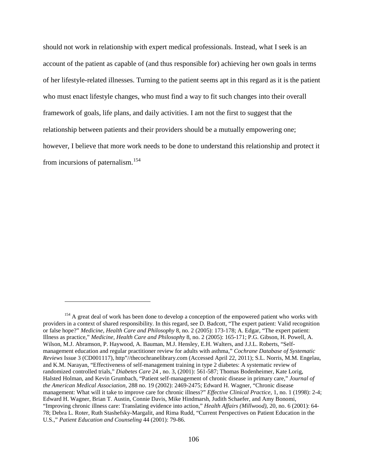should not work in relationship with expert medical professionals. Instead, what I seek is an account of the patient as capable of (and thus responsible for) achieving her own goals in terms of her lifestyle-related illnesses. Turning to the patient seems apt in this regard as it is the patient who must enact lifestyle changes, who must find a way to fit such changes into their overall framework of goals, life plans, and daily activities. I am not the first to suggest that the relationship between patients and their providers should be a mutually empowering one; however, I believe that more work needs to be done to understand this relationship and protect it from incursions of paternalism.<sup>[154](#page-115-0)</sup>

<span id="page-115-0"></span><sup>&</sup>lt;sup>154</sup> A great deal of work has been done to develop a conception of the empowered patient who works with providers in a context of shared responsibility. In this regard, see D. Badcott, "The expert patient: Valid recognition or false hope?" *Medicine, Health Care and Philosophy* 8, no. 2 (2005): 173-178; A. Edgar, "The expert patient: Illness as practice," *Medicine, Health Care and Philosophy* 8, no. 2 (2005): 165-171; P.G. Gibson, H. Powell, A. Wilson, M.J. Abramson, P. Haywood, A. Bauman, M.J. Hensley, E.H. Walters, and J.J.L. Roberts, "Selfmanagement education and regular practitioner review for adults with asthma," *Cochrane Database of Systematic Reviews* Issue 3 (CD001117), http"//thecochranelibrary.com (Accessed April 22, 2011); S.L. Norris, M.M. Engelau, and K.M. Narayan, "Effectiveness of self-management training in type 2 diabetes: A systematic review of randomized controlled trials," *Diabetes Care* 24 , no. 3, (2001): 561-587; Thomas Bodenheimer, Kate Lorig, Halsted Holman, and Kevin Grumbach, "Patient self-management of chronic disease in primary care," *Journal of the American Medical Association*, 288 no. 19 (2002): 2469-2475; Edward H. Wagner, "Chronic disease management: What will it take to improve care for chronic illness?" *Effective Clinical Practice*, 1, no. 1 (1998): 2-4; Edward H. Wagner, Brian T. Austin, Connie Davis, Mike Hindmarsh, Judith Schaefer, and Amy Bonomi, "Improving chronic illness care: Translating evidence into action," *Health Affairs (Millwood)*, 20, no. 6 (2001): 64- 78; Debra L. Roter, Ruth Stashefsky-Margalit, and Rima Rudd, "Current Perspectives on Patient Education in the U.S.," *Patient Education and Counseling* 44 (2001): 79-86.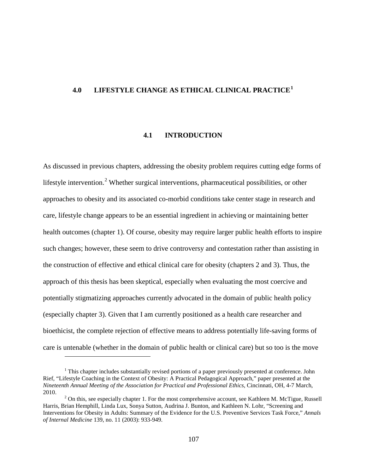## **4.0 LIFESTYLE CHANGE AS ETHICAL CLINICAL PRACTICE[1](#page-116-0)**

#### **4.1 INTRODUCTION**

As discussed in previous chapters, addressing the obesity problem requires cutting edge forms of lifestyle intervention.<sup>[2](#page-116-1)</sup> Whether surgical interventions, pharmaceutical possibilities, or other approaches to obesity and its associated co-morbid conditions take center stage in research and care, lifestyle change appears to be an essential ingredient in achieving or maintaining better health outcomes (chapter 1). Of course, obesity may require larger public health efforts to inspire such changes; however, these seem to drive controversy and contestation rather than assisting in the construction of effective and ethical clinical care for obesity (chapters 2 and 3). Thus, the approach of this thesis has been skeptical, especially when evaluating the most coercive and potentially stigmatizing approaches currently advocated in the domain of public health policy (especially chapter 3). Given that I am currently positioned as a health care researcher and bioethicist, the complete rejection of effective means to address potentially life-saving forms of care is untenable (whether in the domain of public health or clinical care) but so too is the move

<span id="page-116-0"></span> $<sup>1</sup>$  This chapter includes substantially revised portions of a paper previously presented at conference. John</sup> Rief, "Lifestyle Coaching in the Context of Obesity: A Practical Pedagogical Approach," paper presented at the *Nineteenth Annual Meeting of the Association for Practical and Professional Ethics*, Cincinnati, OH, 4-7 March, 2010.<br><sup>2</sup> On this, see especially chapter 1. For the most comprehensive account, see Kathleen M. McTigue, Russell

<span id="page-116-1"></span>Harris, Brian Hemphill, Linda Lux, Sonya Sutton, Audrina J. Bunton, and Kathleen N. Lohr, "Screening and Interventions for Obesity in Adults: Summary of the Evidence for the U.S. Preventive Services Task Force," *Annals of Internal Medicine* 139, no. 11 (2003): 933-949.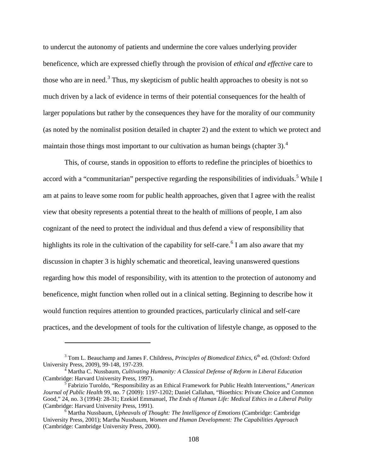to undercut the autonomy of patients and undermine the core values underlying provider beneficence, which are expressed chiefly through the provision of *ethical and effective* care to those who are in need.<sup>[3](#page-117-0)</sup> Thus, my skepticism of public health approaches to obesity is not so much driven by a lack of evidence in terms of their potential consequences for the health of larger populations but rather by the consequences they have for the morality of our community (as noted by the nominalist position detailed in chapter 2) and the extent to which we protect and maintain those things most important to our cultivation as human beings (chapter 3). $4$ 

This, of course, stands in opposition to efforts to redefine the principles of bioethics to accord with a "communitarian" perspective regarding the responsibilities of individuals.<sup>[5](#page-117-2)</sup> While I am at pains to leave some room for public health approaches, given that I agree with the realist view that obesity represents a potential threat to the health of millions of people, I am also cognizant of the need to protect the individual and thus defend a view of responsibility that highlights its role in the cultivation of the capability for self-care.<sup>[6](#page-117-3)</sup> I am also aware that my discussion in chapter 3 is highly schematic and theoretical, leaving unanswered questions regarding how this model of responsibility, with its attention to the protection of autonomy and beneficence, might function when rolled out in a clinical setting. Beginning to describe how it would function requires attention to grounded practices, particularly clinical and self-care practices, and the development of tools for the cultivation of lifestyle change, as opposed to the

<span id="page-117-0"></span><sup>&</sup>lt;sup>3</sup> Tom L. Beauchamp and James F. Childress, *Principles of Biomedical Ethics*, 6<sup>th</sup> ed. (Oxford: Oxford University Press, 2009), 99-148, 197-239.

<span id="page-117-1"></span><sup>&</sup>lt;sup>4</sup> Martha C. Nussbaum, *Cultivating Humanity: A Classical Defense of Reform in Liberal Education* (Cambridge: Harvard University Press, 1997).

<span id="page-117-2"></span><sup>&</sup>lt;sup>5</sup> Fabrizio Turoldo, "Responsibility as an Ethical Framework for Public Health Interventions," *American Journal of Public Health* 99, no. 7 (2009): 1197-1202; Daniel Callahan, "Bioethics: Private Choice and Common Good," 24, no. 3 (1994): 28-31; Ezekiel Emmanuel, *The Ends of Human Life: Medical Ethics in a Liberal Polity*

<span id="page-117-3"></span> $\epsilon$ <sup>6</sup> Martha Nussbaum, *Upheavals of Thought: The Intelligence of Emotions* (Cambridge: Cambridge University Press, 2001); Martha Nussbaum, *Women and Human Development: The Capabilities Approach* (Cambridge: Cambridge University Press, 2000).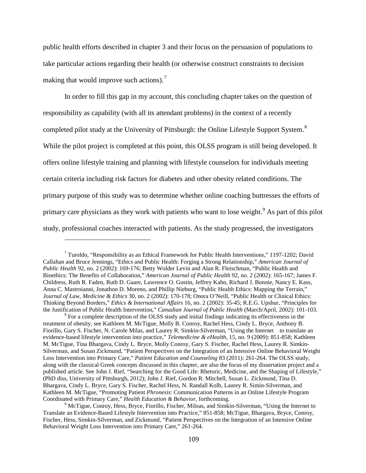public health efforts described in chapter 3 and their focus on the persuasion of populations to take particular actions regarding their health (or otherwise construct constraints to decision making that would improve such actions).<sup>[7](#page-118-0)</sup>

In order to fill this gap in my account, this concluding chapter takes on the question of responsibility as capability (with all its attendant problems) in the context of a recently completed pilot study at the University of Pittsburgh: the Online Lifestyle Support System.<sup>[8](#page-118-1)</sup> While the pilot project is completed at this point, this OLSS program is still being developed. It offers online lifestyle training and planning with lifestyle counselors for individuals meeting certain criteria including risk factors for diabetes and other obesity related conditions. The primary purpose of this study was to determine whether online coaching buttresses the efforts of primary care physicians as they work with patients who want to lose weight.<sup>[9](#page-118-2)</sup> As part of this pilot study, professional coaches interacted with patients. As the study progressed, the investigators

<span id="page-118-0"></span> $^7$  Turoldo, "Responsibility as an Ethical Framework for Public Health Interventions," 1197-1202; David Callahan and Bruce Jennings, "Ethics and Public Health: Forging a Strong Relationship," *American Journal of Public Health* 92, no. 2 (2002): 169-176; Betty Wolder Levin and Alan R. Fleischman, "Public Health and Bioethics: The Benefits of Collaboration," *American Journal of Public Health* 92, no. 2 (2002): 165-167; James F. Childress, Ruth R. Faden, Ruth D. Gaare, Lawrence O. Gostin, Jeffrey Kahn, Richard J. Bonnie, Nancy E. Kass, Anna C. Mastroianni, Jonathon D. Moreno, and Phillip Nieburg, "Public Health Ethics: Mapping the Terrain," *Journal of Law, Medicine & Ethics* 30, no. 2 (2002): 170-178; Onora O'Neill, "Public Health or Clinical Ethics: Thinking Beyond Borders," *Ethics & International Affairs* 16, no. 2 (2002): 35-45; R.E.G. Upshur, "Principles for

<span id="page-118-1"></span><sup>&</sup>lt;sup>8</sup> For a complete description of the OLSS study and initial findings indicating its effectiveness in the treatment of obesity, see Kathleen M. McTigue, Molly B. Conroy, Rachel Hess, Cindy L. Bryce, Anthony B. Fiorillo, Gary S. Fischer, N. Carole Milas, and Laurey R. Simkin-Silverman, "Using the Internet to translate an evidence-based lifestyle intervention into practice," *Telemedicine & eHealth*, 15, no. 9 (2009): 851-858; Kathleen M. McTigue, Tina Bhargava, Cindy L. Bryce, Molly Conroy, Gary S. Fischer, Rachel Hess, Laurey R. Simkin-Silverman, and Susan Zickmund, "Patient Perspectives on the Integration of an Intensive Online Behavioral Weight Loss Intervention into Primary Care," *Patient Education and Counseling* 83 (2011): 261-264. The OLSS study, along with the classical Greek concepts discussed in this chapter, are also the focus of my dissertation project and a published article. See John J. Rief, "Searching for the Good Life: Rhetoric, Medicine, and the Shaping of Lifestyle," (PhD diss, University of Pittsburgh, 2012); John J. Rief, Gordon R. Mitchell, Susan L. Zickmund, Tina D. Bhargava, Cindy L. Bryce, Gary S. Fischer, Rachel Hess, N. Randall Kolb, Laurey R. Simin-Silverman, and Kathleen M. McTigue, "Promoting Patient *Phronesis*: Communication Patterns in an Online Lifestyle Program

<span id="page-118-2"></span><sup>&</sup>lt;sup>9</sup> McTigue, Conroy, Hess, Bryce, Fiorillo, Fischer, Miloas, and Simkin-Silverman, "Using the Internet to Translate an Evidence-Based Lifestyle Intervention into Practice," 851-858; McTigue, Bhargava, Bryce, Conroy, Fischer, Hess, Simkin-Silverman, and Zickmund, "Patient Perspectives on the Integration of an Intensive Online Behavioral Weight Loss Intervention into Primary Care," 261-264.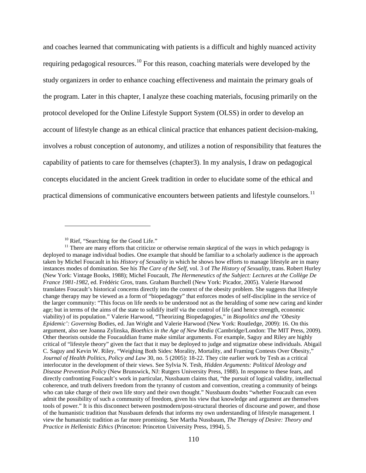and coaches learned that communicating with patients is a difficult and highly nuanced activity requiring pedagogical resources.<sup>[10](#page-119-0)</sup> For this reason, coaching materials were developed by the study organizers in order to enhance coaching effectiveness and maintain the primary goals of the program. Later in this chapter, I analyze these coaching materials, focusing primarily on the protocol developed for the Online Lifestyle Support System (OLSS) in order to develop an account of lifestyle change as an ethical clinical practice that enhances patient decision-making, involves a robust conception of autonomy, and utilizes a notion of responsibility that features the capability of patients to care for themselves (chapter3). In my analysis, I draw on pedagogical concepts elucidated in the ancient Greek tradition in order to elucidate some of the ethical and practical dimensions of communicative encounters between patients and lifestyle counselors.<sup>[11](#page-119-1)</sup>

<span id="page-119-1"></span><span id="page-119-0"></span><sup>&</sup>lt;sup>10</sup> Rief, "Searching for the Good Life."  $\frac{11}{11}$  There are many efforts that criticize or otherwise remain skeptical of the ways in which pedagogy is deployed to manage individual bodies. One example that should be familiar to a scholarly audience is the approach taken by Michel Foucault in his *History of Sexuality* in which he shows how efforts to manage lifestyle are in many instances modes of domination. See his *The Care of the Self*, vol. 3 of *The History of Sexuality*, trans. Robert Hurley (New York: Vintage Books, 1988); Michel Foucault, *The Hermeneutics of the Subject: Lectures at the Collège De France 1981-1982*, ed. Frédéric Gros, trans. Graham Burchell (New York: Picador, 2005). Valerie Harwood translates Foucault's historical concerns directly into the context of the obesity problem. She suggests that lifestyle change therapy may be viewed as a form of "biopedagogy" that enforces modes of self-discipline in the service of the larger community: "This focus on life needs to be understood not as the heralding of some new caring and kinder age; but in terms of the aims of the state to solidify itself via the control of life (and hence strength, economic viability) of its population." Valerie Harwood, "Theorizing Biopedagogies," in *Biopolitics and the 'Obesity Epidemic': Governing* Bodies, ed. Jan Wright and Valerie Harwood (New York: Routledge, 2009): 16. On this argument, also see Joanna Zylinska, *Bioethics in the Age of New Media* (Cambridge/London: The MIT Press, 2009)*.* Other theorists outside the Foucauldian frame make similar arguments. For example, Saguy and Riley are highly critical of "lifestyle theory" given the fact that it may be deployed to judge and stigmatize obese individuals. Abigail C. Saguy and Kevin W. Riley, "Weighing Both Sides: Morality, Mortality, and Framing Contests Over Obesity," *Journal of Health Politics, Policy and Law* 30, no. 5 (2005): 18-22. They cite earlier work by Tesh as a critical interlocutor in the development of their views. See Sylvia N. Tesh, *Hidden Arguments: Political Ideology and Disease Prevention Policy* (New Brunswick, NJ: Rutgers University Press, 1988). In response to these fears, and directly confronting Foucault's work in particular, Nussbaum claims that, "the pursuit of logical validity, intellectual coherence, and truth delivers freedom from the tyranny of custom and convention, creating a community of beings who can take charge of their own life story and their own thought." Nussbaum doubts "whether Foucault can even admit the possibility of such a community of freedom, given his view that knowledge and argument are themselves tools of power." It is this disconnect between postmodern/post-structural theories of discourse and power, and those of the humanistic tradition that Nussbaum defends that informs my own understanding of lifestyle management. I view the humanistic tradition as far more promising. See Martha Nussbaum, *The Therapy of Desire: Theory and Practice in Hellenistic Ethics* (Princeton: Princeton University Press, 1994), 5.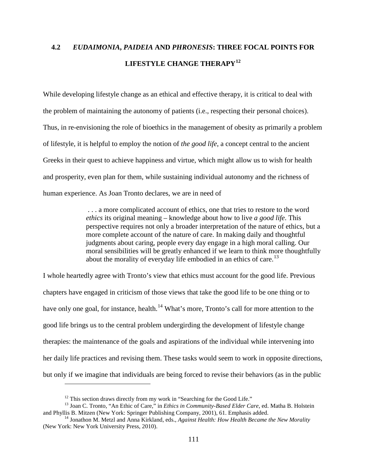# **4.2** *EUDAIMONIA***,** *PAIDEIA* **AND** *PHRONESIS***: THREE FOCAL POINTS FOR LIFESTYLE CHANGE THERAPY[12](#page-120-0)**

While developing lifestyle change as an ethical and effective therapy, it is critical to deal with the problem of maintaining the autonomy of patients (i.e., respecting their personal choices). Thus, in re-envisioning the role of bioethics in the management of obesity as primarily a problem of lifestyle, it is helpful to employ the notion of *the good life*, a concept central to the ancient Greeks in their quest to achieve happiness and virtue, which might allow us to wish for health and prosperity, even plan for them, while sustaining individual autonomy and the richness of human experience. As Joan Tronto declares, we are in need of

> . . . a more complicated account of ethics, one that tries to restore to the word *ethics* its original meaning – knowledge about how to live *a good life*. This perspective requires not only a broader interpretation of the nature of ethics, but a more complete account of the nature of care. In making daily and thoughtful judgments about caring, people every day engage in a high moral calling. Our moral sensibilities will be greatly enhanced if we learn to think more thoughtfully about the morality of everyday life embodied in an ethics of care.<sup>[13](#page-120-1)</sup>

I whole heartedly agree with Tronto's view that ethics must account for the good life. Previous chapters have engaged in criticism of those views that take the good life to be one thing or to have only one goal, for instance, health.<sup>[14](#page-120-2)</sup> What's more, Tronto's call for more attention to the good life brings us to the central problem undergirding the development of lifestyle change therapies: the maintenance of the goals and aspirations of the individual while intervening into her daily life practices and revising them. These tasks would seem to work in opposite directions, but only if we imagine that individuals are being forced to revise their behaviors (as in the public

<span id="page-120-1"></span><span id="page-120-0"></span><sup>&</sup>lt;sup>12</sup> This section draws directly from my work in "Searching for the Good Life."<br><sup>13</sup> Joan C. Tronto, "An Ethic of Care," in *Ethics in Community-Based Elder Care*, ed. Matha B. Holstein<br>and Phyllis B. Mitzen (New York: Spr

<span id="page-120-2"></span><sup>&</sup>lt;sup>14</sup> Jonathon M. Metzl and Anna Kirkland, eds., *Against Health: How Health Became the New Morality* (New York: New York University Press, 2010).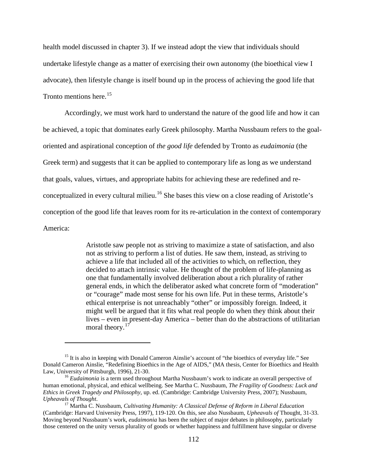health model discussed in chapter 3). If we instead adopt the view that individuals should undertake lifestyle change as a matter of exercising their own autonomy (the bioethical view I advocate), then lifestyle change is itself bound up in the process of achieving the good life that Tronto mentions here.<sup>[15](#page-121-0)</sup>

Accordingly, we must work hard to understand the nature of the good life and how it can be achieved, a topic that dominates early Greek philosophy. Martha Nussbaum refers to the goaloriented and aspirational conception of *the good life* defended by Tronto as *eudaimonia* (the Greek term) and suggests that it can be applied to contemporary life as long as we understand that goals, values, virtues, and appropriate habits for achieving these are redefined and re-conceptualized in every cultural milieu.<sup>[16](#page-121-1)</sup> She bases this view on a close reading of Aristotle's conception of the good life that leaves room for its re-articulation in the context of contemporary America:

> Aristotle saw people not as striving to maximize a state of satisfaction, and also not as striving to perform a list of duties. He saw them, instead, as striving to achieve a life that included all of the activities to which, on reflection, they decided to attach intrinsic value. He thought of the problem of life-planning as one that fundamentally involved deliberation about a rich plurality of rather general ends, in which the deliberator asked what concrete form of "moderation" or "courage" made most sense for his own life. Put in these terms, Aristotle's ethical enterprise is not unreachably "other" or impossibly foreign. Indeed, it might well be argued that it fits what real people do when they think about their lives – even in present-day America – better than do the abstractions of utilitarian moral theory.<sup>[17](#page-121-2)</sup>

<span id="page-121-0"></span><sup>&</sup>lt;sup>15</sup> It is also in keeping with Donald Cameron Ainslie's account of "the bioethics of everyday life." See Donald Cameron Ainslie, "Redefining Bioethics in the Age of AIDS," (MA thesis, Center for Bioethics and Health

<span id="page-121-1"></span><sup>&</sup>lt;sup>16</sup> Eudaimonia is a term used throughout Martha Nussbaum's work to indicate an overall perspective of human emotional, physical, and ethical wellbeing. See Martha C. Nussbaum, *The Fragility of Goodness: Luck and Ethics in Greek Tragedy and Philosophy*, up. ed. (Cambridge: Cambridge University Press, 2007); Nussbaum, *Upheavals of Thought*. <sup>17</sup> Martha C. Nussbaum, *Cultivating Humanity: A Classical Defense of Reform in Liberal Education* 

<span id="page-121-2"></span><sup>(</sup>Cambridge: Harvard University Press, 1997), 119-120. On this, see also Nussbaum, *Upheavals of* Thought, 31-33. Moving beyond Nussbaum's work, *eudaimonia* has been the subject of major debates in philosophy, particularly those centered on the unity versus plurality of goods or whether happiness and fulfillment have singular or diverse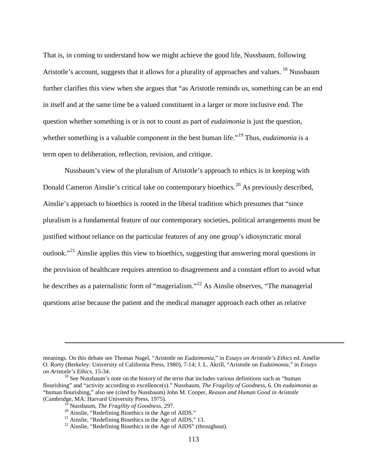That is, in coming to understand how we might achieve the good life, Nussbaum, following Aristotle's account, suggests that it allows for a plurality of approaches and values. <sup>[18](#page-122-0)</sup> Nussbaum further clarifies this view when she argues that "as Aristotle reminds us, something can be an end in itself and at the same time be a valued constituent in a larger or more inclusive end. The question whether something is or is not to count as part of *eudaimonia* is just the question, whether something is a valuable component in the best human life."<sup>[19](#page-122-1)</sup> Thus, *eudaimonia* is a term open to deliberation, reflection, revision, and critique.

Nussbaum's view of the pluralism of Aristotle's approach to ethics is in keeping with Donald Cameron Ainslie's critical take on contemporary bioethics.<sup>[20](#page-122-2)</sup> As previously described, Ainslie's approach to bioethics is rooted in the liberal tradition which presumes that "since pluralism is a fundamental feature of our contemporary societies, political arrangements must be justified without reliance on the particular features of any one group's idiosyncratic moral outlook."[21](#page-122-3) Ainslie applies this view to bioethics, suggesting that answering moral questions in the provision of healthcare requires attention to disagreement and a constant effort to avoid what he describes as a paternalistic form of "magerialism."<sup>[22](#page-122-4)</sup> As Ainslie observes, "The managerial" questions arise because the patient and the medical manager approach each other as relative

meanings. On this debate see Thomas Nagel, "Aristotle on *Eudaimonia*," in *Essays on Aristotle's Ethics* ed. Amélie O. Rorty (Berkeley: University of California Press, 1980), 7-14; J. L. Akrill, "Aristotle on *Eudaimonia*," in *Essays* 

<span id="page-122-3"></span><span id="page-122-2"></span><span id="page-122-1"></span><span id="page-122-0"></span><sup>&</sup>lt;sup>18</sup> See Nussbaum's note on the history of the term that includes various definitions such as "human" flourishing" and "activity according to excellence(s)." Nussbaum, *The Fragility of Goodness*, 6. On *eudaimonia* as "human flourishing," also see (cited by Nussbaum) John M. Cooper, *Reason and Human Good in Aristotle*  (Cambridge, MA: Harvard University Press, 1975).<br><sup>19</sup> Nussbaum, *The Fragility of Goodness*, 297.

<span id="page-122-4"></span>

<sup>&</sup>lt;sup>20</sup> Ainslie, "Redefining Bioethics in the Age of AIDS."<br><sup>21</sup> Ainslie, "Redefining Bioethics in the Age of AIDS," 13.<br><sup>22</sup> Ainslie, "Redefining Bioethics in the Age of AIDS" (throughout).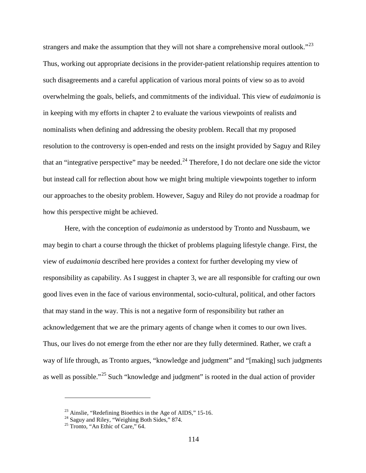strangers and make the assumption that they will not share a comprehensive moral outlook."<sup>[23](#page-123-0)</sup> Thus, working out appropriate decisions in the provider-patient relationship requires attention to such disagreements and a careful application of various moral points of view so as to avoid overwhelming the goals, beliefs, and commitments of the individual. This view of *eudaimonia* is in keeping with my efforts in chapter 2 to evaluate the various viewpoints of realists and nominalists when defining and addressing the obesity problem. Recall that my proposed resolution to the controversy is open-ended and rests on the insight provided by Saguy and Riley that an "integrative perspective" may be needed.<sup>[24](#page-123-1)</sup> Therefore, I do not declare one side the victor but instead call for reflection about how we might bring multiple viewpoints together to inform our approaches to the obesity problem. However, Saguy and Riley do not provide a roadmap for how this perspective might be achieved.

Here, with the conception of *eudaimonia* as understood by Tronto and Nussbaum, we may begin to chart a course through the thicket of problems plaguing lifestyle change. First, the view of *eudaimonia* described here provides a context for further developing my view of responsibility as capability. As I suggest in chapter 3, we are all responsible for crafting our own good lives even in the face of various environmental, socio-cultural, political, and other factors that may stand in the way. This is not a negative form of responsibility but rather an acknowledgement that we are the primary agents of change when it comes to our own lives. Thus, our lives do not emerge from the ether nor are they fully determined. Rather, we craft a way of life through, as Tronto argues, "knowledge and judgment" and "[making] such judgments as well as possible."[25](#page-123-2) Such "knowledge and judgment" is rooted in the dual action of provider

<span id="page-123-1"></span><span id="page-123-0"></span><sup>&</sup>lt;sup>23</sup> Ainslie, "Redefining Bioethics in the Age of AIDS," 15-16.<br><sup>24</sup> Saguy and Riley, "Weighing Both Sides," 874.<br><sup>25</sup> Tronto, "An Ethic of Care," 64.

<span id="page-123-2"></span>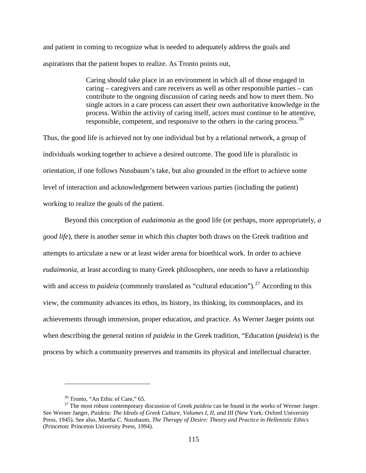and patient in coming to recognize what is needed to adequately address the goals and aspirations that the patient hopes to realize. As Tronto points out,

> Caring should take place in an environment in which all of those engaged in caring – caregivers and care receivers as well as other responsible parties – can contribute to the ongoing discussion of caring needs and how to meet them. No single actors in a care process can assert their own authoritative knowledge in the process. Within the activity of caring itself, actors must continue to be attentive, responsible, competent, and responsive to the others in the caring process.<sup>[26](#page-124-0)</sup>

Thus, the good life is achieved not by one individual but by a relational network, a group of individuals working together to achieve a desired outcome. The good life is pluralistic in orientation, if one follows Nussbaum's take, but also grounded in the effort to achieve some level of interaction and acknowledgement between various parties (including the patient) working to realize the goals of the patient.

Beyond this conception of *eudaimonia* as the good life (or perhaps, more appropriately, *a good life*), there is another sense in which this chapter both draws on the Greek tradition and attempts to articulate a new or at least wider arena for bioethical work. In order to achieve *eudaimonia*, at least according to many Greek philosophers, one needs to have a relationship with and access to *paideia* (commonly translated as "cultural education").<sup>[27](#page-124-1)</sup> According to this view, the community advances its ethos, its history, its thinking, its commonplaces, and its achievements through immersion, proper education, and practice. As Werner Jaeger points out when describing the general notion of *paideia* in the Greek tradition, "Education (*paideia*) is the process by which a community preserves and transmits its physical and intellectual character.

<span id="page-124-1"></span><span id="page-124-0"></span><sup>&</sup>lt;sup>26</sup> Tronto, "An Ethic of Care," 65.<br><sup>27</sup> The most robust contemporary discussion of Greek *paideia* can be found in the works of Werner Jaeger. See Werner Jaeger, *Paideia: The Ideals of Greek Culture, Volumes I, II, and III* (New York: Oxford University Press, 1945). See also, Martha C. Nussbaum, *The Therapy of Desire: Theory and Practice in Hellenistic Ethics* (Princeton: Princeton University Press, 1994).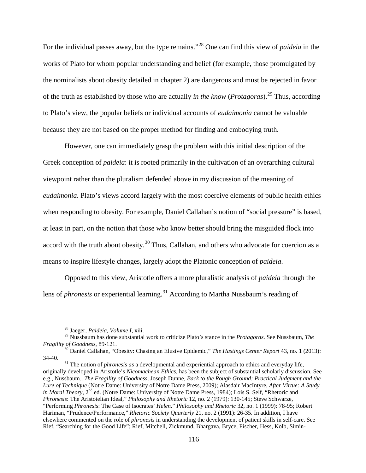For the individual passes away, but the type remains."[28](#page-125-0) One can find this view of *paideia* in the works of Plato for whom popular understanding and belief (for example, those promulgated by the nominalists about obesity detailed in chapter 2) are dangerous and must be rejected in favor of the truth as established by those who are actually *in the know* (*Protagoras*).[29](#page-125-1) Thus, according to Plato's view, the popular beliefs or individual accounts of *eudaimonia* cannot be valuable because they are not based on the proper method for finding and embodying truth.

However, one can immediately grasp the problem with this initial description of the Greek conception of *paideia*: it is rooted primarily in the cultivation of an overarching cultural viewpoint rather than the pluralism defended above in my discussion of the meaning of *eudaimonia*. Plato's views accord largely with the most coercive elements of public health ethics when responding to obesity. For example, Daniel Callahan's notion of "social pressure" is based, at least in part, on the notion that those who know better should bring the misguided flock into accord with the truth about obesity.<sup>[30](#page-125-2)</sup> Thus, Callahan, and others who advocate for coercion as a means to inspire lifestyle changes, largely adopt the Platonic conception of *paideia*.

Opposed to this view, Aristotle offers a more pluralistic analysis of *paideia* through the lens of *phronesis* or experiential learning. [31](#page-125-3) According to Martha Nussbaum's reading of

 $\overline{a}$ 

<span id="page-125-3"></span>34-40. <sup>31</sup> The notion of *phronesis as* a developmental and experiential approach to ethics and everyday life, originally developed in Aristotle's *Nicomachean Ethics,* has been the subject of substantial scholarly discussion. See e.g., Nussbaum., *The Fragility of Goodness*, Joseph Dunne, *Back to the Rough Ground: Practical Judgment and the Lure of Technique* (Notre Dame: University of Notre Dame Press, 2009); Alasdair MacIntyre, *After Virtue: A Study in Moral Theory*, 2<sup>nd</sup> ed. (Notre Dame: University of Notre Dame Press, 1984); Lois S. Self, "Rhetoric and *Phronesis*: The Aristotelian Ideal," *Philosophy and Rhetoric* 12, no. 2 (1979): 130-145; Steve Schwarze, "Performing *Phronesis*: The Case of Isocrates' *Helen*." *Philosophy and Rhetoric* 32, no. 1 (1999): 78-95; Robert Hariman, "Prudence/Performance," *Rhetoric Society Quarterly* 21, no. 2 (1991): 26-35. In addition, I have elsewhere commented on the role of *phronesis* in understanding the development of patient skills in self-care. See Rief, "Searching for the Good Life"; Rief, Mitchell, Zickmund, Bhargava, Bryce, Fischer, Hess, Kolb, Simin-

<sup>28</sup> Jaeger, *Paideia*, *Volume I*, xiii.

<span id="page-125-1"></span><span id="page-125-0"></span><sup>29</sup> Nussbaum has done substantial work to criticize Plato's stance in the *Protagoras*. See Nussbaum, *The Fragility of Goodness*, 89-121.<br><sup>30</sup> Daniel Callahan, "Obesity: Chasing an Elusive Epidemic," *The Hastings Center Report* 43, no. 1 (2013):

<span id="page-125-2"></span>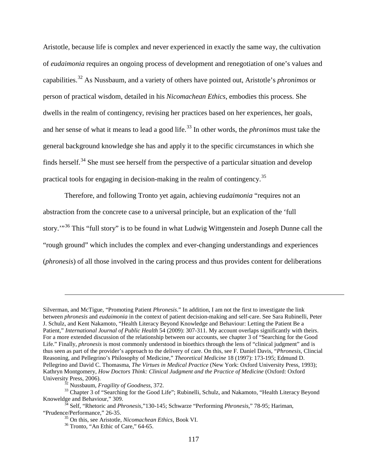Aristotle, because life is complex and never experienced in exactly the same way, the cultivation of *eudaimonia* requires an ongoing process of development and renegotiation of one's values and capabilities. [32](#page-126-0) As Nussbaum, and a variety of others have pointed out, Aristotle's *phronimos* or person of practical wisdom, detailed in his *Nicomachean Ethics*, embodies this process. She dwells in the realm of contingency, revising her practices based on her experiences, her goals, and her sense of what it means to lead a good life. [33](#page-126-1) In other words, the *phronimos* must take the general background knowledge she has and apply it to the specific circumstances in which she finds herself.<sup>[34](#page-126-2)</sup> She must see herself from the perspective of a particular situation and develop practical tools for engaging in decision-making in the realm of contingency.[35](#page-126-3)

Therefore, and following Tronto yet again, achieving *eudaimonia* "requires not an abstraction from the concrete case to a universal principle, but an explication of the 'full story.<sup>"[36](#page-126-4)</sup> This "full story" is to be found in what Ludwig Wittgenstein and Joseph Dunne call the "rough ground" which includes the complex and ever-changing understandings and experiences (*phronesis*) of all those involved in the caring process and thus provides content for deliberations

Silverman, and McTigue, "Promoting Patient *Phronesis*." In addition, I am not the first to investigate the link between *phronesis* and *eudaimonia* in the context of patient decision-making and self-care. See Sara Rubinelli, Peter J. Schulz, and Kent Nakamoto, "Health Literacy Beyond Knowledge and Behaviour: Letting the Patient Be a Patient," *International Journal of Public Health* 54 (2009): 307-311. My account overlaps significantly with theirs. For a more extended discussion of the relationship between our accounts, see chapter 3 of "Searching for the Good Life." Finally, *phronesis* is most commonly understood in bioethics through the lens of "clinical judgment" and is thus seen as part of the provider's approach to the delivery of care. On this, see F. Daniel Davis, "*Phronesis*, Clincial Reasoning, and Pellegrino's Philosophy of Medicine," *Theoretical Medicine* 18 (1997): 173-195; Edmund D. Pellegrino and David C. Thomasma, *The Virtues in Medical Practice* (New York: Oxford University Press, 1993); Kathryn Montgomery, *How Doctors Think: Clinical Judgment and the Practice of Medicine* (Oxford: Oxford University Press, 2006).

<span id="page-126-1"></span><span id="page-126-0"></span><sup>&</sup>lt;sup>32</sup> Nussbaum, *Fragility of Goodness*, 372.<br><sup>33</sup> Chapter 3 of "Searching for the Good Life"; Rubinelli, Schulz, and Nakamoto, "Health Literacy Beyond Knoweldge and Behaviour," 309.

<span id="page-126-4"></span><span id="page-126-3"></span><span id="page-126-2"></span><sup>&</sup>lt;sup>34</sup> Self, "Rhetoric and *Phronesis*," 130-145; Schwarze "Performing *Phronesis*," 78-95; Hariman, "Prudence/Performance," 26-35.

<sup>&</sup>lt;sup>35</sup> On this, see Aristotle, *Nicomachean Ethics*, Book VI.<br><sup>36</sup> Tronto, "An Ethic of Care," 64-65.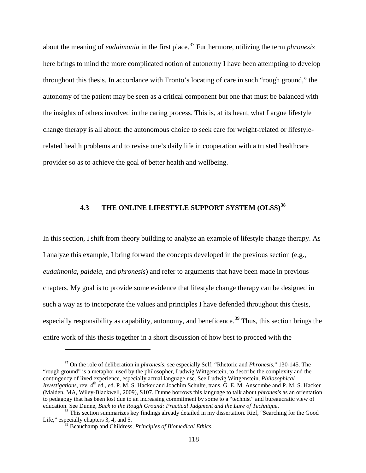about the meaning of *eudaimonia* in the first place.[37](#page-127-0) Furthermore, utilizing the term *phronesis* here brings to mind the more complicated notion of autonomy I have been attempting to develop throughout this thesis. In accordance with Tronto's locating of care in such "rough ground," the autonomy of the patient may be seen as a critical component but one that must be balanced with the insights of others involved in the caring process. This is, at its heart, what I argue lifestyle change therapy is all about: the autonomous choice to seek care for weight-related or lifestylerelated health problems and to revise one's daily life in cooperation with a trusted healthcare provider so as to achieve the goal of better health and wellbeing.

# **4.3 THE ONLINE LIFESTYLE SUPPORT SYSTEM (OLSS) [38](#page-127-1)**

In this section, I shift from theory building to analyze an example of lifestyle change therapy. As I analyze this example, I bring forward the concepts developed in the previous section (e.g., *eudaimonia*, *paideia*, and *phronesis*) and refer to arguments that have been made in previous chapters. My goal is to provide some evidence that lifestyle change therapy can be designed in such a way as to incorporate the values and principles I have defended throughout this thesis, especially responsibility as capability, autonomy, and beneficence.<sup>[39](#page-127-2)</sup> Thus, this section brings the entire work of this thesis together in a short discussion of how best to proceed with the

<span id="page-127-0"></span><sup>37</sup> On the role of deliberation in *phronesis*, see especially Self, "Rhetoric and *Phronesis*," 130-145. The "rough ground" is a metaphor used by the philosopher, Ludwig Wittgenstein, to describe the complexity and the contingency of lived experience, especially actual language use. See Ludwig Wittgenstein, *Philosophical Investigations*, rev. 4<sup>th</sup> ed., ed. P. M. S. Hacker and Joachim Schulte, trans. G. E. M. Anscombe and P. M. S. Hacker (Malden, MA, Wiley-Blackwell, 2009), S107. Dunne borrows this language to talk about *phronesis* as an orientation to pedagogy that has been lost due to an increasing commitment by some to a "technist" and bureaucratic view of<br>education. See Dunne, Back to the Rough Ground: Practical Judgment and the Lure of Technique.

<span id="page-127-2"></span><span id="page-127-1"></span><sup>&</sup>lt;sup>38</sup> This section summarizes key findings already detailed in my dissertation. Rief, "Searching for the Good Life," especially chapters 3, 4, and 5.

<sup>39</sup> Beauchamp and Childress, *Principles of Biomedical Ethics*.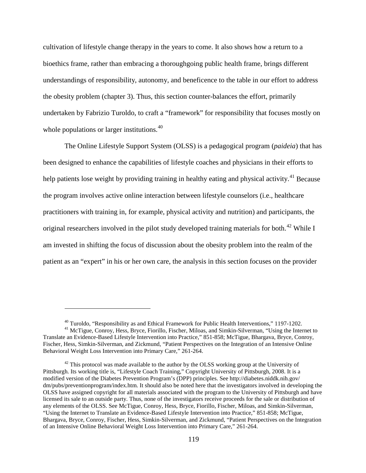cultivation of lifestyle change therapy in the years to come. It also shows how a return to a bioethics frame, rather than embracing a thoroughgoing public health frame, brings different understandings of responsibility, autonomy, and beneficence to the table in our effort to address the obesity problem (chapter 3). Thus, this section counter-balances the effort, primarily undertaken by Fabrizio Turoldo, to craft a "framework" for responsibility that focuses mostly on whole populations or larger institutions.<sup>[40](#page-128-0)</sup>

The Online Lifestyle Support System (OLSS) is a pedagogical program (*paideia*) that has been designed to enhance the capabilities of lifestyle coaches and physicians in their efforts to help patients lose weight by providing training in healthy eating and physical activity.<sup>[41](#page-128-1)</sup> Because the program involves active online interaction between lifestyle counselors (i.e., healthcare practitioners with training in, for example, physical activity and nutrition) and participants, the original researchers involved in the pilot study developed training materials for both.<sup>[42](#page-128-2)</sup> While I am invested in shifting the focus of discussion about the obesity problem into the realm of the patient as an "expert" in his or her own care, the analysis in this section focuses on the provider

<sup>&</sup>lt;sup>40</sup> Turoldo, "Responsibility as and Ethical Framework for Public Health Interventions," 1197-1202.<br><sup>41</sup> McTigue, Conroy, Hess, Bryce, Fiorillo, Fischer, Miloas, and Simkin-Silverman, "Using the Internet to

<span id="page-128-1"></span><span id="page-128-0"></span>Translate an Evidence-Based Lifestyle Intervention into Practice," 851-858; McTigue, Bhargava, Bryce, Conroy, Fischer, Hess, Simkin-Silverman, and Zickmund, "Patient Perspectives on the Integration of an Intensive Online Behavioral Weight Loss Intervention into Primary Care," 261-264.

<span id="page-128-2"></span> $42$  This protocol was made available to the author by the OLSS working group at the University of Pittsburgh. Its working title is, "Lifestyle Coach Training," Copyright University of Pittsburgh, 2008. It is a modified version of the Diabetes Prevention Program's (DPP) principles. See [http://diabetes.niddk.nih.gov/](http://diabetes.niddk.nih.gov/%20dm/pubs/preventionprogram/index.htm)  [dm/pubs/preventionprogram/index.htm.](http://diabetes.niddk.nih.gov/%20dm/pubs/preventionprogram/index.htm) It should also be noted here that the investigators involved in developing the OLSS have assigned copyright for all materials associated with the program to the University of Pittsburgh and have licensed its sale to an outside party. Thus, none of the investigators receive proceeds for the sale or distribution of any elements of the OLSS. See McTigue, Conroy, Hess, Bryce, Fiorillo, Fischer, Miloas, and Simkin-Silverman, "Using the Internet to Translate an Evidence-Based Lifestyle Intervention into Practice," 851-858; McTigue, Bhargava, Bryce, Conroy, Fischer, Hess, Simkin-Silverman, and Zickmund, "Patient Perspectives on the Integration of an Intensive Online Behavioral Weight Loss Intervention into Primary Care," 261-264.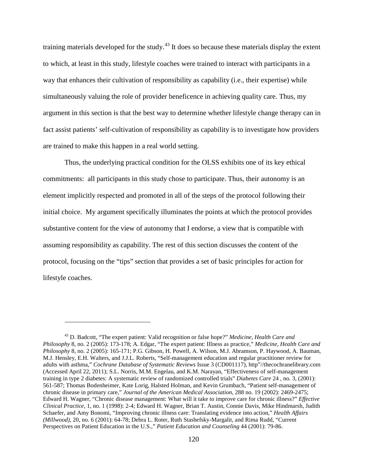training materials developed for the study.<sup>[43](#page-129-0)</sup> It does so because these materials display the extent to which, at least in this study, lifestyle coaches were trained to interact with participants in a way that enhances their cultivation of responsibility as capability (i.e., their expertise) while simultaneously valuing the role of provider beneficence in achieving quality care. Thus, my argument in this section is that the best way to determine whether lifestyle change therapy can in fact assist patients' self-cultivation of responsibility as capability is to investigate how providers are trained to make this happen in a real world setting.

Thus, the underlying practical condition for the OLSS exhibits one of its key ethical commitments: all participants in this study chose to participate. Thus, their autonomy is an element implicitly respected and promoted in all of the steps of the protocol following their initial choice. My argument specifically illuminates the points at which the protocol provides substantive content for the view of autonomy that I endorse, a view that is compatible with assuming responsibility as capability. The rest of this section discusses the content of the protocol, focusing on the "tips" section that provides a set of basic principles for action for lifestyle coaches.

<span id="page-129-0"></span><sup>43</sup> D. Badcott, "The expert patient: Valid recognition or false hope?" *Medicine, Health Care and Philosophy* 8, no. 2 (2005): 173-178; A. Edgar, "The expert patient: Illness as practice," *Medicine, Health Care and Philosophy* 8, no. 2 (2005): 165-171; P.G. Gibson, H. Powell, A. Wilson, M.J. Abramson, P. Haywood, A. Bauman, M.J. Hensley, E.H. Walters, and J.J.L. Roberts, "Self-management education and regular practitioner review for adults with asthma," *Cochrane Database of Systematic Reviews* Issue 3 (CD001117), http"//thecochranelibrary.com (Accessed April 22, 2011); S.L. Norris, M.M. Engelau, and K.M. Narayan, "Effectiveness of self-management training in type 2 diabetes: A systematic review of randomized controlled trials" *Diabetes Care* 24 , no. 3, (2001): 561-587; Thomas Bodenheimer, Kate Lorig, Halsted Holman, and Kevin Grumbach, "Patient self-management of chronic disease in primary care," *Journal of the American Medical Association*, 288 no. 19 (2002): 2469-2475; Edward H. Wagner, "Chronic disease management: What will it take to improve care for chronic illness?" *Effective Clinical Practice*, 1, no. 1 (1998): 2-4; Edward H. Wagner, Brian T. Austin, Connie Davis, Mike Hindmarsh, Judith Schaefer, and Amy Bonomi, "Improving chronic illness care: Translating evidence into action," *Health Affairs (Millwood)*, 20, no. 6 (2001): 64-78; Debra L. Roter, Ruth Stashefsky-Margalit, and Rima Rudd, "Current Perspectives on Patient Education in the U.S.," *Patient Education and Counseling* 44 (2001): 79-86.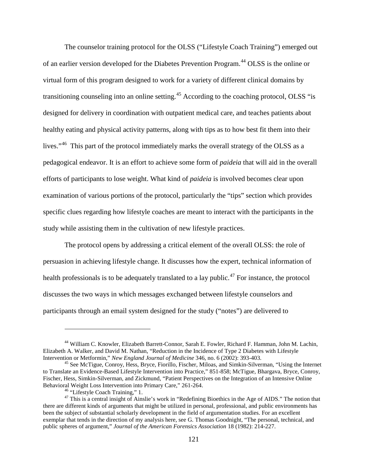The counselor training protocol for the OLSS ("Lifestyle Coach Training") emerged out of an earlier version developed for the Diabetes Prevention Program.<sup>[44](#page-130-0)</sup> OLSS is the online or virtual form of this program designed to work for a variety of different clinical domains by transitioning counseling into an online setting.<sup>[45](#page-130-1)</sup> According to the coaching protocol, OLSS "is designed for delivery in coordination with outpatient medical care, and teaches patients about healthy eating and physical activity patterns, along with tips as to how best fit them into their lives."<sup>46</sup> This part of the protocol immediately marks the overall strategy of the OLSS as a pedagogical endeavor. It is an effort to achieve some form of *paideia* that will aid in the overall efforts of participants to lose weight. What kind of *paideia* is involved becomes clear upon examination of various portions of the protocol, particularly the "tips" section which provides specific clues regarding how lifestyle coaches are meant to interact with the participants in the study while assisting them in the cultivation of new lifestyle practices.

The protocol opens by addressing a critical element of the overall OLSS: the role of persuasion in achieving lifestyle change. It discusses how the expert, technical information of health professionals is to be adequately translated to a lay public.<sup>[47](#page-130-3)</sup> For instance, the protocol discusses the two ways in which messages exchanged between lifestyle counselors and participants through an email system designed for the study ("notes") are delivered to

<span id="page-130-0"></span><sup>44</sup> William C. Knowler, Elizabeth Barrett-Connor, Sarah E. Fowler, Richard F. Hamman, John M. Lachin, Elizabeth A. Walker, and David M. Nathan, "Reduction in the Incidence of Type 2 Diabetes with Lifestyle Intervention or Metformin," New England Journal of Medicine 346, no. 6 (2002): 393-403.

<span id="page-130-1"></span><sup>&</sup>lt;sup>45</sup> See McTigue, Conroy, Hess, Bryce, Fiorillo, Fischer, Miloas, and Simkin-Silverman, "Using the Internet to Translate an Evidence-Based Lifestyle Intervention into Practice," 851-858; McTigue, Bhargava, Bryce, Conroy, Fischer, Hess, Simkin-Silverman, and Zickmund, "Patient Perspectives on the Integration of an Intensive Online

<span id="page-130-3"></span><span id="page-130-2"></span><sup>&</sup>lt;sup>46</sup> "Lifestyle Coach Training," 1.<br><sup>47</sup> This is a central insight of Ainslie's work in "Redefining Bioethics in the Age of AIDS." The notion that there are different kinds of arguments that might be utilized in personal, professional, and public environments has been the subject of substantial scholarly development in the field of argumentation studies. For an excellent exemplar that tends in the direction of my analysis here, see G. Thomas Goodnight, "The personal, technical, and public spheres of argument," *Journal of the American Forensics Association* 18 (1982): 214-227.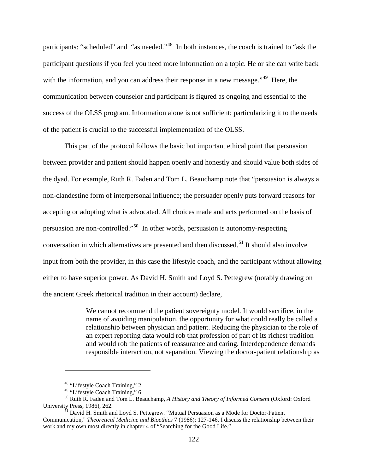participants: "scheduled" and "as needed."<sup>48</sup> In both instances, the coach is trained to "ask the participant questions if you feel you need more information on a topic. He or she can write back with the information, and you can address their response in a new message."<sup>[49](#page-131-1)</sup> Here, the communication between counselor and participant is figured as ongoing and essential to the success of the OLSS program. Information alone is not sufficient; particularizing it to the needs of the patient is crucial to the successful implementation of the OLSS.

This part of the protocol follows the basic but important ethical point that persuasion between provider and patient should happen openly and honestly and should value both sides of the dyad. For example, Ruth R. Faden and Tom L. Beauchamp note that "persuasion is always a non-clandestine form of interpersonal influence; the persuader openly puts forward reasons for accepting or adopting what is advocated. All choices made and acts performed on the basis of persuasion are non-controlled."[50](#page-131-2) In other words, persuasion is autonomy-respecting conversation in which alternatives are presented and then discussed.<sup>[51](#page-131-3)</sup> It should also involve input from both the provider, in this case the lifestyle coach, and the participant without allowing either to have superior power. As David H. Smith and Loyd S. Pettegrew (notably drawing on the ancient Greek rhetorical tradition in their account) declare,

> We cannot recommend the patient sovereignty model. It would sacrifice, in the name of avoiding manipulation, the opportunity for what could really be called a relationship between physician and patient. Reducing the physician to the role of an expert reporting data would rob that profession of part of its richest tradition and would rob the patients of reassurance and caring. Interdependence demands responsible interaction, not separation. Viewing the doctor-patient relationship as

<sup>&</sup>lt;sup>48</sup> "Lifestyle Coach Training," 2.<br><sup>49</sup> "Lifestyle Coach Training," 6.

<span id="page-131-2"></span><span id="page-131-1"></span><span id="page-131-0"></span><sup>&</sup>lt;sup>50</sup> Ruth R. Faden and Tom L. Beauchamp, *A History and Theory of Informed Consent* (Oxford: Oxford University Press, 1986), 262.

<span id="page-131-3"></span> $\frac{51}{12}$  David H. Smith and Loyd S. Pettegrew. "Mutual Persuasion as a Mode for Doctor-Patient Communication," *Theoretical Medicine and Bioethics* 7 (1986): 127-146. I discuss the relationship between their work and my own most directly in chapter 4 of "Searching for the Good Life."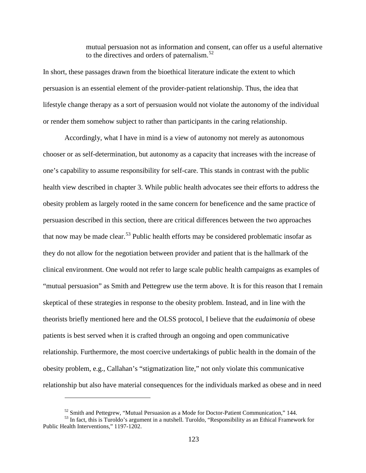mutual persuasion not as information and consent, can offer us a useful alternative to the directives and orders of paternalism.<sup>[52](#page-132-0)</sup>

In short, these passages drawn from the bioethical literature indicate the extent to which persuasion is an essential element of the provider-patient relationship. Thus, the idea that lifestyle change therapy as a sort of persuasion would not violate the autonomy of the individual or render them somehow subject to rather than participants in the caring relationship.

Accordingly, what I have in mind is a view of autonomy not merely as autonomous chooser or as self-determination, but autonomy as a capacity that increases with the increase of one's capability to assume responsibility for self-care. This stands in contrast with the public health view described in chapter 3. While public health advocates see their efforts to address the obesity problem as largely rooted in the same concern for beneficence and the same practice of persuasion described in this section, there are critical differences between the two approaches that now may be made clear.<sup>[53](#page-132-1)</sup> Public health efforts may be considered problematic insofar as they do not allow for the negotiation between provider and patient that is the hallmark of the clinical environment. One would not refer to large scale public health campaigns as examples of "mutual persuasion" as Smith and Pettegrew use the term above. It is for this reason that I remain skeptical of these strategies in response to the obesity problem. Instead, and in line with the theorists briefly mentioned here and the OLSS protocol, I believe that the *eudaimonia* of obese patients is best served when it is crafted through an ongoing and open communicative relationship. Furthermore, the most coercive undertakings of public health in the domain of the obesity problem, e.g., Callahan's "stigmatization lite," not only violate this communicative relationship but also have material consequences for the individuals marked as obese and in need

<span id="page-132-1"></span><span id="page-132-0"></span> $52$  Smith and Pettegrew, "Mutual Persuasion as a Mode for Doctor-Patient Communication," 144.<br> $53$  In fact, this is Turoldo's argument in a nutshell. Turoldo, "Responsibility as an Ethical Framework for Public Health Interventions," 1197-1202.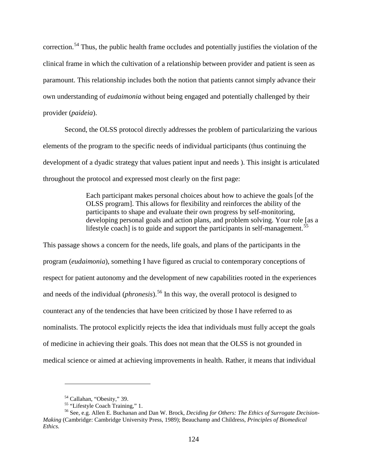correction.<sup>[54](#page-133-0)</sup> Thus, the public health frame occludes and potentially justifies the violation of the clinical frame in which the cultivation of a relationship between provider and patient is seen as paramount. This relationship includes both the notion that patients cannot simply advance their own understanding of *eudaimonia* without being engaged and potentially challenged by their provider (*paideia*).

Second, the OLSS protocol directly addresses the problem of particularizing the various elements of the program to the specific needs of individual participants (thus continuing the development of a dyadic strategy that values patient input and needs ). This insight is articulated throughout the protocol and expressed most clearly on the first page:

> Each participant makes personal choices about how to achieve the goals [of the OLSS program]. This allows for flexibility and reinforces the ability of the participants to shape and evaluate their own progress by self-monitoring, developing personal goals and action plans, and problem solving. Your role [as a lifestyle coach] is to guide and support the participants in self-management.<sup>[55](#page-133-1)</sup>

This passage shows a concern for the needs, life goals, and plans of the participants in the program (*eudaimonia*), something I have figured as crucial to contemporary conceptions of respect for patient autonomy and the development of new capabilities rooted in the experiences and needs of the individual *(phronesis)*.<sup>[56](#page-133-2)</sup> In this way, the overall protocol is designed to counteract any of the tendencies that have been criticized by those I have referred to as nominalists. The protocol explicitly rejects the idea that individuals must fully accept the goals of medicine in achieving their goals. This does not mean that the OLSS is not grounded in medical science or aimed at achieving improvements in health. Rather, it means that individual

<span id="page-133-2"></span><span id="page-133-1"></span><span id="page-133-0"></span><sup>&</sup>lt;sup>54</sup> Callahan, "Obesity," 39.<br><sup>55</sup> "Lifestyle Coach Training," 1.<br><sup>56</sup> See, e.g. Allen E. Buchanan and Dan W. Brock, *Deciding for Others: The Ethics of Surrogate Decision-Making* (Cambridge: Cambridge University Press, 1989); Beauchamp and Childress, *Principles of Biomedical Ethics.*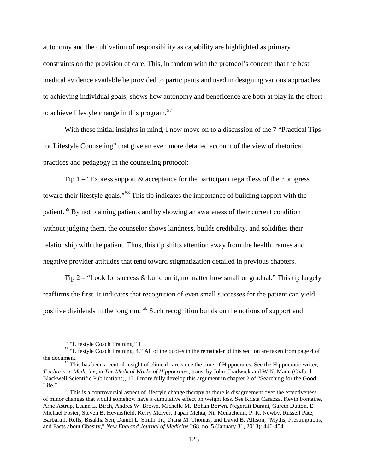autonomy and the cultivation of responsibility as capability are highlighted as primary constraints on the provision of care. This, in tandem with the protocol's concern that the best medical evidence available be provided to participants and used in designing various approaches to achieving individual goals, shows how autonomy and beneficence are both at play in the effort to achieve lifestyle change in this program.<sup>[57](#page-134-0)</sup>

With these initial insights in mind, I now move on to a discussion of the 7 "Practical Tips for Lifestyle Counseling" that give an even more detailed account of the view of rhetorical practices and pedagogy in the counseling protocol:

Tip 1 – "Express support & acceptance for the participant regardless of their progress toward their lifestyle goals."[58](#page-134-1) This tip indicates the importance of building rapport with the patient.<sup>[59](#page-134-2)</sup> By not blaming patients and by showing an awareness of their current condition without judging them, the counselor shows kindness, builds credibility, and solidifies their relationship with the patient. Thus, this tip shifts attention away from the health frames and negative provider attitudes that tend toward stigmatization detailed in previous chapters.

Tip 2 – "Look for success  $\&$  build on it, no matter how small or gradual." This tip largely reaffirms the first. It indicates that recognition of even small successes for the patient can yield positive dividends in the long run. [60](#page-134-3) Such recognition builds on the notions of support and

<span id="page-134-1"></span><span id="page-134-0"></span><sup>&</sup>lt;sup>57</sup> "Lifestyle Coach Training," 1.<br><sup>58</sup> "Lifestyle Coach Training, 4." All of the quotes in the remainder of this section are taken from page 4 of the document.

<span id="page-134-2"></span><sup>&</sup>lt;sup>59</sup> This has been a central insight of clinical care since the time of Hippocrates. See the Hippocratic writer, *Tradition in Medicine*, in *The Medical Works of Hippocrates*, trans. by John Chadwick and W.N. Mann (Oxford: Blackwell Scientific Publications), 13. I more fully develop this argument in chapter 2 of "Searching for the Good

<span id="page-134-3"></span> $60$  This is a controversial aspect of lifestyle change therapy as there is disagreement over the effectiveness of minor changes that would somehow have a cumulative effect on weight loss. See Krista Casazza, Kevin Fontaine, Arne Astrup, Leann L. Birch, Andres W. Brown, Michelle M. Bohan Borwn, Negertiti Durant, Gareth Dutton, E. Michael Foster, Steven B. Heymsfield, Kerry McIver, Tapan Mehta, Nir Menachemi, P. K. Newby, Russell Pate, Barbara J. Rolls, Bisakha Sen, Daniel L. Smith, Jr., Diana M. Thomas, and David B. Allison, "Myths, Presumptions, and Facts about Obesity," *New England Journal of Medicine* 268, no. 5 (January 31, 2013): 446-454.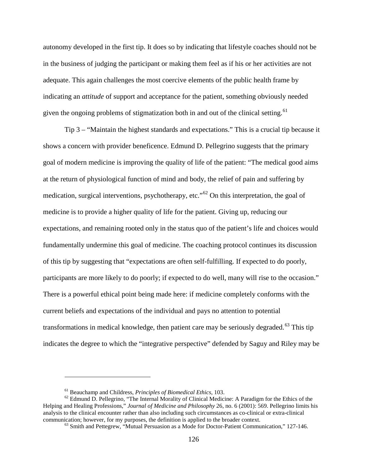autonomy developed in the first tip. It does so by indicating that lifestyle coaches should not be in the business of judging the participant or making them feel as if his or her activities are not adequate. This again challenges the most coercive elements of the public health frame by indicating an *attitude* of support and acceptance for the patient, something obviously needed given the ongoing problems of stigmatization both in and out of the clinical setting.<sup>[61](#page-135-0)</sup>

Tip 3 – "Maintain the highest standards and expectations." This is a crucial tip because it shows a concern with provider beneficence. Edmund D. Pellegrino suggests that the primary goal of modern medicine is improving the quality of life of the patient: "The medical good aims at the return of physiological function of mind and body, the relief of pain and suffering by medication, surgical interventions, psychotherapy, etc."[62](#page-135-1) On this interpretation, the goal of medicine is to provide a higher quality of life for the patient. Giving up, reducing our expectations, and remaining rooted only in the status quo of the patient's life and choices would fundamentally undermine this goal of medicine. The coaching protocol continues its discussion of this tip by suggesting that "expectations are often self-fulfilling. If expected to do poorly, participants are more likely to do poorly; if expected to do well, many will rise to the occasion." There is a powerful ethical point being made here: if medicine completely conforms with the current beliefs and expectations of the individual and pays no attention to potential transformations in medical knowledge, then patient care may be seriously degraded.<sup>[63](#page-135-2)</sup> This tip indicates the degree to which the "integrative perspective" defended by Saguy and Riley may be

<span id="page-135-2"></span><span id="page-135-1"></span><span id="page-135-0"></span><sup>&</sup>lt;sup>61</sup> Beauchamp and Childress, *Principles of Biomedical Ethics*, 103.<br><sup>62</sup> Edmund D. Pellegrino, "The Internal Morality of Clinical Medicine: A Paradigm for the Ethics of the Helping and Healing Professions," *Journal of Medicine and Philosophy* 26, no. 6 (2001): 569. Pellegrino limits his analysis to the clinical encounter rather than also including such circumstances as co-clinical or extra-clinical communication; however, for my purposes, the definition is applied to the broader context.

 $^{63}$  Smith and Pettegrew, "Mutual Persuasion as a Mode for Doctor-Patient Communication," 127-146.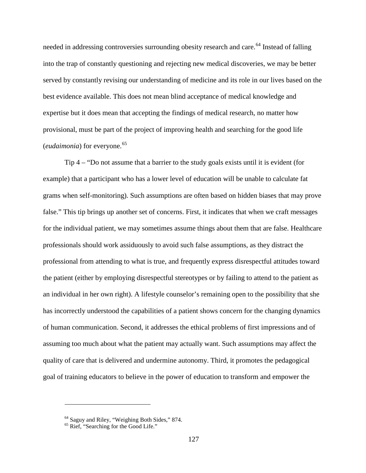needed in addressing controversies surrounding obesity research and care.<sup>[64](#page-136-0)</sup> Instead of falling into the trap of constantly questioning and rejecting new medical discoveries, we may be better served by constantly revising our understanding of medicine and its role in our lives based on the best evidence available. This does not mean blind acceptance of medical knowledge and expertise but it does mean that accepting the findings of medical research, no matter how provisional, must be part of the project of improving health and searching for the good life (*eudaimonia*) for everyone.<sup>[65](#page-136-1)</sup>

Tip 4 – "Do not assume that a barrier to the study goals exists until it is evident (for example) that a participant who has a lower level of education will be unable to calculate fat grams when self-monitoring). Such assumptions are often based on hidden biases that may prove false." This tip brings up another set of concerns. First, it indicates that when we craft messages for the individual patient, we may sometimes assume things about them that are false. Healthcare professionals should work assiduously to avoid such false assumptions, as they distract the professional from attending to what is true, and frequently express disrespectful attitudes toward the patient (either by employing disrespectful stereotypes or by failing to attend to the patient as an individual in her own right). A lifestyle counselor's remaining open to the possibility that she has incorrectly understood the capabilities of a patient shows concern for the changing dynamics of human communication. Second, it addresses the ethical problems of first impressions and of assuming too much about what the patient may actually want. Such assumptions may affect the quality of care that is delivered and undermine autonomy. Third, it promotes the pedagogical goal of training educators to believe in the power of education to transform and empower the

<span id="page-136-1"></span><span id="page-136-0"></span> $64$  Saguy and Riley, "Weighing Both Sides," 874.  $65$  Rief, "Searching for the Good Life."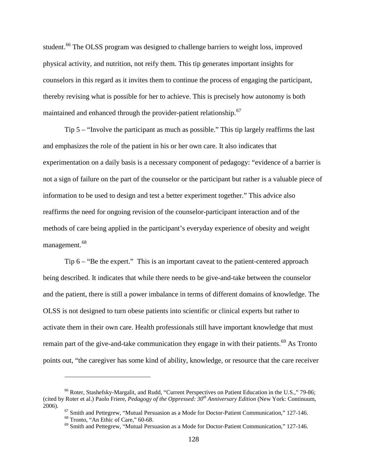student.<sup>[66](#page-137-0)</sup> The OLSS program was designed to challenge barriers to weight loss, improved physical activity, and nutrition, not reify them. This tip generates important insights for counselors in this regard as it invites them to continue the process of engaging the participant, thereby revising what is possible for her to achieve. This is precisely how autonomy is both maintained and enhanced through the provider-patient relationship.<sup>[67](#page-137-1)</sup>

Tip 5 – "Involve the participant as much as possible." This tip largely reaffirms the last and emphasizes the role of the patient in his or her own care. It also indicates that experimentation on a daily basis is a necessary component of pedagogy: "evidence of a barrier is not a sign of failure on the part of the counselor or the participant but rather is a valuable piece of information to be used to design and test a better experiment together." This advice also reaffirms the need for ongoing revision of the counselor-participant interaction and of the methods of care being applied in the participant's everyday experience of obesity and weight management.<sup>[68](#page-137-2)</sup>

Tip 6 – "Be the expert." This is an important caveat to the patient-centered approach being described. It indicates that while there needs to be give-and-take between the counselor and the patient, there is still a power imbalance in terms of different domains of knowledge. The OLSS is not designed to turn obese patients into scientific or clinical experts but rather to activate them in their own care. Health professionals still have important knowledge that must remain part of the give-and-take communication they engage in with their patients.<sup>[69](#page-137-3)</sup> As Tronto points out, "the caregiver has some kind of ability, knowledge, or resource that the care receiver

<span id="page-137-0"></span><sup>66</sup> Roter, Stashefsky-Margalit, and Rudd, "Current Perspectives on Patient Education in the U.S.," 79-86; (cited by Roter et al.) Paolo Friere, *Pedagogy of the Oppressed: 30th Anniversary Edition* (New York: Continuum,

<span id="page-137-3"></span><span id="page-137-2"></span><span id="page-137-1"></span><sup>2006).&</sup>lt;br>
<sup>67</sup> Smith and Pettegrew, "Mutual Persuasion as a Mode for Doctor-Patient Communication," 127-146.<br>
<sup>68</sup> Tronto, "An Ethic of Care," 60-68.<br>
<sup>69</sup> Smith and Pettegrew, "Mutual Persuasion as a Mode for Doctor-Patien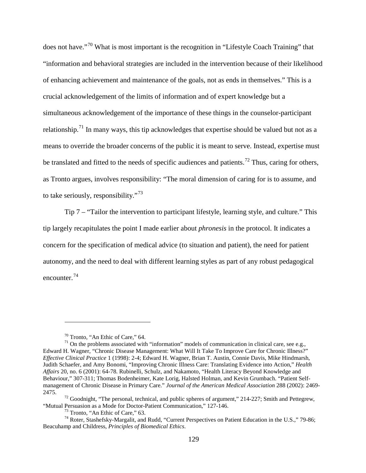does not have."[70](#page-138-0) What is most important is the recognition in "Lifestyle Coach Training" that "information and behavioral strategies are included in the intervention because of their likelihood of enhancing achievement and maintenance of the goals, not as ends in themselves." This is a crucial acknowledgement of the limits of information and of expert knowledge but a simultaneous acknowledgement of the importance of these things in the counselor-participant relationship.<sup>[71](#page-138-1)</sup> In many ways, this tip acknowledges that expertise should be valued but not as a means to override the broader concerns of the public it is meant to serve. Instead, expertise must be translated and fitted to the needs of specific audiences and patients.<sup>[72](#page-138-2)</sup> Thus, caring for others, as Tronto argues, involves responsibility: "The moral dimension of caring for is to assume, and to take seriously, responsibility."<sup>[73](#page-138-3)</sup>

Tip 7 – "Tailor the intervention to participant lifestyle, learning style, and culture." This tip largely recapitulates the point I made earlier about *phronesis* in the protocol. It indicates a concern for the specification of medical advice (to situation and patient), the need for patient autonomy, and the need to deal with different learning styles as part of any robust pedagogical encounter.[74](#page-138-4)

<span id="page-138-1"></span><span id="page-138-0"></span><sup>&</sup>lt;sup>70</sup> Tronto, "An Ethic of Care," 64.<br><sup>71</sup> On the problems associated with "information" models of communication in clinical care, see e.g., Edward H. Wagner, ["Chronic Disease Management: What Will It Take To Improve Care for Chronic Illness?"](http://www.ncbi.nlm.nih.gov/entrez/query.fcgi?orig_db=PubMed&db=PubMed&cmd=Search&defaultField=Title+Word&term=Chronic+disease+management+what+will+it+) *Effective Clinical Practice* 1 (1998): 2-4; Edward H. Wagner, Brian T. Austin, Connie Davis, Mike Hindmarsh, Judith Schaefer, and Amy Bonomi, "Improving Chronic Illness Care: Translating Evidence into Action," *Health Affairs* 20, no. 6 (2001): 64-78. Rubinelli, Schulz, and Nakamoto, "Health Literacy Beyond Knowledge and Behaviour," 307-311; Thomas Bodenheimer, Kate Lorig, Halsted Holman, and Kevin Grumbach. "Patient Selfmanagement of Chronic Disease in Primary Care." *Journal of the American Medical Association* 288 (2002): 2469-

<span id="page-138-2"></span><sup>2475.&</sup>lt;br><sup>72</sup> Goodnight, "The personal, technical, and public spheres of argument," 214-227; Smith and Pettegrew,<br>"Mutual Persuasion as a Mode for Doctor-Patient Communication," 127-146.

<span id="page-138-4"></span><span id="page-138-3"></span><sup>&</sup>lt;sup>73</sup> Tronto, "An Ethic of Care," 63.<br><sup>74</sup> Roter, Stashefsky-Margalit, and Rudd, "Current Perspectives on Patient Education in the U.S.," 79-86; Beacuhamp and Childress, *Principles of Biomedical Ethics*.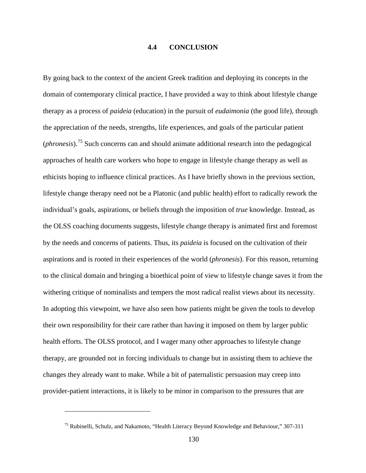#### **4.4 CONCLUSION**

By going back to the context of the ancient Greek tradition and deploying its concepts in the domain of contemporary clinical practice, I have provided a way to think about lifestyle change therapy as a process of *paideia* (education) in the pursuit of *eudaimonia* (the good life), through the appreciation of the needs, strengths, life experiences, and goals of the particular patient (*phronesis*). [75](#page-139-0) Such concerns can and should animate additional research into the pedagogical approaches of health care workers who hope to engage in lifestyle change therapy as well as ethicists hoping to influence clinical practices. As I have briefly shown in the previous section, lifestyle change therapy need not be a Platonic (and public health) effort to radically rework the individual's goals, aspirations, or beliefs through the imposition of *true* knowledge. Instead, as the OLSS coaching documents suggests, lifestyle change therapy is animated first and foremost by the needs and concerns of patients. Thus, its *paideia* is focused on the cultivation of their aspirations and is rooted in their experiences of the world (*phronesis*). For this reason, returning to the clinical domain and bringing a bioethical point of view to lifestyle change saves it from the withering critique of nominalists and tempers the most radical realist views about its necessity. In adopting this viewpoint, we have also seen how patients might be given the tools to develop their own responsibility for their care rather than having it imposed on them by larger public health efforts. The OLSS protocol, and I wager many other approaches to lifestyle change therapy, are grounded not in forcing individuals to change but in assisting them to achieve the changes they already want to make. While a bit of paternalistic persuasion may creep into provider-patient interactions, it is likely to be minor in comparison to the pressures that are

<span id="page-139-0"></span><sup>75</sup> Rubinelli, Schulz, and Nakamoto, "Health Literacy Beyond Knowledge and Behaviour," 307-311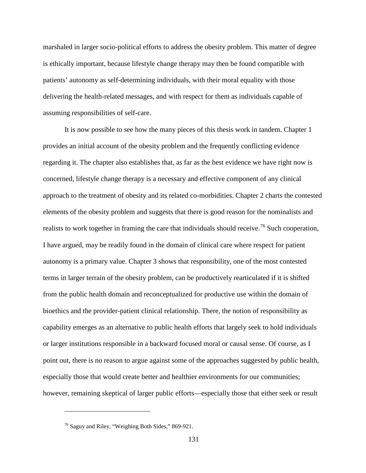marshaled in larger socio-political efforts to address the obesity problem. This matter of degree is ethically important, because lifestyle change therapy may then be found compatible with patients' autonomy as self-determining individuals, with their moral equality with those delivering the health-related messages, and with respect for them as individuals capable of assuming responsibilities of self-care.

It is now possible to see how the many pieces of this thesis work in tandem. Chapter 1 provides an initial account of the obesity problem and the frequently conflicting evidence regarding it. The chapter also establishes that, as far as the best evidence we have right now is concerned, lifestyle change therapy is a necessary and effective component of any clinical approach to the treatment of obesity and its related co-morbidities. Chapter 2 charts the contested elements of the obesity problem and suggests that there is good reason for the nominalists and realists to work together in framing the care that individuals should receive.<sup>[76](#page-140-0)</sup> Such cooperation, I have argued, may be readily found in the domain of clinical care where respect for patient autonomy is a primary value. Chapter 3 shows that responsibility, one of the most contested terms in larger terrain of the obesity problem, can be productively rearticulated if it is shifted from the public health domain and reconceptualized for productive use within the domain of bioethics and the provider-patient clinical relationship. There, the notion of responsibility as capability emerges as an alternative to public health efforts that largely seek to hold individuals or larger institutions responsible in a backward focused moral or causal sense. Of course, as I point out, there is no reason to argue against some of the approaches suggested by public health, especially those that would create better and healthier environments for our communities; however, remaining skeptical of larger public efforts—especially those that either seek or result

<span id="page-140-0"></span><sup>&</sup>lt;sup>76</sup> Saguy and Riley, "Weighing Both Sides," 869-921.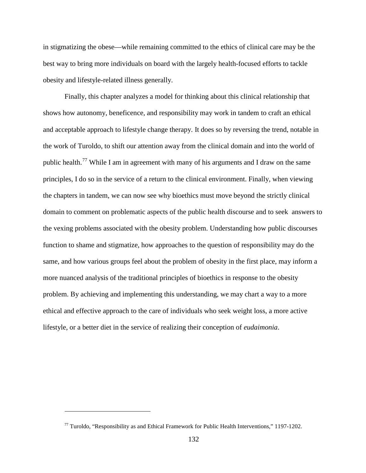in stigmatizing the obese—while remaining committed to the ethics of clinical care may be the best way to bring more individuals on board with the largely health-focused efforts to tackle obesity and lifestyle-related illness generally.

Finally, this chapter analyzes a model for thinking about this clinical relationship that shows how autonomy, beneficence, and responsibility may work in tandem to craft an ethical and acceptable approach to lifestyle change therapy. It does so by reversing the trend, notable in the work of Turoldo, to shift our attention away from the clinical domain and into the world of public health.<sup>[77](#page-141-0)</sup> While I am in agreement with many of his arguments and I draw on the same principles, I do so in the service of a return to the clinical environment. Finally, when viewing the chapters in tandem, we can now see why bioethics must move beyond the strictly clinical domain to comment on problematic aspects of the public health discourse and to seek answers to the vexing problems associated with the obesity problem. Understanding how public discourses function to shame and stigmatize, how approaches to the question of responsibility may do the same, and how various groups feel about the problem of obesity in the first place, may inform a more nuanced analysis of the traditional principles of bioethics in response to the obesity problem. By achieving and implementing this understanding, we may chart a way to a more ethical and effective approach to the care of individuals who seek weight loss, a more active lifestyle, or a better diet in the service of realizing their conception of *eudaimonia*.

<span id="page-141-0"></span> $77$  Turoldo, "Responsibility as and Ethical Framework for Public Health Interventions," 1197-1202.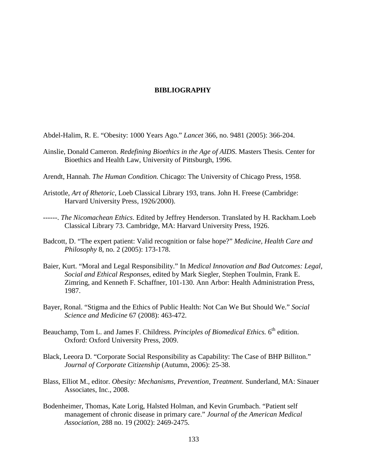## **BIBLIOGRAPHY**

- Abdel-Halim, R. E. "Obesity: 1000 Years Ago." *Lancet* 366, no. 9481 (2005): 366-204.
- Ainslie, Donald Cameron. *Redefining Bioethics in the Age of AIDS*. Masters Thesis. Center for Bioethics and Health Law, University of Pittsburgh, 1996.
- Arendt, Hannah. *The Human Condition.* Chicago: The University of Chicago Press, 1958.
- Aristotle, *Art of Rhetoric*, Loeb Classical Library 193, trans. John H. Freese (Cambridge: Harvard University Press, 1926/2000).
- ------. *The Nicomachean Ethics*. Edited by Jeffrey Henderson. Translated by H. Rackham.Loeb Classical Library 73. Cambridge, MA: Harvard University Press, 1926.
- Badcott, D. "The expert patient: Valid recognition or false hope?" *Medicine, Health Care and Philosophy* 8, no. 2 (2005): 173-178.
- Baier, Kurt. "Moral and Legal Responsibility." In *Medical Innovation and Bad Outcomes: Legal, Social and Ethical Responses*, edited by Mark Siegler, Stephen Toulmin, Frank E. Zimring, and Kenneth F. Schaffner, 101-130. Ann Arbor: Health Administration Press, 1987.
- Bayer, Ronal. "Stigma and the Ethics of Public Health: Not Can We But Should We." *Social Science and Medicine* 67 (2008): 463-472.
- Beauchamp, Tom L. and James F. Childress. *Principles of Biomedical Ethics*.  $6<sup>th</sup>$  edition. Oxford: Oxford University Press, 2009.
- Black, Leeora D. "Corporate Social Responsibility as Capability: The Case of BHP Billiton." *Journal of Corporate Citizenship* (Autumn, 2006): 25-38.
- Blass, Elliot M., editor. *Obesity: Mechanisms, Prevention, Treatment.* Sunderland, MA: Sinauer Associates, Inc., 2008.
- Bodenheimer, Thomas, Kate Lorig, Halsted Holman, and Kevin Grumbach. "Patient self management of chronic disease in primary care." *Journal of the American Medical Association*, 288 no. 19 (2002): 2469-2475.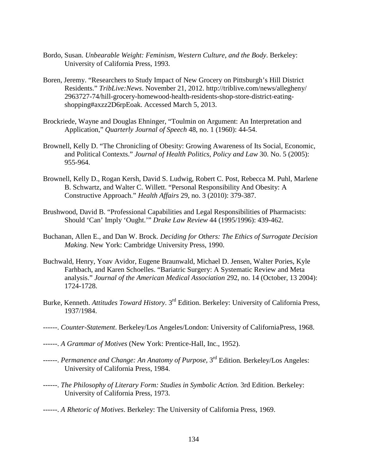- Bordo, Susan. *Unbearable Weight: Feminism, Western Culture, and the Body*. Berkeley: University of California Press, 1993.
- Boren, Jeremy. "Researchers to Study Impact of New Grocery on Pittsburgh's Hill District Residents." *TribLive:News*. November 21, 2012. [http://triblive.com/news/allegheny/](http://triblive.com/news/allegheny/%092963727-74/hill-grocery-homewood-health-residents-shop-store-district-eating-%09shopping%23axzz2D6rpEoak) [2963727-74/hill-grocery-homewood-health-residents-shop-store-district-eating](http://triblive.com/news/allegheny/%092963727-74/hill-grocery-homewood-health-residents-shop-store-district-eating-%09shopping%23axzz2D6rpEoak)[shopping#axzz2D6rpEoak.](http://triblive.com/news/allegheny/%092963727-74/hill-grocery-homewood-health-residents-shop-store-district-eating-%09shopping%23axzz2D6rpEoak) Accessed March 5, 2013.
- Brockriede, Wayne and Douglas Ehninger, "Toulmin on Argument: An Interpretation and Application," *Quarterly Journal of Speech* 48, no. 1 (1960): 44-54.
- Brownell, Kelly D. "The Chronicling of Obesity: Growing Awareness of Its Social, Economic, and Political Contexts." *Journal of Health Politics, Policy and Law* 30. No. 5 (2005): 955-964.
- Brownell, Kelly D., Rogan Kersh, David S. Ludwig, Robert C. Post, Rebecca M. Puhl, Marlene B. Schwartz, and Walter C. Willett. "Personal Responsibility And Obesity: A Constructive Approach." *Health Affairs* 29, no. 3 (2010): 379-387.
- Brushwood, David B. "Professional Capabilities and Legal Responsibilities of Pharmacists: Should 'Can' Imply 'Ought.'" *Drake Law Review* 44 (1995/1996): 439-462.
- Buchanan, Allen E., and Dan W. Brock. *Deciding for Others: The Ethics of Surrogate Decision Making.* New York: Cambridge University Press, 1990.
- Buchwald, Henry, Yoav Avidor, Eugene Braunwald, Michael D. Jensen, Walter Pories, Kyle Farhbach, and Karen Schoelles. "Bariatric Surgery: A Systematic Review and Meta analysis." *Journal of the American Medical Association* 292, no. 14 (October, 13 2004): 1724-1728.
- Burke, Kenneth. *Attitudes Toward History*. 3rd Edition. Berkeley: University of California Press, 1937/1984.
- ------. *Counter-Statement*. Berkeley/Los Angeles/London: University of CaliforniaPress, 1968.
- ------. *A Grammar of Motives* (New York: Prentice-Hall, Inc., 1952).
- ------. *Permanence and Change: An Anatomy of Purpose*, 3<sup>rd</sup> Edition. Berkeley/Los Angeles: University of California Press, 1984.
- ------. *The Philosophy of Literary Form: Studies in Symbolic Action.* 3rd Edition. Berkeley: University of California Press, 1973.
- ------. *A Rhetoric of Motives*. Berkeley: The University of California Press, 1969.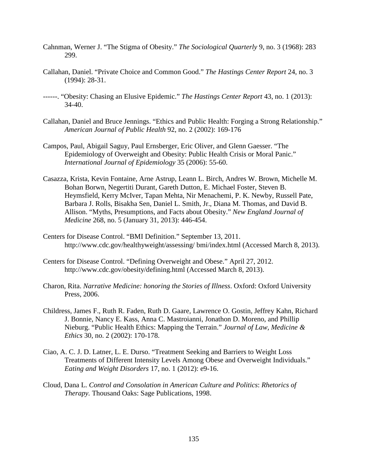- Cahnman, Werner J. "The Stigma of Obesity." *The Sociological Quarterly* 9, no. 3 (1968): 283 299.
- Callahan, Daniel. "Private Choice and Common Good." *The Hastings Center Report* 24, no. 3 (1994): 28-31.
- ------. "Obesity: Chasing an Elusive Epidemic." *The Hastings Center Report* 43, no. 1 (2013): 34-40.
- Callahan, Daniel and Bruce Jennings. "Ethics and Public Health: Forging a Strong Relationship." *American Journal of Public Health* 92, no. 2 (2002): 169-176
- Campos, Paul, Abigail Saguy, Paul Ernsberger, Eric Oliver, and Glenn Gaesser. "The Epidemiology of Overweight and Obesity: Public Health Crisis or Moral Panic." *International Journal of Epidemiology* 35 (2006): 55-60.
- Casazza, Krista, Kevin Fontaine, Arne Astrup, Leann L. Birch, Andres W. Brown, Michelle M. Bohan Borwn, Negertiti Durant, Gareth Dutton, E. Michael Foster, Steven B. Heymsfield, Kerry McIver, Tapan Mehta, Nir Menachemi, P. K. Newby, Russell Pate, Barbara J. Rolls, Bisakha Sen, Daniel L. Smith, Jr., Diana M. Thomas, and David B. Allison. "Myths, Presumptions, and Facts about Obesity." *New England Journal of Medicine* 268, no. 5 (January 31, 2013): 446-454.
- Centers for Disease Control. "BMI Definition." September 13, 2011. [http://www.cdc.gov/healthyweight/assessing/ bmi/index.html](http://www.cdc.gov/healthyweight/assessing/%20bmi/index.html) (Accessed March 8, 2013).
- Centers for Disease Control. "Defining Overweight and Obese." April 27, 2012. <http://www.cdc.gov/obesity/defining.html> (Accessed March 8, 2013).
- Charon, Rita. *Narrative Medicine: honoring the Stories of Illness*. Oxford: Oxford University Press, 2006.
- Childress, James F., Ruth R. Faden, Ruth D. Gaare, Lawrence O. Gostin, Jeffrey Kahn, Richard J. Bonnie, Nancy E. Kass, Anna C. Mastroianni, Jonathon D. Moreno, and Phillip Nieburg. "Public Health Ethics: Mapping the Terrain." *Journal of Law, Medicine & Ethics* 30, no. 2 (2002): 170-178.
- Ciao, A. C. J. D. Latner, L. E. Durso. "Treatment Seeking and Barriers to Weight Loss Treatments of Different Intensity Levels Among Obese and Overweight Individuals." *Eating and Weight Disorders* 17, no. 1 (2012): e9-16.
- Cloud, Dana L. *Control and Consolation in American Culture and Politics*: *Rhetorics of Therapy.* Thousand Oaks: Sage Publications, 1998.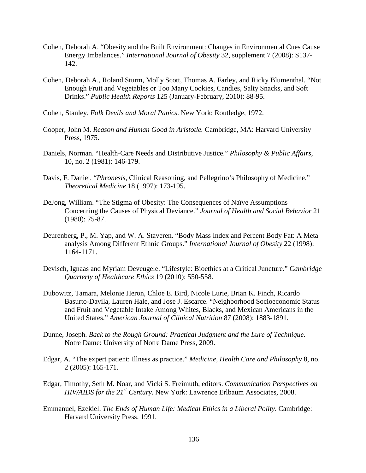- Cohen, Deborah A. "Obesity and the Built Environment: Changes in Environmental Cues Cause Energy Imbalances." *International Journal of Obesity* 32, supplement 7 (2008): S137- 142.
- Cohen, Deborah A., Roland Sturm, Molly Scott, Thomas A. Farley, and Ricky Blumenthal. "Not Enough Fruit and Vegetables or Too Many Cookies, Candies, Salty Snacks, and Soft Drinks." *Public Health Reports* 125 (January-February, 2010): 88-95.
- Cohen, Stanley. *Folk Devils and Moral Panics*. New York: Routledge, 1972.
- Cooper, John M. *Reason and Human Good in Aristotle.* Cambridge, MA: Harvard University Press, 1975.
- Daniels, Norman. "Health-Care Needs and Distributive Justice." *Philosophy & Public Affairs*, 10, no. 2 (1981): 146-179.
- Davis, F. Daniel. "*Phronesis*, Clinical Reasoning, and Pellegrino's Philosophy of Medicine." *Theoretical Medicine* 18 (1997): 173-195.
- DeJong, William. "The Stigma of Obesity: The Consequences of Naïve Assumptions Concerning the Causes of Physical Deviance." *Journal of Health and Social Behavior* 21 (1980): 75-87.
- Deurenberg, P., M. Yap, and W. A. Staveren. "Body Mass Index and Percent Body Fat: A Meta analysis Among Different Ethnic Groups." *International Journal of Obesity* 22 (1998): 1164-1171.
- Devisch, Ignaas and Myriam Deveugele. "Lifestyle: Bioethics at a Critical Juncture." *Cambridge Quarterly of Healthcare Ethics* 19 (2010): 550-558.
- Dubowitz, Tamara, Melonie Heron, Chloe E. Bird, Nicole Lurie, Brian K. Finch, Ricardo Basurto-Davila, Lauren Hale, and Jose J. Escarce. "Neighborhood Socioeconomic Status and Fruit and Vegetable Intake Among Whites, Blacks, and Mexican Americans in the United States." *American Journal of Clinical Nutrition* 87 (2008): 1883-1891.
- Dunne, Joseph. *Back to the Rough Ground: Practical Judgment and the Lure of Technique*. Notre Dame: University of Notre Dame Press, 2009.
- Edgar, A. "The expert patient: Illness as practice." *Medicine, Health Care and Philosophy* 8, no. 2 (2005): 165-171.
- Edgar, Timothy, Seth M. Noar, and Vicki S. Freimuth, editors. *Communication Perspectives on HIV/AIDS for the 21st Century*. New York: Lawrence Erlbaum Associates, 2008.
- Emmanuel, Ezekiel. *The Ends of Human Life: Medical Ethics in a Liberal Polity*. Cambridge: Harvard University Press, 1991.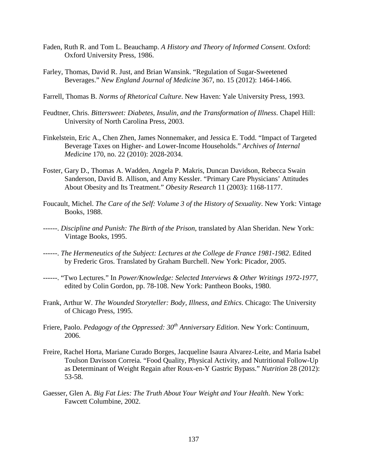- Faden, Ruth R. and Tom L. Beauchamp. *A History and Theory of Informed Consent*. Oxford: Oxford University Press, 1986.
- Farley, Thomas, David R. Just, and Brian Wansink. "Regulation of Sugar-Sweetened Beverages." *New England Journal of Medicine* 367, no. 15 (2012): 1464-1466.
- Farrell, Thomas B. *Norms of Rhetorical Culture*. New Haven: Yale University Press, 1993.
- Feudtner, Chris. *Bittersweet: Diabetes, Insulin, and the Transformation of Illness*. Chapel Hill: University of North Carolina Press, 2003.
- Finkelstein, Eric A., Chen Zhen, James Nonnemaker, and Jessica E. Todd. "Impact of Targeted Beverage Taxes on Higher- and Lower-Income Households." *Archives of Internal Medicine* 170, no. 22 (2010): 2028-2034.
- Foster, Gary D., Thomas A. Wadden, Angela P. Makris, Duncan Davidson, Rebecca Swain Sanderson, David B. Allison, and Amy Kessler. "Primary Care Physicians' Attitudes About Obesity and Its Treatment." *Obesity Research* 11 (2003): 1168-1177.
- Foucault, Michel. *The Care of the Self: Volume 3 of the History of Sexuality*. New York: Vintage Books, 1988.
- ------. *Discipline and Punish: The Birth of the Prison*, translated by Alan Sheridan. New York: Vintage Books, 1995.
- ------. *The Hermeneutics of the Subject: Lectures at the College de France 1981-1982*. Edited by Frederic Gros. Translated by Graham Burchell. New York: Picador, 2005.
- ------. "Two Lectures." In *Power/Knowledge: Selected Interviews & Other Writings 1972-1977*, edited by Colin Gordon, pp. 78-108. New York: Pantheon Books, 1980.
- Frank, Arthur W. *The Wounded Storyteller: Body, Illness, and Ethics*. Chicago: The University of Chicago Press, 1995.
- Friere, Paolo. *Pedagogy of the Oppressed: 30<sup>th</sup> Anniversary Edition*. New York: Continuum, 2006.
- Freire, Rachel Horta, Mariane Curado Borges, Jacqueline Isaura Alvarez-Leite, and Maria Isabel Toulson Davisson Correia. "Food Quality, Physical Activity, and Nutritional Follow-Up as Determinant of Weight Regain after Roux-en-Y Gastric Bypass." *Nutrition* 28 (2012): 53-58.
- Gaesser, Glen A. *Big Fat Lies: The Truth About Your Weight and Your Health*. New York: Fawcett Columbine, 2002.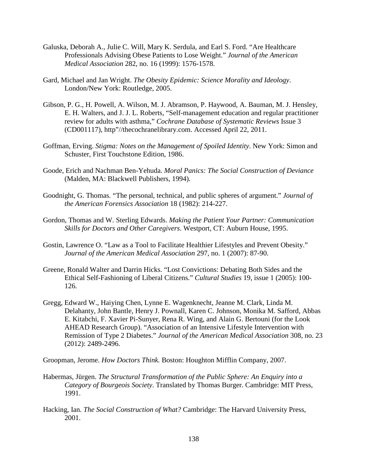- Galuska, Deborah A., Julie C. Will, Mary K. Serdula, and Earl S. Ford. "Are Healthcare Professionals Advising Obese Patients to Lose Weight." *Journal of the American Medical Association* 282, no. 16 (1999): 1576-1578.
- Gard, Michael and Jan Wright. *The Obesity Epidemic: Science Morality and Ideology*. London/New York: Routledge, 2005.
- Gibson, P. G., H. Powell, A. Wilson, M. J. Abramson, P. Haywood, A. Bauman, M. J. Hensley, E. H. Walters, and J. J. L. Roberts, "Self-management education and regular practitioner review for adults with asthma," *Cochrane Database of Systematic Reviews* Issue 3 (CD001117), http"//thecochranelibrary.com. Accessed April 22, 2011.
- Goffman, Erving. *Stigma: Notes on the Management of Spoiled Identity*. New York: Simon and Schuster, First Touchstone Edition, 1986.
- Goode, Erich and Nachman Ben-Yehuda. *Moral Panics: The Social Construction of Deviance* (Malden, MA: Blackwell Publishers, 1994).
- Goodnight, G. Thomas. "The personal, technical, and public spheres of argument." *Journal of the American Forensics Association* 18 (1982): 214-227.
- Gordon, Thomas and W. Sterling Edwards. *Making the Patient Your Partner: Communication Skills for Doctors and Other Caregivers*. Westport, CT: Auburn House, 1995.
- Gostin, Lawrence O. "Law as a Tool to Facilitate Healthier Lifestyles and Prevent Obesity." *Journal of the American Medical Association* 297, no. 1 (2007): 87-90.
- Greene, Ronald Walter and Darrin Hicks. "Lost Convictions: Debating Both Sides and the Ethical Self-Fashioning of Liberal Citizens." *Cultural Studies* 19, issue 1 (2005): 100- 126.
- Gregg, Edward W., Haiying Chen, Lynne E. Wagenknecht, Jeanne M. Clark, Linda M. Delahanty, John Bantle, Henry J. Pownall, Karen C. Johnson, Monika M. Safford, Abbas E. Kitabchi, F. Xavier Pi-Sunyer, Rena R. Wing, and Alain G. Bertouni (for the Look AHEAD Research Group). "Association of an Intensive Lifestyle Intervention with Remission of Type 2 Diabetes." *Journal of the American Medical Association* 308, no. 23 (2012): 2489-2496.
- Groopman, Jerome. *How Doctors Think.* Boston: Houghton Mifflin Company, 2007.
- Habermas, Jürgen. *The Structural Transformation of the Public Sphere: An Enquiry into a Category of Bourgeois Society*. Translated by Thomas Burger. Cambridge: MIT Press, 1991.
- Hacking, Ian. *The Social Construction of What?* Cambridge: The Harvard University Press, 2001.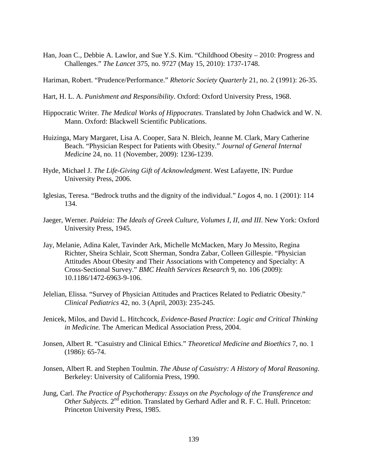Han, Joan C., Debbie A. Lawlor, and Sue Y.S. Kim. "Childhood Obesity – 2010: Progress and Challenges." *The Lancet* 375, no. 9727 (May 15, 2010): 1737-1748.

Hariman, Robert. "Prudence/Performance." *Rhetoric Society Quarterly* 21, no. 2 (1991): 26-35.

- Hart, H. L. A. *Punishment and Responsibility*. Oxford: Oxford University Press, 1968.
- Hippocratic Writer. *The Medical Works of Hippocrates*. Translated by John Chadwick and W. N. Mann. Oxford: Blackwell Scientific Publications.
- Huizinga, Mary Margaret, Lisa A. Cooper, Sara N. Bleich, Jeanne M. Clark, Mary Catherine Beach. "Physician Respect for Patients with Obesity." *Journal of General Internal Medicine* 24, no. 11 (November, 2009): 1236-1239.
- Hyde, Michael J. *The Life-Giving Gift of Acknowledgment*. West Lafayette, IN: Purdue University Press, 2006.
- Iglesias, Teresa. "Bedrock truths and the dignity of the individual." *Logos* 4, no. 1 (2001): 114 134.
- Jaeger, Werner. *Paideia: The Ideals of Greek Culture, Volumes I, II, and III*. New York: Oxford University Press, 1945.
- Jay, Melanie, Adina Kalet, Tavinder Ark, Michelle McMacken, Mary Jo Messito, Regina Richter, Sheira Schlair, Scott Sherman, Sondra Zabar, Colleen Gillespie. "Physician Attitudes About Obesity and Their Associations with Competency and Specialty: A Cross-Sectional Survey." *BMC Health Services Research* 9, no. 106 (2009): 10.1186/1472-6963-9-106.
- Jelelian, Elissa. "Survey of Physician Attitudes and Practices Related to Pediatric Obesity." *Clinical Pediatrics* 42, no. 3 (April, 2003): 235-245.
- Jenicek, Milos, and David L. Hitchcock, *Evidence-Based Practice: Logic and Critical Thinking in Medicine.* The American Medical Association Press, 2004.
- Jonsen, Albert R. "Casuistry and Clinical Ethics." *Theoretical Medicine and Bioethics* 7, no. 1 (1986): 65-74.
- Jonsen, Albert R. and Stephen Toulmin. *The Abuse of Casuistry: A History of Moral Reasoning*. Berkeley: University of California Press, 1990.
- Jung, Carl. *The Practice of Psychotherapy: Essays on the Psychology of the Transference and Other Subjects*. 2<sup>nd</sup> edition. Translated by Gerhard Adler and R. F. C. Hull. Princeton: Princeton University Press, 1985.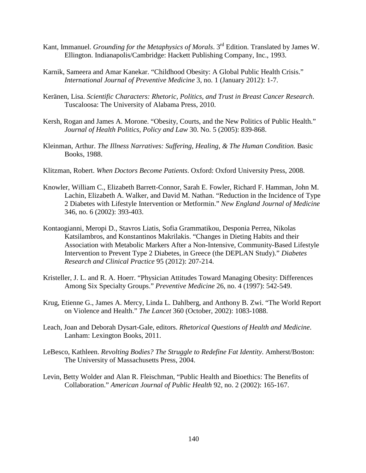- Kant, Immanuel. *Grounding for the Metaphysics of Morals*. 3<sup>rd</sup> Edition. Translated by James W. Ellington. Indianapolis/Cambridge: Hackett Publishing Company, Inc., 1993.
- Karnik, Sameera and Amar Kanekar. "Childhood Obesity: A Global Public Health Crisis." *International Journal of Preventive Medicine* 3, no. 1 (January 2012): 1-7.
- Keränen, Lisa. *Scientific Characters: Rhetoric, Politics, and Trust in Breast Cancer Research*. Tuscaloosa: The University of Alabama Press, 2010.
- Kersh, Rogan and James A. Morone. "Obesity, Courts, and the New Politics of Public Health." *Journal of Health Politics, Policy and Law* 30. No. 5 (2005): 839-868.
- Kleinman, Arthur. *The Illness Narratives: Suffering, Healing, & The Human Condition*. Basic Books, 1988.
- Klitzman, Robert. *When Doctors Become Patients*. Oxford: Oxford University Press, 2008.
- Knowler, William C., Elizabeth Barrett-Connor, Sarah E. Fowler, Richard F. Hamman, John M. Lachin, Elizabeth A. Walker, and David M. Nathan. "Reduction in the Incidence of Type 2 Diabetes with Lifestyle Intervention or Metformin." *New England Journal of Medicine* 346, no. 6 (2002): 393-403.
- Kontaogianni, Meropi D., Stavros Liatis, Sofia Grammatikou, Desponia Perrea, Nikolas Katsilambros, and Konstantinos Makrilakis. "Changes in Dieting Habits and their Association with Metabolic Markers After a Non-Intensive, Community-Based Lifestyle Intervention to Prevent Type 2 Diabetes, in Greece (the DEPLAN Study)." *Diabetes Research and Clinical Practice* 95 (2012): 207-214.
- Kristeller, J. L. and R. A. Hoerr. "Physician Attitudes Toward Managing Obesity: Differences Among Six Specialty Groups." *Preventive Medicine* 26, no. 4 (1997): 542-549.
- Krug, Etienne G., James A. Mercy, Linda L. Dahlberg, and Anthony B. Zwi. "The World Report on Violence and Health." *The Lancet* 360 (October, 2002): 1083-1088.
- Leach, Joan and Deborah Dysart-Gale, editors. *Rhetorical Questions of Health and Medicine*. Lanham: Lexington Books, 2011.
- LeBesco, Kathleen. *Revolting Bodies? The Struggle to Redefine Fat Identity*. Amherst/Boston: The University of Massachusetts Press, 2004.
- Levin, Betty Wolder and Alan R. Fleischman, "Public Health and Bioethics: The Benefits of Collaboration." *American Journal of Public Health* 92, no. 2 (2002): 165-167.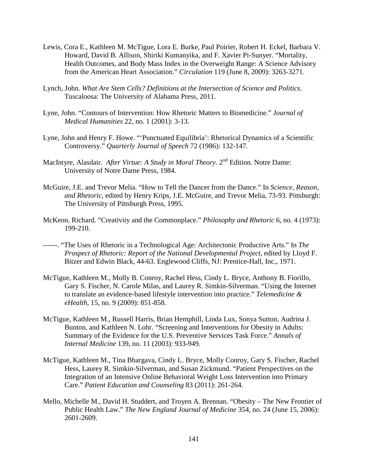- Lewis, Cora E., Kathleen M. McTigue, Lora E. Burke, Paul Poirier, Robert H. Eckel, Barbara V. Howard, David B. Allison, Shiriki Kumanyika, and F. Xavier Pi-Sunyer. "Mortality, Health Outcomes, and Body Mass Index in the Overweight Range: A Science Advisory from the American Heart Association." *Circulation* 119 (June 8, 2009): 3263-3271.
- Lynch, John. *What Are Stem Cells? Definitions at the Intersection of Science and Politics*. Tuscaloosa: The University of Alabama Press, 2011.
- Lyne, John. "Contours of Intervention: How Rhetoric Matters to Biomedicine." *Journal of Medical Humanities* 22, no. 1 (2001): 3-13.
- Lyne, John and Henry F. Howe. "'Punctuated Equilibria': Rhetorical Dynamics of a Scientific Controversy." *Quarterly Journal of Speech* 72 (1986): 132-147.
- MacIntyre, Alasdair. *After Virtue: A Study in Moral Theory*. 2<sup>nd</sup> Edition. Notre Dame: University of Notre Dame Press, 1984.
- McGuire, J.E. and Trevor Melia. "How to Tell the Dancer from the Dance." In *Science, Reason, and Rhetoric*, edited by Henry Krips, J.E. McGuire, and Trevor Melia, 73-93. Pittsburgh: The University of Pittsburgh Press, 1995.
- McKeon, Richard. "Creativity and the Commonplace." *Philosophy and Rhetoric* 6, no. 4 (1973): 199-210.
- ------. "The Uses of Rhetoric in a Technological Age: Architectonic Productive Arts." In *The Prospect of Rhetoric: Report of the National Developmental Project*, edited by Lloyd F. Bitzer and Edwin Black, 44-63. Englewood Cliffs, NJ: Prentice-Hall, Inc., 1971.
- McTigue, Kathleen M., Molly B. Conroy, Rachel Hess, Cindy L. Bryce, Anthony B. Fiorillo, Gary S. Fischer, N. Carole Milas, and Laurey R. Simkin-Silverman. "Using the Internet to translate an evidence-based lifestyle intervention into practice." *Telemedicine & eHealth*, 15, no. 9 (2009): 851-858.
- McTigue, Kathleen M., Russell Harris, Brian Hemphill, Linda Lux, Sonya Sutton, Audrina J. Bunton, and Kathleen N. Lohr. "Screening and Interventions for Obesity in Adults: Summary of the Evidence for the U.S. Preventive Services Task Force." *Annals of Internal Medicine* 139, no. 11 (2003): 933-949.
- McTigue, Kathleen M., Tina Bhargava, Cindy L. Bryce, Molly Conroy, Gary S. Fischer, Rachel Hess, Laurey R. Simkin-Silverman, and Susan Zickmund. "Patient Perspectives on the Integration of an Intensive Online Behavioral Weight Loss Intervention into Primary Care." *Patient Education and Counseling* 83 (2011): 261-264.
- Mello, Michelle M., David H. Studdert, and Troyen A. Brennan. "Obesity The New Frontier of Public Health Law." *The New England Journal of Medicine* 354, no. 24 (June 15, 2006): 2601-2609.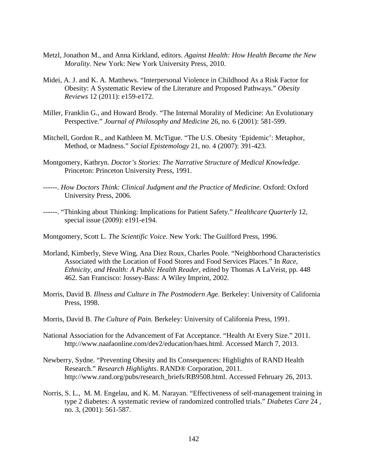- Metzl, Jonathon M., and Anna Kirkland, editors. *Against Health: How Health Became the New Morality*. New York: New York University Press, 2010.
- Midei, A. J. and K. A. Matthews. "Interpersonal Violence in Childhood As a Risk Factor for Obesity: A Systematic Review of the Literature and Proposed Pathways." *Obesity Reviews* 12 (2011): e159-e172.
- Miller, Franklin G., and Howard Brody. "The Internal Morality of Medicine: An Evolutionary Perspective." *Journal of Philosophy and Medicine* 26, no. 6 (2001): 581-599.
- Mitchell, Gordon R., and Kathleen M. McTigue. "The U.S. Obesity 'Epidemic': Metaphor, Method, or Madness." *Social Epistemology* 21, no. 4 (2007): 391-423.
- Montgomery, Kathryn. *Doctor's Stories: The Narrative Structure of Medical Knowledge*. Princeton: Princeton University Press, 1991.
- ------. *How Doctors Think: Clinical Judgment and the Practice of Medicine.* Oxford: Oxford University Press, 2006.
- ------. "Thinking about Thinking: Implications for Patient Safety." *Healthcare Quarterly* 12, special issue (2009): e191-e194.

Montgomery, Scott L. *The Scientific Voice*. New York: The Guilford Press, 1996.

- Morland, Kimberly, Steve Wing, Ana Diez Roux, Charles Poole. "Neighborhood Characteristics Associated with the Location of Food Stores and Food Services Places." In *Race, Ethnicity, and Health: A Public Health Reader*, edited by Thomas A LaVeist, pp. 448 462. San Francisco: Jossey-Bass: A Wiley Imprint, 2002.
- Morris, David B. *Illness and Culture in The Postmodern Age.* Berkeley: University of California Press, 1998.
- Morris, David B. *The Culture of Pain.* Berkeley: University of California Press, 1991.
- National Association for the Advancement of Fat Acceptance. "Health At Every Size." 2011. [http://www.naafaonline.com/dev2/education/haes.html.](http://www.naafaonline.com/dev2/education/haes.html) Accessed March 7, 2013.
- Newberry, Sydne. "Preventing Obesity and Its Consequences: Highlights of RAND Health Research." *Research Highlights*. RAND® Corporation, 2011. [http://www.rand.org/pubs/research\\_briefs/RB9508.html.](http://www.rand.org/pubs/research_briefs/RB9508.html) Accessed February 26, 2013.
- Norris, S. L., M. M. Engelau, and K. M. Narayan. "Effectiveness of self-management training in type 2 diabetes: A systematic review of randomized controlled trials." *Diabetes Care* 24 , no. 3, (2001): 561-587.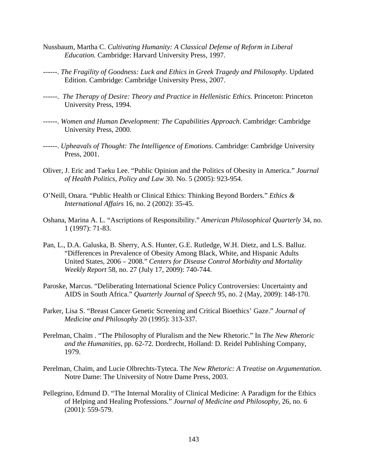- Nussbaum, Martha C. *Cultivating Humanity: A Classical Defense of Reform in Liberal Education.* Cambridge: Harvard University Press, 1997.
- ------. *The Fragility of Goodness: Luck and Ethics in Greek Tragedy and Philosophy*. Updated Edition. Cambridge: Cambridge University Press, 2007.
- ------. *The Therapy of Desire: Theory and Practice in Hellenistic Ethics.* Princeton: Princeton University Press, 1994.
- ------. *Women and Human Development: The Capabilities Approach*. Cambridge: Cambridge University Press, 2000.
- ------. *Upheavals of Thought: The Intelligence of Emotions.* Cambridge: Cambridge University Press, 2001.
- Oliver, J. Eric and Taeku Lee. "Public Opinion and the Politics of Obesity in America." *Journal of Health Politics, Policy and Law* 30. No. 5 (2005): 923-954.
- O'Neill, Onara. "Public Health or Clinical Ethics: Thinking Beyond Borders." *Ethics & International Affairs* 16, no. 2 (2002): 35-45.
- Oshana, Marina A. L. "Ascriptions of Responsibility." *American Philosophical Quarterly* 34, no. 1 (1997): 71-83.
- Pan, L., D.A. Galuska, B. Sherry, A.S. Hunter, G.E. Rutledge, W.H. Dietz, and L.S. Balluz. "Differences in Prevalence of Obesity Among Black, White, and Hispanic Adults United States, 2006 – 2008." *Centers for Disease Control Morbidity and Mortality Weekly Report* 58, no. 27 (July 17, 2009): 740-744.
- Paroske, Marcus. "Deliberating International Science Policy Controversies: Uncertainty and AIDS in South Africa." *Quarterly Journal of Speech* 95, no. 2 (May, 2009): 148-170.
- Parker, Lisa S. "Breast Cancer Genetic Screening and Critical Bioethics' Gaze." *Journal of Medicine and Philosophy* 20 (1995): 313-337.
- Perelman, Chaïm . "The Philosophy of Pluralism and the New Rhetoric." In *The New Rhetoric and the Humanities*, pp. 62-72. Dordrecht, Holland: D. Reidel Publishing Company, 1979.
- Perelman, Chaïm, and Lucie Olbrechts-Tyteca. T*he New Rhetoric: A Treatise on Argumentation.* Notre Dame: The University of Notre Dame Press, 2003.
- Pellegrino, Edmund D. "The Internal Morality of Clinical Medicine: A Paradigm for the Ethics of Helping and Healing Professions." *Journal of Medicine and Philosophy*, 26, no. 6 (2001): 559-579.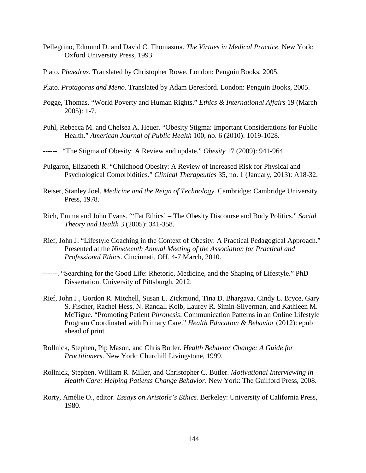- Pellegrino, Edmund D. and David C. Thomasma. *The Virtues in Medical Practice.* New York: Oxford University Press, 1993.
- Plato. *Phaedrus*. Translated by Christopher Rowe. London: Penguin Books, 2005.
- Plato. *Protagoras and Meno*. Translated by Adam Beresford. London: Penguin Books, 2005.
- Pogge, Thomas. "World Poverty and Human Rights." *Ethics & International Affairs* 19 (March 2005): 1-7.
- Puhl, Rebecca M. and Chelsea A. Heuer. "Obesity Stigma: Important Considerations for Public Health." *American Journal of Public Health* 100, no. 6 (2010): 1019-1028.

------. "The Stigma of Obesity: A Review and update." *Obesity* 17 (2009): 941-964.

- Pulgaron, Elizabeth R. "Childhood Obesity: A Review of Increased Risk for Physical and Psychological Comorbidities." *Clinical Therapeutics* 35, no. 1 (January, 2013): A18-32.
- Reiser, Stanley Joel. *Medicine and the Reign of Technology*. Cambridge: Cambridge University Press, 1978.
- Rich, Emma and John Evans. "'Fat Ethics' The Obesity Discourse and Body Politics." *Social Theory and Health* 3 (2005): 341-358.
- Rief, John J. "Lifestyle Coaching in the Context of Obesity: A Practical Pedagogical Approach." Presented at the *Nineteenth Annual Meeting of the Association for Practical and Professional Ethics*. Cincinnati, OH. 4-7 March, 2010.
- ------. "Searching for the Good Life: Rhetoric, Medicine, and the Shaping of Lifestyle." PhD Dissertation. University of Pittsburgh, 2012.
- Rief, John J., Gordon R. Mitchell, Susan L. Zickmund, Tina D. Bhargava, Cindy L. Bryce, Gary S. Fischer, Rachel Hess, N. Randall Kolb, Laurey R. Simin-Silverman, and Kathleen M. McTigue. "Promoting Patient *Phronesis*: Communication Patterns in an Online Lifestyle Program Coordinated with Primary Care." *Health Education & Behavior* (2012): epub ahead of print.
- Rollnick, Stephen, Pip Mason, and Chris Butler. *Health Behavior Change: A Guide for Practitioners*. New York: Churchill Livingstone, 1999.
- Rollnick, Stephen, William R. Miller, and Christopher C. Butler. *Motivational Interviewing in Health Care: Helping Patients Change Behavior*. New York: The Guilford Press, 2008.
- Rorty, Amélie O., editor. *Essays on Aristotle's Ethics.* Berkeley: University of California Press, 1980.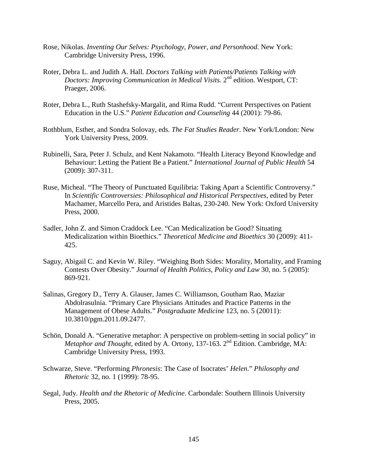- Rose, Nikolas. *Inventing Our Selves: Psychology, Power, and Personhood*. New York: Cambridge University Press, 1996.
- Roter, Debra L. and Judith A. Hall. *Doctors Talking with Patients/Patients Talking with Doctors: Improving Communication in Medical Visits.* 2<sup>nd</sup> edition. Westport, CT: Praeger, 2006.
- Roter, Debra L., Ruth Stashefsky-Margalit, and Rima Rudd. "Current Perspectives on Patient Education in the U.S." *Patient Education and Counseling* 44 (2001): 79-86.
- Rothblum, Esther, and Sondra Solovay, eds. *The Fat Studies Reader*. New York/London: New York University Press, 2009.
- Rubinelli, Sara, Peter J. Schulz, and Kent Nakamoto. "Health Literacy Beyond Knowledge and Behaviour: Letting the Patient Be a Patient." *International Journal of Public Health* 54 (2009): 307-311.
- Ruse, Micheal. "The Theory of Punctuated Equilibria: Taking Apart a Scientific Controversy." In *Scientific Controversies: Philosophical and Historical Perspectives*, edited by Peter Machamer, Marcello Pera, and Aristides Baltas, 230-240. New York: Oxford University Press, 2000.
- Sadler, John Z. and Simon Craddock Lee. "Can Medicalization be Good? Situating Medicalization within Bioethics." *Theoretical Medicine and Bioethics* 30 (2009): 411- 425.
- Saguy, Abigail C. and Kevin W. Riley. "Weighing Both Sides: Morality, Mortality, and Framing Contests Over Obesity." *Journal of Health Politics, Policy and Law* 30, no. 5 (2005): 869-921.
- Salinas, Gregory D., Terry A. Glauser, James C. Williamson, Goutham Rao, Maziar Abdolrasulnia. "Primary Care Physicians Attitudes and Practice Patterns in the Management of Obese Adults." *Postgraduate Medicine* 123, no. 5 (20011): 10.3810/pgm.2011.09.2477.
- Schön, Donald A. "Generative metaphor: A perspective on problem-setting in social policy" in *Metaphor and Thought, edited by A. Ortony, 137-163.* 2<sup>nd</sup> Edition. Cambridge, MA: Cambridge University Press, 1993.
- Schwarze, Steve. "Performing *Phronesis*: The Case of Isocrates' *Helen*." *Philosophy and Rhetoric* 32, no. 1 (1999): 78-95.
- Segal, Judy. *Health and the Rhetoric of Medicine*. Carbondale: Southern Illinois University Press, 2005.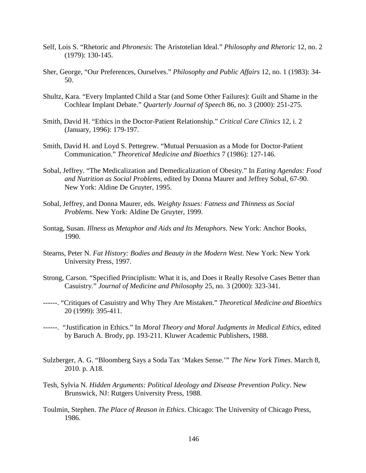- Self, Lois S. "Rhetoric and *Phronesis*: The Aristotelian Ideal." *Philosophy and Rhetoric* 12, no. 2 (1979): 130-145.
- Sher, George, "Our Preferences, Ourselves." *Philosophy and Public Affairs* 12, no. 1 (1983): 34- 50.
- Shultz, Kara. "Every Implanted Child a Star (and Some Other Failures): Guilt and Shame in the Cochlear Implant Debate." *Quarterly Journal of Speech* 86, no. 3 (2000): 251-275.
- Smith, David H. "Ethics in the Doctor-Patient Relationship." *Critical Care Clinics* 12, i. 2 (January, 1996): 179-197.
- Smith, David H. and Loyd S. Pettegrew. "Mutual Persuasion as a Mode for Doctor-Patient Communication." *Theoretical Medicine and Bioethics* 7 (1986): 127-146.
- Sobal, Jeffrey. "The Medicalization and Demedicalization of Obesity." In *Eating Agendas: Food and Nutrition as Social Problems*, edited by Donna Maurer and Jeffrey Sobal, 67-90. New York: Aldine De Gruyter, 1995.
- Sobal, Jeffrey, and Donna Maurer, eds. *Weighty Issues: Fatness and Thinness as Social Problems*. New York: Aldine De Gruyter, 1999.
- Sontag, Susan. *Illness as Metaphor and Aids and Its Metaphors*. New York: Anchor Books, 1990.
- Stearns, Peter N. *Fat History: Bodies and Beauty in the Modern West*. New York: New York University Press, 1997.
- Strong, Carson. "Specified Principlism: What it is, and Does it Really Resolve Cases Better than Casuistry." *Journal of Medicine and Philosophy* 25, no. 3 (2000): 323-341.
- ------. "Critiques of Casuistry and Why They Are Mistaken." *Theoretical Medicine and Bioethics* 20 (1999): 395-411.
- ------. "Justification in Ethics." In *Moral Theory and Moral Judgments in Medical Ethics*, edited by Baruch A. Brody, pp. 193-211. Kluwer Academic Publishers, 1988.
- Sulzberger, A. G. "Bloomberg Says a Soda Tax 'Makes Sense.'" *The New York Times*. March 8, 2010. p. A18.
- Tesh, Sylvia N. *Hidden Arguments: Political Ideology and Disease Prevention Policy*. New Brunswick, NJ: Rutgers University Press, 1988.
- Toulmin, Stephen. *The Place of Reason in Ethics*. Chicago: The University of Chicago Press, 1986.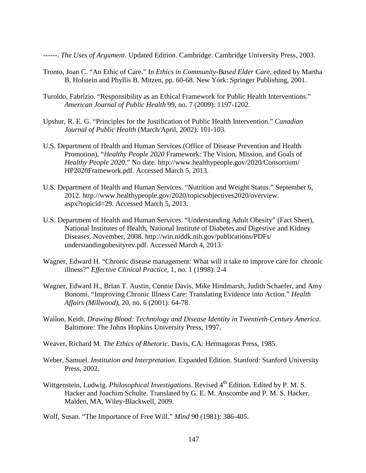------. *The Uses of Argument*. Updated Edition. Cambridge: Cambridge University Press, 2003.

- Tronto, Joan C. "An Ethic of Care." In *Ethics in Community-Based Elder Care*, edited by Martha B. Holstein and Phyllis B. Mitzen, pp. 60-68. New York: Springer Publishing, 2001.
- Turoldo, Fabrizio. "Responsibility as an Ethical Framework for Public Health Interventions." *American Journal of Public Health* 99, no. 7 (2009): 1197-1202.
- Upshur, R. E. G. "Principles for the Justification of Public Health Intervention." *Canadian Journal of Public Health* (March/April, 2002): 101-103.
- U.S. Department of Health and Human Services (Office of Disease Prevention and Health Promotion), "*Healthy People 2020* Framework: The Vision, Mission, and Goals of *Healthy People 2020*." No date. [http://www.healthypeople.gov/2020/Consortium/](http://www.healthypeople.gov/2020/Consortium/%09HP2020Framework.pdf) [HP2020Framework.pdf.](http://www.healthypeople.gov/2020/Consortium/%09HP2020Framework.pdf) Accessed March 5, 2013.
- U.S. Department of Health and Human Services. "Nutrition and Weight Status." September 6, 2012. [http://www.healthypeople.gov/2020/topicsobjectives2020/overview.](http://www.healthypeople.gov/2020/topicsobjectives2020/overview.%09aspx?topicid=29) [aspx?topicid=29.](http://www.healthypeople.gov/2020/topicsobjectives2020/overview.%09aspx?topicid=29) Accessed March 5, 2013.
- U.S. Department of Health and Human Services. "Understanding Adult Obesity" (Fact Sheet), National Institutes of Health, National Institute of Diabetes and Digestive and Kidney Diseases. November, 2008. [http://win.niddk.nih.gov/publications/PDFs/](http://win.niddk.nih.gov/publications/PDFs/%20understandingobesityrev.pdf) [understandingobesityrev.pdf.](http://win.niddk.nih.gov/publications/PDFs/%20understandingobesityrev.pdf) Accessed March 4, 2013.
- Wagner, Edward H. "Chronic disease management: What will it take to improve care for chronic illness?" *Effective Clinical Practice*, 1, no. 1 (1998): 2-4
- Wagner, Edward H., Brian T. Austin, Connie Davis, Mike Hindmarsh, Judith Schaefer, and Amy Bonomi. "Improving Chronic Illness Care: Translating Evidence into Action." *Health Affairs (Millwood)*, 20, no. 6 (2001): 64-78.
- Wailoo, Keith. *Drawing Blood: Technology and Disease Identity in Twentieth-Century America*. Baltimore: The Johns Hopkins University Press, 1997.
- Weaver, Richard M. *The Ethics of Rhetoric*. Davis, CA: Hermagoras Press, 1985.
- Weber, Samuel. *Institution and Interpretation*. Expanded Edition. Stanford: Stanford University Press, 2002.
- Wittgenstein, Ludwig. *Philosophical Investigations*. Revised 4<sup>th</sup> Edition. Edited by P. M. S. Hacker and Joachim Schulte. Translated by G. E. M. Anscombe and P. M. S. Hacker. Malden, MA, Wiley-Blackwell, 2009.
- Wolf, Susan. "The Importance of Free Will." *Mind* 90 (1981): 386-405.